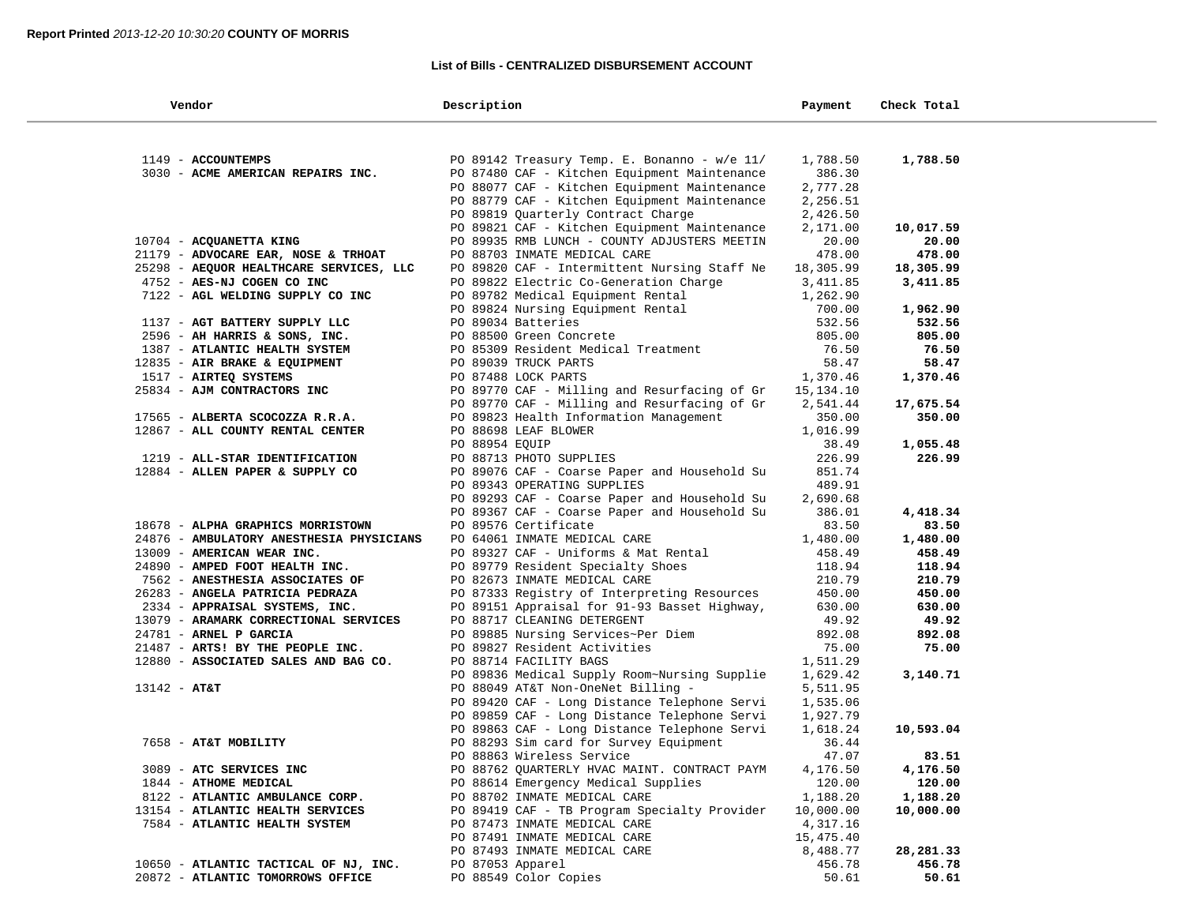### **List of Bills - CENTRALIZED DISBURSEMENT ACCOUNT**

| Vendor                                   | Description                                  | Payment   | Check Total |  |
|------------------------------------------|----------------------------------------------|-----------|-------------|--|
|                                          |                                              |           |             |  |
| 1149 - ACCOUNTEMPS                       | PO 89142 Treasury Temp. E. Bonanno - w/e 11/ | 1,788.50  | 1,788.50    |  |
| 3030 - ACME AMERICAN REPAIRS INC.        | PO 87480 CAF - Kitchen Equipment Maintenance | 386.30    |             |  |
|                                          | PO 88077 CAF - Kitchen Equipment Maintenance | 2,777.28  |             |  |
|                                          | PO 88779 CAF - Kitchen Equipment Maintenance | 2,256.51  |             |  |
|                                          | PO 89819 Quarterly Contract Charge           | 2,426.50  |             |  |
|                                          | PO 89821 CAF - Kitchen Equipment Maintenance | 2,171.00  | 10,017.59   |  |
| 10704 - ACQUANETTA KING                  | PO 89935 RMB LUNCH - COUNTY ADJUSTERS MEETIN | 20.00     | 20.00       |  |
| 21179 - ADVOCARE EAR, NOSE & TRHOAT      | PO 88703 INMATE MEDICAL CARE                 | 478.00    | 478.00      |  |
| 25298 - AEQUOR HEALTHCARE SERVICES, LLC  | PO 89820 CAF - Intermittent Nursing Staff Ne | 18,305.99 | 18,305.99   |  |
| 4752 - AES-NJ COGEN CO INC               | PO 89822 Electric Co-Generation Charge       | 3, 411.85 | 3,411.85    |  |
| 7122 - AGL WELDING SUPPLY CO INC         | PO 89782 Medical Equipment Rental            | 1,262.90  |             |  |
|                                          | PO 89824 Nursing Equipment Rental            | 700.00    | 1,962.90    |  |
| 1137 - AGT BATTERY SUPPLY LLC            | PO 89034 Batteries                           | 532.56    | 532.56      |  |
| 2596 - AH HARRIS & SONS, INC.            | PO 88500 Green Concrete                      | 805.00    | 805.00      |  |
| 1387 - ATLANTIC HEALTH SYSTEM            | PO 85309 Resident Medical Treatment          | 76.50     | 76.50       |  |
| 12835 - AIR BRAKE & EQUIPMENT            | PO 89039 TRUCK PARTS                         | 58.47     | 58.47       |  |
| 1517 - AIRTEQ SYSTEMS                    | PO 87488 LOCK PARTS                          | 1,370.46  | 1,370.46    |  |
| 25834 - AJM CONTRACTORS INC              | PO 89770 CAF - Milling and Resurfacing of Gr | 15,134.10 |             |  |
|                                          | PO 89770 CAF - Milling and Resurfacing of Gr | 2,541.44  | 17,675.54   |  |
| 17565 - ALBERTA SCOCOZZA R.R.A.          | PO 89823 Health Information Management       | 350.00    | 350.00      |  |
| 12867 - ALL COUNTY RENTAL CENTER         | PO 88698 LEAF BLOWER                         | 1,016.99  |             |  |
|                                          | PO 88954 EQUIP                               | 38.49     | 1,055.48    |  |
| 1219 - ALL-STAR IDENTIFICATION           | PO 88713 PHOTO SUPPLIES                      | 226.99    | 226.99      |  |
| 12884 - ALLEN PAPER & SUPPLY CO          | PO 89076 CAF - Coarse Paper and Household Su | 851.74    |             |  |
|                                          | PO 89343 OPERATING SUPPLIES                  | 489.91    |             |  |
|                                          | PO 89293 CAF - Coarse Paper and Household Su | 2,690.68  |             |  |
|                                          | PO 89367 CAF - Coarse Paper and Household Su | 386.01    | 4,418.34    |  |
| 18678 - ALPHA GRAPHICS MORRISTOWN        | PO 89576 Certificate                         | 83.50     | 83.50       |  |
| 24876 - AMBULATORY ANESTHESIA PHYSICIANS | PO 64061 INMATE MEDICAL CARE                 | 1,480.00  | 1,480.00    |  |
| 13009 - AMERICAN WEAR INC.               | PO 89327 CAF - Uniforms & Mat Rental         | 458.49    | 458.49      |  |
| 24890 - AMPED FOOT HEALTH INC.           | PO 89779 Resident Specialty Shoes            | 118.94    | 118.94      |  |
| 7562 - ANESTHESIA ASSOCIATES OF          | PO 82673 INMATE MEDICAL CARE                 | 210.79    | 210.79      |  |
| 26283 - ANGELA PATRICIA PEDRAZA          | PO 87333 Registry of Interpreting Resources  | 450.00    | 450.00      |  |
| 2334 - APPRAISAL SYSTEMS, INC.           | PO 89151 Appraisal for 91-93 Basset Highway, | 630.00    | 630.00      |  |
| 13079 - ARAMARK CORRECTIONAL SERVICES    | PO 88717 CLEANING DETERGENT                  | 49.92     | 49.92       |  |
| 24781 - ARNEL P GARCIA                   | PO 89885 Nursing Services~Per Diem           | 892.08    | 892.08      |  |
| 21487 - ARTS! BY THE PEOPLE INC.         | PO 89827 Resident Activities                 | 75.00     | 75.00       |  |
| 12880 - ASSOCIATED SALES AND BAG CO.     | PO 88714 FACILITY BAGS                       | 1,511.29  |             |  |
|                                          | PO 89836 Medical Supply Room~Nursing Supplie | 1,629.42  | 3,140.71    |  |
| $13142 - AT&T$                           | PO 88049 AT&T Non-OneNet Billing -           | 5,511.95  |             |  |
|                                          | PO 89420 CAF - Long Distance Telephone Servi | 1,535.06  |             |  |
|                                          | PO 89859 CAF - Long Distance Telephone Servi | 1,927.79  |             |  |
|                                          | PO 89863 CAF - Long Distance Telephone Servi | 1,618.24  | 10,593.04   |  |
| 7658 - AT&T MOBILITY                     | PO 88293 Sim card for Survey Equipment       | 36.44     |             |  |
|                                          | PO 88863 Wireless Service                    | 47.07     | 83.51       |  |
| 3089 - ATC SERVICES INC                  | PO 88762 QUARTERLY HVAC MAINT. CONTRACT PAYM | 4,176.50  | 4,176.50    |  |
| 1844 - ATHOME MEDICAL                    | PO 88614 Emergency Medical Supplies          | 120.00    | 120.00      |  |
| 8122 - ATLANTIC AMBULANCE CORP.          | PO 88702 INMATE MEDICAL CARE                 | 1,188.20  | 1,188.20    |  |
| 13154 - ATLANTIC HEALTH SERVICES         | PO 89419 CAF - TB Program Specialty Provider | 10,000.00 | 10,000.00   |  |
| 7584 - ATLANTIC HEALTH SYSTEM            | PO 87473 INMATE MEDICAL CARE                 | 4,317.16  |             |  |
|                                          | PO 87491 INMATE MEDICAL CARE                 | 15,475.40 |             |  |
|                                          | PO 87493 INMATE MEDICAL CARE                 | 8,488.77  | 28,281.33   |  |
| 10650 - ATLANTIC TACTICAL OF NJ, INC.    | PO 87053 Apparel                             | 456.78    | 456.78      |  |
| 20872 - ATLANTIC TOMORROWS OFFICE        | PO 88549 Color Copies                        | 50.61     | 50.61       |  |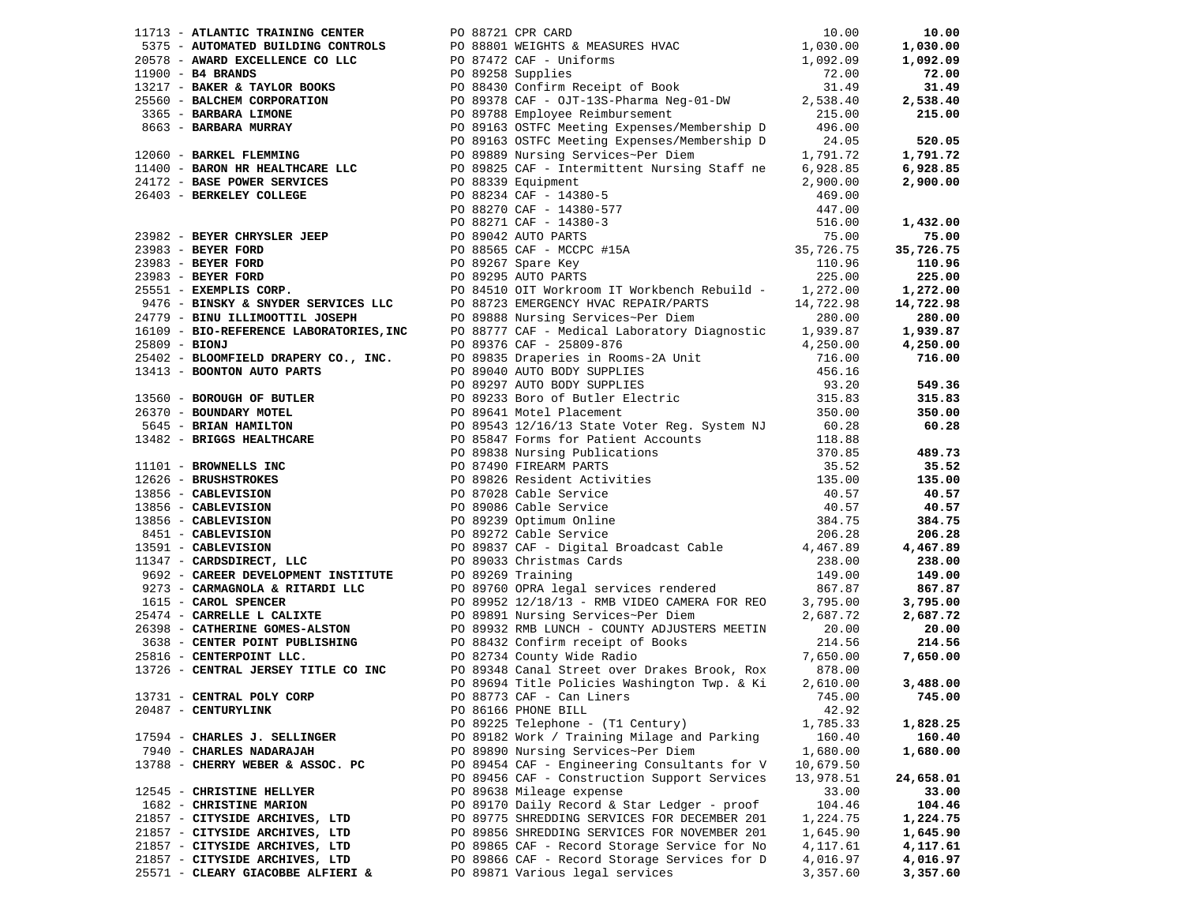|                                   | 1771 ANASHA DRAMA SOMEON 200 200 1972 (1972 ANASHA 200 1272 ANASHA 200 1272 ANASHA 200 1272 ANASHA 200 1272 ANASHA 200 1272 ANASHA 200 1272 ANASHA 200 1272 ANASHA 200 1272 ANASHA 200 1272 ANASHA 200 1272 ANASHA 200 1272 A |           |           |
|-----------------------------------|-------------------------------------------------------------------------------------------------------------------------------------------------------------------------------------------------------------------------------|-----------|-----------|
|                                   |                                                                                                                                                                                                                               |           |           |
|                                   |                                                                                                                                                                                                                               |           |           |
|                                   |                                                                                                                                                                                                                               |           |           |
|                                   |                                                                                                                                                                                                                               |           |           |
| 13731 - CENTRAL POLY CORP         |                                                                                                                                                                                                                               |           |           |
| 20487 - CENTURYLINK               | PO 86166 PHONE BILL                                                                                                                                                                                                           | 42.92     |           |
|                                   | PO 89225 Telephone - (T1 Century)                                                                                                                                                                                             | 1,785.33  | 1,828.25  |
| 17594 - CHARLES J. SELLINGER      | PO 89182 Work / Training Milage and Parking                                                                                                                                                                                   | 160.40    | 160.40    |
| 7940 - CHARLES NADARAJAH          | PO 89890 Nursing Services~Per Diem                                                                                                                                                                                            | 1,680.00  | 1,680.00  |
| 13788 - CHERRY WEBER & ASSOC. PC  | PO 89454 CAF - Engineering Consultants for V                                                                                                                                                                                  | 10,679.50 |           |
|                                   | PO 89456 CAF - Construction Support Services                                                                                                                                                                                  | 13,978.51 | 24,658.01 |
| 12545 - CHRISTINE HELLYER         | PO 89638 Mileage expense                                                                                                                                                                                                      | 33.00     | 33.00     |
| 1682 - CHRISTINE MARION           | PO 89170 Daily Record & Star Ledger - proof                                                                                                                                                                                   | 104.46    | 104.46    |
| 21857 - CITYSIDE ARCHIVES, LTD    | PO 89775 SHREDDING SERVICES FOR DECEMBER 201                                                                                                                                                                                  | 1,224.75  | 1,224.75  |
| 21857 - CITYSIDE ARCHIVES, LTD    | PO 89856 SHREDDING SERVICES FOR NOVEMBER 201                                                                                                                                                                                  | 1,645.90  | 1,645.90  |
|                                   | PO 89865 CAF - Record Storage Service for No                                                                                                                                                                                  |           |           |
| 21857 - CITYSIDE ARCHIVES, LTD    |                                                                                                                                                                                                                               | 4,117.61  | 4,117.61  |
| 21857 - CITYSIDE ARCHIVES, LTD    | PO 89866 CAF - Record Storage Services for D                                                                                                                                                                                  | 4,016.97  | 4,016.97  |
| 25571 - CLEARY GIACOBBE ALFIERI & | PO 89871 Various legal services                                                                                                                                                                                               | 3,357.60  | 3,357.60  |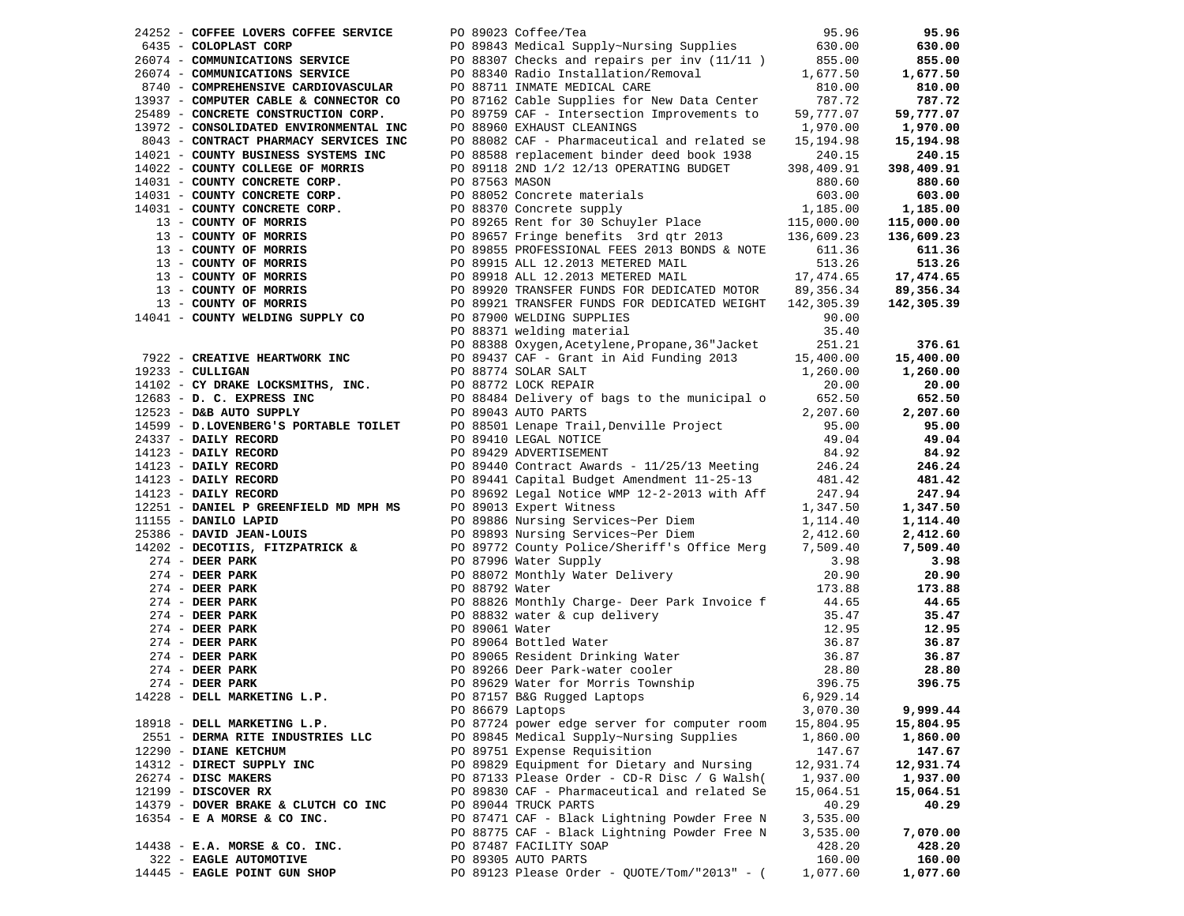| 24252 - COFFEE LOVERS COFFEE SERVICE                                                                                                                                                                |  | PO 89023 Coffee/Tea                                                                                                                                                                                                                                                  | 95.96     | 95.96      |
|-----------------------------------------------------------------------------------------------------------------------------------------------------------------------------------------------------|--|----------------------------------------------------------------------------------------------------------------------------------------------------------------------------------------------------------------------------------------------------------------------|-----------|------------|
|                                                                                                                                                                                                     |  | 6435 - COLOPLAST CORP<br>26074 - COMMUNICATIONS SERVICE PO 88307 Checks and repairs per inv (11/11) 855.00                                                                                                                                                           |           | 630.00     |
|                                                                                                                                                                                                     |  |                                                                                                                                                                                                                                                                      |           | 855.00     |
| 26074 - COMMUNICATIONS SERVICE                                                                                                                                                                      |  | PO 88340 Radio Installation/Removal<br>PO 88711 INMATE MEDICAL CARE                                                                                                                                                                                                  | 1,677.50  | 1,677.50   |
| 8740 - COMPREHENSIVE CARDIOVASCULAR                                                                                                                                                                 |  |                                                                                                                                                                                                                                                                      | 810.00    | 810.00     |
| 13937 - COMPUTER CABLE & CONNECTOR CO                                                                                                                                                               |  | PO 87162 Cable Supplies for New Data Center<br>PO 89759 CAF - Intersection Improvements to 59,                                                                                                                                                                       | 787.72    | 787.72     |
| 25489 - CONCRETE CONSTRUCTION CORP.                                                                                                                                                                 |  |                                                                                                                                                                                                                                                                      | 59,777.07 | 59,777.07  |
| 13972 - CONSOLIDATED ENVIRONMENTAL INC<br>8043 - CONTRACT PHARMACY SERVICES INC                                                                                                                     |  | PO 88960 EXHAUST CLEANINGS                                                                                                                                                                                                                                           | 1,970.00  | 1,970.00   |
| 8043 - CONTRACT PHARMACY SERVICES INC                                                                                                                                                               |  | PO 88082 CAF - Pharmaceutical and related se                                                                                                                                                                                                                         | 15,194.98 | 15,194.98  |
| 14021 - COUNTY BUSINESS SYSTEMS INC                                                                                                                                                                 |  | PO 88588 replacement binder deed book 1938                                                                                                                                                                                                                           | 240.15    | 240.15     |
| 14022 - COUNTY COLLEGE OF MORRIS                                                                                                                                                                    |  | PO 89118 2ND 1/2 12/13 OPERATING BUDGET 398,409.91                                                                                                                                                                                                                   |           | 398,409.91 |
|                                                                                                                                                                                                     |  |                                                                                                                                                                                                                                                                      |           | 880.60     |
|                                                                                                                                                                                                     |  |                                                                                                                                                                                                                                                                      |           | 603.00     |
|                                                                                                                                                                                                     |  |                                                                                                                                                                                                                                                                      |           | 1,185.00   |
|                                                                                                                                                                                                     |  |                                                                                                                                                                                                                                                                      |           | 115,000.00 |
|                                                                                                                                                                                                     |  |                                                                                                                                                                                                                                                                      |           | 136,609.23 |
|                                                                                                                                                                                                     |  |                                                                                                                                                                                                                                                                      |           | 611.36     |
|                                                                                                                                                                                                     |  | 14031 - COUNTY CONCRETE CORP.<br>14031 - COUNTY CONCRETE CORP.<br>14031 - COUNTY CONCRETE CORP.<br>14031 - COUNTY CONCRETE CORP.<br>1680.60<br>14031 - COUNTY OF MORRIS<br>169.00.00<br>169.00.00<br>169.00.00<br>169.00.00<br>17.185.00.00<br>17.18                 |           | 513.26     |
|                                                                                                                                                                                                     |  |                                                                                                                                                                                                                                                                      |           | 17,474.65  |
|                                                                                                                                                                                                     |  |                                                                                                                                                                                                                                                                      |           | 89,356.34  |
|                                                                                                                                                                                                     |  |                                                                                                                                                                                                                                                                      |           | 142,305.39 |
| 14041 - COUNTY WELDING SUPPLY CO                                                                                                                                                                    |  | PO 87900 WELDING SUPPLIES                                                                                                                                                                                                                                            | 90.00     |            |
|                                                                                                                                                                                                     |  | PO 88371 welding material                                                                                                                                                                                                                                            | 35.40     |            |
|                                                                                                                                                                                                     |  | PO 88388 Oxygen, Acetylene, Propane, 36 "Jacket                                                                                                                                                                                                                      | 251.21    | 376.61     |
| 7922 - CREATIVE HEARTWORK INC                                                                                                                                                                       |  | PO 88388 Oxygen,Acetylene,Propane,36"Jacket<br>PO 89437 CAF – Grant in Aid Funding 2013                                                                                                                                                                              | 15,400.00 | 15,400.00  |
|                                                                                                                                                                                                     |  |                                                                                                                                                                                                                                                                      | 1,260.00  | 1,260.00   |
|                                                                                                                                                                                                     |  |                                                                                                                                                                                                                                                                      | 20.00     | 20.00      |
| 19233 - CULLIGAN<br>14102 - CY DRAKE LOCKSMITHS, INC.<br>12683 - D. C. EXPRESS INC<br>12683 - D. C. EXPRESS INC<br>12523 - D. C. EXPRESS INC<br>12523 - D. C. EXPRESS INC<br>14500 - D. JONET PORTS |  | PO 88484 Delivery of bags to the municipal o                                                                                                                                                                                                                         | 652.50    | 652.50     |
|                                                                                                                                                                                                     |  |                                                                                                                                                                                                                                                                      | 2,207.60  | 2,207.60   |
| 14599 - D.LOVENBERG'S PORTABLE TOILET                                                                                                                                                               |  | PO 88501 Lenape Trail, Denville Project                                                                                                                                                                                                                              | 95.00     | 95.00      |
|                                                                                                                                                                                                     |  | PO 89410 LEGAL NOTICE                                                                                                                                                                                                                                                | 49.04     | 49.04      |
| 24337 - DAILY RECORD<br>14123 - DAILY RECORD<br>14123 - DAILY RECORD<br>14123 - DAILY RECORD<br>14123 - DAILY RECORD                                                                                |  | PO 89429 ADVERTISEMENT                                                                                                                                                                                                                                               | 84.92     | 84.92      |
|                                                                                                                                                                                                     |  | PO 89440 Contract Awards - 11/25/13 Meeting                                                                                                                                                                                                                          | 246.24    | 246.24     |
|                                                                                                                                                                                                     |  | PO 89441 Capital Budget Amendment 11-25-13                                                                                                                                                                                                                           | 481.42    | 481.42     |
|                                                                                                                                                                                                     |  | PO 89692 Legal Notice WMP 12-2-2013 with Aff<br>PO 89692 Legal Notice WMP 12-2-2013 with Aff                                                                                                                                                                         | 247.94    | 247.94     |
| 12251 - DANIEL P GREENFIELD MD MPH MS                                                                                                                                                               |  | PO 89013 Expert Witness                                                                                                                                                                                                                                              | 1,347.50  | 1,347.50   |
|                                                                                                                                                                                                     |  |                                                                                                                                                                                                                                                                      |           | 1,114.40   |
|                                                                                                                                                                                                     |  |                                                                                                                                                                                                                                                                      |           | 2,412.60   |
|                                                                                                                                                                                                     |  |                                                                                                                                                                                                                                                                      |           | 7,509.40   |
|                                                                                                                                                                                                     |  |                                                                                                                                                                                                                                                                      |           | 3.98       |
|                                                                                                                                                                                                     |  |                                                                                                                                                                                                                                                                      |           | 20.90      |
|                                                                                                                                                                                                     |  |                                                                                                                                                                                                                                                                      |           | 173.88     |
|                                                                                                                                                                                                     |  |                                                                                                                                                                                                                                                                      |           | 44.65      |
|                                                                                                                                                                                                     |  |                                                                                                                                                                                                                                                                      |           | 35.47      |
|                                                                                                                                                                                                     |  |                                                                                                                                                                                                                                                                      |           | 12.95      |
|                                                                                                                                                                                                     |  |                                                                                                                                                                                                                                                                      |           | 36.87      |
|                                                                                                                                                                                                     |  |                                                                                                                                                                                                                                                                      |           | 36.87      |
|                                                                                                                                                                                                     |  |                                                                                                                                                                                                                                                                      |           | 28.80      |
|                                                                                                                                                                                                     |  |                                                                                                                                                                                                                                                                      |           | 396.75     |
|                                                                                                                                                                                                     |  |                                                                                                                                                                                                                                                                      |           |            |
|                                                                                                                                                                                                     |  |                                                                                                                                                                                                                                                                      |           | 9,999.44   |
|                                                                                                                                                                                                     |  |                                                                                                                                                                                                                                                                      |           | 15,804.95  |
|                                                                                                                                                                                                     |  |                                                                                                                                                                                                                                                                      |           | 1,860.00   |
| 12290 - DIANE KETCHUM                                                                                                                                                                               |  | 12231 - NET PRIMIT DAPID<br>11155 - DANILO LAPID<br>1223 - DECOTIES, FITZPATRICK & PO 87972 County Ford<br>1274 - DEER PARK PO 88072 Mater Supply<br>274 - DEER PARK PO 88022 Mater Supply<br>274 - DEER PARK PO 88826 Monthly Charg<br>PO 89751 Expense Requisition | 147.67    | 147.67     |
| 14312 - DIRECT SUPPLY INC                                                                                                                                                                           |  | PO 89829 Equipment for Dietary and Nursing                                                                                                                                                                                                                           | 12,931.74 | 12,931.74  |
| 26274 - DISC MAKERS                                                                                                                                                                                 |  | PO 87133 Please Order - CD-R Disc / G Walsh(                                                                                                                                                                                                                         | 1,937.00  | 1,937.00   |
| $12199$ - DISCOVER RX                                                                                                                                                                               |  | PO 89830 CAF - Pharmaceutical and related Se                                                                                                                                                                                                                         | 15,064.51 | 15,064.51  |
| 14379 - DOVER BRAKE & CLUTCH CO INC                                                                                                                                                                 |  | PO 89044 TRUCK PARTS                                                                                                                                                                                                                                                 | 40.29     | 40.29      |
| 16354 - E A MORSE & CO INC.                                                                                                                                                                         |  | PO 87471 CAF - Black Lightning Powder Free N                                                                                                                                                                                                                         | 3,535.00  |            |
|                                                                                                                                                                                                     |  | PO 88775 CAF - Black Lightning Powder Free N                                                                                                                                                                                                                         | 3,535.00  | 7,070.00   |
| 14438 - E.A. MORSE & CO. INC.                                                                                                                                                                       |  | PO 87487 FACILITY SOAP                                                                                                                                                                                                                                               | 428.20    | 428.20     |
| 322 - EAGLE AUTOMOTIVE                                                                                                                                                                              |  | PO 89305 AUTO PARTS                                                                                                                                                                                                                                                  | 160.00    | 160.00     |
| 14445 - EAGLE POINT GUN SHOP                                                                                                                                                                        |  | PO 89123 Please Order - QUOTE/Tom/"2013" - (                                                                                                                                                                                                                         | 1,077.60  | 1,077.60   |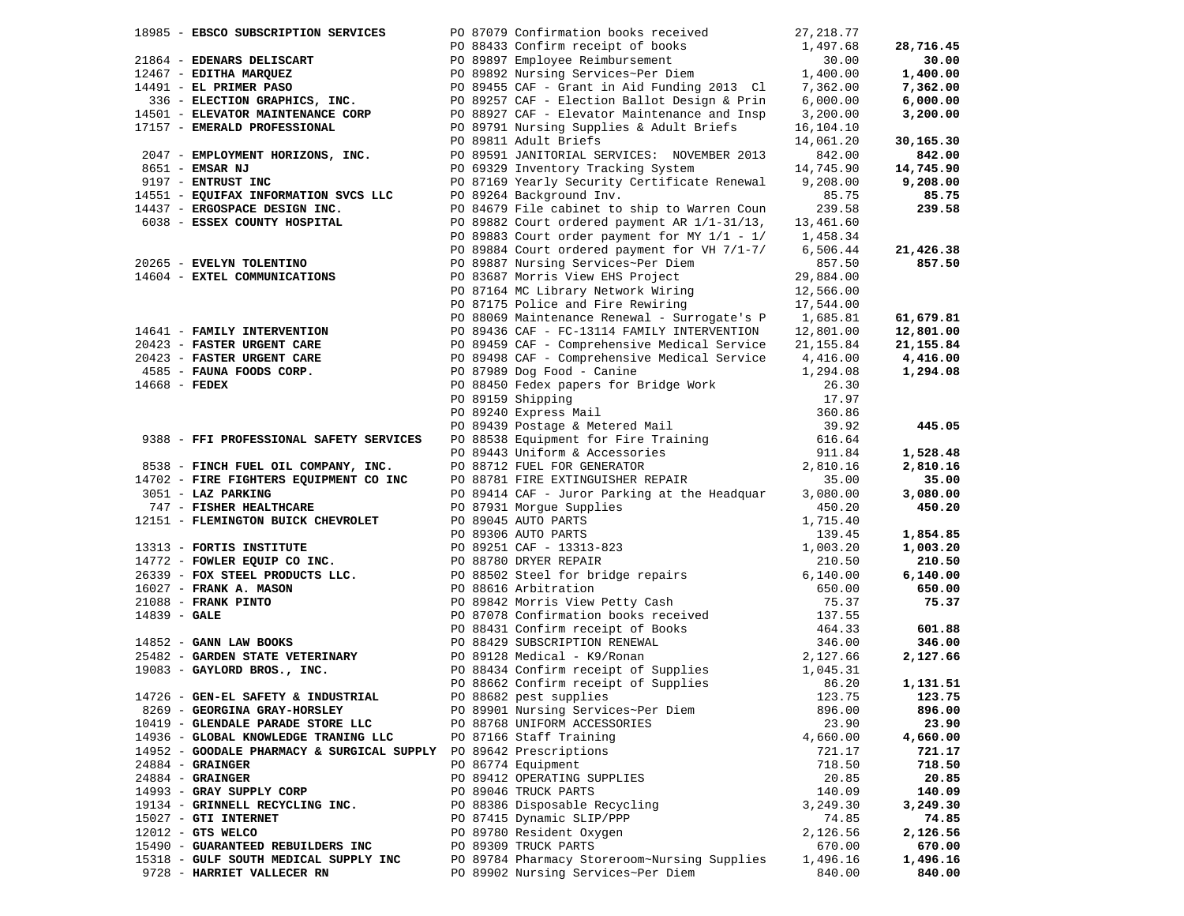|                 | 18985 - EBSCO SUBSCRIPTION SERVICES                                                     |  | PO 87079 Confirmation books received                                                                                                                 | 27, 218.77 |           |
|-----------------|-----------------------------------------------------------------------------------------|--|------------------------------------------------------------------------------------------------------------------------------------------------------|------------|-----------|
|                 |                                                                                         |  |                                                                                                                                                      | 1,497.68   | 28,716.45 |
|                 | 21864 - EDENARS DELISCART                                                               |  |                                                                                                                                                      |            | 30.00     |
|                 | 12467 - EDITHA MARQUEZ                                                                  |  | PO 88433 Confirm receipt of books<br>PO 89897 Employee Reimbursement<br>PO 89892 Nursing Services~Per Diem                                           |            | 1,400.00  |
|                 | 14491 - EL PRIMER PASO                                                                  |  | PO 89897 Employee Reimbursement 1,400.00<br>PO 89892 Nursing Services~Per Diem 1,400.00<br>PO 89455 CAF - Grant in Aid Funding 2013 Cl 7,362.00      |            | 7,362.00  |
|                 | 336 - ELECTION GRAPHICS, INC.                                                           |  |                                                                                                                                                      | 6,000.00   | 6,000.00  |
|                 | 14501 - ELEVATOR MAINTENANCE CORP                                                       |  | PO 89257 CAF - Election Ballot Design & Prin<br>PO 88927 CAF - Elevator Maintenance and Insp                                                         | 3,200.00   | 3,200.00  |
|                 | 17157 - EMERALD PROFESSIONAL                                                            |  | PO 89791 Nursing Supplies & Adult Briefs                                                                                                             | 16,104.10  |           |
|                 |                                                                                         |  | PO 89811 Adult Briefs                                                                                                                                | 14,061.20  | 30,165.30 |
|                 |                                                                                         |  |                                                                                                                                                      |            |           |
|                 | 2047 - EMPLOYMENT HORIZONS, INC.                                                        |  | PO 89591 JANITORIAL SERVICES: NOVEMBER 2013                                                                                                          | 842.00     | 842.00    |
|                 | 8651 - EMSAR NJ                                                                         |  | PO 69329 Inventory Tracking System                                                                                                                   | 14,745.90  | 14,745.90 |
|                 | 9197 - ENTRUST INC                                                                      |  | PO 87169 Yearly Security Certificate Renewal 9,208.00                                                                                                |            | 9,208.00  |
|                 | 14551 - EQUIFAX INFORMATION SVCS LLC                                                    |  | PO 89264 Background Inv.                                                                                                                             | 85.75      | 85.75     |
|                 | 14437 - ERGOSPACE DESIGN INC.                                                           |  | PO 84679 File cabinet to ship to Warren Coun                                                                                                         | 239.58     | 239.58    |
|                 | 6038 - ESSEX COUNTY HOSPITAL                                                            |  | PO 89882 Court ordered payment AR 1/1-31/13, 13,461.60                                                                                               |            |           |
|                 |                                                                                         |  | PO 89883 Court order payment for MY $1/1 - 1/$ 1,458.34                                                                                              |            |           |
|                 |                                                                                         |  | PO 89884 Court ordered payment for VH 7/1-7/                                                                                                         | 6,506.44   | 21,426.38 |
|                 | 20265 - EVELYN TOLENTINO                                                                |  | PO 89887 Nursing Services~Per Diem                                                                                                                   | 857.50     | 857.50    |
|                 | 14604 - EXTEL COMMUNICATIONS                                                            |  | PO 83687 Morris View EHS Project                                                                                                                     | 29,884.00  |           |
|                 |                                                                                         |  |                                                                                                                                                      |            |           |
|                 |                                                                                         |  | PO 83687 MOTTLS VIEW AND 11.5.1.<br>PO 87164 MC Library Network Wiring 12,566.00<br>PO 87164 MC Library Network Pawiring 17,544.00                   |            |           |
|                 |                                                                                         |  | PO 88069 Maintenance Renewal - Surrogate's P 1,685.81                                                                                                |            | 61,679.81 |
|                 | 14641 - FAMILY INTERVENTION                                                             |  | PO 89436 CAF - FC-13114 FAMILY INTERVENTION                                                                                                          | 12,801.00  | 12,801.00 |
|                 |                                                                                         |  | 20423 - FANILL INTENTIFICARE<br>20423 - FASTER URGENT CARE 21,155.84<br>20423 - FASTER URGENT CARE 21,255.84<br>2044 - PRASTER URGENT CARE 21,204.09 |            | 21,155.84 |
|                 |                                                                                         |  |                                                                                                                                                      |            | 4,416.00  |
|                 | $4585$ - FAUNA FOODS CORP.                                                              |  |                                                                                                                                                      |            |           |
|                 |                                                                                         |  | PO 87989 Dog Food - Canine                                                                                                                           | 1,294.08   | 1,294.08  |
| $14668$ - FEDEX |                                                                                         |  | PO 88450 Fedex papers for Bridge Work                                                                                                                | 26.30      |           |
|                 |                                                                                         |  | PO 89159 Shipping                                                                                                                                    | 17.97      |           |
|                 |                                                                                         |  | PO 89240 Express Mail                                                                                                                                | 360.86     |           |
|                 |                                                                                         |  | PO 89439 Postage & Metered Mail                                                                                                                      | 39.92      | 445.05    |
|                 | 9388 - FFI PROFESSIONAL SAFETY SERVICES                                                 |  | PO 88538 Equipment for Fire Training                                                                                                                 | 616.64     |           |
|                 |                                                                                         |  | PO 89443 Uniform & Accessories                                                                                                                       | 911.84     | 1,528.48  |
|                 | 8538 - FINCH FUEL OIL COMPANY, INC.                                                     |  | PO 88712 FUEL FOR GENERATOR                                                                                                                          | 2,810.16   | 2,810.16  |
|                 | 14702 - FIRE FIGHTERS EQUIPMENT CO INC                                                  |  | PO 88781 FIRE EXTINGUISHER REPAIR                                                                                                                    | 35.00      | 35.00     |
|                 | 3051 - LAZ PARKING                                                                      |  | PO 89414 CAF - Juror Parking at the Headquar                                                                                                         | 3,080.00   | 3,080.00  |
|                 | 747 - FISHER HEALTHCARE                                                                 |  | PO 87931 Morgue Supplies                                                                                                                             | 450.20     | 450.20    |
|                 | 12151 - FLEMINGTON BUICK CHEVROLET                                                      |  | PO 89045 AUTO PARTS                                                                                                                                  | 1,715.40   |           |
|                 |                                                                                         |  |                                                                                                                                                      | 139.45     | 1,854.85  |
|                 | 13313 - FORTIS INSTITUTE                                                                |  | 10 89306 AUTO PARTS<br>PO 89306 AUTO PARTS<br>PO 89251 CAF - 13313-823<br>PO 88502 Steel for bridge repairs<br>PO 88616 Arbitration                  | 1,003.20   | 1,003.20  |
|                 | 14772 - FOWLER EQUIP CO INC.                                                            |  |                                                                                                                                                      | 210.50     | 210.50    |
|                 | 26339 - FOX STEEL PRODUCTS LLC.                                                         |  |                                                                                                                                                      | 6,140.00   | 6,140.00  |
|                 | 16027 - FRANK A. MASON<br>21088 - FRANK PINTO<br>14839 - GALE<br>14852 - GANN LAW BOOKS |  |                                                                                                                                                      | 650.00     | 650.00    |
|                 |                                                                                         |  |                                                                                                                                                      | 75.37      | 75.37     |
|                 |                                                                                         |  | PO 89842 Morris View Petty Cash<br>PO 87078 Confirmation books received                                                                              |            |           |
|                 |                                                                                         |  |                                                                                                                                                      | 137.55     |           |
|                 |                                                                                         |  | PO 88431 Confirm receipt of Books                                                                                                                    | 464.33     | 601.88    |
|                 |                                                                                         |  | PO 88429 SUBSCRIPTION RENEWAL                                                                                                                        | 346.00     | 346.00    |
|                 | 25482 - GARDEN STATE VETERINARY                                                         |  | PO 89128 Medical - K9/Ronan                                                                                                                          | 2,127.66   | 2,127.66  |
|                 | 19083 - GAYLORD BROS., INC.                                                             |  | PO 88434 Confirm receipt of Supplies                                                                                                                 | 1,045.31   |           |
|                 |                                                                                         |  | PO 88662 Confirm receipt of Supplies<br>PO 88682 pest supplies                                                                                       | 86.20      | 1,131.51  |
|                 | 14726 - GEN-EL SAFETY & INDUSTRIAL                                                      |  |                                                                                                                                                      | 123.75     | 123.75    |
|                 | 8269 - GEORGINA GRAY-HORSLEY                                                            |  | PO 89901 Nursing Services~Per Diem                                                                                                                   | 896.00     | 896.00    |
|                 | 10419 - GLENDALE PARADE STORE LLC                                                       |  | PO 88768 UNIFORM ACCESSORIES                                                                                                                         | 23.90      | 23.90     |
|                 | 14936 - GLOBAL KNOWLEDGE TRANING LLC                                                    |  | PO 87166 Staff Training                                                                                                                              | 4,660.00   | 4,660.00  |
|                 | 14952 - GOODALE PHARMACY & SURGICAL SUPPLY                                              |  | PO 89642 Prescriptions                                                                                                                               | 721.17     | 721.17    |
|                 | $24884$ - GRAINGER                                                                      |  | PO 86774 Equipment                                                                                                                                   | 718.50     | 718.50    |
|                 | $24884 -$ GRAINGER                                                                      |  | PO 89412 OPERATING SUPPLIES                                                                                                                          | 20.85      | 20.85     |
|                 | 14993 - GRAY SUPPLY CORP                                                                |  | PO 89046 TRUCK PARTS                                                                                                                                 | 140.09     | 140.09    |
|                 | 19134 - GRINNELL RECYCLING INC.                                                         |  | PO 88386 Disposable Recycling                                                                                                                        | 3,249.30   | 3,249.30  |
|                 | 15027 - GTI INTERNET                                                                    |  | PO 87415 Dynamic SLIP/PPP                                                                                                                            | 74.85      | 74.85     |
|                 | $12012$ - GTS WELCO                                                                     |  | PO 89780 Resident Oxygen                                                                                                                             | 2,126.56   | 2,126.56  |
|                 | 15490 - GUARANTEED REBUILDERS INC                                                       |  | PO 89309 TRUCK PARTS                                                                                                                                 | 670.00     | 670.00    |
|                 | 15318 - GULF SOUTH MEDICAL SUPPLY INC                                                   |  | PO 89784 Pharmacy Storeroom~Nursing Supplies                                                                                                         |            |           |
|                 |                                                                                         |  |                                                                                                                                                      | 1,496.16   | 1,496.16  |
|                 | 9728 - HARRIET VALLECER RN                                                              |  | PO 89902 Nursing Services~Per Diem                                                                                                                   | 840.00     | 840.00    |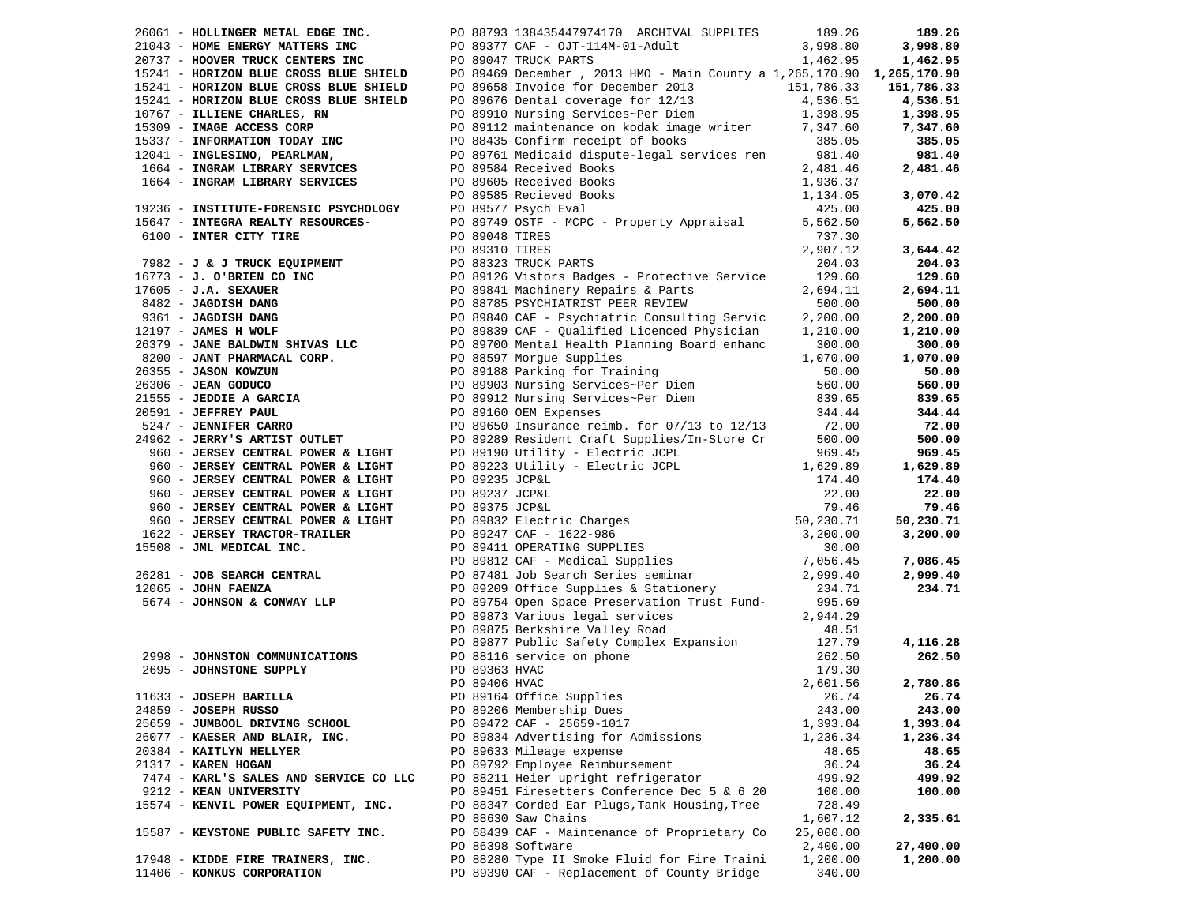|                                        |  | 26061 - HOLLINGER METAL EDGE INC. PO 88793 138435447974170 ARCHIVAL SUPPLIES                                                                                                                                                            | 189.26    | 189.26    |
|----------------------------------------|--|-----------------------------------------------------------------------------------------------------------------------------------------------------------------------------------------------------------------------------------------|-----------|-----------|
|                                        |  |                                                                                                                                                                                                                                         |           |           |
|                                        |  |                                                                                                                                                                                                                                         |           |           |
|                                        |  |                                                                                                                                                                                                                                         |           |           |
|                                        |  |                                                                                                                                                                                                                                         |           |           |
|                                        |  |                                                                                                                                                                                                                                         |           |           |
|                                        |  |                                                                                                                                                                                                                                         |           |           |
|                                        |  |                                                                                                                                                                                                                                         |           |           |
|                                        |  |                                                                                                                                                                                                                                         |           |           |
|                                        |  |                                                                                                                                                                                                                                         |           |           |
|                                        |  |                                                                                                                                                                                                                                         |           |           |
|                                        |  |                                                                                                                                                                                                                                         |           |           |
|                                        |  |                                                                                                                                                                                                                                         |           |           |
|                                        |  |                                                                                                                                                                                                                                         |           |           |
|                                        |  |                                                                                                                                                                                                                                         |           | 5,562.50  |
|                                        |  |                                                                                                                                                                                                                                         |           |           |
|                                        |  |                                                                                                                                                                                                                                         | 2,907.12  | 3,644.42  |
|                                        |  |                                                                                                                                                                                                                                         |           | 204.03    |
|                                        |  |                                                                                                                                                                                                                                         |           | 129.60    |
|                                        |  |                                                                                                                                                                                                                                         |           | 2,694.11  |
|                                        |  |                                                                                                                                                                                                                                         |           | 500.00    |
|                                        |  |                                                                                                                                                                                                                                         |           | 2,200.00  |
|                                        |  |                                                                                                                                                                                                                                         |           | 1,210.00  |
|                                        |  |                                                                                                                                                                                                                                         |           | 300.00    |
|                                        |  |                                                                                                                                                                                                                                         |           | 1,070.00  |
|                                        |  |                                                                                                                                                                                                                                         |           | 50.00     |
|                                        |  |                                                                                                                                                                                                                                         |           | 560.00    |
|                                        |  |                                                                                                                                                                                                                                         |           | 839.65    |
|                                        |  |                                                                                                                                                                                                                                         | 344.44    | 344.44    |
|                                        |  | 1004 - INSTAINT SERVICES<br>1936 - INSTITUTE PORENSIST: PO 89585 Recieved Books<br>1936 - INSTITUTE PORENSIST: PO 8977 Paya STP - MCPC - Property Appraisal<br>1936 - INTER CITY TIRE<br>1936 - J & J TRUCK ROUNDERY<br>1936 - J & J TR |           | 72.00     |
|                                        |  |                                                                                                                                                                                                                                         |           | 500.00    |
|                                        |  |                                                                                                                                                                                                                                         |           | 969.45    |
|                                        |  |                                                                                                                                                                                                                                         |           | 1,629.89  |
|                                        |  |                                                                                                                                                                                                                                         |           | 174.40    |
|                                        |  |                                                                                                                                                                                                                                         |           | 22.00     |
|                                        |  |                                                                                                                                                                                                                                         |           | 79.46     |
|                                        |  |                                                                                                                                                                                                                                         |           | 50,230.71 |
|                                        |  |                                                                                                                                                                                                                                         |           | 3,200.00  |
|                                        |  |                                                                                                                                                                                                                                         |           |           |
|                                        |  |                                                                                                                                                                                                                                         |           | 7,086.45  |
|                                        |  |                                                                                                                                                                                                                                         |           | 2,999.40  |
|                                        |  |                                                                                                                                                                                                                                         |           | 234.71    |
|                                        |  |                                                                                                                                                                                                                                         |           |           |
|                                        |  |                                                                                                                                                                                                                                         |           |           |
|                                        |  |                                                                                                                                                                                                                                         |           |           |
|                                        |  |                                                                                                                                                                                                                                         |           | 4,116.28  |
|                                        |  |                                                                                                                                                                                                                                         |           | 262.50    |
|                                        |  |                                                                                                                                                                                                                                         |           |           |
|                                        |  |                                                                                                                                                                                                                                         |           | 2,780.86  |
|                                        |  | PO 89164 Office Supplies 26.74 26.74                                                                                                                                                                                                    |           |           |
| 24859 - JOSEPH RUSSO                   |  | PO 89206 Membership Dues                                                                                                                                                                                                                | 243.00    | 243.00    |
| 25659 - JUMBOOL DRIVING SCHOOL         |  | PO 89472 CAF - 25659-1017                                                                                                                                                                                                               | 1,393.04  | 1,393.04  |
| 26077 - KAESER AND BLAIR, INC.         |  | PO 89834 Advertising for Admissions                                                                                                                                                                                                     | 1,236.34  | 1,236.34  |
| 20384 - KAITLYN HELLYER                |  | PO 89633 Mileage expense                                                                                                                                                                                                                | 48.65     | 48.65     |
| 21317 - KAREN HOGAN                    |  | PO 89792 Employee Reimbursement                                                                                                                                                                                                         | 36.24     | 36.24     |
| 7474 - KARL'S SALES AND SERVICE CO LLC |  | PO 88211 Heier upright refrigerator                                                                                                                                                                                                     | 499.92    | 499.92    |
| 9212 - KEAN UNIVERSITY                 |  | PO 89451 Firesetters Conference Dec 5 & 6 20                                                                                                                                                                                            | 100.00    | 100.00    |
| 15574 - KENVIL POWER EQUIPMENT, INC.   |  | PO 88347 Corded Ear Plugs, Tank Housing, Tree                                                                                                                                                                                           | 728.49    |           |
|                                        |  | PO 88630 Saw Chains                                                                                                                                                                                                                     | 1,607.12  | 2,335.61  |
| 15587 - KEYSTONE PUBLIC SAFETY INC.    |  | PO 68439 CAF - Maintenance of Proprietary Co                                                                                                                                                                                            | 25,000.00 |           |
|                                        |  | PO 86398 Software                                                                                                                                                                                                                       | 2,400.00  | 27,400.00 |
| 17948 - KIDDE FIRE TRAINERS, INC.      |  | PO 88280 Type II Smoke Fluid for Fire Traini                                                                                                                                                                                            | 1,200.00  | 1,200.00  |
| 11406 - KONKUS CORPORATION             |  | PO 89390 CAF - Replacement of County Bridge                                                                                                                                                                                             | 340.00    |           |
|                                        |  |                                                                                                                                                                                                                                         |           |           |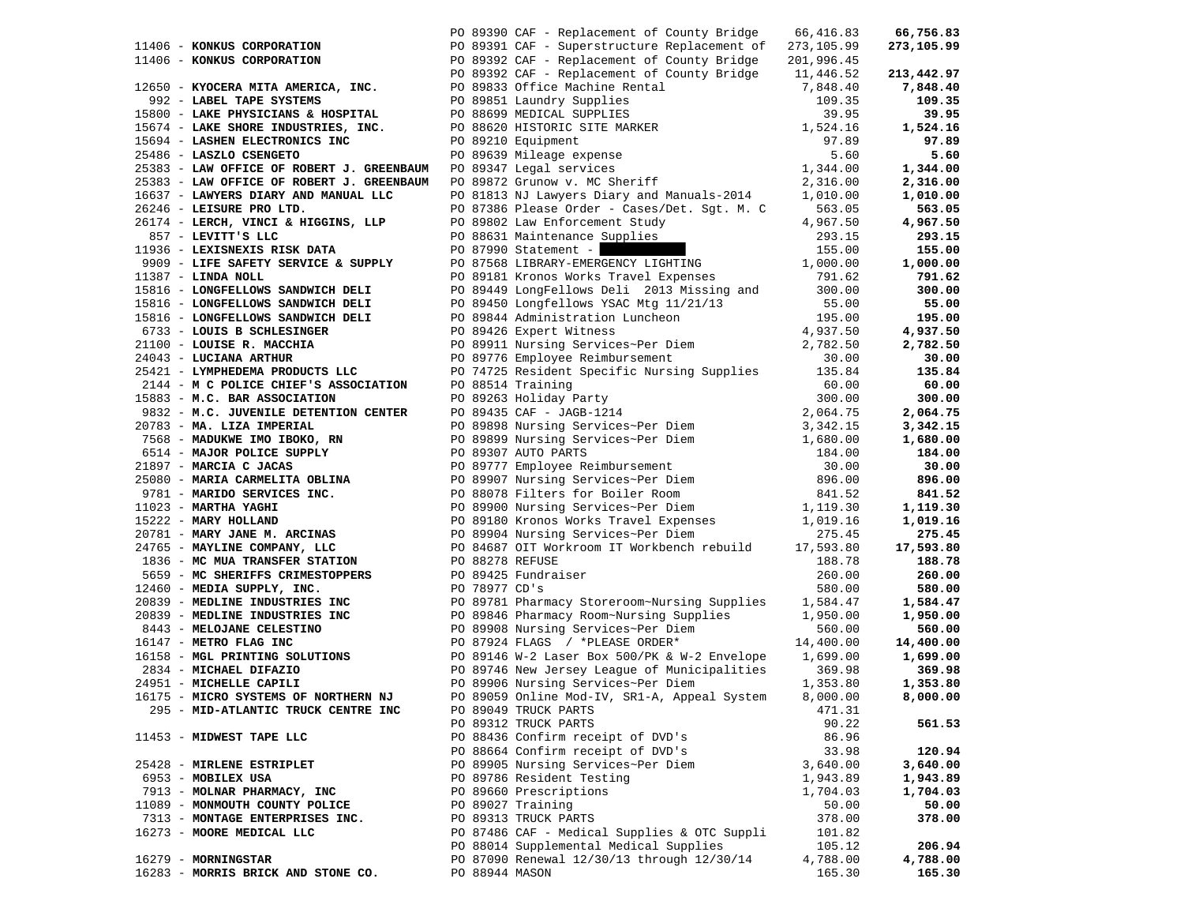|                                                                                                            |                 | PO 89390 CAF - Replacement of County Bridge                                                                                                                                                                         | 66,416.83  | 66,756.83  |
|------------------------------------------------------------------------------------------------------------|-----------------|---------------------------------------------------------------------------------------------------------------------------------------------------------------------------------------------------------------------|------------|------------|
| 11406 - KONKUS CORPORATION                                                                                 |                 | PO 89391 CAF - Superstructure Replacement of                                                                                                                                                                        | 273,105.99 | 273,105.99 |
| 11406 - KONKUS CORPORATION                                                                                 |                 | PO 89392 CAF - Replacement of County Bridge                                                                                                                                                                         | 201,996.45 |            |
|                                                                                                            |                 | PO 89392 CAF - Replacement of County Bridge 11,446.52                                                                                                                                                               |            | 213,442.97 |
| 12650 - KYOCERA MITA AMERICA, INC.                                                                         |                 | PO 89833 Office Machine Rental                                                                                                                                                                                      | 7,848.40   | 7,848.40   |
| 992 - LABEL TAPE SYSTEMS                                                                                   |                 | PO 89851 Laundry Supplies                                                                                                                                                                                           | 109.35     | 109.35     |
| 15800 - LAKE PHYSICIANS & HOSPITAL                                                                         |                 |                                                                                                                                                                                                                     | 39.95      | 39.95      |
| 15674 - LAKE SHORE INDUSTRIES, INC.                                                                        |                 |                                                                                                                                                                                                                     | 1,524.16   | 1,524.16   |
| 15694 - LASHEN ELECTRONICS INC                                                                             |                 |                                                                                                                                                                                                                     | 97.89      | 97.89      |
| 25486 - LASZLO CSENGETO                                                                                    |                 |                                                                                                                                                                                                                     | 5.60       | 5.60       |
| 25383 - LAW OFFICE OF ROBERT J. GREENBAUM                                                                  |                 |                                                                                                                                                                                                                     | 1,344.00   | 1,344.00   |
| 25383 - LAW OFFICE OF ROBERT J. GREENBAUM                                                                  |                 |                                                                                                                                                                                                                     | 2,316.00   | 2,316.00   |
| 16637 - LAWYERS DIARY AND MANUAL LLC                                                                       |                 | PO 81813 NJ Lawyers Diary and Manuals-2014                                                                                                                                                                          | 1,010.00   | 1,010.00   |
| 26246 - LEISURE PRO LTD.                                                                                   |                 | PO 87386 Please Order - Cases/Det. Sgt. M. C                                                                                                                                                                        | 563.05     | 563.05     |
| 26174 - LERCH, VINCI & HIGGINS, LLP                                                                        |                 |                                                                                                                                                                                                                     | 4,967.50   | 4,967.50   |
| 857 - LEVITT'S LLC                                                                                         |                 | PO 89802 Law Enforcement Study<br>PO 88631 Maintenance Supplies                                                                                                                                                     | 293.15     | 293.15     |
| 11936 - LEXISNEXIS RISK DATA                                                                               |                 |                                                                                                                                                                                                                     | 155.00     | 155.00     |
| 9909 - LIFE SAFETY SERVICE & SUPPLY                                                                        |                 | $PQ$ 87990 Statement -                                                                                                                                                                                              | 1,000.00   | 1,000.00   |
| 11387 - LINDA NOLL                                                                                         |                 | PO 87568 LIBRARY-EMERGENCY LIGHTING<br>PO 89181 Kronos Works Travel Expenses                                                                                                                                        | 791.62     | 791.62     |
|                                                                                                            |                 |                                                                                                                                                                                                                     | 300.00     | 300.00     |
| 15816 - LONGFELLOWS SANDWICH DELI<br>15816 - LONGFELLOWS SANDWICH DELI                                     |                 | PO 89449 LongFellows Deli 2013 Missing and                                                                                                                                                                          |            | 55.00      |
|                                                                                                            |                 | PO 89450 Longfellows YSAC Mtg 11/21/13 55.00<br>PO 89844 Administration Luncheon 195.00<br>PO 89426 Expert Witness 4,937.50<br>PO 89911 Nursing Services~Per Diem 2,782.50<br>PO 89776 Employee Reimbursement 30.00 |            | 195.00     |
| 15816 - LONGFELLOWS SANDWICH DELI<br>6733 - LOUIS B SCHLESINGER                                            |                 |                                                                                                                                                                                                                     |            |            |
|                                                                                                            |                 |                                                                                                                                                                                                                     |            | 4,937.50   |
| 21100 - LOUISE R. MACCHIA                                                                                  |                 |                                                                                                                                                                                                                     |            | 2,782.50   |
| 24043 - LUCIANA ARTHUR                                                                                     |                 | PO 74725 Resident Specific Nursing Supplies 135.84                                                                                                                                                                  |            | 30.00      |
| 25421 - LYMPHEDEMA PRODUCTS LLC                                                                            |                 | Nursing<br>300.00<br>2,064.75<br>3,342.15<br>3,342.10                                                                                                                                                               |            | 135.84     |
| 2144 - M C POLICE CHIEF'S ASSOCIATION                                                                      |                 | PO 88514 Training                                                                                                                                                                                                   |            | 60.00      |
| 15883 - M.C. BAR ASSOCIATION<br>--<br>1983 - M.C. BAR ASSOCIATION<br>9832 - M.C. JUVENILE DETENTION CENTER |                 | PO 89263 Holiday Party                                                                                                                                                                                              |            | 300.00     |
|                                                                                                            |                 | PO 89435 CAF - JAGB-1214                                                                                                                                                                                            |            | 2,064.75   |
| 20783 - MA. LIZA IMPERIAL                                                                                  |                 | PO 89898 Nursing Services~Per Diem<br>PO 89899 Nursing Services~Per Diem<br>1,680.00                                                                                                                                |            | 3,342.15   |
| 7568 - MADUKWE IMO IBOKO, RN                                                                               |                 |                                                                                                                                                                                                                     |            | 1,680.00   |
| 6514 - MAJOR POLICE SUPPLY                                                                                 |                 | PO 89307 AUTO PARTS<br>PO 89777 Employee Reimbursement<br>PO 89907 Nursing Services~Per Diem<br>PO 88078 Filters for Boiler Room                                                                                    | 184.00     | 184.00     |
| 21897 - MARCIA C JACAS                                                                                     |                 |                                                                                                                                                                                                                     | 30.00      | 30.00      |
| 25080 - MARIA CARMELITA OBLINA                                                                             |                 |                                                                                                                                                                                                                     | 896.00     | 896.00     |
| 9781 - MARIDO SERVICES INC.                                                                                |                 |                                                                                                                                                                                                                     | 841.52     | 841.52     |
| 11023 - MARTHA YAGHI                                                                                       |                 | PO 89900 Nursing Services~Per Diem                                                                                                                                                                                  | 1,119.30   | 1,119.30   |
| 15222 - MARY HOLLAND                                                                                       |                 | PO 89180 Kronos Works Travel Expenses<br>21,019.16 Po 89904 Nursing Services~Per Diem 275.45                                                                                                                        |            | 1,019.16   |
| 20781 - MARY JANE M. ARCINAS                                                                               |                 | PO 84687 OIT Workroom IT Workbench rebuild                                                                                                                                                                          |            | 275.45     |
| 24765 - MAYLINE COMPANY, LLC                                                                               |                 |                                                                                                                                                                                                                     | 17,593.80  | 17,593.80  |
| 1836 - MC MUA TRANSFER STATION                                                                             | PO 88278 REFUSE |                                                                                                                                                                                                                     | 188.78     | 188.78     |
| 5659 - MC SHERIFFS CRIMESTOPPERS                                                                           |                 | PO 89425 Fundraiser                                                                                                                                                                                                 | 260.00     | 260.00     |
| 12460 - MEDIA SUPPLY, INC.                                                                                 | PO 78977 CD's   |                                                                                                                                                                                                                     | 580.00     | 580.00     |
| 20839 - MEDLINE INDUSTRIES INC                                                                             |                 | PO 89781 Pharmacy Storeroom~Nursing Supplies                                                                                                                                                                        | 1,584.47   | 1,584.47   |
| 20839 - MEDLINE INDUSTRIES INC                                                                             |                 | PO 89846 Pharmacy Room-Nursing Supplies<br>PO 89908 Mursing Sorvices Boy Birm                                                                                                                                       | 1,950.00   | 1,950.00   |
| 8443 - MELOJANE CELESTINO                                                                                  |                 | PO 89908 Nursing Services~Per Diem                                                                                                                                                                                  | 560.00     | 560.00     |
| 16147 - METRO FLAG INC                                                                                     |                 | PO 87924 FLAGS / *PLEASE ORDER*                                                                                                                                                                                     | 14,400.00  | 14,400.00  |
| 16158 - MGL PRINTING SOLUTIONS                                                                             |                 | PO 89146 W-2 Laser Box 500/PK & W-2 Envelope 1,699.00                                                                                                                                                               |            | 1,699.00   |
| 2834 - MICHAEL DIFAZIO                                                                                     |                 | PO 89746 New Jersey League of Municipalities                                                                                                                                                                        | 369.98     | 369.98     |
| 24951 - MICHELLE CAPILI                                                                                    |                 | PO 89906 Nursing Services~Per Diem                                                                                                                                                                                  | 1,353.80   | 1,353.80   |
| 16175 - MICRO SYSTEMS OF NORTHERN NJ                                                                       |                 | PO 89059 Online Mod-IV, SR1-A, Appeal System                                                                                                                                                                        | 8,000.00   | 8,000.00   |
| 295 - MID-ATLANTIC TRUCK CENTRE INC                                                                        |                 | PO 89049 TRUCK PARTS                                                                                                                                                                                                | 471.31     |            |
|                                                                                                            |                 | PO 89312 TRUCK PARTS                                                                                                                                                                                                | 90.22      | 561.53     |
| 11453 - MIDWEST TAPE LLC                                                                                   |                 | PO 88436 Confirm receipt of DVD's                                                                                                                                                                                   | 86.96      |            |
|                                                                                                            |                 | PO 88664 Confirm receipt of DVD's                                                                                                                                                                                   | 33.98      | 120.94     |
| 25428 - MIRLENE ESTRIPLET                                                                                  |                 | PO 89905 Nursing Services~Per Diem                                                                                                                                                                                  | 3,640.00   | 3,640.00   |
| 6953 - MOBILEX USA                                                                                         |                 | PO 89786 Resident Testing                                                                                                                                                                                           | 1,943.89   | 1,943.89   |
| 7913 - MOLNAR PHARMACY, INC                                                                                |                 | PO 89660 Prescriptions                                                                                                                                                                                              | 1,704.03   | 1,704.03   |
| 11089 - MONMOUTH COUNTY POLICE                                                                             |                 | PO 89027 Training                                                                                                                                                                                                   | 50.00      | 50.00      |
| 7313 - MONTAGE ENTERPRISES INC.                                                                            |                 | PO 89313 TRUCK PARTS                                                                                                                                                                                                | 378.00     | 378.00     |
| 16273 - MOORE MEDICAL LLC                                                                                  |                 | PO 87486 CAF - Medical Supplies & OTC Suppli                                                                                                                                                                        | 101.82     |            |
|                                                                                                            |                 | PO 88014 Supplemental Medical Supplies                                                                                                                                                                              | 105.12     | 206.94     |
| 16279 - MORNINGSTAR                                                                                        |                 | PO 87090 Renewal 12/30/13 through 12/30/14                                                                                                                                                                          | 4,788.00   | 4,788.00   |
| 16283 - MORRIS BRICK AND STONE CO.                                                                         | PO 88944 MASON  |                                                                                                                                                                                                                     | 165.30     | 165.30     |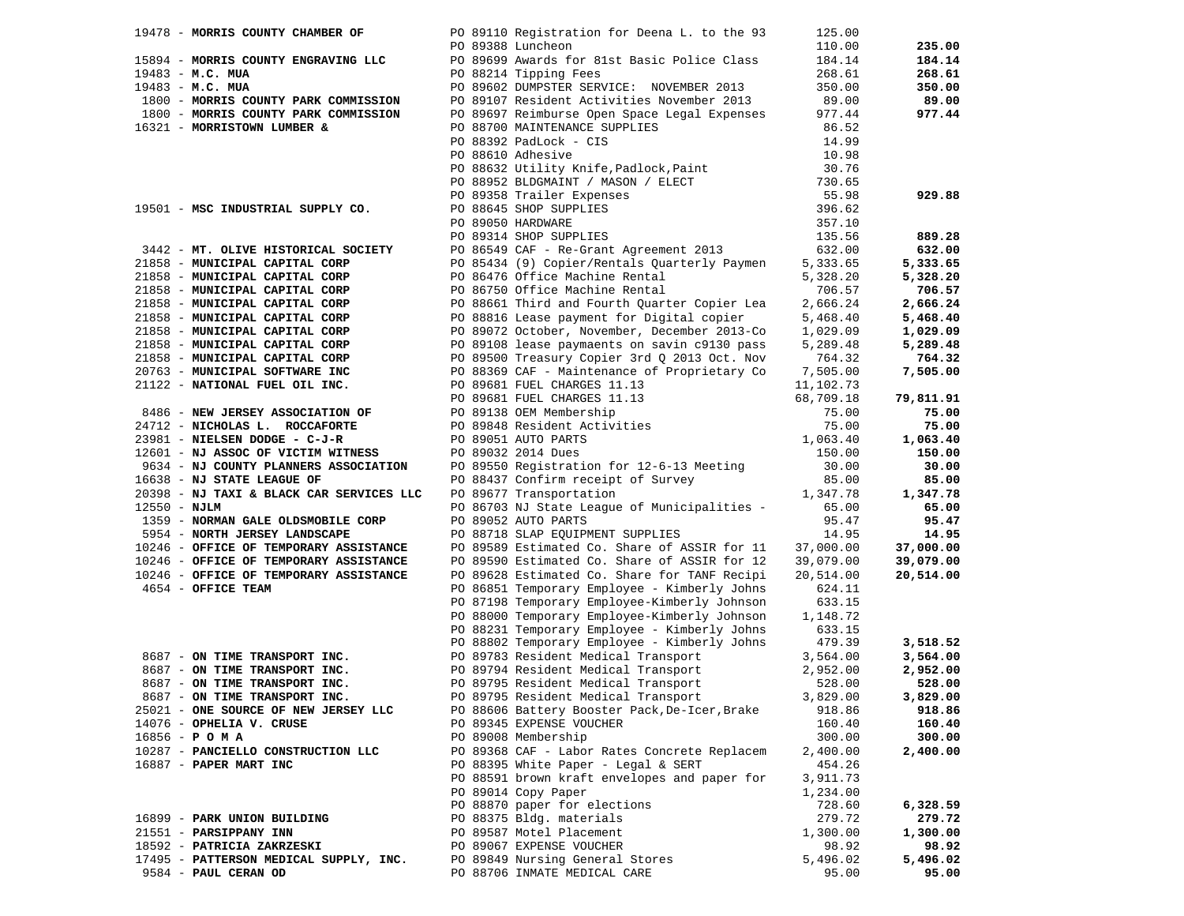|                | 19478 - MORRIS COUNTY CHAMBER OF         | PO 89110 Registration for Deena L. to the 93                                                       | 125.00             |           |
|----------------|------------------------------------------|----------------------------------------------------------------------------------------------------|--------------------|-----------|
|                |                                          | PO 89388 Luncheon                                                                                  | 110.00             | 235.00    |
|                | 15894 - MORRIS COUNTY ENGRAVING LLC      | PO 89699 Awards for 81st Basic Police Class                                                        | 184.14             | 184.14    |
|                | $19483 - M.C. MUA$                       | PO 88214 Tipping Fees                                                                              | 268.61             | 268.61    |
|                | $19483 - M.C. MUA$                       | PO 89602 DUMPSTER SERVICE: NOVEMBER 2013                                                           | 350.00             | 350.00    |
|                | 1800 - MORRIS COUNTY PARK COMMISSION     | PO 89107 Resident Activities November 2013                                                         | 89.00              | 89.00     |
|                | 1800 - MORRIS COUNTY PARK COMMISSION     | PO 89697 Reimburse Open Space Legal Expenses                                                       | 977.44             | 977.44    |
|                | 16321 - MORRISTOWN LUMBER &              | PO 88700 MAINTENANCE SUPPLIES                                                                      | 86.52              |           |
|                |                                          | PO 88392 PadLock - CIS                                                                             | 14.99              |           |
|                |                                          | PO 88610 Adhesive                                                                                  | 10.98              |           |
|                |                                          |                                                                                                    | 30.76              |           |
|                |                                          | PO 88632 Utility Knife, Padlock, Paint<br>PO 88952 BLDGMAINT / MASON / ELECT                       | 730.65             |           |
|                |                                          |                                                                                                    |                    |           |
|                |                                          |                                                                                                    | 55.98              | 929.88    |
|                | 19501 - MSC INDUSTRIAL SUPPLY CO.        |                                                                                                    | 396.62             |           |
|                |                                          | PO 89358 Trailer Expenses<br>PO 88645 SHOP SUPPLIES<br>PO 89050 HARDWARE<br>PO 89314 SHOP SUPPLIES | 357.10             |           |
|                |                                          |                                                                                                    | 135.56             | 889.28    |
|                | 3442 - MT. OLIVE HISTORICAL SOCIETY      | PO 86549 CAF - Re-Grant Agreement 2013                                                             | 632.00             | 632.00    |
|                | 21858 - MUNICIPAL CAPITAL CORP           | PO 85434 (9) Copier/Rentals Quarterly Paymen                                                       | 5,333.65           | 5,333.65  |
|                | 21858 - MUNICIPAL CAPITAL CORP           | PO 86476 Office Machine Rental                                                                     | 5,328.20           | 5,328.20  |
|                | 21858 - MUNICIPAL CAPITAL CORP           | PO 86750 Office Machine Rental                                                                     | 706.57             | 706.57    |
|                | 21858 - MUNICIPAL CAPITAL CORP           | PO 88661 Third and Fourth Quarter Copier Lea                                                       | 2,666.24           | 2,666.24  |
|                | 21858 - MUNICIPAL CAPITAL CORP           | PO 88816 Lease payment for Digital copier                                                          | 5,468.40           | 5,468.40  |
|                | 21858 - MUNICIPAL CAPITAL CORP           | PO 89072 October, November, December 2013-Co                                                       | 1,029.09           | 1,029.09  |
|                | 21858 - MUNICIPAL CAPITAL CORP           | PO 89108 lease paymaents on savin c9130 pass                                                       | 5,289.48           | 5,289.48  |
|                | 21858 - MUNICIPAL CAPITAL CORP           | PO 89500 Treasury Copier 3rd Q 2013 Oct. Nov                                                       | 764.32             | 764.32    |
|                | 20763 - MUNICIPAL SOFTWARE INC           | PO 88369 CAF - Maintenance of Proprietary Co                                                       | 7,505.00           | 7,505.00  |
|                | 21122 - NATIONAL FUEL OIL INC.           |                                                                                                    | 11,102.73          |           |
|                |                                          | PO 89681 FUEL CHARGES 11.13<br>PO 89681 FUEL CHARGES 11.13                                         | 68,709.18          | 79,811.91 |
|                | 8486 - NEW JERSEY ASSOCIATION OF         | PO 89138 OEM Membership                                                                            | 75.00              | 75.00     |
|                | 24712 - NICHOLAS L. ROCCAFORTE           | PO 89848 Resident Activities                                                                       | 75.00              | 75.00     |
|                | 23981 - NIELSEN DODGE - C-J-R            | PO 89051 AUTO PARTS                                                                                | 1,063.40           | 1,063.40  |
|                | 12601 - NJ ASSOC OF VICTIM WITNESS       | PO 89032 2014 Dues                                                                                 | 150.00             | 150.00    |
|                | 9634 - NJ COUNTY PLANNERS ASSOCIATION    | PO 89550 Registration for 12-6-13 Meeting                                                          | 30.00              | 30.00     |
|                | 16638 - NJ STATE LEAGUE OF               |                                                                                                    | 85.00              | 85.00     |
|                | 20398 - NJ TAXI & BLACK CAR SERVICES LLC | PO 88437 Confirm receipt of Survey<br>PO 89677 Transportation                                      | 1,347.78           | 1,347.78  |
| $12550 - NJLM$ |                                          | PO 86703 NJ State League of Municipalities -                                                       | 65.00              | 65.00     |
|                | 1359 - NORMAN GALE OLDSMOBILE CORP       | PO 89052 AUTO PARTS                                                                                | 95.47              | 95.47     |
|                | 5954 - NORTH JERSEY LANDSCAPE            | PO 88718 SLAP EQUIPMENT SUPPLIES                                                                   | 14.95              | 14.95     |
|                | 10246 - OFFICE OF TEMPORARY ASSISTANCE   | PO 89589 Estimated Co. Share of ASSIR for 11                                                       | 37,000.00          | 37,000.00 |
|                | 10246 - OFFICE OF TEMPORARY ASSISTANCE   | PO 89590 Estimated Co. Share of ASSIR for 12                                                       | 39,079.00          | 39,079.00 |
|                | 10246 - OFFICE OF TEMPORARY ASSISTANCE   | PO 89628 Estimated Co. Share for TANF Recipi                                                       | 20,514.00          | 20,514.00 |
|                | 4654 - OFFICE TEAM                       | PO 86851 Temporary Employee - Kimberly Johns                                                       | 624.11             |           |
|                |                                          | PO 87198 Temporary Employee-Kimberly Johnson                                                       | 633.15             |           |
|                |                                          | PO 88000 Temporary Employee-Kimberly Johnson                                                       | 1,148.72           |           |
|                |                                          | PO 88231 Temporary Employee - Kimberly Johns                                                       | 633.15             |           |
|                |                                          | PO 88802 Temporary Employee - Kimberly Johns                                                       | 479.39             | 3,518.52  |
|                | 8687 - ON TIME TRANSPORT INC.            | PO 89783 Resident Medical Transport                                                                | 3,564.00           | 3,564.00  |
|                | 8687 - ON TIME TRANSPORT INC.            | PO 89794 Resident Medical Transport                                                                | 2,952.00           | 2,952.00  |
|                | 8687 - ON TIME TRANSPORT INC.            | PO 89795 Resident Medical Transport                                                                | 528.00             | 528.00    |
|                | 8687 - ON TIME TRANSPORT INC.            | PO 89795 Resident Medical Transport                                                                | 3,829.00           | 3,829.00  |
|                | 25021 - ONE SOURCE OF NEW JERSEY LLC     | PO 88606 Battery Booster Pack, De-Icer, Brake                                                      | 918.86             | 918.86    |
|                | 14076 - OPHELIA V. CRUSE                 | PO 89345 EXPENSE VOUCHER                                                                           | 160.40             | 160.40    |
|                | $16856 - P$ O M A                        | PO 89008 Membership                                                                                | 300.00             | 300.00    |
|                | 10287 - PANCIELLO CONSTRUCTION LLC       | PO 89368 CAF - Labor Rates Concrete Replacem                                                       |                    | 2,400.00  |
|                | 16887 - PAPER MART INC                   | PO 88395 White Paper - Legal & SERT                                                                | 2,400.00<br>454.26 |           |
|                |                                          |                                                                                                    |                    |           |
|                |                                          | PO 88591 brown kraft envelopes and paper for                                                       | 3,911.73           |           |
|                |                                          | PO 89014 Copy Paper                                                                                | 1,234.00           |           |
|                |                                          | PO 88870 paper for elections                                                                       | 728.60             | 6,328.59  |
|                | 16899 - PARK UNION BUILDING              | PO 88375 Bldg. materials                                                                           | 279.72             | 279.72    |
|                | 21551 - PARSIPPANY INN                   | PO 89587 Motel Placement                                                                           | 1,300.00           | 1,300.00  |
|                | 18592 - PATRICIA ZAKRZESKI               | PO 89067 EXPENSE VOUCHER                                                                           | 98.92              | 98.92     |
|                | 17495 - PATTERSON MEDICAL SUPPLY, INC.   | PO 89849 Nursing General Stores                                                                    | 5,496.02           | 5,496.02  |
|                | 9584 - PAUL CERAN OD                     | PO 88706 INMATE MEDICAL CARE                                                                       | 95.00              | 95.00     |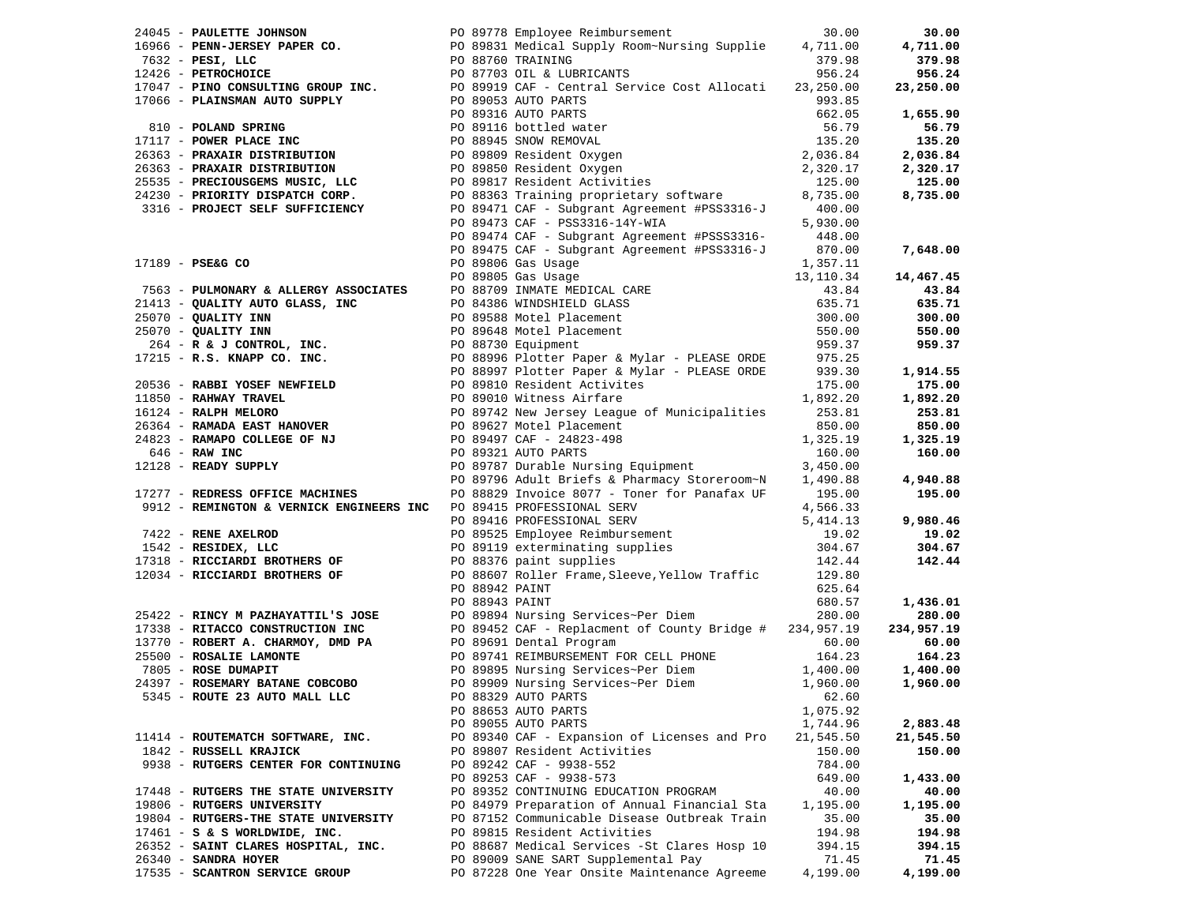|                                      |  |                                                                                                                                                                                                                                                                                                                                                                                                                                                                              |           | 30.00      |
|--------------------------------------|--|------------------------------------------------------------------------------------------------------------------------------------------------------------------------------------------------------------------------------------------------------------------------------------------------------------------------------------------------------------------------------------------------------------------------------------------------------------------------------|-----------|------------|
|                                      |  |                                                                                                                                                                                                                                                                                                                                                                                                                                                                              |           | 4,711.00   |
|                                      |  |                                                                                                                                                                                                                                                                                                                                                                                                                                                                              |           | 379.98     |
|                                      |  |                                                                                                                                                                                                                                                                                                                                                                                                                                                                              |           | 956.24     |
|                                      |  |                                                                                                                                                                                                                                                                                                                                                                                                                                                                              |           | 23,250.00  |
|                                      |  |                                                                                                                                                                                                                                                                                                                                                                                                                                                                              |           |            |
|                                      |  |                                                                                                                                                                                                                                                                                                                                                                                                                                                                              |           |            |
|                                      |  |                                                                                                                                                                                                                                                                                                                                                                                                                                                                              |           | 1,655.90   |
|                                      |  |                                                                                                                                                                                                                                                                                                                                                                                                                                                                              |           | 56.79      |
|                                      |  |                                                                                                                                                                                                                                                                                                                                                                                                                                                                              |           | 135.20     |
|                                      |  |                                                                                                                                                                                                                                                                                                                                                                                                                                                                              |           | 2,036.84   |
|                                      |  |                                                                                                                                                                                                                                                                                                                                                                                                                                                                              |           | 2,320.17   |
|                                      |  |                                                                                                                                                                                                                                                                                                                                                                                                                                                                              |           | 125.00     |
|                                      |  |                                                                                                                                                                                                                                                                                                                                                                                                                                                                              |           | 8,735.00   |
|                                      |  |                                                                                                                                                                                                                                                                                                                                                                                                                                                                              |           |            |
|                                      |  |                                                                                                                                                                                                                                                                                                                                                                                                                                                                              |           |            |
|                                      |  | 24045 - <b>PRILET JOHNSON</b><br>1966 - <b>PENN-JERSEY PAPER CO.</b><br>1966 - <b>PENN-JERSEY PAPER CO.</b><br>1968760 TRAINING<br>1711.0.00<br>17632 - <b>PEST, LLC</b><br>17047 - <b>PINOCONSON BODY PRICE 2014</b><br>17047 - <b>PINOCONSON BODY PRICE 2014</b><br>17047                                                                                                                                                                                                  |           |            |
|                                      |  | PO 89474 CAF - Subgrant Agreement #PSSS3316-448.00<br>PO 89475 CAF - Subgrant Agreement #PSS3316-J 870.00                                                                                                                                                                                                                                                                                                                                                                    | 870.00    | 7,648.00   |
|                                      |  |                                                                                                                                                                                                                                                                                                                                                                                                                                                                              |           |            |
|                                      |  |                                                                                                                                                                                                                                                                                                                                                                                                                                                                              |           |            |
|                                      |  |                                                                                                                                                                                                                                                                                                                                                                                                                                                                              |           | 14,467.45  |
|                                      |  |                                                                                                                                                                                                                                                                                                                                                                                                                                                                              |           | 43.84      |
|                                      |  |                                                                                                                                                                                                                                                                                                                                                                                                                                                                              |           | 635.71     |
|                                      |  |                                                                                                                                                                                                                                                                                                                                                                                                                                                                              |           | 300.00     |
|                                      |  |                                                                                                                                                                                                                                                                                                                                                                                                                                                                              |           | 550.00     |
|                                      |  |                                                                                                                                                                                                                                                                                                                                                                                                                                                                              |           | 959.37     |
|                                      |  |                                                                                                                                                                                                                                                                                                                                                                                                                                                                              |           |            |
|                                      |  |                                                                                                                                                                                                                                                                                                                                                                                                                                                                              |           | 1,914.55   |
|                                      |  |                                                                                                                                                                                                                                                                                                                                                                                                                                                                              |           | 175.00     |
|                                      |  |                                                                                                                                                                                                                                                                                                                                                                                                                                                                              |           | 1,892.20   |
|                                      |  |                                                                                                                                                                                                                                                                                                                                                                                                                                                                              |           | 253.81     |
|                                      |  |                                                                                                                                                                                                                                                                                                                                                                                                                                                                              |           | 850.00     |
|                                      |  |                                                                                                                                                                                                                                                                                                                                                                                                                                                                              |           | 1,325.19   |
|                                      |  |                                                                                                                                                                                                                                                                                                                                                                                                                                                                              |           | 160.00     |
|                                      |  |                                                                                                                                                                                                                                                                                                                                                                                                                                                                              |           |            |
|                                      |  |                                                                                                                                                                                                                                                                                                                                                                                                                                                                              |           | 4,940.88   |
|                                      |  |                                                                                                                                                                                                                                                                                                                                                                                                                                                                              |           | 195.00     |
|                                      |  |                                                                                                                                                                                                                                                                                                                                                                                                                                                                              |           |            |
|                                      |  | 17189 - PSEAG CO $17189$ - PSEAG CO $17189$ - PSEAG CO $17189$ - PSEAG CO $17183$ - $3110.34$<br>21413 - QUALITY AUTO GLASS, INC $10.34$<br>21413 - QUALITY AUTO GLASS, INC $10.34$<br>21413 - QUALITY AUTO GLASS, INC $10.34$<br>250<br>9912 - REMINGTON & VERNICK ENGINEERS INC PO 89415 PROFESSIONAL SERV 4,566.33<br>9912 - REMENGTON & VERNICK ENGINEERS INC PO 89416 PROFESSIONAL SERV 4,566.33<br>9912 - RENE AXELROD PO 89525 Employee Reimbursement 19.02<br>9912 - | 5,414.13  | 9,980.46   |
|                                      |  |                                                                                                                                                                                                                                                                                                                                                                                                                                                                              |           |            |
|                                      |  |                                                                                                                                                                                                                                                                                                                                                                                                                                                                              |           | 19.02      |
|                                      |  |                                                                                                                                                                                                                                                                                                                                                                                                                                                                              |           | 304.67     |
|                                      |  |                                                                                                                                                                                                                                                                                                                                                                                                                                                                              |           | 142.44     |
| 12034 - RICCIARDI BROTHERS OF        |  |                                                                                                                                                                                                                                                                                                                                                                                                                                                                              |           |            |
|                                      |  | PO 88942 PAINT                                                                                                                                                                                                                                                                                                                                                                                                                                                               | 625.64    |            |
|                                      |  | PO 88943 PAINT                                                                                                                                                                                                                                                                                                                                                                                                                                                               | 680.57    | 1,436.01   |
|                                      |  |                                                                                                                                                                                                                                                                                                                                                                                                                                                                              |           | 280.00     |
|                                      |  |                                                                                                                                                                                                                                                                                                                                                                                                                                                                              |           | 234,957.19 |
|                                      |  |                                                                                                                                                                                                                                                                                                                                                                                                                                                                              |           | 60.00      |
|                                      |  |                                                                                                                                                                                                                                                                                                                                                                                                                                                                              |           | 164.23     |
|                                      |  |                                                                                                                                                                                                                                                                                                                                                                                                                                                                              |           | 1,400.00   |
|                                      |  |                                                                                                                                                                                                                                                                                                                                                                                                                                                                              |           | 1,960.00   |
|                                      |  | 25422 - RINCY M PAZHAYATTIL'S JOSE<br>17338 - RITACCO CONSTRUCTION INC<br>17338 - RITACCO CONSTRUCTION INC<br>17770 - ROBERT A. CHARMOY, DMD PA<br>28600 - ROSENIE LAMONTE<br>28600 - ROSENLIE LAMONTE<br>28600 - ROSENLIE LAMONTE<br>2860 -                                                                                                                                                                                                                                 |           |            |
|                                      |  | PO 88653 AUTO PARTS                                                                                                                                                                                                                                                                                                                                                                                                                                                          | 1,075.92  |            |
|                                      |  | PO 89055 AUTO PARTS                                                                                                                                                                                                                                                                                                                                                                                                                                                          | 1,744.96  | 2,883.48   |
| 11414 - ROUTEMATCH SOFTWARE, INC.    |  | PO 89340 CAF - Expansion of Licenses and Pro                                                                                                                                                                                                                                                                                                                                                                                                                                 | 21,545.50 | 21,545.50  |
| 1842 - RUSSELL KRAJICK               |  | PO 89807 Resident Activities                                                                                                                                                                                                                                                                                                                                                                                                                                                 | 150.00    | 150.00     |
| 9938 - RUTGERS CENTER FOR CONTINUING |  | PO 89242 CAF - 9938-552                                                                                                                                                                                                                                                                                                                                                                                                                                                      | 784.00    |            |
|                                      |  | PO 89253 CAF - 9938-573                                                                                                                                                                                                                                                                                                                                                                                                                                                      | 649.00    | 1,433.00   |
| 17448 - RUTGERS THE STATE UNIVERSITY |  | PO 89352 CONTINUING EDUCATION PROGRAM                                                                                                                                                                                                                                                                                                                                                                                                                                        | 40.00     | 40.00      |
| 19806 - RUTGERS UNIVERSITY           |  | PO 84979 Preparation of Annual Financial Sta                                                                                                                                                                                                                                                                                                                                                                                                                                 | 1,195.00  | 1,195.00   |
| 19804 - RUTGERS-THE STATE UNIVERSITY |  | PO 87152 Communicable Disease Outbreak Train                                                                                                                                                                                                                                                                                                                                                                                                                                 | 35.00     | 35.00      |
|                                      |  |                                                                                                                                                                                                                                                                                                                                                                                                                                                                              |           |            |
| $17461 - S$ & S WORLDWIDE, INC.      |  | PO 89815 Resident Activities                                                                                                                                                                                                                                                                                                                                                                                                                                                 | 194.98    | 194.98     |
| 26352 - SAINT CLARES HOSPITAL, INC.  |  | PO 88687 Medical Services - St Clares Hosp 10                                                                                                                                                                                                                                                                                                                                                                                                                                | 394.15    | 394.15     |
| 26340 - SANDRA HOYER                 |  | PO 89009 SANE SART Supplemental Pay                                                                                                                                                                                                                                                                                                                                                                                                                                          | 71.45     | 71.45      |
| 17535 - SCANTRON SERVICE GROUP       |  | PO 87228 One Year Onsite Maintenance Agreeme                                                                                                                                                                                                                                                                                                                                                                                                                                 | 4,199.00  | 4,199.00   |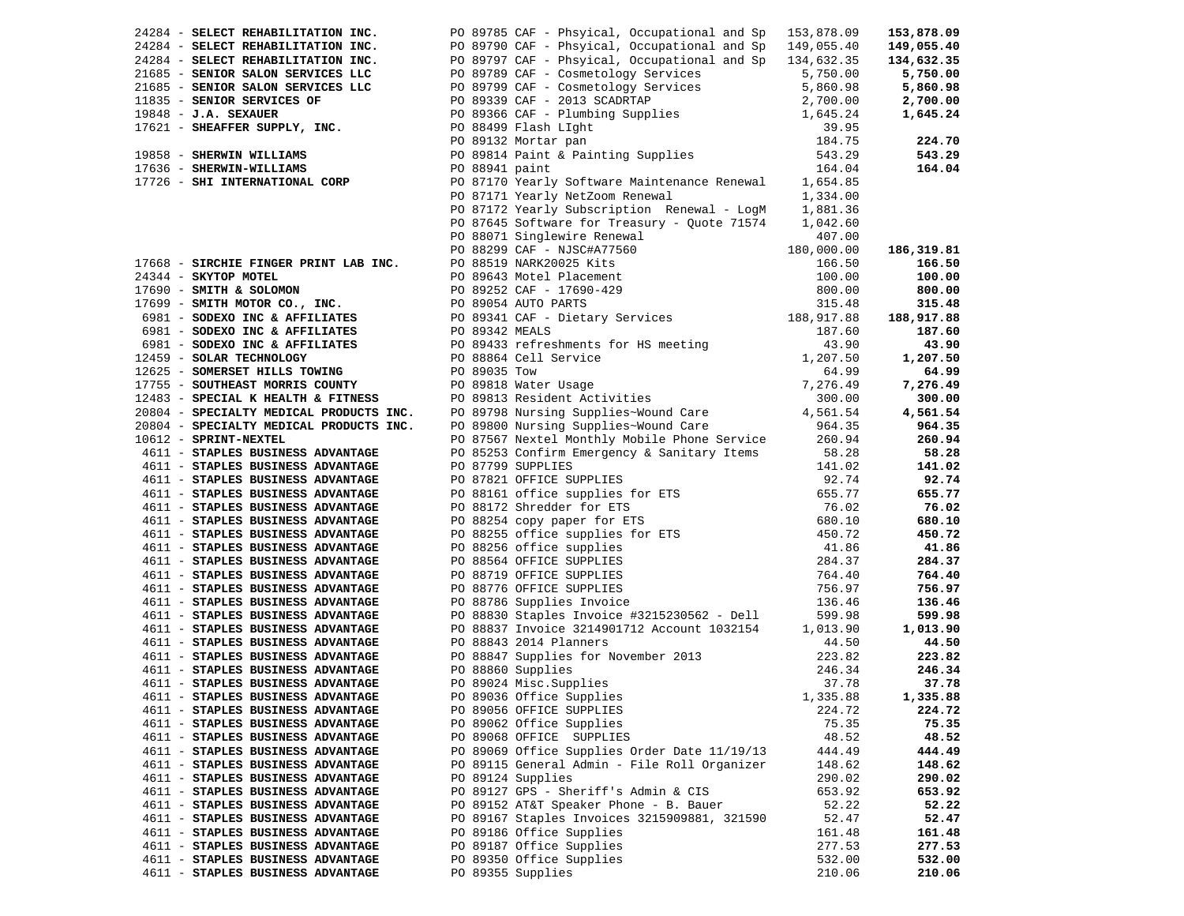| 24284 - SELECT REHABILITATION INC. |                   | PO 89785 CAF - Phsyical, Occupational and Sp 153,878.09                                                                                                                                                                                                                 |          | 153,878.09        |
|------------------------------------|-------------------|-------------------------------------------------------------------------------------------------------------------------------------------------------------------------------------------------------------------------------------------------------------------------|----------|-------------------|
|                                    |                   |                                                                                                                                                                                                                                                                         |          | 149,055.40        |
|                                    |                   |                                                                                                                                                                                                                                                                         |          |                   |
|                                    |                   |                                                                                                                                                                                                                                                                         |          | 134,632.35        |
|                                    |                   |                                                                                                                                                                                                                                                                         |          | 5,750.00          |
|                                    |                   |                                                                                                                                                                                                                                                                         |          | 5,860.98          |
|                                    |                   | 27203 - SELECT REHABILITATION INC.<br>27284 - SELECT REHABILITATION INC.<br>27284 - SELECT REHABILITATION INC.<br>274284 - SELECT REHABILITATION INC.<br>21685 - SENIOR SALON SERVICES LLC<br>2755.00<br>21685 - SENIOR SALON SERVICES LL                               |          | 2,700.00          |
|                                    |                   |                                                                                                                                                                                                                                                                         |          | 1,645.24          |
|                                    |                   |                                                                                                                                                                                                                                                                         |          |                   |
|                                    |                   |                                                                                                                                                                                                                                                                         |          | 224.70            |
|                                    |                   |                                                                                                                                                                                                                                                                         |          | 543.29            |
|                                    |                   |                                                                                                                                                                                                                                                                         |          | 164.04            |
| 17726 - SHI INTERNATIONAL CORP     |                   | PO 87170 Yearly Software Maintenance Renewal 1,654.85                                                                                                                                                                                                                   |          |                   |
|                                    |                   |                                                                                                                                                                                                                                                                         |          |                   |
|                                    |                   | PO 87171 Yearly NetZoom Renewal                                                                                                                                                                                                                                         | 1,334.00 |                   |
|                                    |                   | PO 87172 Yearly Subscription Renewal - LogM 1,881.36                                                                                                                                                                                                                    |          |                   |
|                                    |                   | PO 87645 Software for Treasury - Quote 71574                                                                                                                                                                                                                            | 1,042.60 |                   |
|                                    |                   |                                                                                                                                                                                                                                                                         |          |                   |
|                                    |                   |                                                                                                                                                                                                                                                                         |          | 186,319.81        |
|                                    |                   |                                                                                                                                                                                                                                                                         |          | 166.50            |
|                                    |                   |                                                                                                                                                                                                                                                                         |          | 100.00            |
|                                    |                   |                                                                                                                                                                                                                                                                         |          | 800.00            |
|                                    |                   |                                                                                                                                                                                                                                                                         |          | 315.48            |
|                                    |                   |                                                                                                                                                                                                                                                                         |          |                   |
|                                    |                   |                                                                                                                                                                                                                                                                         |          | 188,917.88        |
|                                    |                   |                                                                                                                                                                                                                                                                         |          | 187.60            |
|                                    |                   |                                                                                                                                                                                                                                                                         |          | 43.90             |
|                                    |                   |                                                                                                                                                                                                                                                                         |          | 1,207.50          |
|                                    |                   |                                                                                                                                                                                                                                                                         |          | 64.99             |
|                                    |                   |                                                                                                                                                                                                                                                                         |          | 7,276.49          |
|                                    |                   |                                                                                                                                                                                                                                                                         |          | 300.00            |
|                                    |                   |                                                                                                                                                                                                                                                                         |          | 4,561.54          |
|                                    |                   |                                                                                                                                                                                                                                                                         |          | 964.35            |
| 10612 - SPRINT-NEXTEL              |                   |                                                                                                                                                                                                                                                                         |          | 260.94            |
| 4611 - STAPLES BUSINESS ADVANTAGE  |                   | PO 87567 Nextel Monthly Mobile Phone Service 260.94<br>PO 85253 Confirm Emergency & Sanitary Items 58.28                                                                                                                                                                |          |                   |
|                                    |                   |                                                                                                                                                                                                                                                                         |          | 58.28             |
| 4611 - STAPLES BUSINESS ADVANTAGE  |                   | PO 87799 SUPPLIES<br>90 87799 SUPPLIES<br>20 87821 OFFICE SUPPLIES<br>20 87821 OFFICE SUPPLIES<br>20 92.74<br>20 88161 office supplies for ETS<br>20 88254 copy paper for ETS<br>26 80.10<br>20 88255 office supplies for ETS<br>41.86<br>28 8654 OFFICE SUPPLIES<br>28 | 141.02   | 141.02            |
| 4611 - STAPLES BUSINESS ADVANTAGE  |                   |                                                                                                                                                                                                                                                                         |          | 92.74             |
| 4611 - STAPLES BUSINESS ADVANTAGE  |                   |                                                                                                                                                                                                                                                                         |          | 655.77            |
| 4611 - STAPLES BUSINESS ADVANTAGE  |                   |                                                                                                                                                                                                                                                                         |          | 76.02             |
| 4611 - STAPLES BUSINESS ADVANTAGE  |                   |                                                                                                                                                                                                                                                                         |          | 680.10            |
| 4611 - STAPLES BUSINESS ADVANTAGE  |                   |                                                                                                                                                                                                                                                                         |          | 450.72            |
| 4611 - STAPLES BUSINESS ADVANTAGE  |                   |                                                                                                                                                                                                                                                                         |          | 41.86             |
| 4611 - STAPLES BUSINESS ADVANTAGE  |                   |                                                                                                                                                                                                                                                                         |          | 284.37            |
| 4611 - STAPLES BUSINESS ADVANTAGE  |                   |                                                                                                                                                                                                                                                                         |          | 764.40            |
| 4611 - STAPLES BUSINESS ADVANTAGE  |                   |                                                                                                                                                                                                                                                                         |          | 756.97            |
| 4611 - STAPLES BUSINESS ADVANTAGE  |                   |                                                                                                                                                                                                                                                                         |          | 136.46            |
| 4611 - STAPLES BUSINESS ADVANTAGE  |                   |                                                                                                                                                                                                                                                                         |          | 599.98            |
| 4611 - STAPLES BUSINESS ADVANTAGE  |                   |                                                                                                                                                                                                                                                                         |          | 1,013.90          |
|                                    |                   |                                                                                                                                                                                                                                                                         |          |                   |
| 4611 - STAPLES BUSINESS ADVANTAGE  |                   | PO 88843 2014 Planners                                                                                                                                                                                                                                                  | 44.50    | 44.50             |
| 4611 - STAPLES BUSINESS ADVANTAGE  |                   |                                                                                                                                                                                                                                                                         |          | 223.82            |
| 4611 - STAPLES BUSINESS ADVANTAGE  | PO 88860 Supplies |                                                                                                                                                                                                                                                                         | 246.34   | 246.34            |
| 4611 - STAPLES BUSINESS ADVANTAGE  |                   | PO 88847 Supplies for November 2013 223.82<br>PO 88860 Supplies 246.34<br>PO 89024 Misc.Supplies 37.78<br>PO 89026 Office Supplies 1335.88                                                                                                                              |          | 37.78             |
| 4611 - STAPLES BUSINESS ADVANTAGE  |                   | PO 89036 Office Supplies                                                                                                                                                                                                                                                |          | 1,335.88 1,335.88 |
| 4611 - STAPLES BUSINESS ADVANTAGE  |                   | PO 89056 OFFICE SUPPLIES                                                                                                                                                                                                                                                | 224.72   | 224.72            |
| 4611 - STAPLES BUSINESS ADVANTAGE  |                   | PO 89062 Office Supplies                                                                                                                                                                                                                                                | 75.35    | 75.35             |
| 4611 - STAPLES BUSINESS ADVANTAGE  |                   | PO 89068 OFFICE SUPPLIES                                                                                                                                                                                                                                                | 48.52    | 48.52             |
| 4611 - STAPLES BUSINESS ADVANTAGE  |                   | PO 89069 Office Supplies Order Date 11/19/13                                                                                                                                                                                                                            | 444.49   | 444.49            |
| 4611 - STAPLES BUSINESS ADVANTAGE  |                   | PO 89115 General Admin - File Roll Organizer                                                                                                                                                                                                                            | 148.62   | 148.62            |
| 4611 - STAPLES BUSINESS ADVANTAGE  |                   | PO 89124 Supplies                                                                                                                                                                                                                                                       | 290.02   | 290.02            |
| 4611 - STAPLES BUSINESS ADVANTAGE  |                   |                                                                                                                                                                                                                                                                         |          |                   |
|                                    |                   | PO 89127 GPS - Sheriff's Admin & CIS                                                                                                                                                                                                                                    | 653.92   | 653.92            |
| 4611 - STAPLES BUSINESS ADVANTAGE  |                   | PO 89152 AT&T Speaker Phone - B. Bauer                                                                                                                                                                                                                                  | 52.22    | 52.22             |
| 4611 - STAPLES BUSINESS ADVANTAGE  |                   | PO 89167 Staples Invoices 3215909881, 321590                                                                                                                                                                                                                            | 52.47    | 52.47             |
| 4611 - STAPLES BUSINESS ADVANTAGE  |                   | PO 89186 Office Supplies                                                                                                                                                                                                                                                | 161.48   | 161.48            |
| 4611 - STAPLES BUSINESS ADVANTAGE  |                   | PO 89187 Office Supplies                                                                                                                                                                                                                                                | 277.53   | 277.53            |
| 4611 - STAPLES BUSINESS ADVANTAGE  |                   | PO 89350 Office Supplies                                                                                                                                                                                                                                                | 532.00   | 532.00            |
| 4611 - STAPLES BUSINESS ADVANTAGE  |                   | PO 89355 Supplies                                                                                                                                                                                                                                                       | 210.06   | 210.06            |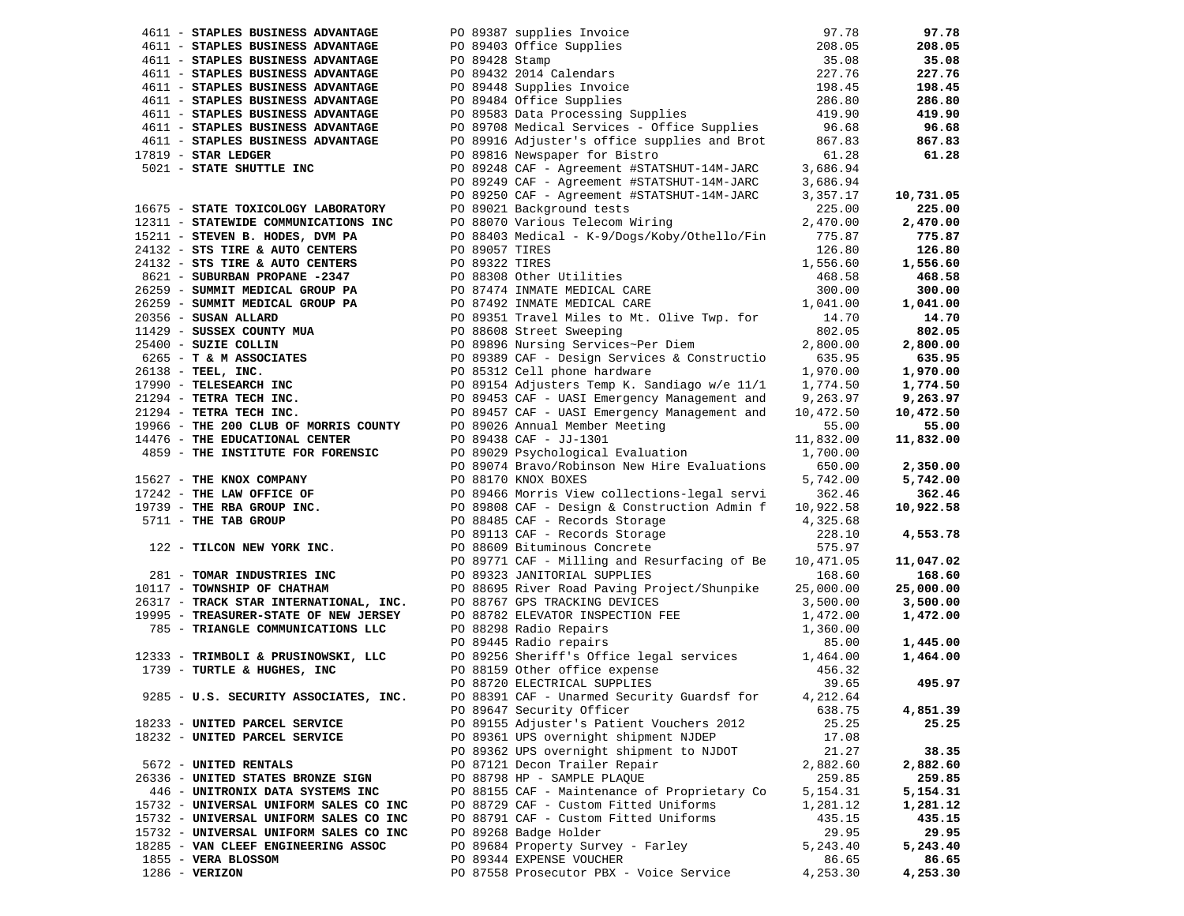| 4611 - STAPLES BUSINESS ADVANTAGE                                                                   |                |                                                                                                                                                                                                                                                | 97.78     | 97.78     |
|-----------------------------------------------------------------------------------------------------|----------------|------------------------------------------------------------------------------------------------------------------------------------------------------------------------------------------------------------------------------------------------|-----------|-----------|
| 4611 - STAPLES BUSINESS ADVANTAGE                                                                   |                |                                                                                                                                                                                                                                                | 208.05    | 208.05    |
| 4611 - STAPLES BUSINESS ADVANTAGE                                                                   |                |                                                                                                                                                                                                                                                | 35.08     | 35.08     |
| 4611 - STAPLES BUSINESS ADVANTAGE                                                                   |                |                                                                                                                                                                                                                                                | 227.76    | 227.76    |
| 4611 - STAPLES BUSINESS ADVANTAGE                                                                   |                |                                                                                                                                                                                                                                                | 198.45    | 198.45    |
|                                                                                                     |                | PO 89387 supplies Invoice<br>PO 89403 Office Supplies<br>PO 89428 Stamp<br>PO 89432 2014 Calendars<br>PO 89484 Office Supplies<br>PO 89583 Data Processing Supplies                                                                            |           |           |
| 4611 - STAPLES BUSINESS ADVANTAGE                                                                   |                |                                                                                                                                                                                                                                                | 286.80    | 286.80    |
| 4611 - STAPLES BUSINESS ADVANTAGE                                                                   |                |                                                                                                                                                                                                                                                | 419.90    | 419.90    |
| 4611 - STAPLES BUSINESS ADVANTAGE                                                                   |                | PO 89708 Medical Services - Office Supplies                                                                                                                                                                                                    | 96.68     | 96.68     |
| 4611 - STAPLES BUSINESS ADVANTAGE                                                                   |                | PO 89916 Adjuster's office supplies and Brot                                                                                                                                                                                                   | 867.83    | 867.83    |
| $17819$ - STAR LEDGER                                                                               |                | PO 89816 Newspaper for Bistro                                                                                                                                                                                                                  | 61.28     | 61.28     |
| 5021 - STATE SHUTTLE INC                                                                            |                | PO 89248 CAF - Agreement #STATSHUT-14M-JARC                                                                                                                                                                                                    | 3,686.94  |           |
|                                                                                                     |                | PO 89249 CAF - Agreement #STATSHUT-14M-JARC                                                                                                                                                                                                    | 3,686.94  |           |
|                                                                                                     |                | PO 89250 CAF - Agreement #STATSHUT-14M-JARC                                                                                                                                                                                                    | 3,357.17  | 10,731.05 |
| 16675 - STATE TOXICOLOGY LABORATORY                                                                 |                | PO 89021 Background tests                                                                                                                                                                                                                      | 225.00    | 225.00    |
| 12311 - STATEWIDE COMMUNICATIONS INC                                                                |                | PO 88070 Various Telecom Wiring                                                                                                                                                                                                                | 2,470.00  |           |
|                                                                                                     |                |                                                                                                                                                                                                                                                |           | 2,470.00  |
| 15211 - STEVEN B. HODES, DVM PA<br>$24132 - STS$ TIRE & AUTO CENTERS                                |                | PO 88403 Medical - K-9/Dogs/Koby/Othello/Fin                                                                                                                                                                                                   | 775.87    | 775.87    |
|                                                                                                     | PO 89057 TIRES |                                                                                                                                                                                                                                                | 126.80    | 126.80    |
|                                                                                                     |                |                                                                                                                                                                                                                                                |           | 1,556.60  |
|                                                                                                     |                |                                                                                                                                                                                                                                                |           | 468.58    |
|                                                                                                     |                |                                                                                                                                                                                                                                                |           | 300.00    |
|                                                                                                     |                |                                                                                                                                                                                                                                                |           | 1,041.00  |
|                                                                                                     |                |                                                                                                                                                                                                                                                |           | 14.70     |
|                                                                                                     |                |                                                                                                                                                                                                                                                |           | 802.05    |
|                                                                                                     |                |                                                                                                                                                                                                                                                |           |           |
|                                                                                                     |                |                                                                                                                                                                                                                                                |           | 2,800.00  |
|                                                                                                     |                |                                                                                                                                                                                                                                                |           | 635.95    |
|                                                                                                     |                |                                                                                                                                                                                                                                                |           | 1,970.00  |
|                                                                                                     |                |                                                                                                                                                                                                                                                |           | 1,774.50  |
|                                                                                                     |                |                                                                                                                                                                                                                                                |           | 9,263.97  |
|                                                                                                     |                |                                                                                                                                                                                                                                                |           | 10,472.50 |
| 19966 - THE 200 CLUB OF MORRIS COUNTY<br>14476 - THE EDUCATIONAL CENTER                             |                | PO 89026 Annual Member Meeting                                                                                                                                                                                                                 | 55.00     | 55.00     |
|                                                                                                     |                | PO 89438 CAF - JJ-1301                                                                                                                                                                                                                         | 11,832.00 | 11,832.00 |
| 4859 - THE INSTITUTE FOR FORENSIC                                                                   |                | PO 89029 Psychological Evaluation                                                                                                                                                                                                              | 1,700.00  |           |
|                                                                                                     |                | PO 89074 Bravo/Robinson New Hire Evaluations                                                                                                                                                                                                   | 650.00    | 2,350.00  |
|                                                                                                     |                | 15627 - THE KNOX COMPANY<br>17242 - THE LAW OFFICE OF<br>19739 - THE RBA GROUP INC.<br>19739 - THE RBA GROUP INC.<br>19739 - THE RBA GROUP INC.<br>19739 - THE RBA GROUP INC.<br>19739 - THE RBA GROUP INC.<br>19739 - THE RBA GROUP INC.<br>1 | 5,742.00  | 5,742.00  |
|                                                                                                     |                |                                                                                                                                                                                                                                                |           |           |
|                                                                                                     |                |                                                                                                                                                                                                                                                | 362.46    | 362.46    |
|                                                                                                     |                |                                                                                                                                                                                                                                                | 10,922.58 | 10,922.58 |
|                                                                                                     |                |                                                                                                                                                                                                                                                | 4,325.68  |           |
|                                                                                                     |                |                                                                                                                                                                                                                                                | 228.10    | 4,553.78  |
|                                                                                                     |                |                                                                                                                                                                                                                                                | 575.97    |           |
| 281 - TOMAR INDUSTRIES INC<br>10117 - TOWNSHIP OF CHATHAM<br>26317 - TRACK STAR INTERNATIONAL, INC. |                |                                                                                                                                                                                                                                                | 10,471.05 | 11,047.02 |
|                                                                                                     |                |                                                                                                                                                                                                                                                | 168.60    | 168.60    |
|                                                                                                     |                | PO 88695 River Road Paving Project/Shunpike                                                                                                                                                                                                    | 25,000.00 | 25,000.00 |
|                                                                                                     |                | PO 88767 GPS TRACKING DEVICES                                                                                                                                                                                                                  | 3,500.00  | 3,500.00  |
|                                                                                                     |                | PO 88782 ELEVATOR INSPECTION FEE                                                                                                                                                                                                               | 1,472.00  | 1,472.00  |
| 19995 - TREASURER-STATE OF NEW JERSEY<br>785 - TRIANGLE COMMUNICATIONS LLC                          |                |                                                                                                                                                                                                                                                | 1,360.00  |           |
|                                                                                                     |                | PO 88298 Radio Repairs<br>PO 89445 Radio repairs<br>PO 89256 Sheriff's Office legal services                                                                                                                                                   | 85.00     | 1,445.00  |
|                                                                                                     |                |                                                                                                                                                                                                                                                |           |           |
| 12333 - TRIMBOLI & PRUSINOWSKI, LLC                                                                 |                |                                                                                                                                                                                                                                                | 1,464.00  | 1,464.00  |
| 1739 - TURTLE & HUGHES, INC                                                                         |                | PO 88159 Other office expense<br>PO 88720 ELECTRICAL SUPPLIES                                                                                                                                                                                  | 456.32    |           |
|                                                                                                     |                | PO 88720 ELECTRICAL SUPPLIES                                                                                                                                                                                                                   | 39.65     | 495.97    |
| 9285 - U.S. SECURITY ASSOCIATES, INC.                                                               |                | PO 88391 CAF - Unarmed Security Guardsf for                                                                                                                                                                                                    | 4,212.64  |           |
|                                                                                                     |                | PO 89647 Security Officer                                                                                                                                                                                                                      | 638.75    | 4,851.39  |
| 18233 - UNITED PARCEL SERVICE                                                                       |                | PO 89155 Adjuster's Patient Vouchers 2012                                                                                                                                                                                                      | 25.25     | 25.25     |
| 18232 - UNITED PARCEL SERVICE                                                                       |                | PO 89361 UPS overnight shipment NJDEP                                                                                                                                                                                                          | 17.08     |           |
|                                                                                                     |                | PO 89362 UPS overnight shipment to NJDOT                                                                                                                                                                                                       | 21.27     | 38.35     |
| 5672 - UNITED RENTALS                                                                               |                | PO 87121 Decon Trailer Repair                                                                                                                                                                                                                  | 2,882.60  | 2,882.60  |
| 26336 - UNITED STATES BRONZE SIGN                                                                   |                | PO 88798 HP - SAMPLE PLAQUE                                                                                                                                                                                                                    | 259.85    | 259.85    |
|                                                                                                     |                |                                                                                                                                                                                                                                                |           |           |
| 446 - UNITRONIX DATA SYSTEMS INC                                                                    |                | PO 88155 CAF - Maintenance of Proprietary Co                                                                                                                                                                                                   | 5,154.31  | 5,154.31  |
| 15732 - UNIVERSAL UNIFORM SALES CO INC                                                              |                | PO 88729 CAF - Custom Fitted Uniforms                                                                                                                                                                                                          | 1,281.12  | 1,281.12  |
| 15732 - UNIVERSAL UNIFORM SALES CO INC                                                              |                | PO 88791 CAF - Custom Fitted Uniforms                                                                                                                                                                                                          | 435.15    | 435.15    |
| 15732 - UNIVERSAL UNIFORM SALES CO INC                                                              |                | PO 89268 Badge Holder                                                                                                                                                                                                                          | 29.95     | 29.95     |
| 18285 - VAN CLEEF ENGINEERING ASSOC                                                                 |                | PO 89684 Property Survey - Farley                                                                                                                                                                                                              | 5,243.40  | 5,243.40  |
|                                                                                                     |                |                                                                                                                                                                                                                                                |           |           |
| 1855 - VERA BLOSSOM                                                                                 |                | PO 89344 EXPENSE VOUCHER                                                                                                                                                                                                                       | 86.65     | 86.65     |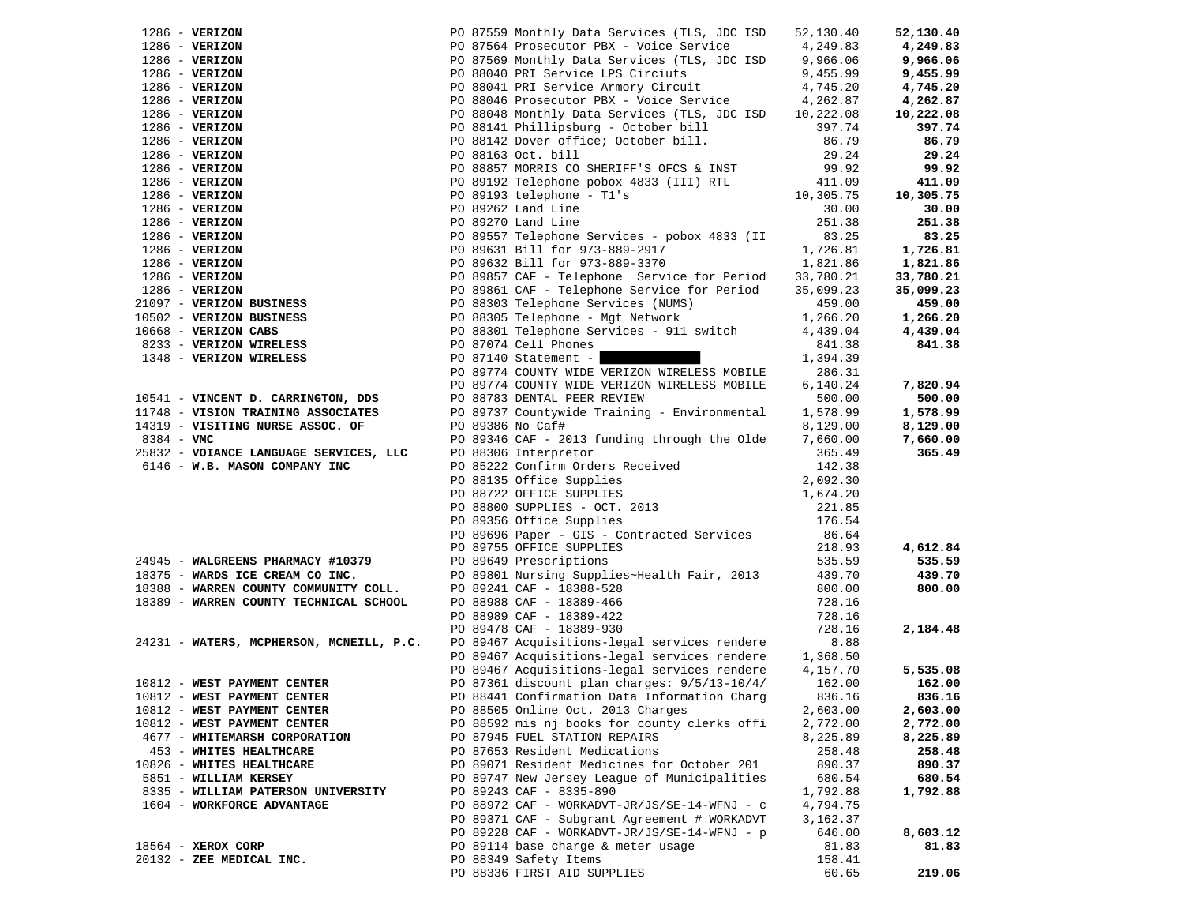| $1286 - VERIZON$                                                         |                  | PO 87559 Monthly Data Services (TLS, JDC ISD                                                                                                                                                                                                                                            | 52,130.40        | 52,130.40        |
|--------------------------------------------------------------------------|------------------|-----------------------------------------------------------------------------------------------------------------------------------------------------------------------------------------------------------------------------------------------------------------------------------------|------------------|------------------|
| $1286$ - VERIZON                                                         |                  | PO 87564 Prosecutor PBX - Voice Service                                                                                                                                                                                                                                                 | 4,249.83         | 4,249.83         |
| $1286$ - VERIZON                                                         |                  | PO 87569 Monthly Data Services (TLS, JDC ISD 9,966.06                                                                                                                                                                                                                                   |                  | 9,966.06         |
| $1286$ - VERIZON                                                         |                  |                                                                                                                                                                                                                                                                                         | 9,455.99         | 9,455.99         |
| $1286$ - VERIZON                                                         |                  | PO 88041 PRI Service Armory Circuit 4,745.20                                                                                                                                                                                                                                            |                  | 4,745.20         |
| $1286$ - VERIZON                                                         |                  | PO 88046 Prosecutor PBX - Voice Service                                                                                                                                                                                                                                                 | 4,262.87         | 4,262.87         |
| $1286$ - VERIZON                                                         |                  | PO 88048 Monthly Data Services (TLS, JDC ISD                                                                                                                                                                                                                                            | 10,222.08        | 10,222.08        |
| $1286$ - VERIZON                                                         |                  |                                                                                                                                                                                                                                                                                         | 397.74           | 397.74           |
| $1286$ - VERIZON                                                         |                  | PO 88141 Phillipsburg - October bill<br>PO 88142 Dover office; October bill.                                                                                                                                                                                                            | 86.79            | 86.79            |
| $1286$ - VERIZON                                                         |                  |                                                                                                                                                                                                                                                                                         | 29.24            | 29.24            |
| $1286$ - VERIZON                                                         |                  | PO 88857 MORRIS CO SHERIFF'S OFCS & INST                                                                                                                                                                                                                                                | 99.92            | 99.92            |
| $1286 - VERIZON$                                                         |                  |                                                                                                                                                                                                                                                                                         | 411.09           | 411.09           |
| $1286$ - VERIZON                                                         |                  |                                                                                                                                                                                                                                                                                         | 10,305.75        | 10,305.75        |
| $1286$ - VERIZON                                                         |                  |                                                                                                                                                                                                                                                                                         | 30.00            | 30.00            |
| $1286 - VERIZON$                                                         |                  |                                                                                                                                                                                                                                                                                         | 251.38           | 251.38           |
| $1286$ - VERIZON                                                         |                  | PO 89557 Telephone Services - pobox 4833 (II                                                                                                                                                                                                                                            | 83.25            | 83.25            |
| $1286$ - VERIZON                                                         |                  |                                                                                                                                                                                                                                                                                         | 1,726.81         | 1,726.81         |
| $1286$ - VERIZON                                                         |                  |                                                                                                                                                                                                                                                                                         | 1,821.86         | 1,821.86         |
| $1286$ - VERIZON                                                         |                  | PO 87559 Monthly Data Services (TLS, JDC ISP<br>PO 87564 Prosecutor PBX - Voice Service<br>PO 87564 Monthly Data Services (TLS, JDC ISP<br>PO 88040 PRI Service LPS Circiuts<br>PO 88041 PRI Service Armory Circuit<br>PO 88046 Prosecut<br>PO 89857 CAF - Telephone Service for Period | 33,780.21        | 33,780.21        |
| $1286$ - VERIZON                                                         |                  | PO 89861 CAF - Telephone Service for Period                                                                                                                                                                                                                                             | 35,099.23        | 35,099.23        |
| 21097 - VERIZON BUSINESS                                                 |                  |                                                                                                                                                                                                                                                                                         | 459.00           | 459.00           |
| 10502 - VERIZON BUSINESS                                                 |                  | PO 88305 Telephone - Mgt Network                                                                                                                                                                                                                                                        | 1,266.20         | 1,266.20         |
| $10668$ - VERIZON CABS                                                   |                  | PO 88301 Telephone Services - 911 switch                                                                                                                                                                                                                                                | 4,439.04         | 4,439.04         |
| 8233 - VERIZON WIRELESS                                                  |                  | PO 87074 Cell Phones                                                                                                                                                                                                                                                                    | 841.38           | 841.38           |
| 1348 - VERIZON WIRELESS                                                  |                  | PO 87140 Statement -                                                                                                                                                                                                                                                                    | 1,394.39         |                  |
|                                                                          |                  | PO 89774 COUNTY WIDE VERIZON WIRELESS MOBILE                                                                                                                                                                                                                                            | 286.31           |                  |
|                                                                          |                  | PO 89774 COUNTY WIDE VERIZON WIRELESS MOBILE                                                                                                                                                                                                                                            | 6,140.24         | 7,820.94         |
| 10541 - VINCENT D. CARRINGTON, DDS                                       |                  | PO 88783 DENTAL PEER REVIEW                                                                                                                                                                                                                                                             | 500.00           | 500.00           |
| 11748 - VISION TRAINING ASSOCIATES                                       |                  | PO 89737 Countywide Training - Environmental                                                                                                                                                                                                                                            | 1,578.99         | 1,578.99         |
| 14319 - VISITING NURSE ASSOC. OF                                         | PO 89386 No Caf# |                                                                                                                                                                                                                                                                                         | 8,129.00         | 8,129.00         |
| 8384 - VMC                                                               |                  | PO 89346 CAF - 2013 funding through the Olde                                                                                                                                                                                                                                            | 7,660.00         | 7,660.00         |
| 25832 - VOIANCE LANGUAGE SERVICES, LLC                                   |                  | PO 88306 Interpretor                                                                                                                                                                                                                                                                    | 365.49           | 365.49           |
| 6146 - W.B. MASON COMPANY INC                                            |                  | PO 85222 Confirm Orders Received<br>PO 88135 Office Supplies<br>PO 88722 OFFICE SUPPLIES                                                                                                                                                                                                | 142.38           |                  |
|                                                                          |                  |                                                                                                                                                                                                                                                                                         | 2,092.30         |                  |
|                                                                          |                  |                                                                                                                                                                                                                                                                                         | 1,674.20         |                  |
|                                                                          |                  | PO 88800 SUPPLIES - OCT. 2013<br>PO 89356 Office Supplies                                                                                                                                                                                                                               | 221.85           |                  |
|                                                                          |                  | PO 89356 Office Supplies                                                                                                                                                                                                                                                                | 176.54           |                  |
|                                                                          |                  | PO 89696 Paper - GIS - Contracted Services                                                                                                                                                                                                                                              | 86.64            |                  |
|                                                                          |                  | PO 89755 OFFICE SUPPLIES                                                                                                                                                                                                                                                                | 218.93           | 4,612.84         |
| 24945 - WALGREENS PHARMACY #10379                                        |                  | PO 89649 Prescriptions                                                                                                                                                                                                                                                                  | 535.59           | 535.59           |
| 18375 - WARDS ICE CREAM CO INC.<br>18388 - WARREN COUNTY COMMUNITY COLL. |                  | PO 89801 Nursing Supplies~Health Fair, 2013                                                                                                                                                                                                                                             | 439.70<br>800.00 | 439.70<br>800.00 |
| 18389 - WARREN COUNTY TECHNICAL SCHOOL                                   |                  | PO 89241 CAF - 18388-528                                                                                                                                                                                                                                                                | 728.16           |                  |
|                                                                          |                  | PO 88988 CAF - 18389-466<br>PO 88989 CAF - 18389-422                                                                                                                                                                                                                                    | 728.16           |                  |
|                                                                          |                  | PO 89478 CAF - 18389-930                                                                                                                                                                                                                                                                | 728.16           | 2,184.48         |
| 24231 - WATERS, MCPHERSON, MCNEILL, P.C.                                 |                  | PO 89467 Acquisitions-legal services rendere                                                                                                                                                                                                                                            | 8.88             |                  |
|                                                                          |                  | PO 89467 Acquisitions-legal services rendere                                                                                                                                                                                                                                            | 1,368.50         |                  |
|                                                                          |                  | PO 89467 Acquisitions-legal services rendere                                                                                                                                                                                                                                            | 4,157.70         | 5,535.08         |
| 10812 - WEST PAYMENT CENTER                                              |                  | PO 87361 discount plan charges: $9/5/13-10/4/$                                                                                                                                                                                                                                          | 162.00           | 162.00           |
| 10812 - WEST PAYMENT CENTER                                              |                  | PO 88441 Confirmation Data Information Charg                                                                                                                                                                                                                                            | 836.16           | 836.16           |
| 10812 - WEST PAYMENT CENTER                                              |                  | PO 88505 Online Oct. 2013 Charges                                                                                                                                                                                                                                                       | 2,603.00         | 2,603.00         |
| 10812 - WEST PAYMENT CENTER                                              |                  | PO 88592 mis nj books for county clerks offi                                                                                                                                                                                                                                            | 2,772.00         | 2,772.00         |
| 4677 - WHITEMARSH CORPORATION                                            |                  | PO 87945 FUEL STATION REPAIRS                                                                                                                                                                                                                                                           | 8,225.89         | 8,225.89         |
| 453 - WHITES HEALTHCARE                                                  |                  | PO 87653 Resident Medications                                                                                                                                                                                                                                                           | 258.48           | 258.48           |
| 10826 - WHITES HEALTHCARE                                                |                  | PO 89071 Resident Medicines for October 201                                                                                                                                                                                                                                             | 890.37           | 890.37           |
| 5851 - WILLIAM KERSEY                                                    |                  | PO 89747 New Jersey League of Municipalities                                                                                                                                                                                                                                            | 680.54           | 680.54           |
| 8335 - WILLIAM PATERSON UNIVERSITY                                       |                  | PO 89243 CAF - 8335-890                                                                                                                                                                                                                                                                 | 1,792.88         | 1,792.88         |
| 1604 - WORKFORCE ADVANTAGE                                               |                  | PO 88972 CAF - WORKADVT-JR/JS/SE-14-WFNJ - c                                                                                                                                                                                                                                            | 4,794.75         |                  |
|                                                                          |                  | PO 89371 CAF - Subgrant Agreement # WORKADVT                                                                                                                                                                                                                                            | 3,162.37         |                  |
|                                                                          |                  | PO 89228 CAF - WORKADVT-JR/JS/SE-14-WFNJ - p                                                                                                                                                                                                                                            | 646.00           | 8,603.12         |
| 18564 - XEROX CORP                                                       |                  | PO 89114 base charge & meter usage                                                                                                                                                                                                                                                      | 81.83            | 81.83            |
| 20132 - ZEE MEDICAL INC.                                                 |                  | PO 88349 Safety Items                                                                                                                                                                                                                                                                   | 158.41           |                  |
|                                                                          |                  | PO 88336 FIRST AID SUPPLIES                                                                                                                                                                                                                                                             | 60.65            | 219.06           |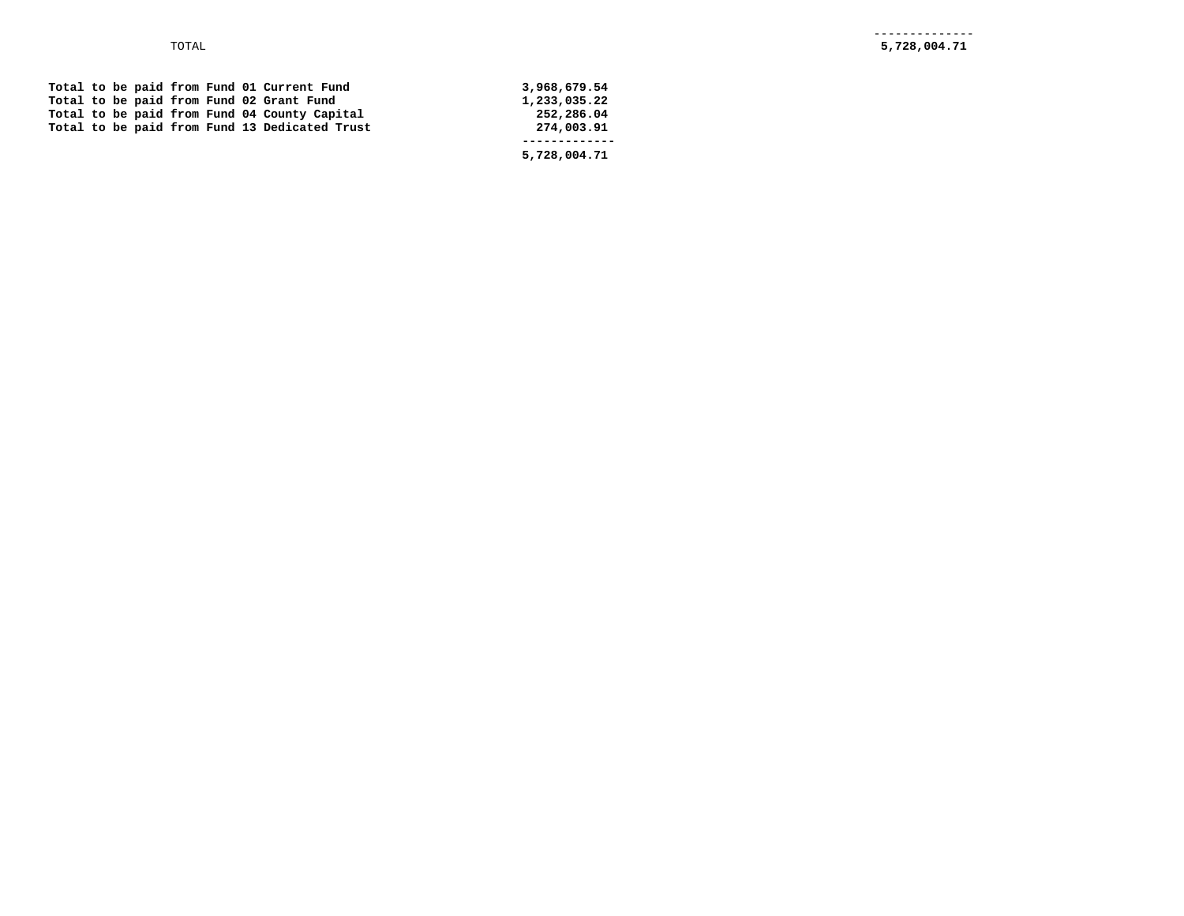|  |  |  |  | Total to be paid from Fund 01 Current Fund    | 3,968,679.54 |
|--|--|--|--|-----------------------------------------------|--------------|
|  |  |  |  | Total to be paid from Fund 02 Grant Fund      | 1,233,035.22 |
|  |  |  |  | Total to be paid from Fund 04 County Capital  | 252,286.04   |
|  |  |  |  | Total to be paid from Fund 13 Dedicated Trust | 274,003.91   |
|  |  |  |  |                                               |              |
|  |  |  |  |                                               | 5,728,004.71 |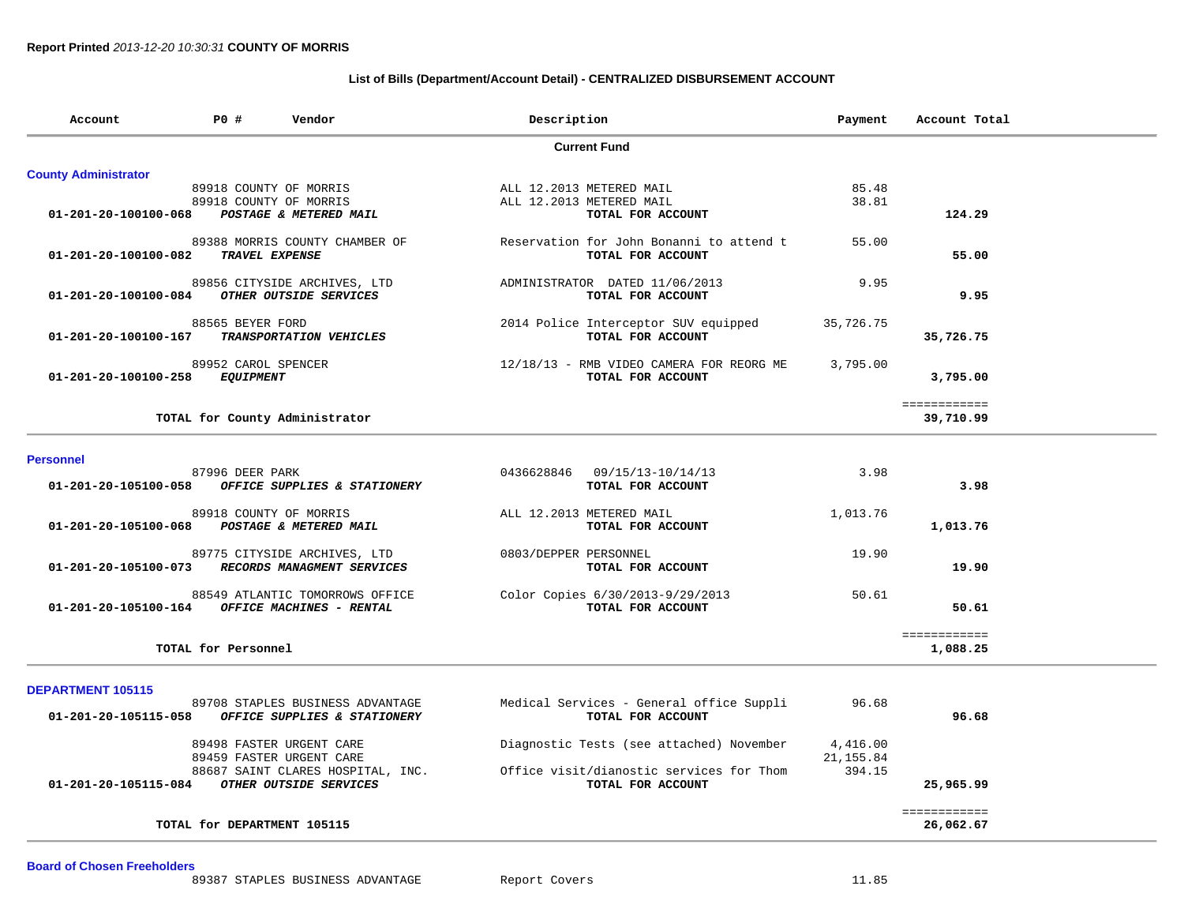### **List of Bills (Department/Account Detail) - CENTRALIZED DISBURSEMENT ACCOUNT**

| Account                     | P0 #                | Vendor                            | Description           |                                          | Payment   | Account Total |
|-----------------------------|---------------------|-----------------------------------|-----------------------|------------------------------------------|-----------|---------------|
|                             |                     |                                   |                       | <b>Current Fund</b>                      |           |               |
| <b>County Administrator</b> |                     |                                   |                       |                                          |           |               |
|                             |                     | 89918 COUNTY OF MORRIS            |                       | ALL 12.2013 METERED MAIL                 | 85.48     |               |
|                             |                     | 89918 COUNTY OF MORRIS            |                       | ALL 12.2013 METERED MAIL                 | 38.81     |               |
| 01-201-20-100100-068        |                     | POSTAGE & METERED MAIL            |                       | TOTAL FOR ACCOUNT                        |           | 124.29        |
|                             |                     | 89388 MORRIS COUNTY CHAMBER OF    |                       | Reservation for John Bonanni to attend t | 55.00     |               |
| 01-201-20-100100-082        | TRAVEL EXPENSE      |                                   |                       | TOTAL FOR ACCOUNT                        |           | 55.00         |
|                             |                     | 89856 CITYSIDE ARCHIVES, LTD      |                       | ADMINISTRATOR DATED 11/06/2013           | 9.95      |               |
| 01-201-20-100100-084        |                     | OTHER OUTSIDE SERVICES            |                       | TOTAL FOR ACCOUNT                        |           | 9.95          |
|                             | 88565 BEYER FORD    |                                   |                       | 2014 Police Interceptor SUV equipped     | 35,726.75 |               |
| 01-201-20-100100-167        |                     | <b>TRANSPORTATION VEHICLES</b>    |                       | TOTAL FOR ACCOUNT                        |           | 35,726.75     |
|                             | 89952 CAROL SPENCER |                                   |                       | 12/18/13 - RMB VIDEO CAMERA FOR REORG ME | 3,795.00  |               |
| 01-201-20-100100-258        | <i>EQUIPMENT</i>    |                                   |                       | TOTAL FOR ACCOUNT                        |           | 3,795.00      |
|                             |                     |                                   |                       |                                          |           | ============  |
|                             |                     | TOTAL for County Administrator    |                       |                                          |           | 39,710.99     |
|                             |                     |                                   |                       |                                          |           |               |
| <b>Personnel</b>            | 87996 DEER PARK     |                                   |                       | 0436628846 09/15/13-10/14/13             | 3.98      |               |
| 01-201-20-105100-058        |                     | OFFICE SUPPLIES & STATIONERY      |                       | TOTAL FOR ACCOUNT                        |           | 3.98          |
|                             |                     |                                   |                       |                                          |           |               |
|                             |                     | 89918 COUNTY OF MORRIS            |                       | ALL 12.2013 METERED MAIL                 | 1,013.76  |               |
| 01-201-20-105100-068        |                     | <b>POSTAGE &amp; METERED MAIL</b> |                       | TOTAL FOR ACCOUNT                        |           | 1,013.76      |
|                             |                     | 89775 CITYSIDE ARCHIVES, LTD      | 0803/DEPPER PERSONNEL |                                          | 19.90     |               |
| 01-201-20-105100-073        |                     | RECORDS MANAGMENT SERVICES        |                       | TOTAL FOR ACCOUNT                        |           | 19.90         |

 88549 ATLANTIC TOMORROWS OFFICE Color Copies 6/30/2013-9/29/2013 50.61 01-201-20-105100-164 OFFICE MACHINES - RENTAL **FOR ACCOUNT** 

TOTAL for Personnel

**DEPARTMENT 105115** 

| 89708 STAPLES BUSINESS ADVANTAGE<br>01-201-20-105115-058<br>OFFICE SUPPLIES & STATIONERY | Medical Services - General office Suppli<br>TOTAL FOR ACCOUNT | 96.68     | 96.68     |
|------------------------------------------------------------------------------------------|---------------------------------------------------------------|-----------|-----------|
| 89498 FASTER URGENT CARE                                                                 | Diagnostic Tests (see attached) November                      | 4,416.00  |           |
| 89459 FASTER URGENT CARE                                                                 |                                                               | 21,155.84 |           |
| 88687 SAINT CLARES HOSPITAL, INC.                                                        | Office visit/dianostic services for Thom                      | 394.15    |           |
| 01-201-20-105115-084<br>OTHER OUTSIDE SERVICES                                           | TOTAL FOR ACCOUNT                                             |           | 25,965.99 |
|                                                                                          |                                                               |           |           |
| TOTAL for DEPARTMENT 105115                                                              |                                                               |           | 26,062.67 |

============

**Board of Chosen Freeholders**

50.61

1,088.25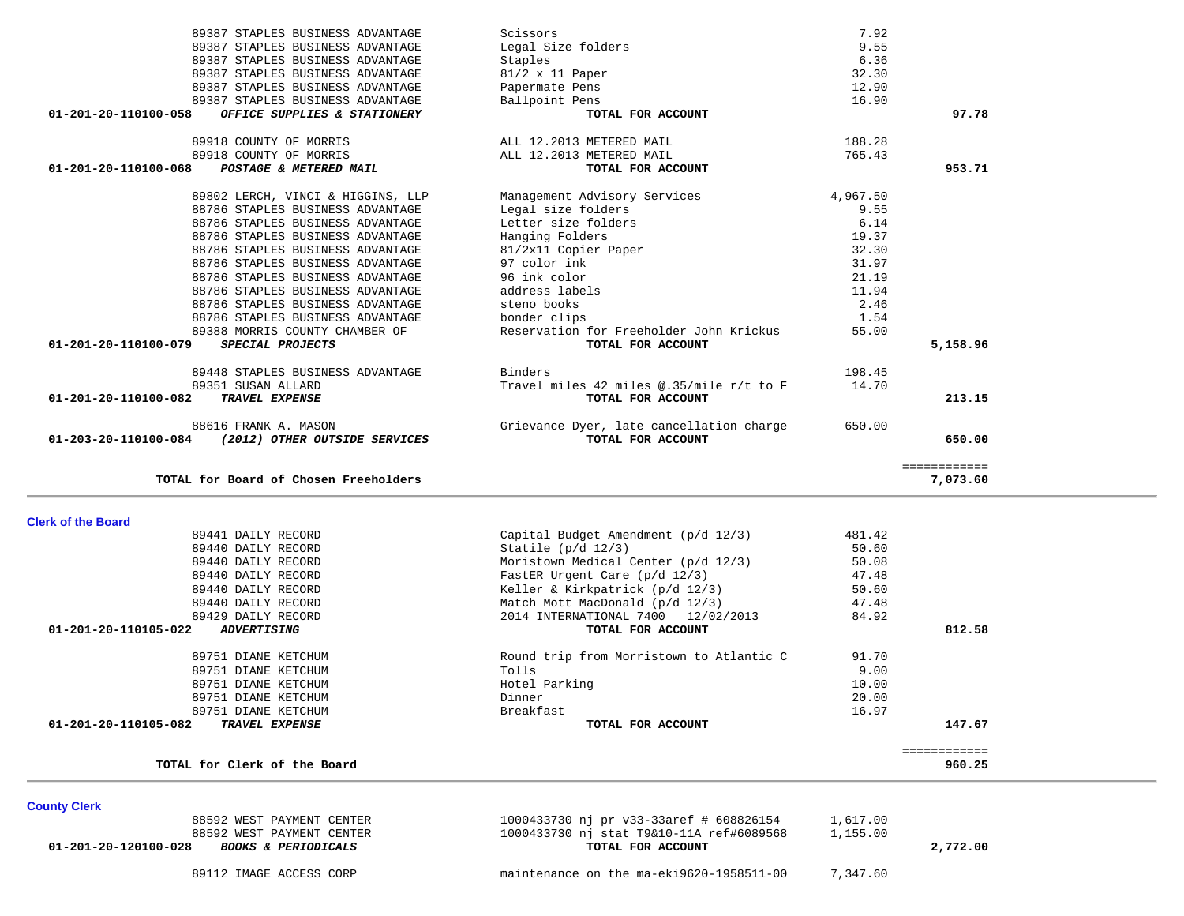89440 DAILY RECORD **Match Mott MacDonald** (p/d 12/3) 47.48 89429 DAILY RECORD 2014 INTERNATIONAL 7400 12/02/2013 84.92  **01-201-20-110105-022** *ADVERTISING* **TOTAL FOR ACCOUNT 812.58** 89751 DIANE KETCHUM Round trip from Morristown to Atlantic C 91.70 89751 DIANE KETCHUM Tolls 9.00 89751 DIANE KETCHUM Hotel Parking 10.00 89751 DIANE KETCHUM Dinner 20.00 89751 DIANE KETCHUM Breakfast 16.97  **01-201-20-110105-082** *TRAVEL EXPENSE* **TOTAL FOR ACCOUNT 147.67** ============ **TOTAL for Clerk of the Board 960.25County Clerk**  88592 WEST PAYMENT CENTER 1000433730 nj pr v33-33aref # 608826154 1,617.00

88592 WEST PAYMENT CENTER 1000433730 nj stat T9&10-11A ref#6089568 1,155.00

 ============ **TOTAL for Board of Chosen Freeholders 7,073.60 Clerk of the Board**  89441 DAILY RECORD Capital Budget Amendment (p/d 12/3) 481.42 89440 DAILY RECORD  $\begin{array}{c} 50.60 \\ -50.60 \end{array}$  89440 DAILY RECORD Moristown Medical Center (p/d 12/3) 50.08 89440 DAILY RECORD **FastER Urgent Care (p/d 12/3)** 47.48 89440 DAILY RECORD **Keller & Kirkpatrick (p/d 12/3)** 50.60

 **01-203-20-110100-084** *(2012) OTHER OUTSIDE SERVICES* **TOTAL FOR ACCOUNT 650.00**

# **01-201-20-110100-082** *TRAVEL EXPENSE* **TOTAL FOR ACCOUNT 213.15**88616 FRANK A. MASON Grievance Dyer, late cancellation charge 650.00

| 89387 STAPLES BUSINESS ADVANTAGE                     | Legal Size folders                       | 9.55     |          |
|------------------------------------------------------|------------------------------------------|----------|----------|
| 89387 STAPLES BUSINESS ADVANTAGE                     | Staples                                  | 6.36     |          |
| 89387 STAPLES BUSINESS ADVANTAGE                     | $81/2 \times 11$ Paper                   | 32.30    |          |
| 89387 STAPLES BUSINESS ADVANTAGE                     | Papermate Pens                           | 12.90    |          |
| 89387 STAPLES BUSINESS ADVANTAGE                     | Ballpoint Pens                           | 16.90    |          |
| 01-201-20-110100-058<br>OFFICE SUPPLIES & STATIONERY | TOTAL FOR ACCOUNT                        |          | 97.78    |
| 89918 COUNTY OF MORRIS                               | ALL 12.2013 METERED MAIL                 | 188.28   |          |
| 89918 COUNTY OF MORRIS                               | ALL 12.2013 METERED MAIL                 | 765.43   |          |
| 01-201-20-110100-068<br>POSTAGE & METERED MAIL       | TOTAL FOR ACCOUNT                        |          | 953.71   |
| 89802 LERCH, VINCI & HIGGINS, LLP                    | Management Advisory Services             | 4,967.50 |          |
| 88786 STAPLES BUSINESS ADVANTAGE                     | Legal size folders                       | 9.55     |          |
| 88786 STAPLES BUSINESS ADVANTAGE                     | Letter size folders                      | 6.14     |          |
| 88786 STAPLES BUSINESS ADVANTAGE                     | Hanging Folders                          | 19.37    |          |
| 88786 STAPLES BUSINESS ADVANTAGE                     | 81/2x11 Copier Paper                     | 32.30    |          |
| 88786 STAPLES BUSINESS ADVANTAGE                     | 97 color ink                             | 31.97    |          |
| 88786 STAPLES BUSINESS ADVANTAGE                     | 96 ink color                             | 21.19    |          |
| 88786 STAPLES BUSINESS ADVANTAGE                     | address labels                           | 11.94    |          |
| 88786 STAPLES BUSINESS ADVANTAGE                     | steno books                              | 2.46     |          |
| 88786 STAPLES BUSINESS ADVANTAGE                     | bonder clips                             | 1.54     |          |
| 89388 MORRIS COUNTY CHAMBER OF                       | Reservation for Freeholder John Krickus  | 55.00    |          |
| 01-201-20-110100-079<br>SPECIAL PROJECTS             | TOTAL FOR ACCOUNT                        |          | 5,158.96 |
| 89448 STAPLES BUSINESS ADVANTAGE                     | Binders                                  | 198.45   |          |
| 89351 SUSAN ALLARD                                   | Travel miles 42 miles @.35/mile r/t to F | 14.70    |          |
| 01-201-20-110100-082<br>TRAVEL EXPENSE               | TOTAL FOR ACCOUNT                        |          | 213.15   |

89387 STAPLES BUSINESS ADVANTAGE Scissors 3.92

89112 IMAGE ACCESS CORP maintenance on the ma-eki9620-1958511-00 7,347.60

 **01-201-20-120100-028** *BOOKS & PERIODICALS* **TOTAL FOR ACCOUNT 2,772.00**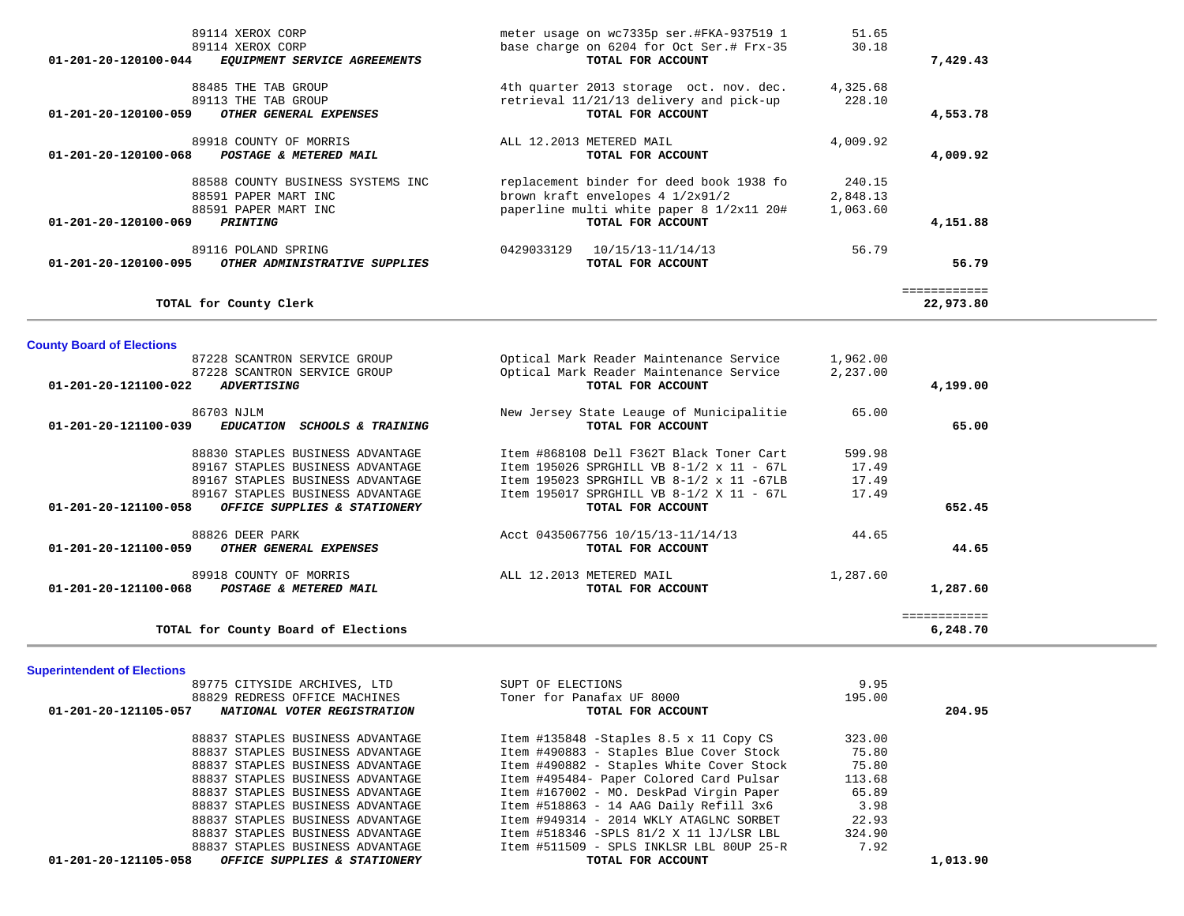| 89114 XEROX CORP                                                         | meter usage on wc7335p ser.#FKA-937519 1                      | 51.65          |              |  |
|--------------------------------------------------------------------------|---------------------------------------------------------------|----------------|--------------|--|
| 89114 XEROX CORP<br>01-201-20-120100-044<br>EQUIPMENT SERVICE AGREEMENTS | base charge on 6204 for Oct Ser.# Frx-35<br>TOTAL FOR ACCOUNT | 30.18          | 7,429.43     |  |
|                                                                          |                                                               |                |              |  |
| 88485 THE TAB GROUP                                                      | 4th quarter 2013 storage oct. nov. dec.                       | 4,325.68       |              |  |
| 89113 THE TAB GROUP                                                      | retrieval 11/21/13 delivery and pick-up                       | 228.10         |              |  |
| OTHER GENERAL EXPENSES<br>01-201-20-120100-059                           | TOTAL FOR ACCOUNT                                             |                | 4,553.78     |  |
| 89918 COUNTY OF MORRIS                                                   | ALL 12.2013 METERED MAIL                                      | 4,009.92       |              |  |
| 01-201-20-120100-068<br>POSTAGE & METERED MAIL                           | TOTAL FOR ACCOUNT                                             |                | 4,009.92     |  |
|                                                                          |                                                               |                |              |  |
| 88588 COUNTY BUSINESS SYSTEMS INC                                        | replacement binder for deed book 1938 fo                      | 240.15         |              |  |
| 88591 PAPER MART INC                                                     | brown kraft envelopes 4 1/2x91/2                              | 2,848.13       |              |  |
| 88591 PAPER MART INC                                                     | paperline multi white paper 8 1/2x11 20#                      | 1,063.60       |              |  |
| 01-201-20-120100-069<br>PRINTING                                         | TOTAL FOR ACCOUNT                                             |                | 4,151.88     |  |
| 89116 POLAND SPRING                                                      | 0429033129 10/15/13-11/14/13                                  | 56.79          |              |  |
| <i>OTHER ADMINISTRATIVE SUPPLIES</i><br>01-201-20-120100-095             | TOTAL FOR ACCOUNT                                             |                | 56.79        |  |
|                                                                          |                                                               |                | ============ |  |
| TOTAL for County Clerk                                                   |                                                               |                | 22,973.80    |  |
|                                                                          |                                                               |                |              |  |
| <b>County Board of Elections</b>                                         |                                                               |                |              |  |
| 87228 SCANTRON SERVICE GROUP                                             | Optical Mark Reader Maintenance Service                       | 1,962.00       |              |  |
| 87228 SCANTRON SERVICE GROUP                                             | Optical Mark Reader Maintenance Service                       | 2,237.00       |              |  |
| 01-201-20-121100-022 ADVERTISING                                         | TOTAL FOR ACCOUNT                                             |                | 4,199.00     |  |
| 86703 NJLM                                                               | New Jersey State Leauge of Municipalitie                      | 65.00          |              |  |
| 01-201-20-121100-039<br>EDUCATION SCHOOLS & TRAINING                     | TOTAL FOR ACCOUNT                                             |                | 65.00        |  |
|                                                                          |                                                               |                |              |  |
| 88830 STAPLES BUSINESS ADVANTAGE                                         | Item #868108 Dell F362T Black Toner Cart                      | 599.98         |              |  |
| 89167 STAPLES BUSINESS ADVANTAGE                                         | Item 195026 SPRGHILL VB 8-1/2 x 11 - 67L                      | 17.49          |              |  |
| 89167 STAPLES BUSINESS ADVANTAGE                                         | Item 195023 SPRGHILL VB 8-1/2 x 11 -67LB                      | 17.49          |              |  |
| 89167 STAPLES BUSINESS ADVANTAGE                                         | Item 195017 SPRGHILL VB 8-1/2 X 11 - 67L                      | 17.49          |              |  |
| 01-201-20-121100-058<br>OFFICE SUPPLIES & STATIONERY                     | TOTAL FOR ACCOUNT                                             |                | 652.45       |  |
| 88826 DEER PARK                                                          | Acct 0435067756 10/15/13-11/14/13                             | 44.65          |              |  |
| OTHER GENERAL EXPENSES<br>01-201-20-121100-059                           | TOTAL FOR ACCOUNT                                             |                | 44.65        |  |
| 89918 COUNTY OF MORRIS                                                   | ALL 12.2013 METERED MAIL                                      |                |              |  |
| 01-201-20-121100-068<br>POSTAGE & METERED MAIL                           | TOTAL FOR ACCOUNT                                             | 1,287.60       | 1,287.60     |  |
|                                                                          |                                                               |                |              |  |
|                                                                          |                                                               |                | ============ |  |
| TOTAL for County Board of Elections                                      |                                                               |                | 6,248.70     |  |
|                                                                          |                                                               |                |              |  |
| <b>Superintendent of Elections</b>                                       |                                                               |                |              |  |
| 89775 CITYSIDE ARCHIVES, LTD<br>88829 REDRESS OFFICE MACHINES            | SUPT OF ELECTIONS<br>Toner for Panafax UF 8000                | 9.95<br>195.00 |              |  |
| NATIONAL VOTER REGISTRATION<br>01-201-20-121105-057                      | TOTAL FOR ACCOUNT                                             |                | 204.95       |  |
|                                                                          |                                                               |                |              |  |
| 88837 STAPLES BUSINESS ADVANTAGE                                         | Item #135848 -Staples 8.5 x 11 Copy CS                        | 323.00         |              |  |
| 88837 STAPLES BUSINESS ADVANTAGE                                         | Item #490883 - Staples Blue Cover Stock                       | 75.80          |              |  |
| 88837 STAPLES BUSINESS ADVANTAGE                                         | Item #490882 - Staples White Cover Stock                      | 75.80          |              |  |
|                                                                          |                                                               |                |              |  |

88837 STAPLES BUSINESS ADVANTAGE 113.68 Item #495484- Paper Colored Card Pulsar 113.68 88837 STAPLES BUSINESS ADVANTAGE **Item #167002 - MO. DeskPad Virgin Paper** 65.89 88837 STAPLES BUSINESS ADVANTAGE 11 120 11 120 120 120 121 13 14 AAG Daily Refill 3x6 3.98 88837 STAPLES BUSINESS ADVANTAGE 10 11 100 114 AMELY ATAGLAC SORBET 32.93 88837 STAPLES BUSINESS ADVANTAGE 1tem #518346 -SPLS 81/2 X 11 lJ/LSR LBL 324.90 88837 STAPLES BUSINESS ADVANTAGE 1tem #511509 - SPLS INKLSR LBL 80UP 25-R 7.92  **01-201-20-121105-058** *OFFICE SUPPLIES & STATIONERY* **TOTAL FOR ACCOUNT 1,013.90**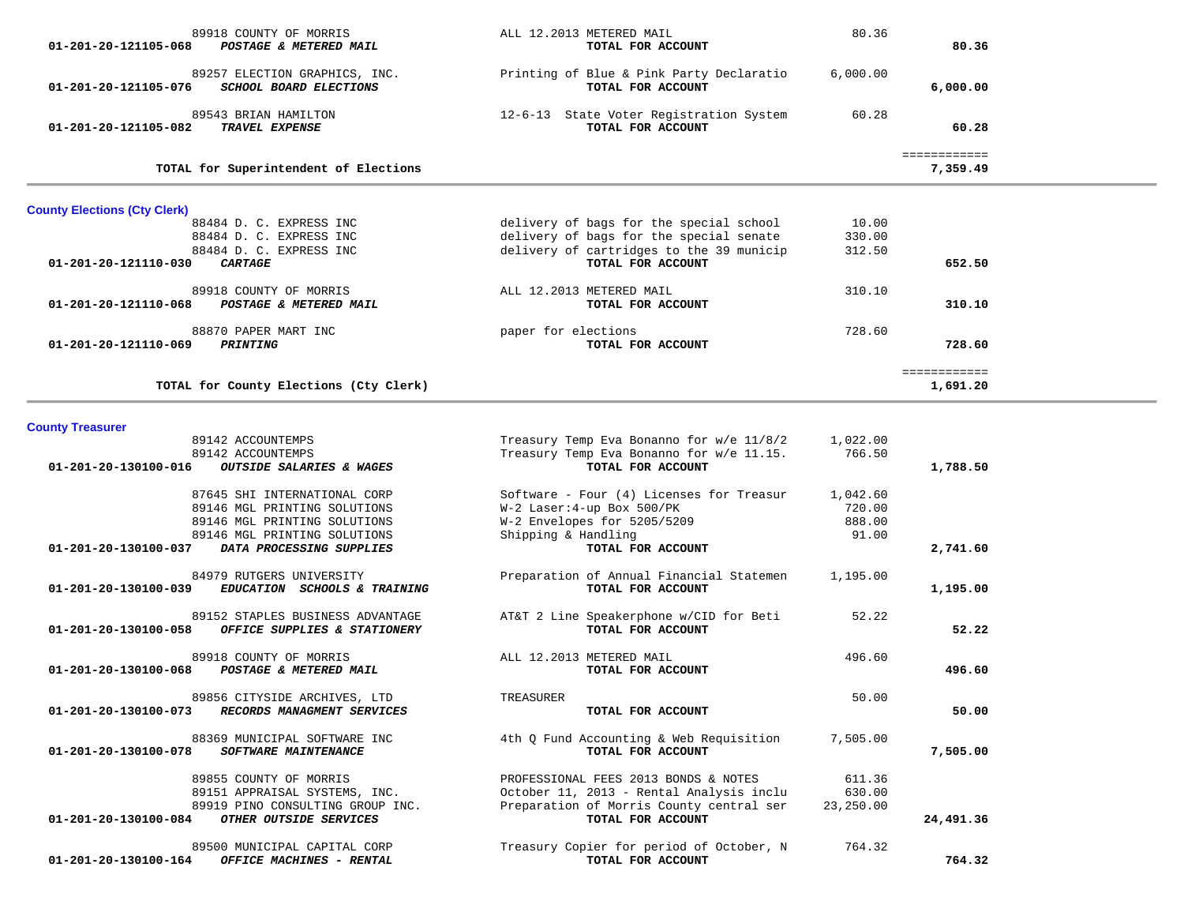| 89918 COUNTY OF MORRIS<br>POSTAGE & METERED MAIL<br>01-201-20-121105-068                 | ALL 12.2013 METERED MAIL<br>TOTAL FOR ACCOUNT                                      | 80.36            | 80.36                    |  |
|------------------------------------------------------------------------------------------|------------------------------------------------------------------------------------|------------------|--------------------------|--|
| 89257 ELECTION GRAPHICS, INC.<br>SCHOOL BOARD ELECTIONS<br>01-201-20-121105-076          | Printing of Blue & Pink Party Declaratio<br>TOTAL FOR ACCOUNT                      | 6,000.00         | 6,000.00                 |  |
| 89543 BRIAN HAMILTON<br>TRAVEL EXPENSE<br>01-201-20-121105-082                           | 12-6-13 State Voter Registration System<br>TOTAL FOR ACCOUNT                       | 60.28            | 60.28                    |  |
| TOTAL for Superintendent of Elections                                                    |                                                                                    |                  | ============<br>7,359.49 |  |
| <b>County Elections (Cty Clerk)</b>                                                      |                                                                                    |                  |                          |  |
| 88484 D. C. EXPRESS INC                                                                  | delivery of bags for the special school<br>delivery of bags for the special senate | 10.00            |                          |  |
| 88484 D. C. EXPRESS INC<br>88484 D. C. EXPRESS INC                                       | delivery of cartridges to the 39 municip                                           | 330.00<br>312.50 |                          |  |
| 01-201-20-121110-030<br><b>CARTAGE</b>                                                   | TOTAL FOR ACCOUNT                                                                  |                  | 652.50                   |  |
| 89918 COUNTY OF MORRIS                                                                   | ALL 12.2013 METERED MAIL                                                           | 310.10           |                          |  |
| POSTAGE & METERED MAIL<br>01-201-20-121110-068                                           | TOTAL FOR ACCOUNT                                                                  |                  | 310.10                   |  |
| 88870 PAPER MART INC                                                                     | paper for elections                                                                | 728.60           |                          |  |
| 01-201-20-121110-069<br><b>PRINTING</b>                                                  | TOTAL FOR ACCOUNT                                                                  |                  | 728.60                   |  |
|                                                                                          |                                                                                    |                  | ============             |  |
| TOTAL for County Elections (Cty Clerk)                                                   |                                                                                    |                  | 1,691.20                 |  |
| <b>County Treasurer</b>                                                                  |                                                                                    |                  |                          |  |
| 89142 ACCOUNTEMPS                                                                        | Treasury Temp Eva Bonanno for w/e 11/8/2                                           | 1,022.00         |                          |  |
| 89142 ACCOUNTEMPS                                                                        | Treasury Temp Eva Bonanno for w/e 11.15.                                           | 766.50           |                          |  |
| 01-201-20-130100-016<br>OUTSIDE SALARIES & WAGES                                         | TOTAL FOR ACCOUNT                                                                  |                  | 1,788.50                 |  |
| 87645 SHI INTERNATIONAL CORP                                                             | Software - Four (4) Licenses for Treasur                                           | 1,042.60         |                          |  |
| 89146 MGL PRINTING SOLUTIONS                                                             | W-2 Laser: 4-up Box 500/PK                                                         | 720.00           |                          |  |
| 89146 MGL PRINTING SOLUTIONS                                                             | W-2 Envelopes for 5205/5209                                                        | 888.00           |                          |  |
| 89146 MGL PRINTING SOLUTIONS<br>DATA PROCESSING SUPPLIES<br>01-201-20-130100-037         | Shipping & Handling<br>TOTAL FOR ACCOUNT                                           | 91.00            | 2,741.60                 |  |
|                                                                                          |                                                                                    |                  |                          |  |
| 84979 RUTGERS UNIVERSITY<br>01-201-20-130100-039<br>EDUCATION SCHOOLS & TRAINING         | Preparation of Annual Financial Statemen<br>TOTAL FOR ACCOUNT                      | 1,195.00         | 1,195.00                 |  |
| 89152 STAPLES BUSINESS ADVANTAGE<br>OFFICE SUPPLIES & STATIONERY<br>01-201-20-130100-058 | AT&T 2 Line Speakerphone w/CID for Beti<br>TOTAL FOR ACCOUNT                       | 52.22            | 52.22                    |  |
| 89918 COUNTY OF MORRIS                                                                   | ALL 12.2013 METERED MAIL                                                           | 496.60           |                          |  |
| POSTAGE & METERED MAIL<br>01-201-20-130100-068                                           | TOTAL FOR ACCOUNT                                                                  |                  | 496.60                   |  |
| 89856 CITYSIDE ARCHIVES, LTD                                                             | TREASURER                                                                          | 50.00            |                          |  |
| RECORDS MANAGMENT SERVICES<br>01-201-20-130100-073                                       | TOTAL FOR ACCOUNT                                                                  |                  | 50.00                    |  |
| 88369 MUNICIPAL SOFTWARE INC                                                             | 4th 0 Fund Accounting & Web Requisition                                            | 7,505.00         |                          |  |
| SOFTWARE MAINTENANCE<br>01-201-20-130100-078                                             | TOTAL FOR ACCOUNT                                                                  |                  | 7,505.00                 |  |
| 89855 COUNTY OF MORRIS                                                                   | PROFESSIONAL FEES 2013 BONDS & NOTES                                               | 611.36           |                          |  |
| 89151 APPRAISAL SYSTEMS, INC.                                                            | October 11, 2013 - Rental Analysis inclu                                           | 630.00           |                          |  |
| 89919 PINO CONSULTING GROUP INC.<br>OTHER OUTSIDE SERVICES<br>01-201-20-130100-084       | Preparation of Morris County central ser<br>TOTAL FOR ACCOUNT                      | 23,250.00        | 24,491.36                |  |
|                                                                                          |                                                                                    |                  |                          |  |
| 89500 MUNICIPAL CAPITAL CORP<br>01-201-20-130100-164<br>OFFICE MACHINES - RENTAL         | Treasury Copier for period of October, N<br>TOTAL FOR ACCOUNT                      | 764.32           | 764.32                   |  |
|                                                                                          |                                                                                    |                  |                          |  |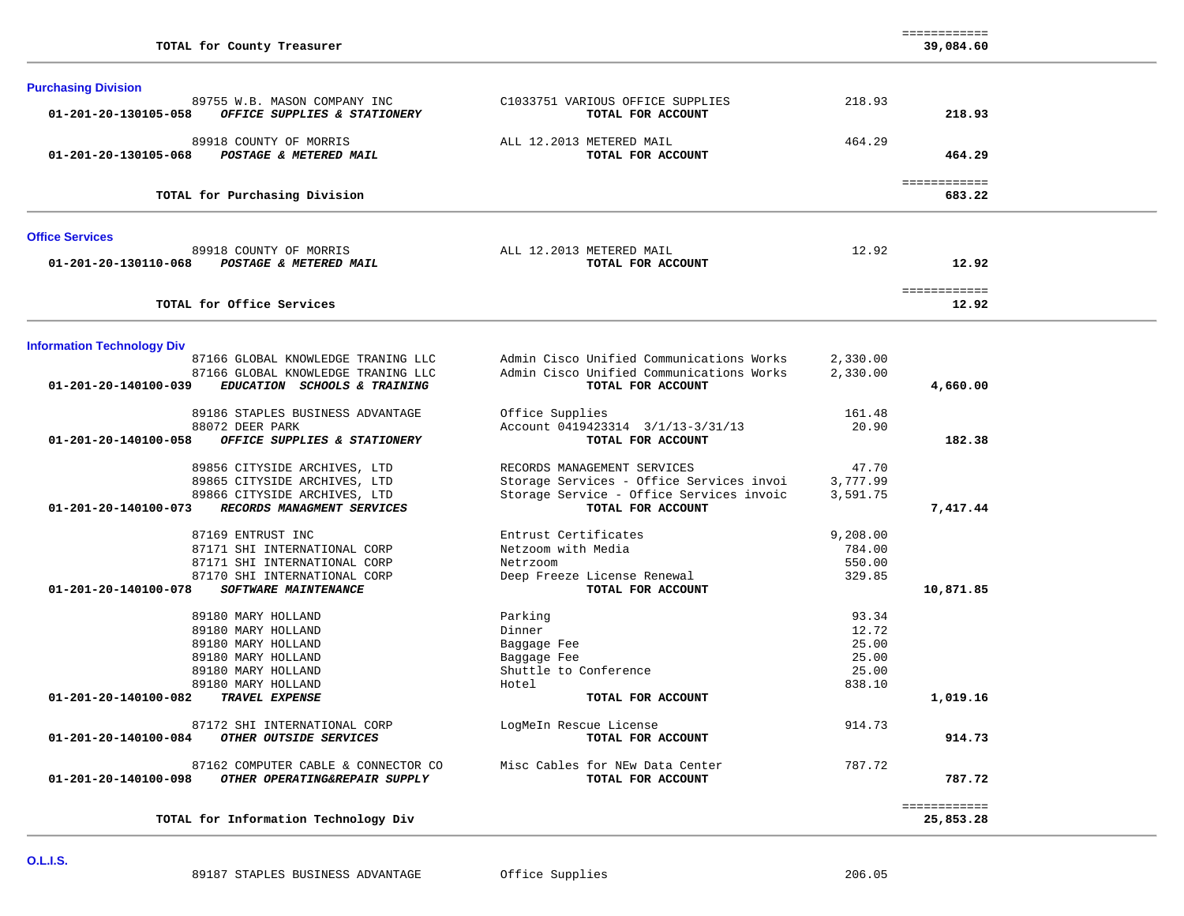| <b>Purchasing Division</b>                                                                 |                                                               |          |                           |  |
|--------------------------------------------------------------------------------------------|---------------------------------------------------------------|----------|---------------------------|--|
| 89755 W.B. MASON COMPANY INC<br>01-201-20-130105-058<br>OFFICE SUPPLIES & STATIONERY       | C1033751 VARIOUS OFFICE SUPPLIES<br>TOTAL FOR ACCOUNT         | 218.93   | 218.93                    |  |
| 89918 COUNTY OF MORRIS<br>POSTAGE & METERED MAIL<br>01-201-20-130105-068                   | ALL 12.2013 METERED MAIL<br>TOTAL FOR ACCOUNT                 | 464.29   | 464.29                    |  |
| TOTAL for Purchasing Division                                                              |                                                               |          | ============<br>683.22    |  |
| <b>Office Services</b>                                                                     |                                                               |          |                           |  |
| 89918 COUNTY OF MORRIS<br>01-201-20-130110-068<br>POSTAGE & METERED MAIL                   | ALL 12.2013 METERED MAIL<br>TOTAL FOR ACCOUNT                 | 12.92    | 12.92                     |  |
| TOTAL for Office Services                                                                  |                                                               |          | ============<br>12.92     |  |
| <b>Information Technology Div</b>                                                          |                                                               |          |                           |  |
| 87166 GLOBAL KNOWLEDGE TRANING LLC                                                         | Admin Cisco Unified Communications Works                      | 2,330.00 |                           |  |
| 87166 GLOBAL KNOWLEDGE TRANING LLC<br>01-201-20-140100-039<br>EDUCATION SCHOOLS & TRAINING | Admin Cisco Unified Communications Works<br>TOTAL FOR ACCOUNT | 2,330.00 | 4,660.00                  |  |
| 89186 STAPLES BUSINESS ADVANTAGE                                                           | Office Supplies                                               | 161.48   |                           |  |
| 88072 DEER PARK                                                                            | Account 0419423314 3/1/13-3/31/13                             | 20.90    |                           |  |
| OFFICE SUPPLIES & STATIONERY<br>01-201-20-140100-058                                       | TOTAL FOR ACCOUNT                                             |          | 182.38                    |  |
| 89856 CITYSIDE ARCHIVES, LTD                                                               | RECORDS MANAGEMENT SERVICES                                   | 47.70    |                           |  |
| 89865 CITYSIDE ARCHIVES, LTD                                                               | Storage Services - Office Services invoi                      | 3,777.99 |                           |  |
| 89866 CITYSIDE ARCHIVES, LTD                                                               | Storage Service - Office Services invoic                      | 3,591.75 |                           |  |
| RECORDS MANAGMENT SERVICES<br>01-201-20-140100-073                                         | TOTAL FOR ACCOUNT                                             |          | 7,417.44                  |  |
| 87169 ENTRUST INC                                                                          | Entrust Certificates                                          | 9,208.00 |                           |  |
| 87171 SHI INTERNATIONAL CORP                                                               | Netzoom with Media                                            | 784.00   |                           |  |
| 87171 SHI INTERNATIONAL CORP                                                               | Netrzoom                                                      | 550.00   |                           |  |
| 87170 SHI INTERNATIONAL CORP                                                               | Deep Freeze License Renewal                                   | 329.85   |                           |  |
| <b>SOFTWARE MAINTENANCE</b><br>01-201-20-140100-078                                        | TOTAL FOR ACCOUNT                                             |          | 10,871.85                 |  |
| 89180 MARY HOLLAND                                                                         | Parking                                                       | 93.34    |                           |  |
| 89180 MARY HOLLAND                                                                         | Dinner                                                        | 12.72    |                           |  |
| 89180 MARY HOLLAND                                                                         | Baggage Fee                                                   | 25.00    |                           |  |
| 89180 MARY HOLLAND                                                                         | Baggage Fee                                                   | 25.00    |                           |  |
| 89180 MARY HOLLAND                                                                         | Shuttle to Conference                                         | 25.00    |                           |  |
| 89180 MARY HOLLAND                                                                         | Hotel                                                         | 838.10   |                           |  |
| TRAVEL EXPENSE<br>01-201-20-140100-082                                                     | TOTAL FOR ACCOUNT                                             |          | 1,019.16                  |  |
| 87172 SHI INTERNATIONAL CORP                                                               | LogMeIn Rescue License                                        | 914.73   |                           |  |
| OTHER OUTSIDE SERVICES<br>01-201-20-140100-084                                             | TOTAL FOR ACCOUNT                                             |          | 914.73                    |  |
| 87162 COMPUTER CABLE & CONNECTOR CO                                                        | Misc Cables for NEw Data Center                               | 787.72   |                           |  |
| OTHER OPERATING&REPAIR SUPPLY<br>01-201-20-140100-098                                      | TOTAL FOR ACCOUNT                                             |          | 787.72                    |  |
| TOTAL for Information Technology Div                                                       |                                                               |          | ============<br>25,853.28 |  |
|                                                                                            |                                                               |          |                           |  |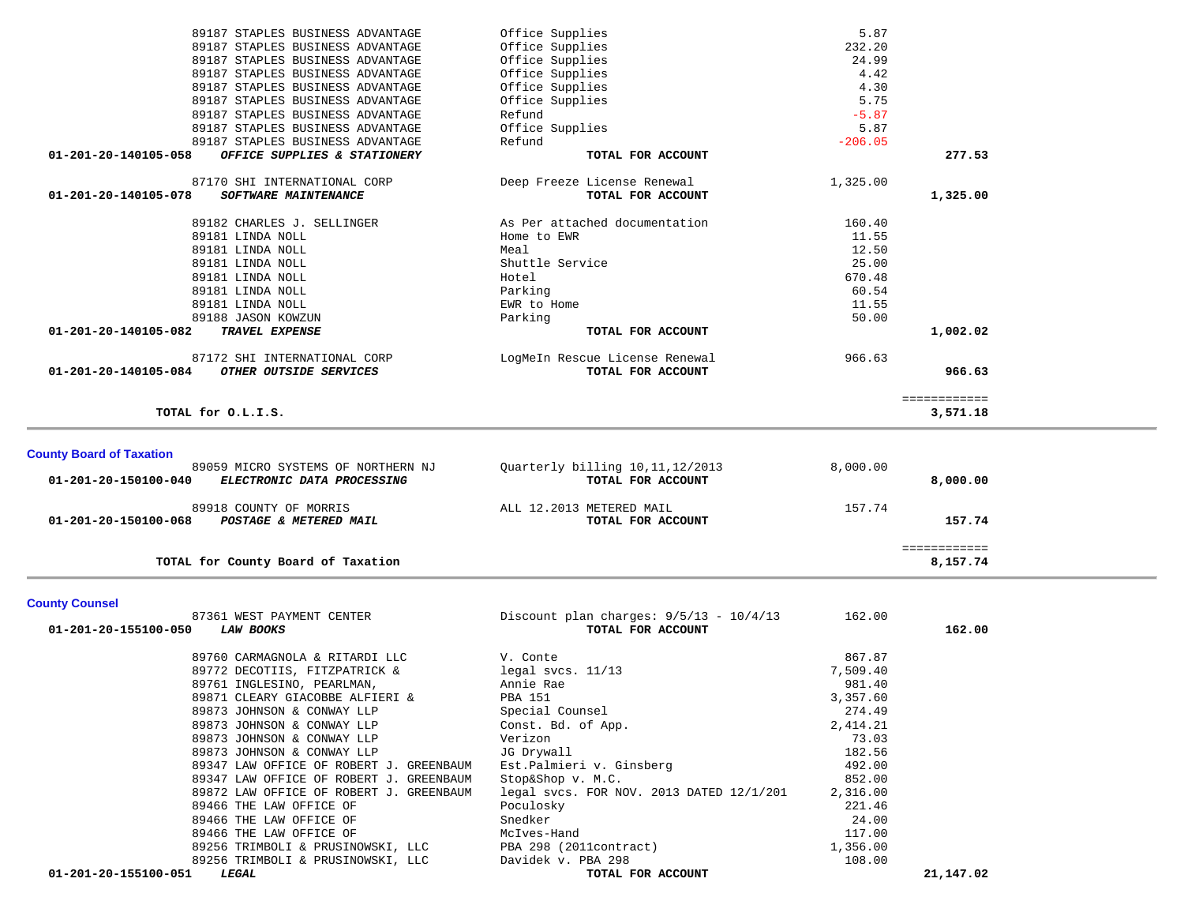| TOTAL for County Board of Taxation                                    |                                    |                | 8,157.74               |
|-----------------------------------------------------------------------|------------------------------------|----------------|------------------------|
| 01-201-20-150100-068<br>POSTAGE & METERED MAIL                        | TOTAL FOR ACCOUNT                  |                | 157.74<br>============ |
| 89918 COUNTY OF MORRIS                                                | ALL 12.2013 METERED MAIL           | 157.74         |                        |
| 01-201-20-150100-040<br>ELECTRONIC DATA PROCESSING                    | TOTAL FOR ACCOUNT                  |                | 8,000.00               |
| <b>County Board of Taxation</b><br>89059 MICRO SYSTEMS OF NORTHERN NJ | Quarterly billing 10, 11, 12/2013  | 8,000.00       |                        |
| TOTAL for O.L.I.S.                                                    |                                    |                | 3,571.18               |
|                                                                       |                                    |                | ============           |
| OTHER OUTSIDE SERVICES<br>01-201-20-140105-084                        | TOTAL FOR ACCOUNT                  |                | 966.63                 |
| 87172 SHI INTERNATIONAL CORP                                          | LogMeIn Rescue License Renewal     | 966.63         |                        |
| TRAVEL EXPENSE<br>01-201-20-140105-082                                | TOTAL FOR ACCOUNT                  |                | 1,002.02               |
| 89188 JASON KOWZUN                                                    | Parking                            | 50.00          |                        |
| 89181 LINDA NOLL                                                      | EWR to Home                        | 11.55          |                        |
| 89181 LINDA NOLL                                                      | Parking                            | 60.54          |                        |
| 89181 LINDA NOLL                                                      | Hotel                              | 670.48         |                        |
| 89181 LINDA NOLL<br>89181 LINDA NOLL                                  | Shuttle Service                    | 12.50<br>25.00 |                        |
| 89181 LINDA NOLL                                                      | Home to EWR<br>Meal                | 11.55          |                        |
| 89182 CHARLES J. SELLINGER                                            | As Per attached documentation      | 160.40         |                        |
| <b>SOFTWARE MAINTENANCE</b><br>01-201-20-140105-078                   | TOTAL FOR ACCOUNT                  |                | 1,325.00               |
| 87170 SHI INTERNATIONAL CORP                                          | Deep Freeze License Renewal        | 1,325.00       |                        |
| OFFICE SUPPLIES & STATIONERY<br>01-201-20-140105-058                  | TOTAL FOR ACCOUNT                  |                | 277.53                 |
| 89187 STAPLES BUSINESS ADVANTAGE                                      | Refund                             | $-206.05$      |                        |
| 89187 STAPLES BUSINESS ADVANTAGE                                      | Office Supplies                    | 5.87           |                        |
| 89187 STAPLES BUSINESS ADVANTAGE                                      | Refund                             | $-5.87$        |                        |
| 89187 STAPLES BUSINESS ADVANTAGE                                      | Office Supplies                    | 5.75           |                        |
| 89187 STAPLES BUSINESS ADVANTAGE                                      | Office Supplies                    | 4.30           |                        |
| 89187 STAPLES BUSINESS ADVANTAGE                                      | Office Supplies                    | 4.42           |                        |
| 89187 STAPLES BUSINESS ADVANTAGE                                      | Office Supplies                    | 24.99          |                        |
| 89187 STAPLES BUSINESS ADVANTAGE<br>89187 STAPLES BUSINESS ADVANTAGE  | Office Supplies<br>Office Supplies | 5.87<br>232.20 |                        |
|                                                                       |                                    |                |                        |

### **County Counsel**

| <b>County Counsel</b>                    |                                           |          |           |
|------------------------------------------|-------------------------------------------|----------|-----------|
| 87361 WEST PAYMENT CENTER                | Discount plan charges: $9/5/13 - 10/4/13$ | 162.00   |           |
| 01-201-20-155100-050<br><i>LAW BOOKS</i> | TOTAL FOR ACCOUNT                         |          | 162.00    |
| 89760 CARMAGNOLA & RITARDI LLC           | V. Conte                                  | 867.87   |           |
| 89772 DECOTIIS, FITZPATRICK &            | legal svcs. 11/13                         | 7,509.40 |           |
| 89761 INGLESINO, PEARLMAN,               | Annie Rae                                 | 981.40   |           |
| 89871 CLEARY GIACOBBE ALFIERI &          | PBA 151                                   | 3,357.60 |           |
| 89873 JOHNSON & CONWAY LLP               | Special Counsel                           | 274.49   |           |
| 89873 JOHNSON & CONWAY LLP               | Const. Bd. of App.                        | 2,414.21 |           |
| 89873 JOHNSON & CONWAY LLP               | Verizon                                   | 73.03    |           |
| 89873 JOHNSON & CONWAY LLP               | JG Drywall                                | 182.56   |           |
| 89347 LAW OFFICE OF ROBERT J. GREENBAUM  | Est.Palmieri v. Ginsberg                  | 492.00   |           |
| 89347 LAW OFFICE OF ROBERT J. GREENBAUM  | Stop&Shop v. M.C.                         | 852.00   |           |
| 89872 LAW OFFICE OF ROBERT J. GREENBAUM  | legal svcs. FOR NOV. 2013 DATED 12/1/201  | 2,316.00 |           |
| 89466 THE LAW OFFICE OF                  | Poculosky                                 | 221.46   |           |
| 89466 THE LAW OFFICE OF                  | Snedker                                   | 24.00    |           |
| 89466 THE LAW OFFICE OF                  | McIves-Hand                               | 117.00   |           |
| 89256 TRIMBOLI & PRUSINOWSKI, LLC        | PBA 298 (2011contract)                    | 1,356.00 |           |
| 89256 TRIMBOLI & PRUSINOWSKI, LLC        | Davidek v. PBA 298                        | 108.00   |           |
| 01-201-20-155100-051<br>LEGAL            | TOTAL FOR ACCOUNT                         |          | 21,147.02 |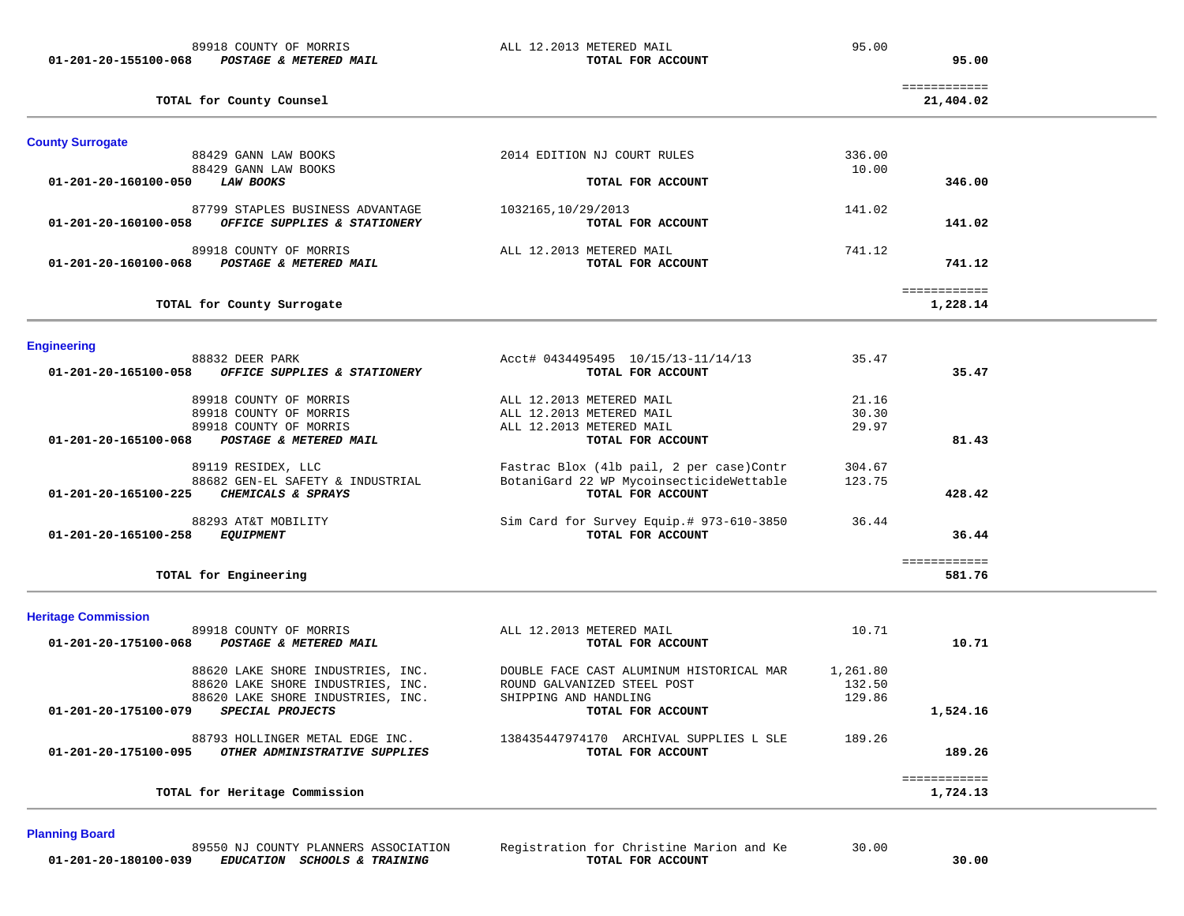**01-201-20-155100-068** *POSTAGE & METERED MAIL* **TOTAL FOR ACCOUNT 95.00**

89918 COUNTY OF MORRIS ALL 12.2013 METERED MAIL 95.00

**TOTAL for County Counsel 21,404.02**

============

95.00

| <b>County Surrogate</b>                                                                                                                                 |                                                                                  |                                                                                                                                |                          |
|---------------------------------------------------------------------------------------------------------------------------------------------------------|----------------------------------------------------------------------------------|--------------------------------------------------------------------------------------------------------------------------------|--------------------------|
| 88429 GANN LAW BOOKS                                                                                                                                    | 2014 EDITION NJ COURT RULES                                                      | 336.00                                                                                                                         |                          |
| 88429 GANN LAW BOOKS<br>01-201-20-160100-050<br><b>LAW BOOKS</b>                                                                                        |                                                                                  | 10.00<br>TOTAL FOR ACCOUNT                                                                                                     | 346.00                   |
| 87799 STAPLES BUSINESS ADVANTAGE<br>OFFICE SUPPLIES & STATIONERY<br>01-201-20-160100-058                                                                | 1032165, 10/29/2013                                                              | 141.02<br>TOTAL FOR ACCOUNT                                                                                                    | 141.02                   |
| 89918 COUNTY OF MORRIS<br>POSTAGE & METERED MAIL<br>01-201-20-160100-068                                                                                | ALL 12.2013 METERED MAIL                                                         | 741.12<br>TOTAL FOR ACCOUNT                                                                                                    | 741.12                   |
| TOTAL for County Surrogate                                                                                                                              |                                                                                  |                                                                                                                                | ============<br>1,228.14 |
| <b>Engineering</b>                                                                                                                                      |                                                                                  |                                                                                                                                |                          |
| 88832 DEER PARK<br>01-201-20-165100-058<br>OFFICE SUPPLIES & STATIONERY                                                                                 |                                                                                  | Acct# 0434495495 10/15/13-11/14/13<br>35.47<br>TOTAL FOR ACCOUNT                                                               | 35.47                    |
| 89918 COUNTY OF MORRIS<br>89918 COUNTY OF MORRIS<br>89918 COUNTY OF MORRIS<br>POSTAGE & METERED MAIL<br>01-201-20-165100-068                            | ALL 12.2013 METERED MAIL<br>ALL 12.2013 METERED MAIL<br>ALL 12.2013 METERED MAIL | 21.16<br>30.30<br>29.97<br>TOTAL FOR ACCOUNT                                                                                   | 81.43                    |
| 89119 RESIDEX, LLC<br>88682 GEN-EL SAFETY & INDUSTRIAL<br>01-201-20-165100-225<br>CHEMICALS & SPRAYS                                                    |                                                                                  | Fastrac Blox (41b pail, 2 per case) Contr<br>304.67<br>BotaniGard 22 WP MycoinsecticideWettable<br>123.75<br>TOTAL FOR ACCOUNT | 428.42                   |
| 88293 AT&T MOBILITY<br><b>EQUIPMENT</b><br>01-201-20-165100-258                                                                                         |                                                                                  | Sim Card for Survey Equip.# 973-610-3850<br>36.44<br>TOTAL FOR ACCOUNT                                                         | 36.44                    |
| TOTAL for Engineering                                                                                                                                   |                                                                                  |                                                                                                                                | ============<br>581.76   |
| <b>Heritage Commission</b>                                                                                                                              |                                                                                  |                                                                                                                                |                          |
| 89918 COUNTY OF MORRIS<br>$01 - 201 - 20 - 175100 - 068$<br>POSTAGE & METERED MAIL                                                                      | ALL 12.2013 METERED MAIL                                                         | 10.71<br>TOTAL FOR ACCOUNT                                                                                                     | 10.71                    |
| 88620 LAKE SHORE INDUSTRIES, INC.<br>88620 LAKE SHORE INDUSTRIES, INC.<br>88620 LAKE SHORE INDUSTRIES, INC.<br>SPECIAL PROJECTS<br>01-201-20-175100-079 | ROUND GALVANIZED STEEL POST<br>SHIPPING AND HANDLING                             | 1,261.80<br>DOUBLE FACE CAST ALUMINUM HISTORICAL MAR<br>132.50<br>129.86<br>TOTAL FOR ACCOUNT                                  | 1,524.16                 |
| 88793 HOLLINGER METAL EDGE INC.<br>OTHER ADMINISTRATIVE SUPPLIES<br>01-201-20-175100-095                                                                |                                                                                  | 138435447974170 ARCHIVAL SUPPLIES L SLE<br>189.26<br>TOTAL FOR ACCOUNT                                                         | 189.26                   |
| TOTAL for Heritage Commission                                                                                                                           |                                                                                  |                                                                                                                                | ============<br>1,724.13 |

### **Planning Board**

 **01-201-20-180100-039** *EDUCATION SCHOOLS & TRAINING* **TOTAL FOR ACCOUNT 30.00**

89550 NJ COUNTY PLANNERS ASSOCIATION Registration for Christine Marion and Ke 30.00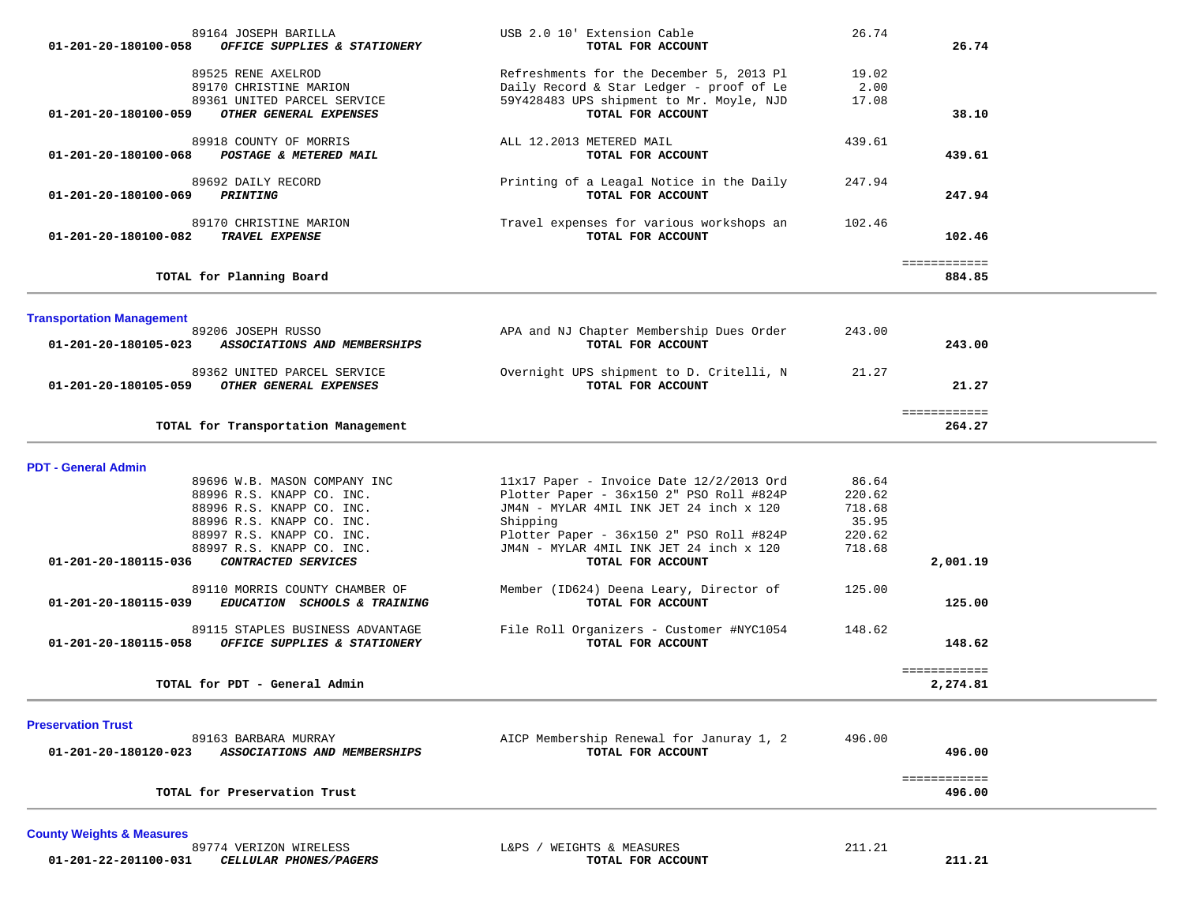| 89164 JOSEPH BARILLA                                                                   | USB 2.0 10' Extension Cable                                  | 26.74  |              |  |
|----------------------------------------------------------------------------------------|--------------------------------------------------------------|--------|--------------|--|
| 01-201-20-180100-058<br>OFFICE SUPPLIES & STATIONERY                                   | TOTAL FOR ACCOUNT                                            |        | 26.74        |  |
|                                                                                        |                                                              |        |              |  |
| 89525 RENE AXELROD                                                                     | Refreshments for the December 5, 2013 Pl                     | 19.02  |              |  |
| 89170 CHRISTINE MARION                                                                 | Daily Record & Star Ledger - proof of Le                     | 2.00   |              |  |
| 89361 UNITED PARCEL SERVICE                                                            | 59Y428483 UPS shipment to Mr. Moyle, NJD                     | 17.08  |              |  |
| OTHER GENERAL EXPENSES<br>01-201-20-180100-059                                         | TOTAL FOR ACCOUNT                                            |        | 38.10        |  |
| 89918 COUNTY OF MORRIS                                                                 | ALL 12.2013 METERED MAIL                                     | 439.61 |              |  |
| 01-201-20-180100-068<br>POSTAGE & METERED MAIL                                         | TOTAL FOR ACCOUNT                                            |        | 439.61       |  |
|                                                                                        |                                                              |        |              |  |
| 89692 DAILY RECORD                                                                     | Printing of a Leagal Notice in the Daily                     | 247.94 |              |  |
| 01-201-20-180100-069<br>PRINTING                                                       | TOTAL FOR ACCOUNT                                            |        | 247.94       |  |
|                                                                                        |                                                              |        |              |  |
| 89170 CHRISTINE MARION                                                                 | Travel expenses for various workshops an                     | 102.46 |              |  |
| TRAVEL EXPENSE<br>01-201-20-180100-082                                                 | TOTAL FOR ACCOUNT                                            |        | 102.46       |  |
|                                                                                        |                                                              |        | ============ |  |
| TOTAL for Planning Board                                                               |                                                              |        | 884.85       |  |
|                                                                                        |                                                              |        |              |  |
|                                                                                        |                                                              |        |              |  |
| <b>Transportation Management</b><br>89206 JOSEPH RUSSO                                 | APA and NJ Chapter Membership Dues Order                     | 243.00 |              |  |
| 01-201-20-180105-023<br>ASSOCIATIONS AND MEMBERSHIPS                                   | TOTAL FOR ACCOUNT                                            |        | 243.00       |  |
|                                                                                        |                                                              |        |              |  |
| 89362 UNITED PARCEL SERVICE                                                            | Overnight UPS shipment to D. Critelli, N                     | 21.27  |              |  |
| OTHER GENERAL EXPENSES<br>01-201-20-180105-059                                         | TOTAL FOR ACCOUNT                                            |        | 21.27        |  |
|                                                                                        |                                                              |        |              |  |
|                                                                                        |                                                              |        | ============ |  |
| TOTAL for Transportation Management                                                    |                                                              |        | 264.27       |  |
|                                                                                        |                                                              |        |              |  |
| <b>PDT - General Admin</b>                                                             |                                                              |        |              |  |
| 89696 W.B. MASON COMPANY INC                                                           | $11x17$ Paper - Invoice Date $12/2/2013$ Ord                 | 86.64  |              |  |
| 88996 R.S. KNAPP CO. INC.                                                              | Plotter Paper - 36x150 2" PSO Roll #824P                     | 220.62 |              |  |
| 88996 R.S. KNAPP CO. INC.                                                              | JM4N - MYLAR 4MIL INK JET 24 inch x 120                      | 718.68 |              |  |
| 88996 R.S. KNAPP CO. INC.                                                              | Shipping                                                     | 35.95  |              |  |
| 88997 R.S. KNAPP CO. INC.                                                              | Plotter Paper - 36x150 2" PSO Roll #824P                     | 220.62 |              |  |
| 88997 R.S. KNAPP CO. INC.                                                              | JM4N - MYLAR 4MIL INK JET 24 inch x 120                      | 718.68 |              |  |
| CONTRACTED SERVICES<br>01-201-20-180115-036                                            | TOTAL FOR ACCOUNT                                            |        | 2,001.19     |  |
|                                                                                        |                                                              |        |              |  |
| 89110 MORRIS COUNTY CHAMBER OF<br>01-201-20-180115-039<br>EDUCATION SCHOOLS & TRAINING | Member (ID624) Deena Leary, Director of<br>TOTAL FOR ACCOUNT | 125.00 | 125.00       |  |
|                                                                                        |                                                              |        |              |  |
| 89115 STAPLES BUSINESS ADVANTAGE                                                       | File Roll Organizers - Customer #NYC1054                     | 148.62 |              |  |
| OFFICE SUPPLIES & STATIONERY<br>01-201-20-180115-058                                   | TOTAL FOR ACCOUNT                                            |        | 148.62       |  |
|                                                                                        |                                                              |        |              |  |
|                                                                                        |                                                              |        | ============ |  |
| TOTAL for PDT - General Admin                                                          |                                                              |        | 2,274.81     |  |
|                                                                                        |                                                              |        |              |  |
| <b>Preservation Trust</b>                                                              |                                                              |        |              |  |
| 89163 BARBARA MURRAY                                                                   | AICP Membership Renewal for Januray 1, 2                     | 496.00 |              |  |
| 01-201-20-180120-023<br>ASSOCIATIONS AND MEMBERSHIPS                                   | TOTAL FOR ACCOUNT                                            |        | 496.00       |  |
|                                                                                        |                                                              |        | ============ |  |
|                                                                                        |                                                              |        |              |  |

**TOTAL for Preservation Trust 496.00**

**County Weights & Measures 01-201-22-201100-031** *CELLULAR PHONES/PAGERS* **TOTAL FOR ACCOUNT 211.21**

L&PS / WEIGHTS & MEASURES 211.21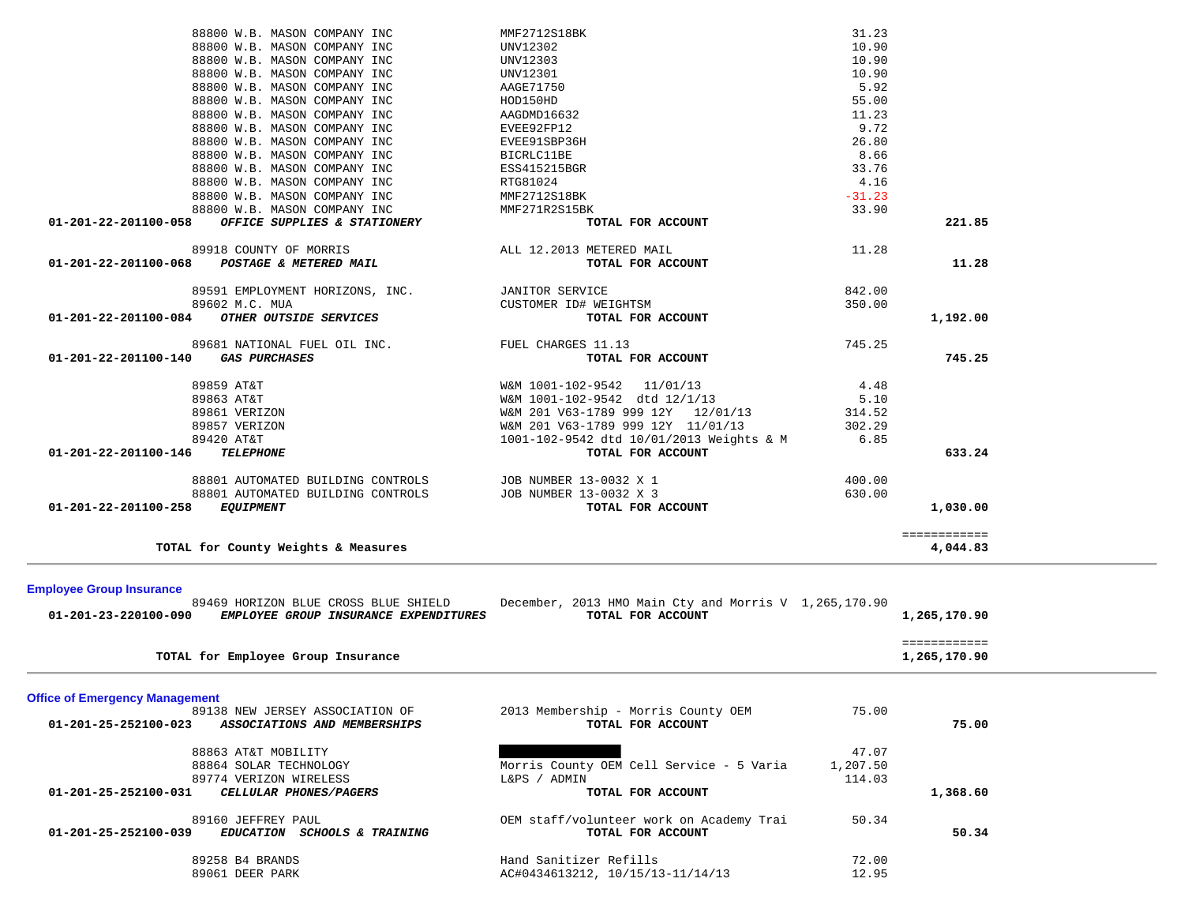| 88800 W.B. MASON COMPANY INC                                                                          | UNV12301                                                                   | 10.90    |                              |  |
|-------------------------------------------------------------------------------------------------------|----------------------------------------------------------------------------|----------|------------------------------|--|
| 88800 W.B. MASON COMPANY INC                                                                          | AAGE71750                                                                  | 5.92     |                              |  |
| 88800 W.B. MASON COMPANY INC                                                                          | HOD150HD                                                                   | 55.00    |                              |  |
| 88800 W.B. MASON COMPANY INC                                                                          | AAGDMD16632                                                                | 11.23    |                              |  |
| 88800 W.B. MASON COMPANY INC                                                                          | EVEE92FP12                                                                 | 9.72     |                              |  |
| 88800 W.B. MASON COMPANY INC                                                                          | EVEE91SBP36H                                                               | 26.80    |                              |  |
| 88800 W.B. MASON COMPANY INC                                                                          | BICRLC11BE                                                                 | 8.66     |                              |  |
| 88800 W.B. MASON COMPANY INC                                                                          | ESS415215BGR                                                               | 33.76    |                              |  |
| 88800 W.B. MASON COMPANY INC                                                                          | RTG81024                                                                   | 4.16     |                              |  |
| 88800 W.B. MASON COMPANY INC                                                                          | MMF2712S18BK                                                               | $-31.23$ |                              |  |
| 88800 W.B. MASON COMPANY INC                                                                          | MMF271R2S15BK                                                              | 33.90    |                              |  |
| OFFICE SUPPLIES & STATIONERY<br>01-201-22-201100-058                                                  | TOTAL FOR ACCOUNT                                                          |          | 221.85                       |  |
| 89918 COUNTY OF MORRIS                                                                                | ALL 12.2013 METERED MAIL                                                   | 11.28    |                              |  |
| POSTAGE & METERED MAIL<br>01-201-22-201100-068                                                        | TOTAL FOR ACCOUNT                                                          |          | 11.28                        |  |
| 89591 EMPLOYMENT HORIZONS, INC.                                                                       | <b>JANITOR SERVICE</b>                                                     | 842.00   |                              |  |
| 89602 M.C. MUA                                                                                        | CUSTOMER ID# WEIGHTSM                                                      | 350.00   |                              |  |
| OTHER OUTSIDE SERVICES<br>01-201-22-201100-084                                                        | TOTAL FOR ACCOUNT                                                          |          | 1,192.00                     |  |
| 89681 NATIONAL FUEL OIL INC.                                                                          | FUEL CHARGES 11.13                                                         | 745.25   |                              |  |
| <b>GAS PURCHASES</b><br>01-201-22-201100-140                                                          | TOTAL FOR ACCOUNT                                                          |          | 745.25                       |  |
|                                                                                                       |                                                                            |          |                              |  |
| 89859 AT&T                                                                                            | W&M 1001-102-9542 11/01/13                                                 | 4.48     |                              |  |
| 89863 AT&T                                                                                            | W&M 1001-102-9542 dtd 12/1/13                                              | 5.10     |                              |  |
| 89861 VERIZON                                                                                         | W&M 201 V63-1789 999 12Y 12/01/13                                          | 314.52   |                              |  |
| 89857 VERIZON                                                                                         | W&M 201 V63-1789 999 12Y 11/01/13                                          | 302.29   |                              |  |
| 89420 AT&T                                                                                            | 1001-102-9542 dtd 10/01/2013 Weights & M                                   | 6.85     |                              |  |
| 01-201-22-201100-146<br><b>TELEPHONE</b>                                                              | TOTAL FOR ACCOUNT                                                          |          | 633.24                       |  |
| 88801 AUTOMATED BUILDING CONTROLS                                                                     | JOB NUMBER 13-0032 X 1                                                     | 400.00   |                              |  |
|                                                                                                       | JOB NUMBER 13-0032 X 3                                                     | 630.00   |                              |  |
| 88801 AUTOMATED BUILDING CONTROLS                                                                     |                                                                            |          |                              |  |
| 01-201-22-201100-258<br><b>EQUIPMENT</b>                                                              | TOTAL FOR ACCOUNT                                                          |          | 1,030.00                     |  |
|                                                                                                       |                                                                            |          | ============                 |  |
| TOTAL for County Weights & Measures                                                                   |                                                                            |          | 4,044.83                     |  |
|                                                                                                       |                                                                            |          |                              |  |
| <b>Employee Group Insurance</b>                                                                       |                                                                            |          |                              |  |
| 89469 HORIZON BLUE CROSS BLUE SHIELD<br>EMPLOYEE GROUP INSURANCE EXPENDITURES<br>01-201-23-220100-090 | December, 2013 HMO Main Cty and Morris V 1,265,170.90<br>TOTAL FOR ACCOUNT |          | 1,265,170.90                 |  |
|                                                                                                       |                                                                            |          |                              |  |
| TOTAL for Employee Group Insurance                                                                    |                                                                            |          | ============<br>1,265,170.90 |  |
|                                                                                                       |                                                                            |          |                              |  |
| <b>Office of Emergency Management</b>                                                                 |                                                                            |          |                              |  |
| 89138 NEW JERSEY ASSOCIATION OF                                                                       | 2013 Membership - Morris County OEM                                        | 75.00    |                              |  |
| 01-201-25-252100-023<br>ASSOCIATIONS AND MEMBERSHIPS                                                  | TOTAL FOR ACCOUNT                                                          |          | 75.00                        |  |
| 88863 AT&T MOBILITY                                                                                   |                                                                            | 47.07    |                              |  |
| 88864 SOLAR TECHNOLOGY                                                                                | Morris County OEM Cell Service - 5 Varia                                   | 1,207.50 |                              |  |
| 89774 VERIZON WIRELESS                                                                                | L&PS / ADMIN                                                               | 114.03   |                              |  |
| 01-201-25-252100-031<br>CELLULAR PHONES/PAGERS                                                        | TOTAL FOR ACCOUNT                                                          |          | 1,368.60                     |  |
|                                                                                                       |                                                                            |          |                              |  |
| 89160 JEFFREY PAUL<br>$01 - 201 - 25 - 252100 - 039$<br>EDUCATION SCHOOLS & TRAINING                  | OEM staff/volunteer work on Academy Trai<br>TOTAL FOR ACCOUNT              | 50.34    | 50.34                        |  |
|                                                                                                       |                                                                            |          |                              |  |
| 89258 B4 BRANDS                                                                                       | Hand Sanitizer Refills                                                     | 72.00    |                              |  |
| 89061 DEER PARK                                                                                       | AC#0434613212, 10/15/13-11/14/13                                           | 12.95    |                              |  |

88800 W.B. MASON COMPANY INC MMF2712S18BK 31.23

88800 W.B. MASON COMPANY INC UNV12302 88800 W.B. MASON COMPANY INC UNV12303 10.90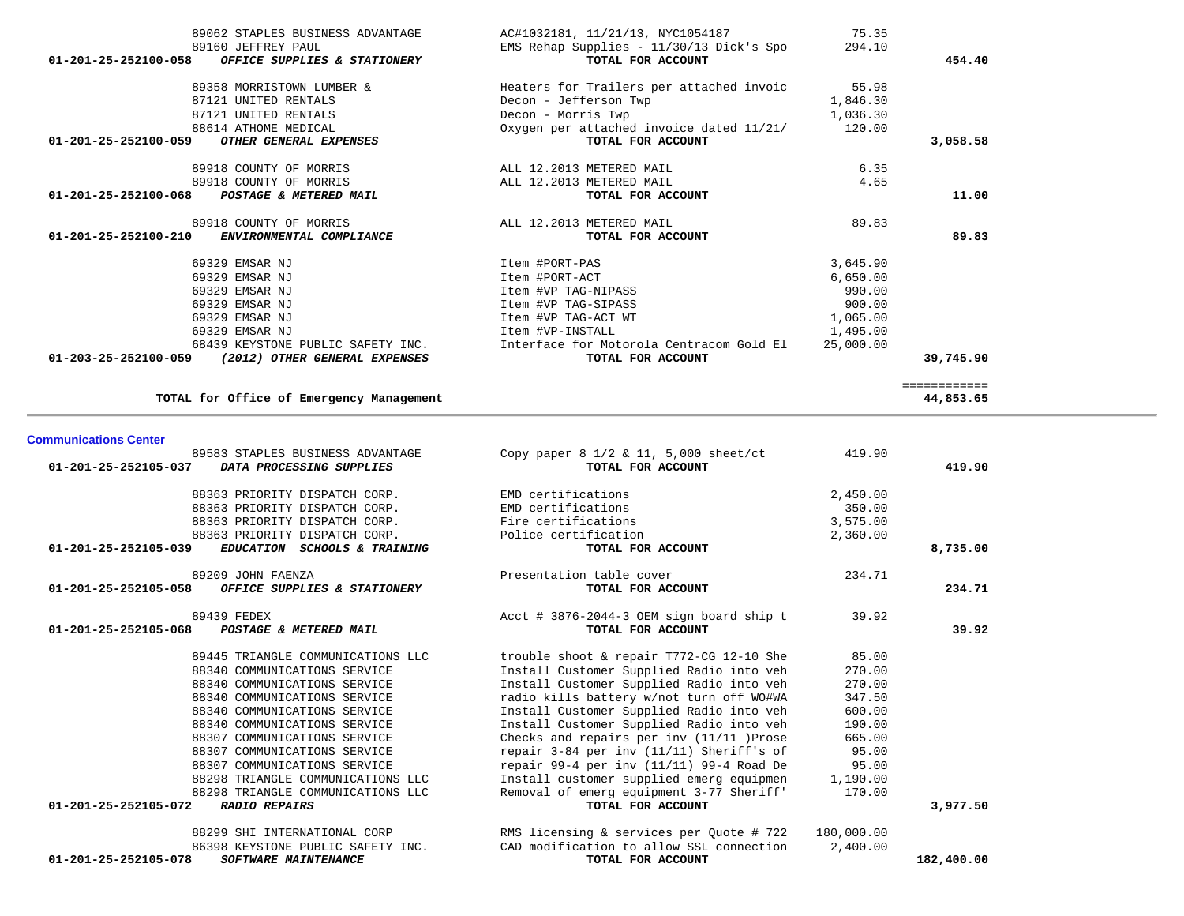| <b>Communications Center</b>                         |                                                 |            |            |
|------------------------------------------------------|-------------------------------------------------|------------|------------|
| 89583 STAPLES BUSINESS ADVANTAGE                     | Copy paper $8 \frac{1}{2}$ & 11, 5,000 sheet/ct | 419.90     |            |
| 01-201-25-252105-037<br>DATA PROCESSING SUPPLIES     | TOTAL FOR ACCOUNT                               |            | 419.90     |
| 88363 PRIORITY DISPATCH CORP.                        | EMD certifications                              | 2,450.00   |            |
| 88363 PRIORITY DISPATCH CORP.                        | EMD certifications                              | 350.00     |            |
| 88363 PRIORITY DISPATCH CORP.                        | Fire certifications                             | 3,575.00   |            |
| 88363 PRIORITY DISPATCH CORP.                        | Police certification                            | 2,360.00   |            |
| 01-201-25-252105-039<br>EDUCATION SCHOOLS & TRAINING | TOTAL FOR ACCOUNT                               |            | 8,735.00   |
| 89209 JOHN FAENZA                                    | Presentation table cover                        | 234.71     |            |
| OFFICE SUPPLIES & STATIONERY<br>01-201-25-252105-058 | TOTAL FOR ACCOUNT                               |            | 234.71     |
| 89439 FEDEX                                          | Acct # 3876-2044-3 OEM sign board ship t        | 39.92      |            |
| 01-201-25-252105-068<br>POSTAGE & METERED MAIL       | TOTAL FOR ACCOUNT                               |            | 39.92      |
| 89445 TRIANGLE COMMUNICATIONS LLC                    | trouble shoot & repair T772-CG 12-10 She        | 85.00      |            |
| 88340 COMMUNICATIONS SERVICE                         | Install Customer Supplied Radio into veh        | 270.00     |            |
| 88340 COMMUNICATIONS SERVICE                         | Install Customer Supplied Radio into veh        | 270.00     |            |
| 88340 COMMUNICATIONS SERVICE                         | radio kills battery w/not turn off WO#WA        | 347.50     |            |
| 88340 COMMUNICATIONS SERVICE                         | Install Customer Supplied Radio into veh        | 600.00     |            |
| 88340 COMMUNICATIONS SERVICE                         | Install Customer Supplied Radio into veh        | 190.00     |            |
| 88307 COMMUNICATIONS SERVICE                         | Checks and repairs per inv (11/11 )Prose        | 665.00     |            |
| 88307 COMMUNICATIONS SERVICE                         | repair $3-84$ per inv $(11/11)$ Sheriff's of    | 95.00      |            |
| 88307 COMMUNICATIONS SERVICE                         | repair $99-4$ per inv (11/11) $99-4$ Road De    | 95.00      |            |
| 88298 TRIANGLE COMMUNICATIONS LLC                    | Install customer supplied emerg equipmen        | 1,190.00   |            |
| 88298 TRIANGLE COMMUNICATIONS LLC                    | Removal of emerg equipment 3-77 Sheriff'        | 170.00     |            |
| 01-201-25-252105-072<br><b>RADIO REPAIRS</b>         | TOTAL FOR ACCOUNT                               |            | 3,977.50   |
| 88299 SHI INTERNATIONAL CORP                         | RMS licensing & services per Quote # 722        | 180,000.00 |            |
| 86398 KEYSTONE PUBLIC SAFETY INC.                    | CAD modification to allow SSL connection        | 2,400.00   |            |
| 01-201-25-252105-078<br><b>SOFTWARE MAINTENANCE</b>  | TOTAL FOR ACCOUNT                               |            | 182,400.00 |

**TOTAL for Office of Emergency Management 44,853.65**

44,853.65

============

| 89062 STAPLES BUSINESS ADVANTAGE                      | AC#1032181, 11/21/13, NYC1054187                     | 75.35     |           |
|-------------------------------------------------------|------------------------------------------------------|-----------|-----------|
| 89160 JEFFREY PAUL                                    | EMS Rehap Supplies - $11/30/13$ Dick's Spo $294.10$  |           |           |
| 01-201-25-252100-058 OFFICE SUPPLIES & STATIONERY     | TOTAL FOR ACCOUNT                                    |           | 454.40    |
| 89358 MORRISTOWN LUMBER &                             | Heaters for Trailers per attached invoic             | 55.98     |           |
| 87121 UNITED RENTALS                                  | Decon - Jefferson Twp                                | 1,846.30  |           |
| 87121 UNITED RENTALS                                  | Decon - Morris Twp                                   | 1,036.30  |           |
| 88614 ATHOME MEDICAL                                  | Oxygen per attached invoice dated $11/21/121/120.00$ |           |           |
| 01-201-25-252100-059<br><i>OTHER GENERAL EXPENSES</i> | TOTAL FOR ACCOUNT                                    |           | 3,058.58  |
| 89918 COUNTY OF MORRIS                                | ALL 12.2013 METERED MAIL                             | 6.35      |           |
| 89918 COUNTY OF MORRIS                                | ALL 12.2013 METERED MAIL                             | 4.65      |           |
| 01-201-25-252100-068<br>POSTAGE & METERED MAIL        | TOTAL FOR ACCOUNT                                    |           | 11.00     |
| 89918 COUNTY OF MORRIS                                | ALL 12.2013 METERED MAIL                             | 89.83     |           |
| 01-201-25-252100-210<br>ENVIRONMENTAL COMPLIANCE      | TOTAL FOR ACCOUNT                                    |           | 89.83     |
| 69329 EMSAR NJ                                        | Item #PORT-PAS                                       | 3,645.90  |           |
| 69329 EMSAR NJ                                        | Item #PORT-ACT                                       | 6,650.00  |           |
| 69329 EMSAR NJ                                        | Item #VP TAG-NIPASS                                  | 990.00    |           |
| 69329 EMSAR NJ                                        | Item #VP TAG-SIPASS                                  | 900.00    |           |
| 69329 EMSAR NJ                                        | Item #VP TAG-ACT WT                                  | 1,065.00  |           |
| 69329 EMSAR NJ                                        | Item #VP-INSTALL                                     | 1,495.00  |           |
| 68439 KEYSTONE PUBLIC SAFETY INC.                     | Interface for Motorola Centracom Gold El             | 25,000.00 |           |
| 01-203-25-252100-059 (2012) OTHER GENERAL EXPENSES    | TOTAL FOR ACCOUNT                                    |           | 39,745.90 |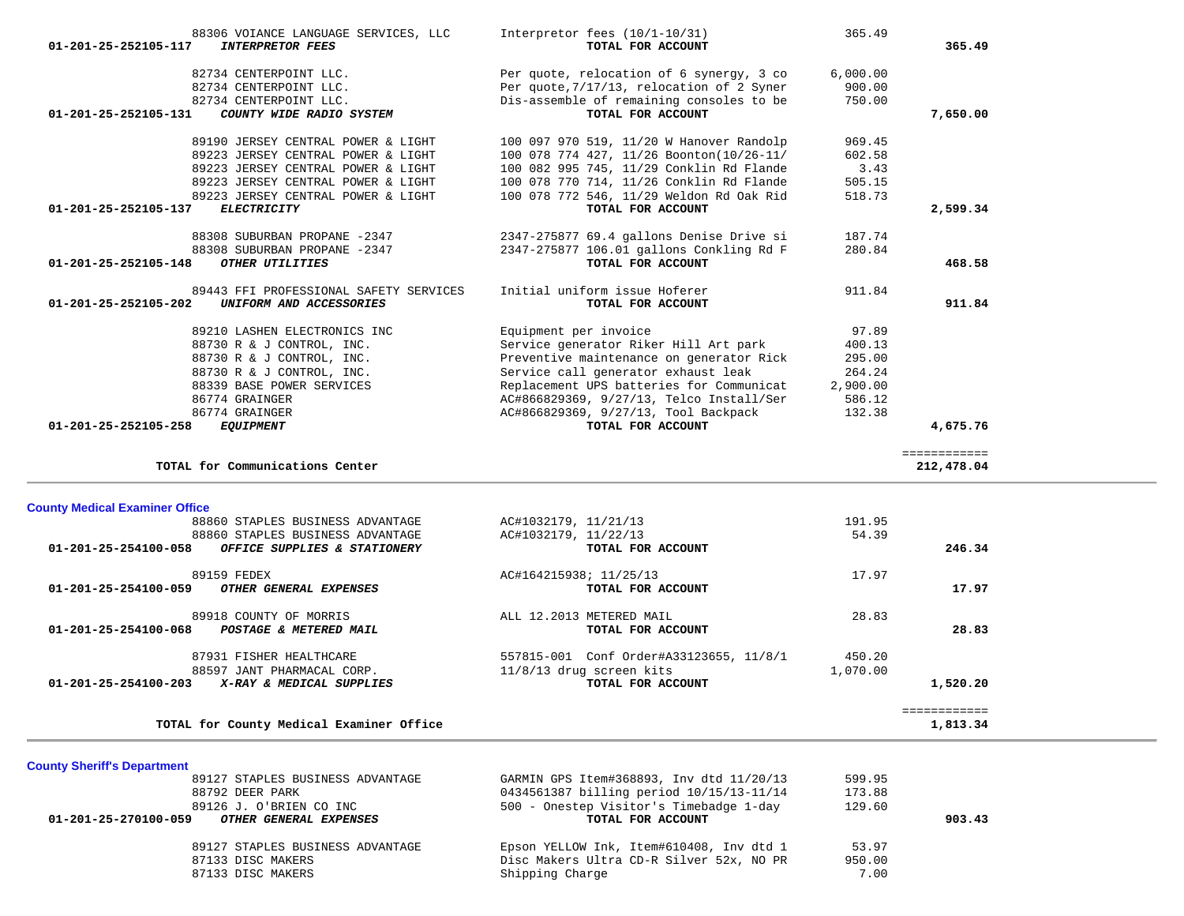| $01 - 201 - 25 - 252105 - 117$        | 88306 VOIANCE LANGUAGE SERVICES, LLC<br><b>INTERPRETOR FEES</b> | Interpretor fees $(10/1-10/31)$<br>TOTAL FOR ACCOUNT | 365.49   | 365.49                   |
|---------------------------------------|-----------------------------------------------------------------|------------------------------------------------------|----------|--------------------------|
|                                       | 82734 CENTERPOINT LLC.                                          | Per quote, relocation of 6 synergy, 3 co             | 6,000.00 |                          |
|                                       | 82734 CENTERPOINT LLC.                                          | Per quote, 7/17/13, relocation of 2 Syner            | 900.00   |                          |
|                                       | 82734 CENTERPOINT LLC.                                          | Dis-assemble of remaining consoles to be             | 750.00   |                          |
| 01-201-25-252105-131                  | COUNTY WIDE RADIO SYSTEM                                        | TOTAL FOR ACCOUNT                                    |          | 7,650.00                 |
|                                       | 89190 JERSEY CENTRAL POWER & LIGHT                              | 100 097 970 519, 11/20 W Hanover Randolp             | 969.45   |                          |
|                                       | 89223 JERSEY CENTRAL POWER & LIGHT                              | 100 078 774 427, 11/26 Boonton(10/26-11/             | 602.58   |                          |
|                                       | 89223 JERSEY CENTRAL POWER & LIGHT                              | 100 082 995 745, 11/29 Conklin Rd Flande             | 3.43     |                          |
|                                       | 89223 JERSEY CENTRAL POWER & LIGHT                              | 100 078 770 714, 11/26 Conklin Rd Flande             | 505.15   |                          |
|                                       | 89223 JERSEY CENTRAL POWER & LIGHT                              | 100 078 772 546, 11/29 Weldon Rd Oak Rid             | 518.73   |                          |
| 01-201-25-252105-137                  | <b>ELECTRICITY</b>                                              | TOTAL FOR ACCOUNT                                    |          | 2,599.34                 |
|                                       | 88308 SUBURBAN PROPANE -2347                                    | 2347-275877 69.4 gallons Denise Drive si             | 187.74   |                          |
|                                       | 88308 SUBURBAN PROPANE -2347                                    | 2347-275877 106.01 gallons Conkling Rd F             | 280.84   |                          |
| 01-201-25-252105-148                  | OTHER UTILITIES                                                 | TOTAL FOR ACCOUNT                                    |          | 468.58                   |
|                                       | 89443 FFI PROFESSIONAL SAFETY SERVICES                          | Initial uniform issue Hoferer                        | 911.84   |                          |
| $01 - 201 - 25 - 252105 - 202$        | UNIFORM AND ACCESSORIES                                         | TOTAL FOR ACCOUNT                                    |          | 911.84                   |
|                                       | 89210 LASHEN ELECTRONICS INC                                    | Equipment per invoice                                | 97.89    |                          |
|                                       | 88730 R & J CONTROL, INC.                                       | Service generator Riker Hill Art park                | 400.13   |                          |
|                                       | 88730 R & J CONTROL, INC.                                       | Preventive maintenance on generator Rick             | 295.00   |                          |
|                                       | 88730 R & J CONTROL, INC.                                       | Service call generator exhaust leak                  | 264.24   |                          |
|                                       | 88339 BASE POWER SERVICES                                       | Replacement UPS batteries for Communicat             | 2,900.00 |                          |
|                                       | 86774 GRAINGER                                                  | AC#866829369, 9/27/13, Telco Install/Ser             | 586.12   |                          |
|                                       | 86774 GRAINGER                                                  | AC#866829369, 9/27/13, Tool Backpack                 | 132.38   |                          |
| 01-201-25-252105-258                  | <b>EQUIPMENT</b>                                                | TOTAL FOR ACCOUNT                                    |          | 4,675.76                 |
|                                       |                                                                 |                                                      |          | ============             |
|                                       | TOTAL for Communications Center                                 |                                                      |          | 212,478.04               |
| <b>County Medical Examiner Office</b> |                                                                 |                                                      |          |                          |
|                                       | 88860 STAPLES BUSINESS ADVANTAGE                                | AC#1032179, 11/21/13                                 | 191.95   |                          |
|                                       | 88860 STAPLES BUSINESS ADVANTAGE                                | AC#1032179, 11/22/13                                 | 54.39    |                          |
| 01-201-25-254100-058                  | OFFICE SUPPLIES & STATIONERY                                    | TOTAL FOR ACCOUNT                                    |          | 246.34                   |
|                                       | 89159 FEDEX                                                     | AC#164215938; 11/25/13                               | 17.97    |                          |
|                                       | OTHER GENERAL EXPENSES                                          | TOTAL FOR ACCOUNT                                    |          | 17.97                    |
| 01-201-25-254100-059                  |                                                                 |                                                      | 28.83    |                          |
|                                       | 89918 COUNTY OF MORRIS                                          | ALL 12.2013 METERED MAIL                             |          |                          |
|                                       | POSTAGE & METERED MAIL                                          | TOTAL FOR ACCOUNT                                    |          | 28.83                    |
| 01-201-25-254100-068                  | 87931 FISHER HEALTHCARE                                         | 557815-001 Conf Order#A33123655, 11/8/1              | 450.20   |                          |
|                                       | 88597 JANT PHARMACAL CORP.                                      | $11/8/13$ drug screen kits                           | 1,070.00 |                          |
| 01-201-25-254100-203                  | X-RAY & MEDICAL SUPPLIES                                        | TOTAL FOR ACCOUNT                                    |          | 1,520.20                 |
|                                       | TOTAL for County Medical Examiner Office                        |                                                      |          | ============<br>1,813.34 |

|  |  | <b>County Sheriff's Department</b> |
|--|--|------------------------------------|
|--|--|------------------------------------|

| 89127 STAPLES BUSINESS ADVANTAGE                      | GARMIN GPS Item#368893, Inv dtd 11/20/13 | 599.95 |
|-------------------------------------------------------|------------------------------------------|--------|
| 88792 DEER PARK                                       | 0434561387 billing period 10/15/13-11/14 | 173.88 |
| 89126 J. O'BRIEN CO INC                               | 500 - Onestep Visitor's Timebadge 1-day  | 129.60 |
| 01-201-25-270100-059<br><i>OTHER GENERAL EXPENSES</i> | TOTAL FOR ACCOUNT                        | 903.43 |
| 89127 STAPLES BUSINESS ADVANTAGE                      | Epson YELLOW Ink, Item#610408, Inv dtd 1 | 53.97  |
| 87133 DISC MAKERS                                     | Disc Makers Ultra CD-R Silver 52x, NO PR | 950.00 |
| 87133 DISC MAKERS                                     | Shipping Charge                          | 7.00   |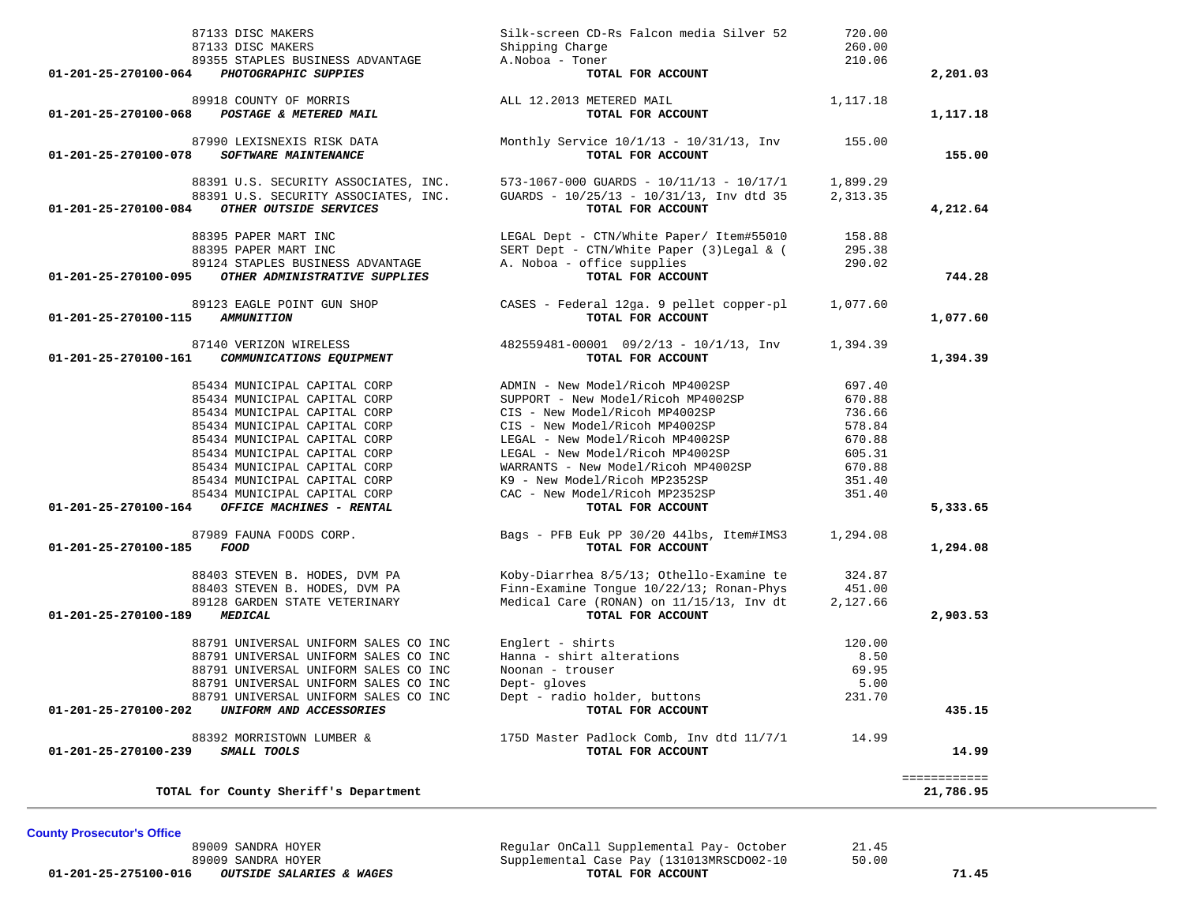|                      | TOTAL for County Sheriff's Department                                        |                                                                                                |                      | ============<br>21,786.95 |
|----------------------|------------------------------------------------------------------------------|------------------------------------------------------------------------------------------------|----------------------|---------------------------|
| 01-201-25-270100-239 | 88392 MORRISTOWN LUMBER &<br>SMALL TOOLS                                     | 175D Master Padlock Comb, Inv dtd 11/7/1 14.99<br>TOTAL FOR ACCOUNT                            |                      | 14.99                     |
| 01-201-25-270100-202 | UNIFORM AND ACCESSORIES                                                      | TOTAL FOR ACCOUNT                                                                              |                      | 435.15                    |
|                      | 88791 UNIVERSAL UNIFORM SALES CO INC                                         | Dept - radio holder, buttons                                                                   | 231.70               |                           |
|                      | 88791 UNIVERSAL UNIFORM SALES CO INC                                         | Dept- gloves                                                                                   | 5.00                 |                           |
|                      | 88791 UNIVERSAL UNIFORM SALES CO INC                                         | Noonan - trouser                                                                               | 69.95                |                           |
|                      | 88791 UNIVERSAL UNIFORM SALES CO INC                                         | Hanna - shirt alterations                                                                      | 8.50                 |                           |
|                      | 88791 UNIVERSAL UNIFORM SALES CO INC                                         | Englert - shirts                                                                               | 120.00               |                           |
| 01-201-25-270100-189 | <b>MEDICAL</b>                                                               | TOTAL FOR ACCOUNT                                                                              |                      | 2,903.53                  |
|                      | 89128 GARDEN STATE VETERINARY                                                | Medical Care (RONAN) on 11/15/13, Inv dt                                                       | 2,127.66             |                           |
|                      | 88403 STEVEN B. HODES, DVM PA<br>88403 STEVEN B. HODES, DVM PA               | Koby-Diarrhea 8/5/13; Othello-Examine te<br>Finn-Examine Tongue 10/22/13; Ronan-Phys           | 324.87<br>451.00     |                           |
|                      |                                                                              |                                                                                                |                      |                           |
| 01-201-25-270100-185 | 87989 FAUNA FOODS CORP.<br>FOOD                                              | Bags - PFB Euk PP 30/20 441bs, Item#IMS3<br>TOTAL FOR ACCOUNT                                  | 1,294.08             | 1,294.08                  |
| 01-201-25-270100-164 | OFFICE MACHINES - RENTAL                                                     | TOTAL FOR ACCOUNT                                                                              |                      | 5,333.65                  |
|                      | 85434 MUNICIPAL CAPITAL CORP                                                 | CAC - New Model/Ricoh MP2352SP                                                                 | 351.40               |                           |
|                      | 85434 MUNICIPAL CAPITAL CORP                                                 | K9 - New Model/Ricoh MP2352SP                                                                  | 351.40               |                           |
|                      | 85434 MUNICIPAL CAPITAL CORP                                                 | WARRANTS - New Model/Ricoh MP4002SP                                                            | 670.88               |                           |
|                      | 85434 MUNICIPAL CAPITAL CORP                                                 | LEGAL - New Model/Ricoh MP4002SP                                                               | 605.31               |                           |
|                      | 85434 MUNICIPAL CAPITAL CORP                                                 | LEGAL - New Model/Ricoh MP4002SP                                                               | 670.88               |                           |
|                      | 85434 MUNICIPAL CAPITAL CORP                                                 | CIS - New Model/Ricoh MP4002SP                                                                 | 578.84               |                           |
|                      | 85434 MUNICIPAL CAPITAL CORP                                                 | CIS - New Model/Ricoh MP4002SP                                                                 | 736.66               |                           |
|                      | 85434 MUNICIPAL CAPITAL CORP<br>85434 MUNICIPAL CAPITAL CORP                 | ADMIN - New Model/Ricoh MP4002SP<br>SUPPORT - New Model/Ricoh MP4002SP                         | 697.40<br>670.88     |                           |
|                      |                                                                              |                                                                                                |                      |                           |
| 01-201-25-270100-161 | 87140 VERIZON WIRELESS<br>COMMUNICATIONS EQUIPMENT                           | $482559481 - 00001$ $09/2/13 - 10/1/13$ , Inv<br>TOTAL FOR ACCOUNT                             | 1,394.39             | 1,394.39                  |
| 01-201-25-270100-115 | 89123 EAGLE POINT GUN SHOP<br><i><b>AMMUNITION</b></i>                       | CASES - Federal 12ga. 9 pellet copper-pl<br>TOTAL FOR ACCOUNT                                  | 1,077.60             | 1,077.60                  |
|                      |                                                                              |                                                                                                |                      |                           |
| 01-201-25-270100-095 | 89124 STAPLES BUSINESS ADVANTAGE<br>OTHER ADMINISTRATIVE SUPPLIES            | A. Noboa - office supplies<br>TOTAL FOR ACCOUNT                                                | 290.02               | 744.28                    |
|                      | 88395 PAPER MART INC                                                         | SERT Dept - CTN/White Paper (3) Legal & (                                                      | 295.38               |                           |
|                      | 88395 PAPER MART INC                                                         | LEGAL Dept - CTN/White Paper/ Item#55010                                                       | 158.88               |                           |
| 01-201-25-270100-084 | OTHER OUTSIDE SERVICES                                                       | TOTAL FOR ACCOUNT                                                                              |                      | 4,212.64                  |
|                      | 88391 U.S. SECURITY ASSOCIATES, INC.<br>88391 U.S. SECURITY ASSOCIATES, INC. | $573 - 1067 - 000$ GUARDS - $10/11/13$ - $10/17/1$<br>GUARDS - 10/25/13 - 10/31/13, Inv dtd 35 | 1,899.29<br>2,313.35 |                           |
| 01-201-25-270100-078 | 87990 LEXISNEXIS RISK DATA<br>SOFTWARE MAINTENANCE                           | Monthly Service $10/1/13 - 10/31/13$ , Inv<br>TOTAL FOR ACCOUNT                                | 155.00               | 155.00                    |
| 01-201-25-270100-068 | POSTAGE & METERED MAIL                                                       | TOTAL FOR ACCOUNT                                                                              |                      | 1,117.18                  |
|                      | 89918 COUNTY OF MORRIS                                                       | ALL 12.2013 METERED MAIL                                                                       | 1,117.18             |                           |
| 01-201-25-270100-064 | PHOTOGRAPHIC SUPPIES                                                         | TOTAL FOR ACCOUNT                                                                              |                      | 2,201.03                  |
|                      | 89355 STAPLES BUSINESS ADVANTAGE                                             | A. Noboa - Toner                                                                               | 210.06               |                           |
|                      | 87133 DISC MAKERS                                                            | Shipping Charge                                                                                | 260.00               |                           |
|                      | 87133 DISC MAKERS                                                            | Silk-screen CD-Rs Falcon media Silver 52                                                       | 720.00               |                           |

**County Prosecutor's Office**

 89009 SANDRA HOYER Regular OnCall Supplemental Pay- October 21.45 89009 SANDRA HOYER Supplemental Case Pay (131013MRSCDO02-10 50.00

 **01-201-25-275100-016** *OUTSIDE SALARIES & WAGES* **TOTAL FOR ACCOUNT 71.45**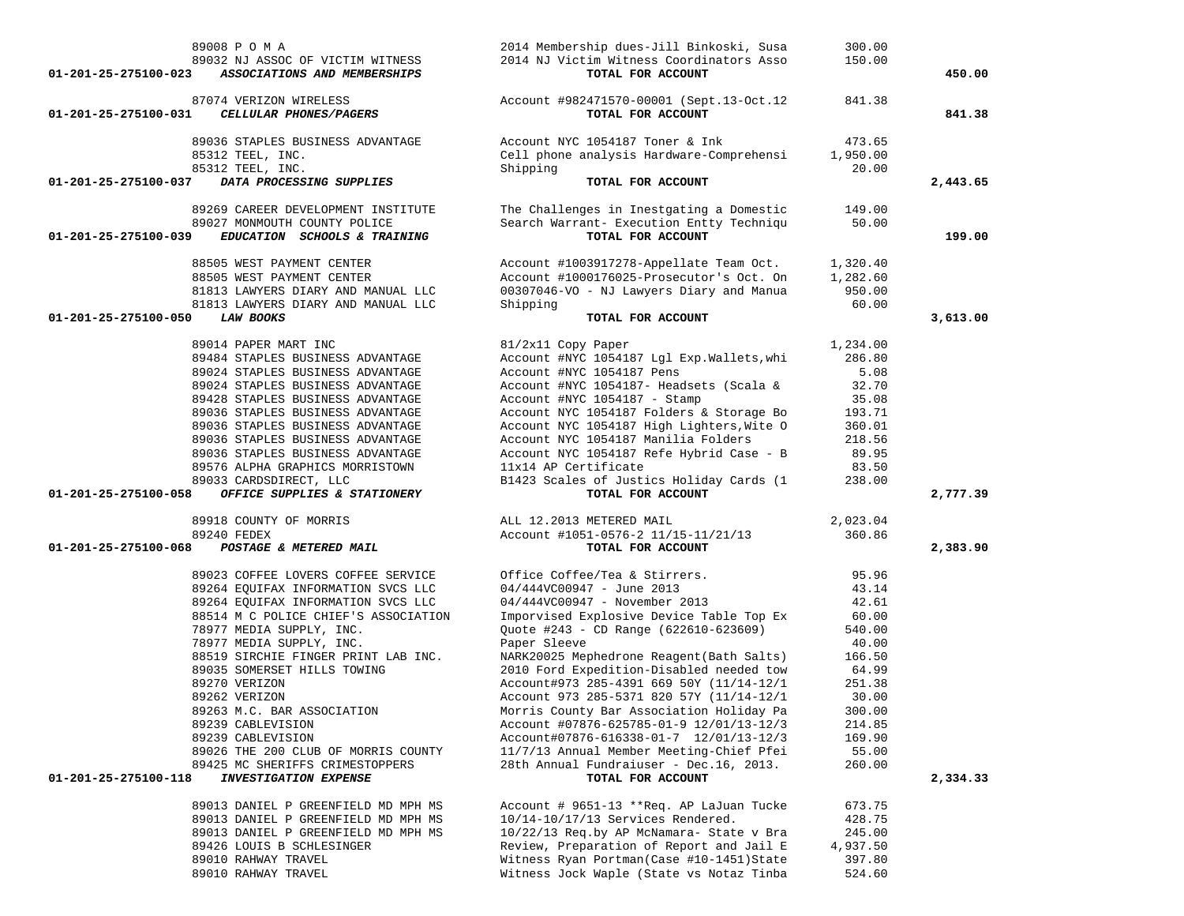| 89008 P O M A<br>89032 NJ ASSOC OF VICTIM WITNESS<br>01-201-25-275100-023<br>ASSOCIATIONS AND MEMBERSHIPS | 2014 Membership dues-Jill Binkoski, Susa<br>2014 NJ Victim Witness Coordinators Asso<br>TOTAL FOR ACCOUNT | 300.00<br>150.00   | 450.00   |
|-----------------------------------------------------------------------------------------------------------|-----------------------------------------------------------------------------------------------------------|--------------------|----------|
| 87074 VERIZON WIRELESS<br>01-201-25-275100-031<br>CELLULAR PHONES/PAGERS                                  | Account #982471570-00001 (Sept.13-Oct.12<br>TOTAL FOR ACCOUNT                                             | 841.38             | 841.38   |
|                                                                                                           |                                                                                                           |                    |          |
| 89036 STAPLES BUSINESS ADVANTAGE                                                                          | Account NYC 1054187 Toner & Ink                                                                           | 473.65             |          |
| 85312 TEEL, INC.                                                                                          | Cell phone analysis Hardware-Comprehensi                                                                  | 1,950.00           |          |
| 85312 TEEL, INC.<br>01-201-25-275100-037                                                                  | Shipping<br>TOTAL FOR ACCOUNT                                                                             | 20.00              |          |
| DATA PROCESSING SUPPLIES                                                                                  |                                                                                                           |                    | 2,443.65 |
| 89269 CAREER DEVELOPMENT INSTITUTE                                                                        | The Challenges in Inestgating a Domestic                                                                  | 149.00             |          |
| 89027 MONMOUTH COUNTY POLICE                                                                              | Search Warrant- Execution Entty Techniqu                                                                  | 50.00              |          |
| 01-201-25-275100-039<br>EDUCATION SCHOOLS & TRAINING                                                      | TOTAL FOR ACCOUNT                                                                                         |                    | 199.00   |
| 88505 WEST PAYMENT CENTER                                                                                 | Account #1003917278-Appellate Team Oct.                                                                   | 1,320.40           |          |
| 88505 WEST PAYMENT CENTER                                                                                 | Account #1000176025-Prosecutor's Oct. On                                                                  | 1,282.60           |          |
| 81813 LAWYERS DIARY AND MANUAL LLC                                                                        | 00307046-VO - NJ Lawyers Diary and Manua                                                                  | 950.00             |          |
| 81813 LAWYERS DIARY AND MANUAL LLC                                                                        | Shipping                                                                                                  | 60.00              |          |
| LAW BOOKS<br>01-201-25-275100-050                                                                         | TOTAL FOR ACCOUNT                                                                                         |                    | 3,613.00 |
|                                                                                                           |                                                                                                           |                    |          |
| 89014 PAPER MART INC                                                                                      | 81/2x11 Copy Paper                                                                                        | 1,234.00           |          |
| 89484 STAPLES BUSINESS ADVANTAGE                                                                          | Account #NYC 1054187 Lgl Exp.Wallets, whi                                                                 | 286.80             |          |
| 89024 STAPLES BUSINESS ADVANTAGE                                                                          | Account #NYC 1054187 Pens                                                                                 | 5.08               |          |
| 89024 STAPLES BUSINESS ADVANTAGE                                                                          | Account #NYC 1054187- Headsets (Scala &                                                                   | 32.70              |          |
| 89428 STAPLES BUSINESS ADVANTAGE<br>89036 STAPLES BUSINESS ADVANTAGE                                      | Account #NYC 1054187 - Stamp                                                                              | 35.08<br>193.71    |          |
| 89036 STAPLES BUSINESS ADVANTAGE                                                                          | Account NYC 1054187 Folders & Storage Bo<br>Account NYC 1054187 High Lighters, Wite O                     | 360.01             |          |
| 89036 STAPLES BUSINESS ADVANTAGE                                                                          | Account NYC 1054187 Manilia Folders                                                                       | 218.56             |          |
| 89036 STAPLES BUSINESS ADVANTAGE                                                                          | Account NYC 1054187 Refe Hybrid Case - B                                                                  | 89.95              |          |
| 89576 ALPHA GRAPHICS MORRISTOWN                                                                           | 11x14 AP Certificate                                                                                      | 83.50              |          |
| 89033 CARDSDIRECT, LLC                                                                                    | B1423 Scales of Justics Holiday Cards (1                                                                  | 238.00             |          |
| OFFICE SUPPLIES & STATIONERY<br>01-201-25-275100-058                                                      | TOTAL FOR ACCOUNT                                                                                         |                    | 2,777.39 |
|                                                                                                           |                                                                                                           |                    |          |
| 89918 COUNTY OF MORRIS<br>89240 FEDEX                                                                     | ALL 12.2013 METERED MAIL<br>Account #1051-0576-2 11/15-11/21/13                                           | 2,023.04<br>360.86 |          |
| 01-201-25-275100-068<br>POSTAGE & METERED MAIL                                                            | TOTAL FOR ACCOUNT                                                                                         |                    | 2,383.90 |
|                                                                                                           |                                                                                                           |                    |          |
| 89023 COFFEE LOVERS COFFEE SERVICE                                                                        | Office Coffee/Tea & Stirrers.                                                                             | 95.96              |          |
| 89264 EQUIFAX INFORMATION SVCS LLC                                                                        | 04/444VC00947 - June 2013                                                                                 | 43.14              |          |
| 89264 EQUIFAX INFORMATION SVCS LLC                                                                        | 04/444VC00947 - November 2013                                                                             | 42.61              |          |
| 88514 M C POLICE CHIEF'S ASSOCIATION                                                                      | Imporvised Explosive Device Table Top Ex                                                                  | 60.00              |          |
| 78977 MEDIA SUPPLY, INC.                                                                                  | Quote #243 - CD Range (622610-623609)                                                                     | 540.00             |          |
| 78977 MEDIA SUPPLY, INC.                                                                                  | Paper Sleeve                                                                                              | 40.00              |          |
| 88519 SIRCHIE FINGER PRINT LAB INC.<br>89035 SOMERSET HILLS TOWING                                        | NARK20025 Mephedrone Reagent (Bath Salts)<br>2010 Ford Expedition-Disabled needed tow                     | 166.50<br>64.99    |          |
| 89270 VERIZON                                                                                             | Account#973 285-4391 669 50Y (11/14-12/1                                                                  | 251.38             |          |
| 89262 VERIZON                                                                                             | Account 973 285-5371 820 57Y (11/14-12/1                                                                  | 30.00              |          |
| 89263 M.C. BAR ASSOCIATION                                                                                | Morris County Bar Association Holiday Pa                                                                  | 300.00             |          |
| 89239 CABLEVISION                                                                                         | Account #07876-625785-01-9 12/01/13-12/3                                                                  | 214.85             |          |
| 89239 CABLEVISION                                                                                         | Account#07876-616338-01-7 12/01/13-12/3                                                                   | 169.90             |          |
| 89026 THE 200 CLUB OF MORRIS COUNTY                                                                       | 11/7/13 Annual Member Meeting-Chief Pfei                                                                  | 55.00              |          |
| 89425 MC SHERIFFS CRIMESTOPPERS                                                                           | 28th Annual Fundraiuser - Dec.16, 2013.                                                                   | 260.00             |          |
| 01-201-25-275100-118<br><b>INVESTIGATION EXPENSE</b>                                                      | TOTAL FOR ACCOUNT                                                                                         |                    | 2,334.33 |
| 89013 DANIEL P GREENFIELD MD MPH MS                                                                       | Account # 9651-13 **Req. AP LaJuan Tucke                                                                  | 673.75             |          |
| 89013 DANIEL P GREENFIELD MD MPH MS                                                                       | 10/14-10/17/13 Services Rendered.                                                                         | 428.75             |          |
| 89013 DANIEL P GREENFIELD MD MPH MS                                                                       | 10/22/13 Req.by AP McNamara- State v Bra                                                                  | 245.00             |          |
| 89426 LOUIS B SCHLESINGER                                                                                 | Review, Preparation of Report and Jail E                                                                  | 4,937.50           |          |
| 89010 RAHWAY TRAVEL                                                                                       | Witness Ryan Portman (Case #10-1451) State                                                                | 397.80             |          |
| 89010 RAHWAY TRAVEL                                                                                       | Witness Jock Waple (State vs Notaz Tinba                                                                  | 524.60             |          |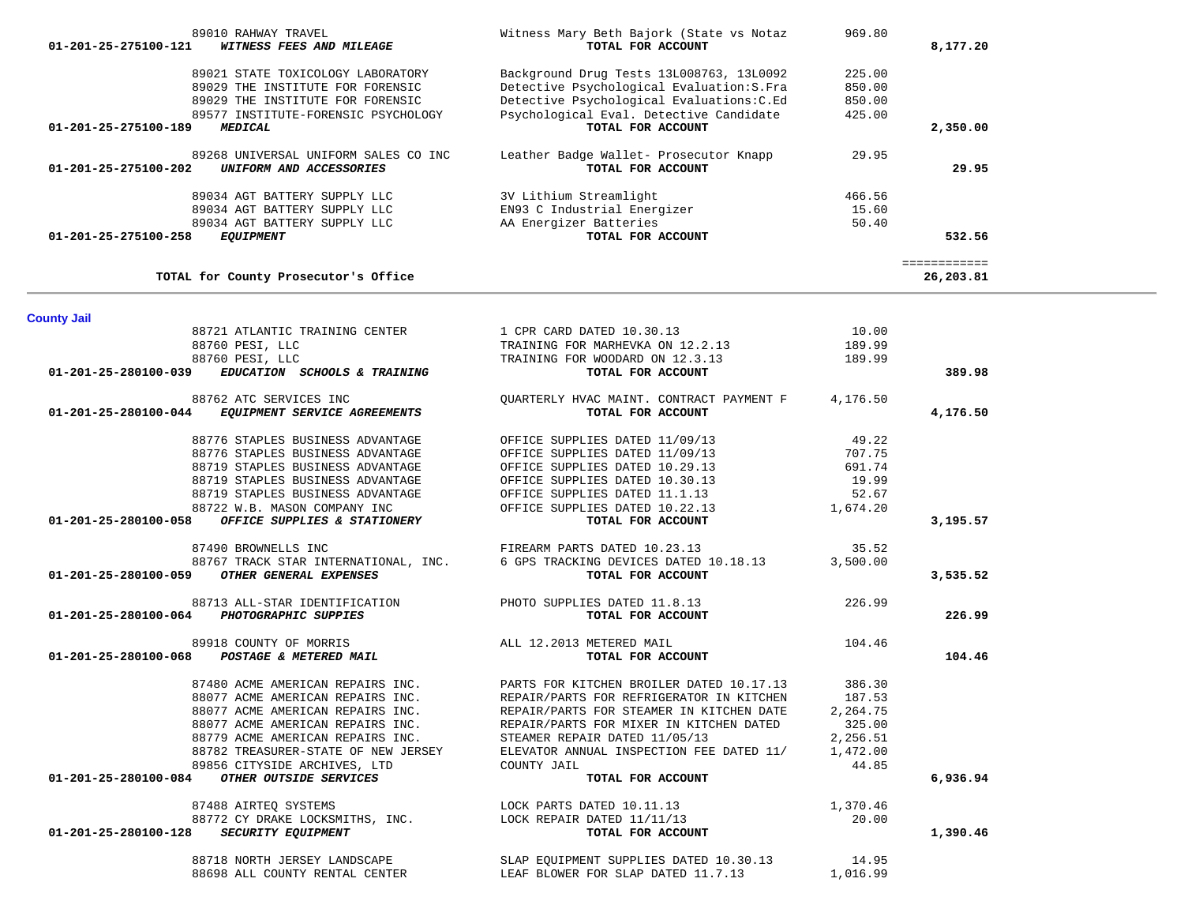| 02034 AGI BAIIERI SUPPLII LUC<br>89034 AGT BATTERY SUPPLY LLC<br>89034 AGT BATTERY SUPPLY LLC<br>01-201-25-275100-258 EQUIPMENT                                                                                                                                                                                                                                                                                                                                         | ow mrchiram ocreamifair<br>EN93 C Industrial Energizer<br>AA Energizer Batteries<br>TOTAL FOR ACCOUNT                                                                                       | 100.50<br>15.60<br>50.40 | 532.56                    |  |
|-------------------------------------------------------------------------------------------------------------------------------------------------------------------------------------------------------------------------------------------------------------------------------------------------------------------------------------------------------------------------------------------------------------------------------------------------------------------------|---------------------------------------------------------------------------------------------------------------------------------------------------------------------------------------------|--------------------------|---------------------------|--|
| TOTAL for County Prosecutor's Office                                                                                                                                                                                                                                                                                                                                                                                                                                    |                                                                                                                                                                                             |                          | ============<br>26,203.81 |  |
| <b>County Jail</b>                                                                                                                                                                                                                                                                                                                                                                                                                                                      |                                                                                                                                                                                             |                          |                           |  |
|                                                                                                                                                                                                                                                                                                                                                                                                                                                                         | 88721 ATLANTIC TRAINING CENTER 1 CPR CARD DATED 10.30.13                                                                                                                                    | 10.00                    |                           |  |
| 88760 PESI, LLC                                                                                                                                                                                                                                                                                                                                                                                                                                                         | TRAINING FOR MARHEVKA ON 12.2.13<br>TRAINING FOR WOODARD ON 12.3.13                                                                                                                         | 189.99                   |                           |  |
| 88760 PESI, LLC                                                                                                                                                                                                                                                                                                                                                                                                                                                         |                                                                                                                                                                                             | 189.99                   |                           |  |
| 01-201-25-280100-039 EDUCATION SCHOOLS & TRAINING                                                                                                                                                                                                                                                                                                                                                                                                                       | TOTAL FOR ACCOUNT                                                                                                                                                                           |                          | 389.98                    |  |
| 88762 ATC SERVICES INC                                                                                                                                                                                                                                                                                                                                                                                                                                                  | QUARTERLY HVAC MAINT. CONTRACT PAYMENT F 4,176.50                                                                                                                                           |                          |                           |  |
| 01-201-25-280100-044 EQUIPMENT SERVICE AGREEMENTS                                                                                                                                                                                                                                                                                                                                                                                                                       | TOTAL FOR ACCOUNT                                                                                                                                                                           |                          | 4,176.50                  |  |
|                                                                                                                                                                                                                                                                                                                                                                                                                                                                         |                                                                                                                                                                                             | 49.22                    |                           |  |
|                                                                                                                                                                                                                                                                                                                                                                                                                                                                         |                                                                                                                                                                                             | 707.75                   |                           |  |
| 88719 STAPLES BUSINESS ADVANTAGE                                                                                                                                                                                                                                                                                                                                                                                                                                        | OFFICE SUPPLIES DATED 10.29.13                                                                                                                                                              | 691.74                   |                           |  |
| 88719 STAPLES BUSINESS ADVANTAGE                                                                                                                                                                                                                                                                                                                                                                                                                                        | OFFICE SUPPLIES DATED 10.30.13                                                                                                                                                              | 19.99                    |                           |  |
| 88719 STAPLES BUSINESS ADVANTAGE                                                                                                                                                                                                                                                                                                                                                                                                                                        | OFFICE SUPPLIES DATED 11.1.13<br>OFFICE SUPPLIES DATED 10.22.13                                                                                                                             | 52.67                    |                           |  |
| 88722 W.B. MASON COMPANY INC                                                                                                                                                                                                                                                                                                                                                                                                                                            |                                                                                                                                                                                             | 52.07<br>1,674.20        |                           |  |
| $01-201-25-280100-058$ OFFICE SUPPLIES & STATIONERY                                                                                                                                                                                                                                                                                                                                                                                                                     | TOTAL FOR ACCOUNT                                                                                                                                                                           |                          | 3,195.57                  |  |
|                                                                                                                                                                                                                                                                                                                                                                                                                                                                         | 87490 BROWNELLS INC     FIREARM PARTS DATED 10.23.13                           35.52<br>88767 TRACK STAR INTERNATIONAL, INC.       6 GPS TRACKING DEVICES DATED 10.18.13           3,500.00 |                          |                           |  |
|                                                                                                                                                                                                                                                                                                                                                                                                                                                                         |                                                                                                                                                                                             |                          |                           |  |
| 01-201-25-280100-059 OTHER GENERAL EXPENSES                                                                                                                                                                                                                                                                                                                                                                                                                             | TOTAL FOR ACCOUNT                                                                                                                                                                           |                          | 3,535.52                  |  |
|                                                                                                                                                                                                                                                                                                                                                                                                                                                                         |                                                                                                                                                                                             | 226.99                   |                           |  |
| ${\small 88713 \text{ ALL-STAR} \text{ IDENTIFYCAITION} \begin{array}{l} \text{B8713 ALL-STAR} \end{array} \begin{array}{l} \text{S8713 ALL-STAR} \end{array} \begin{array}{l} \text{S8713 ALL-STAR} \end{array} \begin{array}{l} \text{S8713} \end{array} \begin{array}{l} \text{S8713} \end{array} \begin{array}{l} \text{S8713} \end{array} \begin{array}{l} \text{S8713} \end{array} \begin{array}{l} \text{S8713} \end{array} \begin{array}{l} \text{S8713} \end{$ | TOTAL FOR ACCOUNT                                                                                                                                                                           |                          | 226.99                    |  |
| 89918 COUNTY OF MORRIS $ALL$ 12.2013 METERED MAIL                                                                                                                                                                                                                                                                                                                                                                                                                       |                                                                                                                                                                                             | 104.46                   |                           |  |
| 01-201-25-280100-068 POSTAGE & METERED MAIL                                                                                                                                                                                                                                                                                                                                                                                                                             | TOTAL FOR ACCOUNT                                                                                                                                                                           |                          | 104.46                    |  |
|                                                                                                                                                                                                                                                                                                                                                                                                                                                                         |                                                                                                                                                                                             |                          |                           |  |
|                                                                                                                                                                                                                                                                                                                                                                                                                                                                         | 87480 ACME AMERICAN REPAIRS INC. PARTS FOR KITCHEN BROILER DATED 10.17.13 386.30                                                                                                            |                          |                           |  |
|                                                                                                                                                                                                                                                                                                                                                                                                                                                                         | 88077 ACME AMERICAN REPAIRS INC.<br>88077 ACME AMERICAN REPAIRS INC.<br>REPAIR/PARTS FOR STEAMER IN KITCHEN DATE                                                                            | 187.53                   |                           |  |
|                                                                                                                                                                                                                                                                                                                                                                                                                                                                         |                                                                                                                                                                                             | 2,264.75                 |                           |  |
| 88077 ACME AMERICAN REPAIRS INC.                                                                                                                                                                                                                                                                                                                                                                                                                                        | REPAIR/PARTS FOR MIABR IN ALLOWER.<br>STEAMER REPAIR DATED 11/05/13<br>ALLOWER THE THODECTION FEE DATED 11/                                                                                 | 325.00                   |                           |  |
| 88779 ACME AMERICAN REPAIRS INC.                                                                                                                                                                                                                                                                                                                                                                                                                                        |                                                                                                                                                                                             | 2,256.51                 |                           |  |
|                                                                                                                                                                                                                                                                                                                                                                                                                                                                         |                                                                                                                                                                                             |                          |                           |  |
|                                                                                                                                                                                                                                                                                                                                                                                                                                                                         | 88782 TREASURER-STATE OF NEW JERSEY<br>89856 CITYSIDE ARCHIVES, LTD COUNTY JAIL<br>89856 CITYSIDE ARCHIVES, LTD COUNTY JAIL TOTAL FOR ACCOUNT 199856 CITYSIDE ARCHIVES                      |                          |                           |  |
| 01-201-25-280100-084 OTHER OUTSIDE SERVICES                                                                                                                                                                                                                                                                                                                                                                                                                             | TOTAL FOR ACCOUNT                                                                                                                                                                           |                          | 6,936.94                  |  |
|                                                                                                                                                                                                                                                                                                                                                                                                                                                                         | 87488 AIRTEQ SYSTEMS $\overline{A}$ LOCK PARTS DATED $10.11.13$<br>88772 CY DRAKE LOCKSMITHS, INC. LOCK REPAIR DATED $11/11/13$                                                             | 1,370.46                 |                           |  |
|                                                                                                                                                                                                                                                                                                                                                                                                                                                                         |                                                                                                                                                                                             | 20.00                    |                           |  |
| 01-201-25-280100-128 SECURITY EQUIPMENT                                                                                                                                                                                                                                                                                                                                                                                                                                 | TOTAL FOR ACCOUNT                                                                                                                                                                           |                          | 1,390.46                  |  |
|                                                                                                                                                                                                                                                                                                                                                                                                                                                                         | 88718 NORTH JERSEY LANDSCAPE SLAP EQUIPMENT SUPPLIES DATED 10.30.13 14.95                                                                                                                   |                          |                           |  |
|                                                                                                                                                                                                                                                                                                                                                                                                                                                                         | 88698 ALL COUNTY RENTAL CENTER<br>1,016.99 and 2,016.99                                                                                                                                     |                          |                           |  |
|                                                                                                                                                                                                                                                                                                                                                                                                                                                                         |                                                                                                                                                                                             |                          |                           |  |

| 89010 RAHWAY TRAVEL<br>01-201-25-275100-121<br>WITNESS FEES AND MILEAGE | Witness Mary Beth Bajork (State vs Notaz<br>TOTAL FOR ACCOUNT | 969.80 | 8,177.20 |
|-------------------------------------------------------------------------|---------------------------------------------------------------|--------|----------|
| 89021 STATE TOXICOLOGY LABORATORY                                       | Background Drug Tests 13L008763, 13L0092                      | 225.00 |          |
| 89029 THE INSTITUTE FOR FORENSIC                                        | Detective Psychological Evaluation: S. Fra                    | 850.00 |          |
| 89029 THE INSTITUTE FOR FORENSIC                                        | Detective Psychological Evaluations: C.Ed                     | 850.00 |          |
| 89577 INSTITUTE-FORENSIC PSYCHOLOGY                                     | Psychological Eval. Detective Candidate                       | 425.00 |          |
| $01 - 201 - 25 - 275100 - 189$<br><i><b>MEDICAL</b></i>                 | TOTAL FOR ACCOUNT                                             |        | 2,350.00 |
| 89268 UNIVERSAL UNIFORM SALES CO INC                                    | Leather Badge Wallet- Prosecutor Knapp                        | 29.95  |          |
| 01-201-25-275100-202<br>UNIFORM AND ACCESSORIES                         | TOTAL FOR ACCOUNT                                             |        | 29.95    |
| 89034 AGT BATTERY SUPPLY LLC                                            | 3V Lithium Streamlight                                        | 466.56 |          |
| 89034 AGT BATTERY SUPPLY LLC                                            | EN93 C Industrial Energizer                                   | 15.60  |          |
| 89034 AGT BATTERY SUPPLY LLC                                            | AA Energizer Batteries                                        | 50.40  |          |
| 01-201-25-275100-258<br><i>EQUIPMENT</i>                                | TOTAL FOR ACCOUNT                                             |        | 532.56   |
|                                                                         |                                                               |        |          |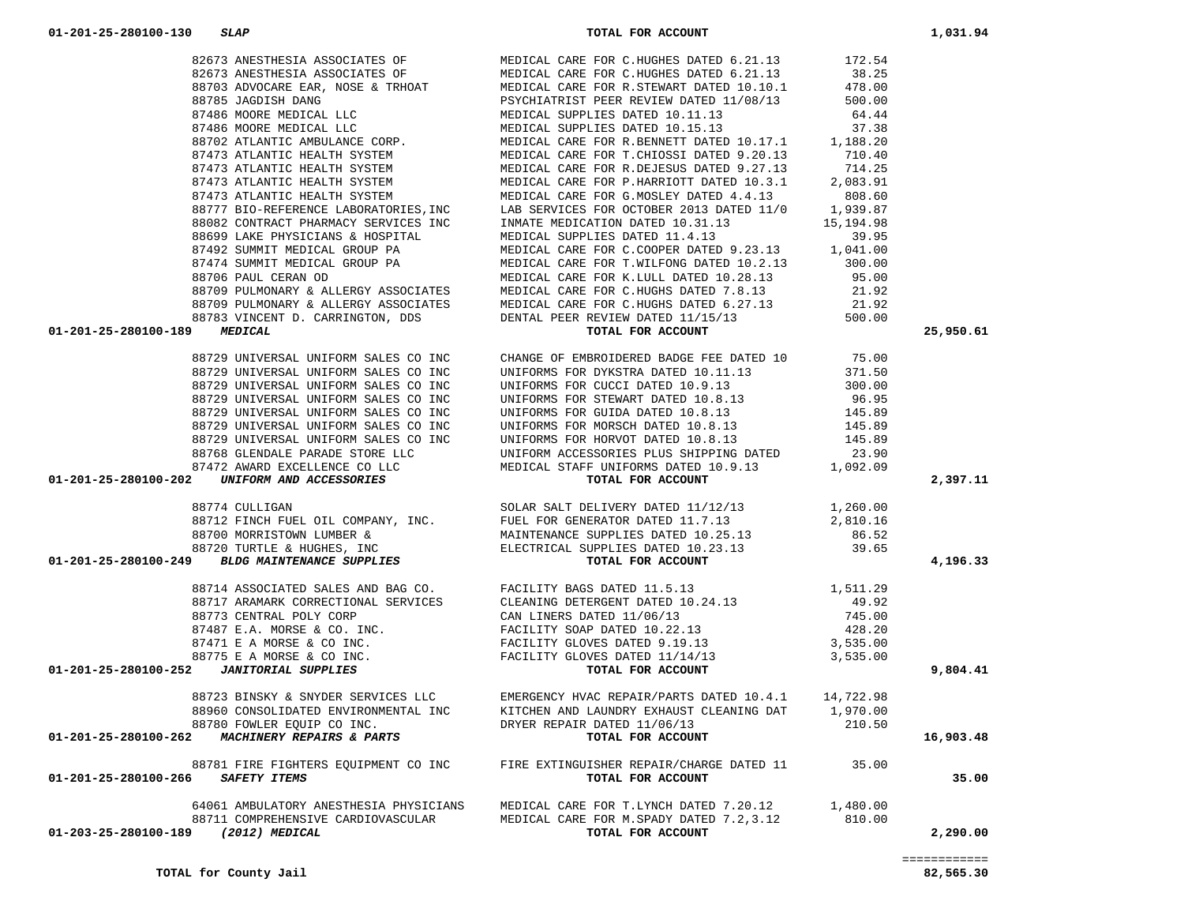|                                                                                                                                                                                                                                                                                                                                                                                                        | LAB SERVICES FOR OCTOBER 2013 DATED 11/0 1,939.87<br>INMATE MEDICATION DATED 10.31.13 15,194.98                            |                 |           |
|--------------------------------------------------------------------------------------------------------------------------------------------------------------------------------------------------------------------------------------------------------------------------------------------------------------------------------------------------------------------------------------------------------|----------------------------------------------------------------------------------------------------------------------------|-----------------|-----------|
|                                                                                                                                                                                                                                                                                                                                                                                                        |                                                                                                                            |                 |           |
|                                                                                                                                                                                                                                                                                                                                                                                                        |                                                                                                                            |                 |           |
|                                                                                                                                                                                                                                                                                                                                                                                                        |                                                                                                                            |                 |           |
|                                                                                                                                                                                                                                                                                                                                                                                                        |                                                                                                                            |                 |           |
|                                                                                                                                                                                                                                                                                                                                                                                                        |                                                                                                                            |                 |           |
|                                                                                                                                                                                                                                                                                                                                                                                                        |                                                                                                                            |                 |           |
|                                                                                                                                                                                                                                                                                                                                                                                                        |                                                                                                                            |                 |           |
|                                                                                                                                                                                                                                                                                                                                                                                                        |                                                                                                                            |                 |           |
|                                                                                                                                                                                                                                                                                                                                                                                                        |                                                                                                                            |                 |           |
| 01-201-25-280100-189                                                                                                                                                                                                                                                                                                                                                                                   |                                                                                                                            |                 | 25,950.61 |
|                                                                                                                                                                                                                                                                                                                                                                                                        |                                                                                                                            |                 |           |
| 88729 UNIVERSAL UNIFORM SALES CO INC                                                                                                                                                                                                                                                                                                                                                                   | CHANGE OF EMBROIDERED BADGE FEE DATED 10                                                                                   | 75.00<br>371.50 |           |
| 88729 UNIVERSAL UNIFORM SALES CO INC                                                                                                                                                                                                                                                                                                                                                                   | UNIFORMS FOR DYKSTRA DATED 10.11.13                                                                                        |                 |           |
|                                                                                                                                                                                                                                                                                                                                                                                                        |                                                                                                                            |                 |           |
|                                                                                                                                                                                                                                                                                                                                                                                                        |                                                                                                                            |                 |           |
|                                                                                                                                                                                                                                                                                                                                                                                                        |                                                                                                                            |                 |           |
|                                                                                                                                                                                                                                                                                                                                                                                                        |                                                                                                                            |                 |           |
|                                                                                                                                                                                                                                                                                                                                                                                                        |                                                                                                                            |                 |           |
|                                                                                                                                                                                                                                                                                                                                                                                                        |                                                                                                                            |                 |           |
|                                                                                                                                                                                                                                                                                                                                                                                                        |                                                                                                                            |                 |           |
|                                                                                                                                                                                                                                                                                                                                                                                                        |                                                                                                                            |                 |           |
|                                                                                                                                                                                                                                                                                                                                                                                                        |                                                                                                                            |                 | 2,397.11  |
|                                                                                                                                                                                                                                                                                                                                                                                                        |                                                                                                                            |                 |           |
| 371.50<br>8729 UNIVERSAL UNIFORM SALES CO INC<br>8729 UNIVERSAL UNIFORM SALES CO INC<br>8729 UNIVERSAL UNIFORM SALES CO INC<br>8729 UNIVERSAL UNIFORM SALES CO INC<br>8729 UNIVERSAL UNIFORM SALES CO INC<br>8729 UNIVERSAL UNIFORM SALES                                                                                                                                                              |                                                                                                                            |                 |           |
|                                                                                                                                                                                                                                                                                                                                                                                                        |                                                                                                                            |                 |           |
|                                                                                                                                                                                                                                                                                                                                                                                                        |                                                                                                                            |                 |           |
|                                                                                                                                                                                                                                                                                                                                                                                                        |                                                                                                                            |                 |           |
|                                                                                                                                                                                                                                                                                                                                                                                                        |                                                                                                                            |                 | 4,196.33  |
| $\begin{array}{cccc} 88774 \text{ CULLIGAN} & \text{SOLAR SAIT DELIVERY DATED} & 11/12/13 & 1,260.00 \\ 88712 \text{ FINCH FUEL OIL COMPANY, INC} & \text{FUEL FOR GENERATOR DATED} & 11.7.13 & 2,810.16 \\ 88700 \text{ MORRISTOWN LUMBER} & \text{AMANTENANCE SUPPLIES DATED} & 10.25.13 & 86.52 \\ 88720 \text{ TURTLE} & \text{HUGHES, INC} & \text{ELECTRICAL SUPPLIES DATED} & 10.23.13 & 39.65$ |                                                                                                                            |                 |           |
|                                                                                                                                                                                                                                                                                                                                                                                                        |                                                                                                                            |                 |           |
|                                                                                                                                                                                                                                                                                                                                                                                                        |                                                                                                                            |                 |           |
|                                                                                                                                                                                                                                                                                                                                                                                                        |                                                                                                                            |                 |           |
|                                                                                                                                                                                                                                                                                                                                                                                                        |                                                                                                                            |                 |           |
|                                                                                                                                                                                                                                                                                                                                                                                                        |                                                                                                                            |                 |           |
|                                                                                                                                                                                                                                                                                                                                                                                                        |                                                                                                                            |                 |           |
|                                                                                                                                                                                                                                                                                                                                                                                                        |                                                                                                                            |                 | 9,804.41  |
|                                                                                                                                                                                                                                                                                                                                                                                                        |                                                                                                                            |                 |           |
|                                                                                                                                                                                                                                                                                                                                                                                                        |                                                                                                                            |                 |           |
|                                                                                                                                                                                                                                                                                                                                                                                                        |                                                                                                                            |                 |           |
|                                                                                                                                                                                                                                                                                                                                                                                                        |                                                                                                                            |                 |           |
|                                                                                                                                                                                                                                                                                                                                                                                                        |                                                                                                                            |                 | 16,903.48 |
| ${\small \begin{array}{cccc} 88723 & \text{BINSKY} & \text{& SNYDER SERVICES LLC} & \text{EMERGENCY HVAC REPAIR/PARTS DATED 10.4.1} & 14,722.98 \\ 88960 & \text{CONSOLIDATED ENVIRONMENTAL INC} & \text{KITCHEN AND LAUNDRY EXHAUST CLEANING DAT 1,970.00 \\ & 88780 & \text{FOWLER EQUIP CO INC}. & \text{DRYER REPAR DATED 11/06/13} & 210.50 \\ \end{array} }$                                     |                                                                                                                            |                 |           |
|                                                                                                                                                                                                                                                                                                                                                                                                        |                                                                                                                            |                 |           |
| 01-201-25-280100-266 SAFETY ITEMS                                                                                                                                                                                                                                                                                                                                                                      | 88781 FIRE FIGHTERS EQUIPMENT CO INC FIRE EXTINGUISHER REPAIR/CHARGE DATED 11 35.00<br>5 SAFETY ITEMS<br>TOTAL FOR ACCOUNT |                 | 35.00     |
|                                                                                                                                                                                                                                                                                                                                                                                                        |                                                                                                                            |                 |           |
|                                                                                                                                                                                                                                                                                                                                                                                                        | 64061 AMBULATORY ANESTHESIA PHYSICIANS MEDICAL CARE FOR T.LYNCH DATED 7.20.12 1,480.00                                     |                 |           |
|                                                                                                                                                                                                                                                                                                                                                                                                        | MEDICAL CARE FOR M.SPADY DATED 7.2,3.12 810.00                                                                             |                 |           |
| 88711 COMPREHENSIVE CARDIOVASCULAR<br>01-203-25-280100-189 (2012) MEDICAL                                                                                                                                                                                                                                                                                                                              | TOTAL FOR ACCOUNT                                                                                                          |                 | 2,290.00  |

82673 ANESTHESIA ASSOCIATES OF THE MEDICAL CARE FOR C.HUGHES DATED 6.21.13

82673 ANESTHESIA ASSOCIATES OF MEDICAL CARE FOR C.HUGHES DATED 6.21.13

172.54<br>38.25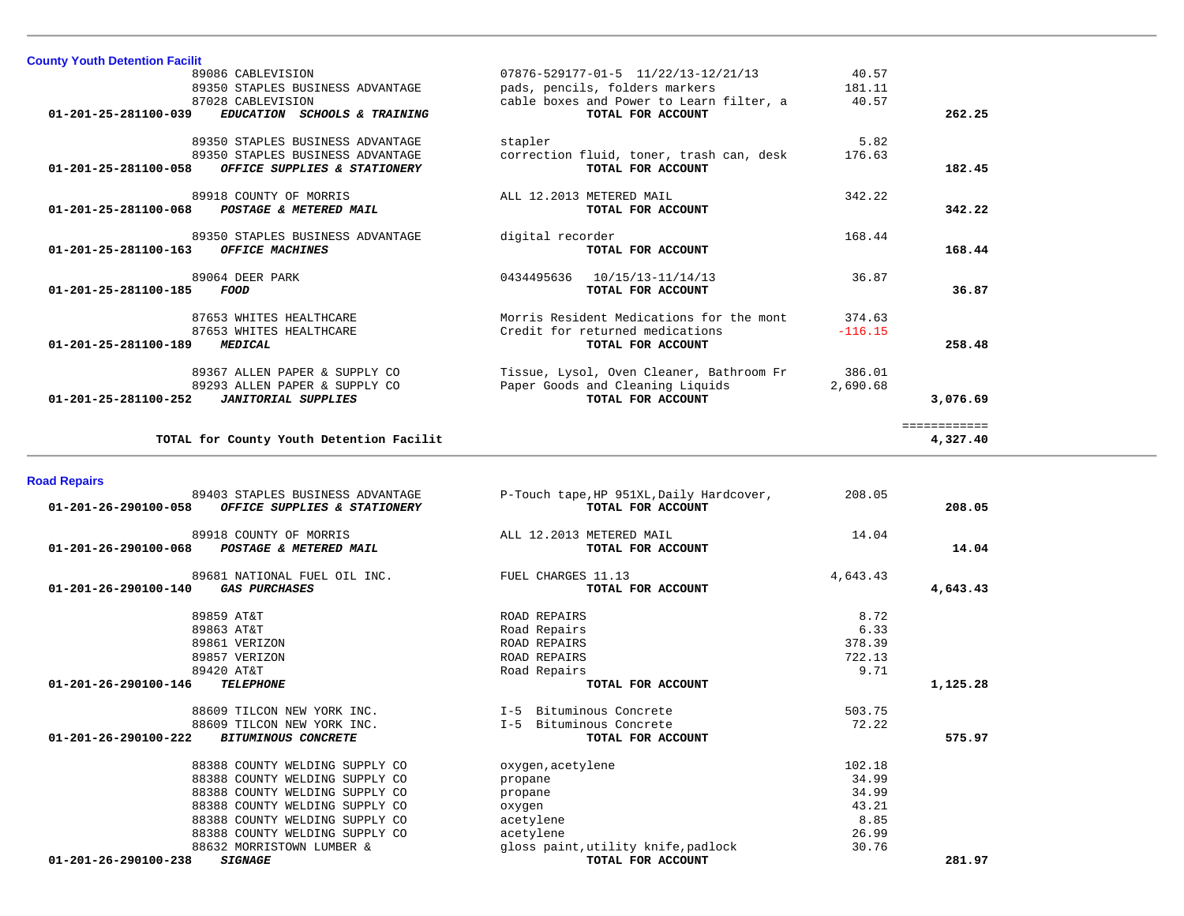| 89350 STAPLES BUSINESS ADVANTAGE<br>87028 CABLEVISION<br>01-201-25-281100-039<br>EDUCATION SCHOOLS & TRAINING                | pads, pencils, folders markers<br>cable boxes and Power to Learn filter, a<br>TOTAL FOR ACCOUNT   | 181.11<br>40.57                          | 262.25                   |
|------------------------------------------------------------------------------------------------------------------------------|---------------------------------------------------------------------------------------------------|------------------------------------------|--------------------------|
| 89350 STAPLES BUSINESS ADVANTAGE<br>89350 STAPLES BUSINESS ADVANTAGE<br>01-201-25-281100-058<br>OFFICE SUPPLIES & STATIONERY | stapler<br>correction fluid, toner, trash can, desk<br>TOTAL FOR ACCOUNT                          | 5.82<br>176.63                           | 182.45                   |
| 89918 COUNTY OF MORRIS<br>01-201-25-281100-068<br>POSTAGE & METERED MAIL                                                     | ALL 12.2013 METERED MAIL<br>TOTAL FOR ACCOUNT                                                     | 342.22                                   | 342.22                   |
| 89350 STAPLES BUSINESS ADVANTAGE<br><b>OFFICE MACHINES</b><br>01-201-25-281100-163                                           | digital recorder<br>TOTAL FOR ACCOUNT                                                             | 168.44                                   | 168.44                   |
| 89064 DEER PARK<br>01-201-25-281100-185<br>FOOD                                                                              | 0434495636<br>10/15/13-11/14/13<br>TOTAL FOR ACCOUNT                                              | 36.87                                    | 36.87                    |
| 87653 WHITES HEALTHCARE<br>87653 WHITES HEALTHCARE<br><b>MEDICAL</b><br>01-201-25-281100-189                                 | Morris Resident Medications for the mont<br>Credit for returned medications<br>TOTAL FOR ACCOUNT  | 374.63<br>$-116.15$                      | 258.48                   |
| 89367 ALLEN PAPER & SUPPLY CO<br>89293 ALLEN PAPER & SUPPLY CO<br><b>JANITORIAL SUPPLIES</b><br>01-201-25-281100-252         | Tissue, Lysol, Oven Cleaner, Bathroom Fr<br>Paper Goods and Cleaning Liquids<br>TOTAL FOR ACCOUNT | 386.01<br>2,690.68                       | 3,076.69                 |
| TOTAL for County Youth Detention Facilit                                                                                     |                                                                                                   |                                          | ============<br>4,327.40 |
| <b>Road Repairs</b>                                                                                                          |                                                                                                   |                                          |                          |
| 89403 STAPLES BUSINESS ADVANTAGE<br>OFFICE SUPPLIES & STATIONERY<br>01-201-26-290100-058                                     | P-Touch tape, HP 951XL, Daily Hardcover,<br>TOTAL FOR ACCOUNT                                     | 208.05                                   | 208.05                   |
| 89918 COUNTY OF MORRIS<br>POSTAGE & METERED MAIL<br>01-201-26-290100-068                                                     | ALL 12.2013 METERED MAIL<br>TOTAL FOR ACCOUNT                                                     | 14.04                                    | 14.04                    |
| 89681 NATIONAL FUEL OIL INC.<br><b>GAS PURCHASES</b><br>01-201-26-290100-140                                                 | FUEL CHARGES 11.13<br>TOTAL FOR ACCOUNT                                                           | 4,643.43                                 | 4,643.43                 |
| 89859 AT&T<br>89863 AT&T<br>89861 VERIZON<br>89857 VERIZON<br>89420 AT&T                                                     | ROAD REPAIRS<br>Road Repairs<br><b>ROAD REPAIRS</b><br>ROAD REPAIRS<br>Road Repairs               | 8.72<br>6.33<br>378.39<br>722.13<br>9.71 |                          |
| 01-201-26-290100-146<br><b>TELEPHONE</b>                                                                                     | TOTAL FOR ACCOUNT                                                                                 |                                          | 1,125.28                 |
| 88609 TILCON NEW YORK INC.<br>88609 TILCON NEW YORK INC.                                                                     | I-5 Bituminous Concrete                                                                           | 503.75                                   |                          |
| 01-201-26-290100-222<br><b>BITUMINOUS CONCRETE</b>                                                                           | I-5 Bituminous Concrete<br>TOTAL FOR ACCOUNT                                                      | 72.22                                    | 575.97                   |

89086 CABLEVISION 07876-529177-01-5 11/22/13-12/21/13 40.57

**County Youth Detention Facilit**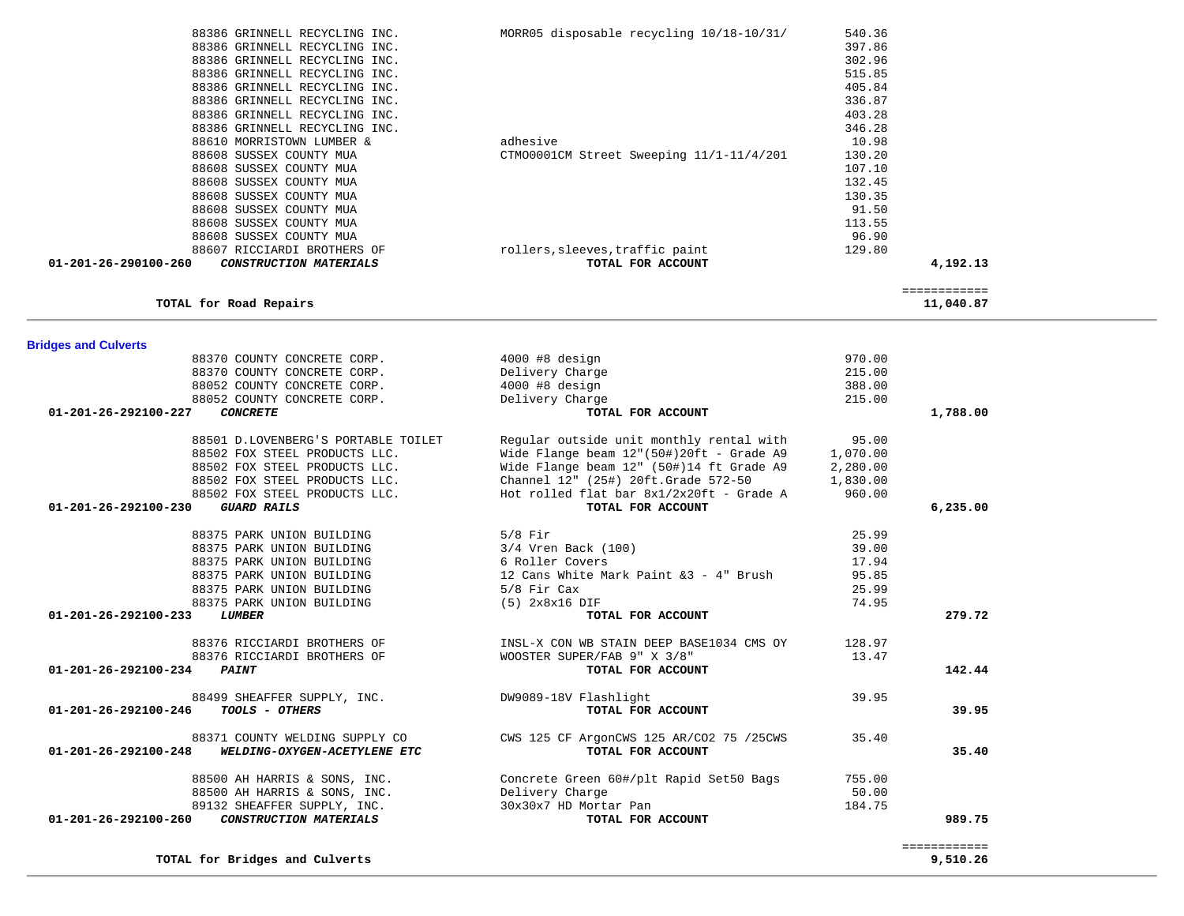| <b>Bridges and Culverts</b>                          |                                                                        |          |              |
|------------------------------------------------------|------------------------------------------------------------------------|----------|--------------|
| 88370 COUNTY CONCRETE CORP.                          | $4000$ #8 design                                                       | 970.00   |              |
| 88370 COUNTY CONCRETE CORP.                          | Delivery Charge                                                        | 215.00   |              |
| 88052 COUNTY CONCRETE CORP.                          | 4000 #8 design                                                         | 388.00   |              |
| 88052 COUNTY CONCRETE CORP.                          | Delivery Charge                                                        | 215.00   |              |
| <b>CONCRETE</b><br>01-201-26-292100-227              | TOTAL FOR ACCOUNT                                                      |          | 1,788.00     |
| 88501 D.LOVENBERG'S PORTABLE TOILET                  | Regular outside unit monthly rental with                               | 95.00    |              |
| 88502 FOX STEEL PRODUCTS LLC.                        | Wide Flange beam 12" (50#) 20ft - Grade A9                             | 1,070.00 |              |
| 88502 FOX STEEL PRODUCTS LLC.                        | Wide Flange beam 12" (50#)14 ft Grade A9                               | 2,280.00 |              |
| 88502 FOX STEEL PRODUCTS LLC.                        | Channel 12" (25#) 20ft.Grade 572-50                                    | 1,830.00 |              |
| 88502 FOX STEEL PRODUCTS LLC.                        | Hot rolled flat bar 8x1/2x20ft - Grade A                               | 960.00   |              |
| $01 - 201 - 26 - 292100 - 230$<br><b>GUARD RAILS</b> | TOTAL FOR ACCOUNT                                                      |          | 6, 235.00    |
| 88375 PARK UNION BUILDING                            | $5/8$ Fir                                                              | 25.99    |              |
| 88375 PARK UNION BUILDING                            | 3/4 Vren Back (100)                                                    | 39.00    |              |
| 88375 PARK UNION BUILDING                            | 6 Roller Covers<br>12 Cans White Mark Paint &3 - 4" Brush<br>5:0 Ti    | 17.94    |              |
| 88375 PARK UNION BUILDING                            |                                                                        | 95.85    |              |
| 88375 PARK UNION BUILDING                            | 5/8 Fir Cax                                                            | 25.99    |              |
| 88375 PARK UNION BUILDING                            | $(5)$ $2x8x16$ $DIF$                                                   | 74.95    |              |
| 01-201-26-292100-233<br>LUMBER                       | TOTAL FOR ACCOUNT                                                      |          | 279.72       |
|                                                      | 88376 RICCIARDI BROTHERS OF THE STAIN ON WE STAIN DEEP BASE1034 CMS OY | 128.97   |              |
| 88376 RICCIARDI BROTHERS OF                          | WOOSTER SUPER/FAB 9" X 3/8"                                            | 13.47    |              |
| 01-201-26-292100-234<br><b>PAINT</b>                 | TOTAL FOR ACCOUNT                                                      |          | 142.44       |
| 88499 SHEAFFER SUPPLY, INC.                          | DW9089-18V Flashlight                                                  | 39.95    |              |
| TOOLS - OTHERS<br>01-201-26-292100-246               | TOTAL FOR ACCOUNT                                                      |          | 39.95        |
| 88371 COUNTY WELDING SUPPLY CO                       | CWS 125 CF ArgonCWS 125 AR/CO2 75 /25CWS                               | 35.40    |              |
| 01-201-26-292100-248<br>WELDING-OXYGEN-ACETYLENE ETC | TOTAL FOR ACCOUNT                                                      |          | 35.40        |
| 88500 AH HARRIS & SONS, INC.                         | Concrete Green 60#/plt Rapid Set50 Bags                                | 755.00   |              |
| 88500 AH HARRIS & SONS, INC.                         | Delivery Charge                                                        | 50.00    |              |
| 89132 SHEAFFER SUPPLY, INC.                          | 30x30x7 HD Mortar Pan                                                  | 184.75   |              |
| 01-201-26-292100-260<br>CONSTRUCTION MATERIALS       | TOTAL FOR ACCOUNT                                                      |          | 989.75       |
|                                                      |                                                                        |          | ============ |
| TOTAL for Bridges and Culverts                       |                                                                        |          | 9,510.26     |

|                      | TOTAL for Road Repairs        |                                          |        | 11,040.87 |
|----------------------|-------------------------------|------------------------------------------|--------|-----------|
| 01-201-26-290100-260 | CONSTRUCTION MATERIALS        | TOTAL FOR ACCOUNT                        |        | 4,192.13  |
|                      | 88607 RICCIARDI BROTHERS OF   | rollers, sleeves, traffic paint          | 129.80 |           |
|                      | 88608 SUSSEX COUNTY MUA       |                                          | 96.90  |           |
|                      | 88608 SUSSEX COUNTY MUA       |                                          | 113.55 |           |
|                      | 88608 SUSSEX COUNTY MUA       |                                          | 91.50  |           |
|                      | 88608 SUSSEX COUNTY MUA       |                                          | 130.35 |           |
|                      | 88608 SUSSEX COUNTY MUA       |                                          | 132.45 |           |
|                      | 88608 SUSSEX COUNTY MUA       |                                          | 107.10 |           |
|                      | 88608 SUSSEX COUNTY MUA       | CTM00001CM Street Sweeping 11/1-11/4/201 | 130.20 |           |
|                      | 88610 MORRISTOWN LUMBER &     | adhesive                                 | 10.98  |           |
|                      | 88386 GRINNELL RECYCLING INC. |                                          | 346.28 |           |
|                      | 88386 GRINNELL RECYCLING INC. |                                          | 403.28 |           |
|                      |                               |                                          |        |           |

| 88386 GRINNELL RECYCLING INC. | MORR05 disposable recycling 10/18-10/31/ | 540.36 |
|-------------------------------|------------------------------------------|--------|
| 88386 GRINNELL RECYCLING INC. |                                          | 397.86 |
| 88386 GRINNELL RECYCLING INC. |                                          | 302.96 |
| 88386 GRINNELL RECYCLING INC. |                                          | 515.85 |
| 88386 GRINNELL RECYCLING INC. |                                          | 405.84 |
| 88386 GRINNELL RECYCLING INC. |                                          | 336.87 |
| 88386 GRINNELL RECYCLING INC. |                                          | 403.28 |
| 88386 GRINNELL RECYCLING INC. |                                          | 346.28 |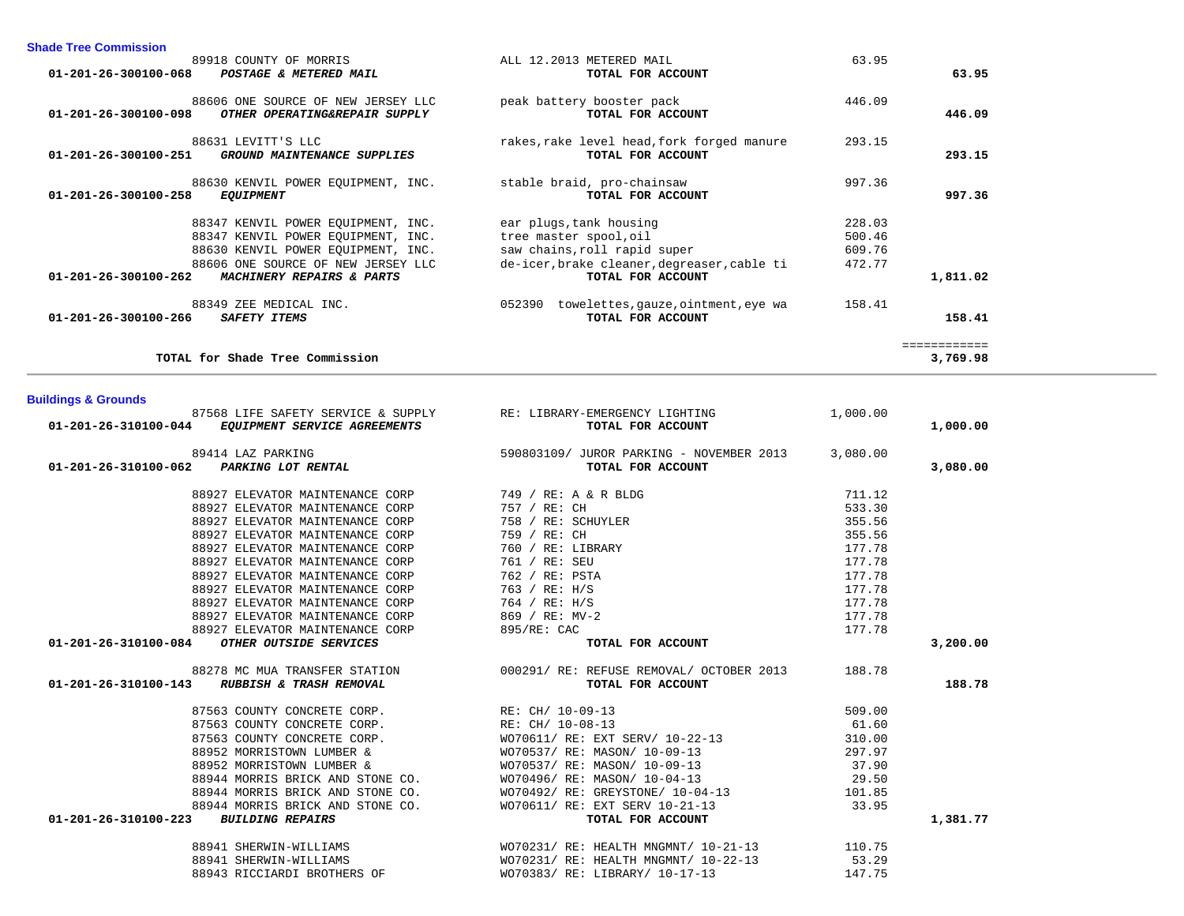| TOTAL for Shade Tree Commission                                   |                                                                               |          | 3,769.98 |
|-------------------------------------------------------------------|-------------------------------------------------------------------------------|----------|----------|
| <b>Buildings &amp; Grounds</b>                                    |                                                                               |          |          |
| 87568 LIFE SAFETY SERVICE & SUPPLY RE: LIBRARY-EMERGENCY LIGHTING |                                                                               | 1,000.00 |          |
| 01-201-26-310100-044 EQUIPMENT SERVICE AGREEMENTS                 | TOTAL FOR ACCOUNT                                                             |          | 1,000.00 |
| 89414 LAZ PARKING                                                 | 590803109/ JUROR PARKING - NOVEMBER 2013                                      | 3,080.00 |          |
| 01-201-26-310100-062 PARKING LOT RENTAL                           | TOTAL FOR ACCOUNT                                                             |          | 3,080.00 |
|                                                                   |                                                                               | 711.12   |          |
|                                                                   |                                                                               | 533.30   |          |
| 88927 ELEVATOR MAINTENANCE CORP                                   | 758 / RE: SCHUYLER                                                            | 355.56   |          |
| 88927 ELEVATOR MAINTENANCE CORP                                   | 759 / RE: CH                                                                  | 355.56   |          |
| 88927 ELEVATOR MAINTENANCE CORP                                   | 760 / RE: LIBRARY                                                             | 177.78   |          |
| 88927 ELEVATOR MAINTENANCE CORP                                   | 761 / RE: SEU                                                                 | 177.78   |          |
| 88927 ELEVATOR MAINTENANCE CORP                                   | 762 / RE: PSTA                                                                | 177.78   |          |
| 88927 ELEVATOR MAINTENANCE CORP                                   | 763 / RE: H/S                                                                 | 177.78   |          |
| 88927 ELEVATOR MAINTENANCE CORP                                   | 764 / RE: H/S                                                                 | 177.78   |          |
| 88927 ELEVATOR MAINTENANCE CORP                                   | 869 / RE: MV-2                                                                | 177.78   |          |
| 88927 ELEVATOR MAINTENANCE CORP                                   | 895/RE: CAC                                                                   | 177.78   |          |
| 01-201-26-310100-084 OTHER OUTSIDE SERVICES                       | TOTAL FOR ACCOUNT                                                             |          | 3,200.00 |
|                                                                   | 88278 MC MUA TRANSFER STATION 000291/ RE: REFUSE REMOVAL/ OCTOBER 2013 188.78 |          |          |
| 01-201-26-310100-143 RUBBISH & TRASH REMOVAL                      | TOTAL FOR ACCOUNT                                                             |          | 188.78   |
|                                                                   |                                                                               | 509.00   |          |
|                                                                   |                                                                               | 61.60    |          |
|                                                                   |                                                                               | 310.00   |          |
|                                                                   |                                                                               | 297.97   |          |
| 88952 MORRISTOWN LUMBER &                                         | WO70537/ RE: MASON/ 10-09-13                                                  | 37.90    |          |
| 88944 MORRIS BRICK AND STONE CO. WO70496/RE: MASON/10-04-13       |                                                                               | 29.50    |          |
|                                                                   | 88944 MORRIS BRICK AND STONE CO. WO70492/ RE: GREYSTONE/ 10-04-13 101.85      |          |          |
| 88944 MORRIS BRICK AND STONE CO.                                  | WO70611/ RE: EXT SERV 10-21-13                                                | 33.95    |          |
| 01-201-26-310100-223<br><b>BUILDING REPAIRS</b>                   | TOTAL FOR ACCOUNT                                                             |          | 1,381.77 |
| 88941 SHERWIN-WILLIAMS                                            | WO70231/ RE: HEALTH MNGMNT/ 10-21-13 110.75                                   |          |          |
| 88941 SHERWIN-WILLIAMS                                            | WO70231/ RE: HEALTH MNGMNT/ 10-22-13                                          | 53.29    |          |
| 88943 RICCIARDI BROTHERS OF                                       | WO70383/ RE: LIBRARY/ 10-17-13                                                | 147.75   |          |

| 89918 COUNTY OF MORRIS                                | ALL 12.2013 METERED MAIL                      | 63.95  |              |
|-------------------------------------------------------|-----------------------------------------------|--------|--------------|
| 01-201-26-300100-068<br>POSTAGE & METERED MAIL        | TOTAL FOR ACCOUNT                             |        | 63.95        |
| 88606 ONE SOURCE OF NEW JERSEY LLC                    | peak battery booster pack                     | 446.09 |              |
| 01-201-26-300100-098<br>OTHER OPERATING&REPAIR SUPPLY | TOTAL FOR ACCOUNT                             |        | 446.09       |
| 88631 LEVITT'S LLC                                    | rakes, rake level head, fork forged manure    | 293.15 |              |
| 01-201-26-300100-251<br>GROUND MAINTENANCE SUPPLIES   | TOTAL FOR ACCOUNT                             |        | 293.15       |
| 88630 KENVIL POWER EOUIPMENT, INC.                    | stable braid, pro-chainsaw                    | 997.36 |              |
| $01 - 201 - 26 - 300100 - 258$<br><b>EQUIPMENT</b>    | TOTAL FOR ACCOUNT                             |        | 997.36       |
| 88347 KENVIL POWER EQUIPMENT, INC.                    | ear plugs, tank housing                       | 228.03 |              |
| 88347 KENVIL POWER EOUIPMENT, INC.                    | tree master spool, oil                        | 500.46 |              |
| 88630 KENVIL POWER EOUIPMENT, INC.                    | saw chains, roll rapid super                  | 609.76 |              |
| 88606 ONE SOURCE OF NEW JERSEY LLC                    | de-icer, brake cleaner, degreaser, cable ti   | 472.77 |              |
| 01-201-26-300100-262<br>MACHINERY REPAIRS & PARTS     | TOTAL FOR ACCOUNT                             |        | 1,811.02     |
| 88349 ZEE MEDICAL INC.                                | 052390<br>towelettes, gauze, ointment, eye wa | 158.41 |              |
| 01-201-26-300100-266<br><b>SAFETY ITEMS</b>           | TOTAL FOR ACCOUNT                             |        | 158.41       |
|                                                       |                                               |        | ============ |
| TOTAL for Shade Tree Commission                       |                                               |        | 3,769.98     |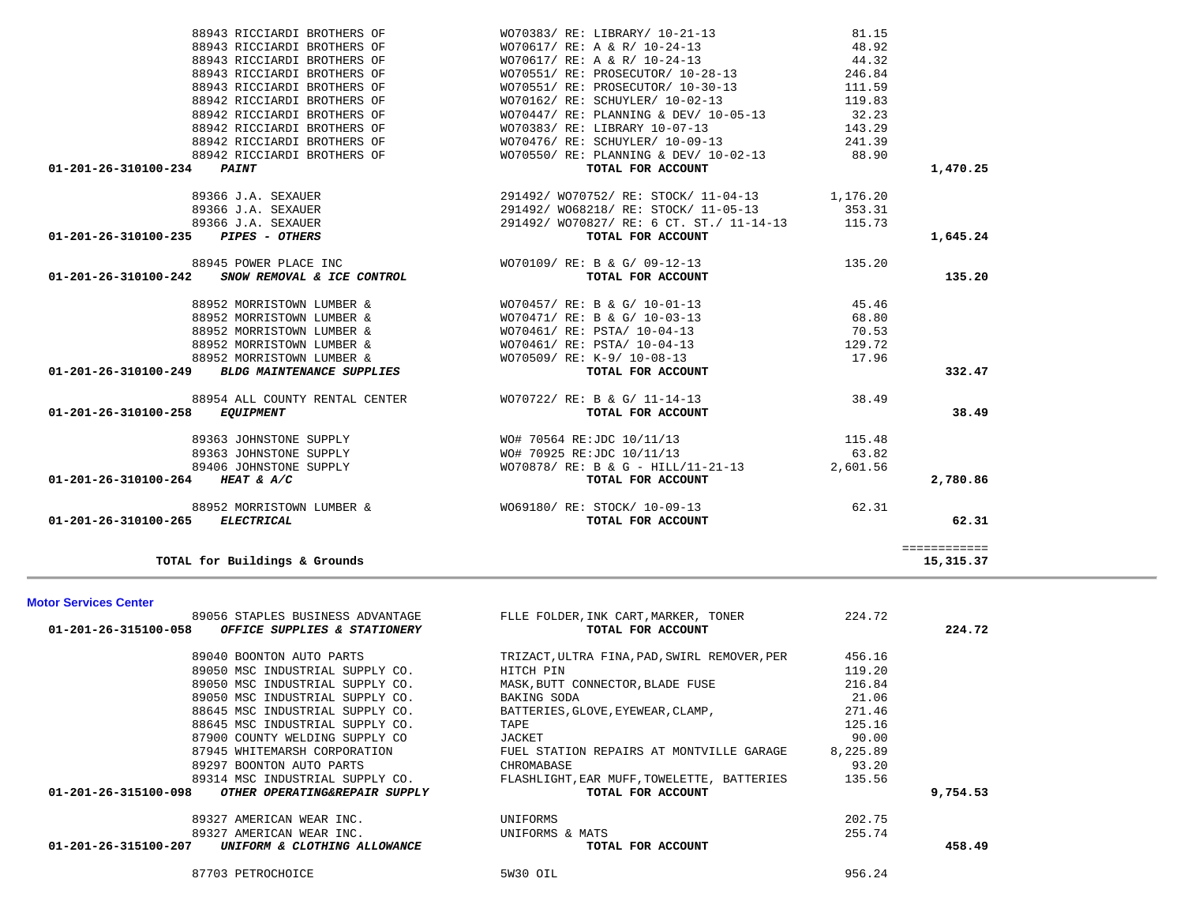| <b>Motor Services Center</b>                          |                                              |          |          |
|-------------------------------------------------------|----------------------------------------------|----------|----------|
| 89056 STAPLES BUSINESS ADVANTAGE                      | FLLE FOLDER, INK CART, MARKER, TONER         | 224.72   |          |
| 01-201-26-315100-058<br>OFFICE SUPPLIES & STATIONERY  | TOTAL FOR ACCOUNT                            |          | 224.72   |
| 89040 BOONTON AUTO PARTS                              | TRIZACT, ULTRA FINA, PAD, SWIRL REMOVER, PER | 456.16   |          |
| 89050 MSC INDUSTRIAL SUPPLY CO.                       | HITCH PIN                                    | 119.20   |          |
| 89050 MSC INDUSTRIAL SUPPLY CO.                       | MASK, BUTT CONNECTOR, BLADE FUSE             | 216.84   |          |
| 89050 MSC INDUSTRIAL SUPPLY CO.                       | BAKING SODA                                  | 21.06    |          |
| 88645 MSC INDUSTRIAL SUPPLY CO.                       | BATTERIES, GLOVE, EYEWEAR, CLAMP,            | 271.46   |          |
| 88645 MSC INDUSTRIAL SUPPLY CO.                       | TAPE                                         | 125.16   |          |
| 87900 COUNTY WELDING SUPPLY CO                        | JACKET                                       | 90.00    |          |
| 87945 WHITEMARSH CORPORATION                          | FUEL STATION REPAIRS AT MONTVILLE GARAGE     | 8,225.89 |          |
| 89297 BOONTON AUTO PARTS                              | CHROMABASE                                   | 93.20    |          |
| 89314 MSC INDUSTRIAL SUPPLY CO.                       | FLASHLIGHT, EAR MUFF, TOWELETTE, BATTERIES   | 135.56   |          |
| 01-201-26-315100-098<br>OTHER OPERATING&REPAIR SUPPLY | TOTAL FOR ACCOUNT                            |          | 9,754.53 |
| 89327 AMERICAN WEAR INC.                              | UNIFORMS                                     | 202.75   |          |
| 89327 AMERICAN WEAR INC.                              | UNIFORMS & MATS                              | 255.74   |          |
| 01-201-26-315100-207<br>UNIFORM & CLOTHING ALLOWANCE  | TOTAL FOR ACCOUNT                            |          | 458.49   |
| 87703 PETROCHOICE                                     | 5W30 OIL                                     | 956.24   |          |

|          | 32.23    | WO/U44// RE: PLANNING & DEV/ IU-U5-I3         | 88942 RICCIARDI BROTHERS OF                              |
|----------|----------|-----------------------------------------------|----------------------------------------------------------|
|          | 143.29   | WO70383/ RE: LIBRARY 10-07-13                 | 88942 RICCIARDI BROTHERS OF                              |
|          | 241.39   | WO70476/ RE: SCHUYLER/ 10-09-13               | 88942 RICCIARDI BROTHERS OF                              |
|          | 88.90    | WO70550/RE: PLANNING & DEV/ 10-02-13          | 88942 RICCIARDI BROTHERS OF                              |
| 1,470.25 |          | TOTAL FOR ACCOUNT                             | 01-201-26-310100-234<br><b>PAINT</b>                     |
|          |          | 291492/ WO70752/ RE: STOCK/ 11-04-13 1,176.20 | 89366 J.A. SEXAUER                                       |
|          | 353.31   | 291492/ WO68218/ RE: STOCK/ 11-05-13          | 89366 J.A. SEXAUER                                       |
|          | 115.73   | 291492/ WO70827/ RE: 6 CT. ST./ 11-14-13      | 89366 J.A. SEXAUER                                       |
| 1,645.24 |          | TOTAL FOR ACCOUNT                             | 01-201-26-310100-235 PIPES - OTHERS                      |
|          | 135.20   | WO70109/RE: B & G/09-12-13                    | 88945 POWER PLACE INC                                    |
| 135.20   |          | TOTAL FOR ACCOUNT                             | 01-201-26-310100-242<br>SNOW REMOVAL & ICE CONTROL       |
|          | 45.46    | WO70457/ RE: B & G/ 10-01-13                  | 88952 MORRISTOWN LUMBER &                                |
|          | 68.80    | WO70471/ RE: B & G/ 10-03-13                  | 88952 MORRISTOWN LUMBER &                                |
|          | 70.53    | WO70461/ RE: PSTA/ 10-04-13                   | 88952 MORRISTOWN LUMBER &                                |
|          | 129.72   | WO70461/ RE: PSTA/ 10-04-13                   | 88952 MORRISTOWN LUMBER &                                |
|          | 17.96    | WO70509/ RE: K-9/ 10-08-13                    | 88952 MORRISTOWN LUMBER &                                |
| 332.47   |          | TOTAL FOR ACCOUNT                             | 01-201-26-310100-249<br><b>BLDG MAINTENANCE SUPPLIES</b> |
|          | 38.49    | WO70722/ RE: B & G/ 11-14-13                  | 88954 ALL COUNTY RENTAL CENTER                           |
| 38.49    |          | TOTAL FOR ACCOUNT                             | 01-201-26-310100-258 EQUIPMENT                           |
|          | 115.48   | WO# 70564 RE:JDC 10/11/13                     | 89363 JOHNSTONE SUPPLY                                   |
|          | 63.82    | WO# 70925 RE:JDC 10/11/13                     | 89363 JOHNSTONE SUPPLY                                   |
|          | 2,601.56 | WO70878/ RE: B & G - HILL/11-21-13            | 89406 JOHNSTONE SUPPLY                                   |
| 2,780.86 |          | TOTAL FOR ACCOUNT                             | 01-201-26-310100-264 HEAT & A/C                          |
|          | 62.31    | W069180/ RE: STOCK/ 10-09-13                  | 88952 MORRISTOWN LUMBER &                                |
| 62.31    |          | TOTAL FOR ACCOUNT                             | 01-201-26-310100-265<br>ELECTRICAL                       |

| 88943 RICCIARDI BROTHERS OF                        | WO70383/ RE: LIBRARY/ 10-21-13                  | 81.15                         |              |
|----------------------------------------------------|-------------------------------------------------|-------------------------------|--------------|
| 88943 RICCIARDI BROTHERS OF                        | WO70617/ RE: A & R/ 10-24-13                    | 48.92                         |              |
| 88943 RICCIARDI BROTHERS OF                        | WO70617/ RE: A & R/ 10-24-13                    | 44.32                         |              |
| 88943 RICCIARDI BROTHERS OF                        | WO70551/RE: PROSECUTOR/10-28-13                 | 246.84                        |              |
| 88943 RICCIARDI BROTHERS OF                        | WO70551/RE: PROSECUTOR/10-30-13                 | 111.59                        |              |
| 88942 RICCIARDI BROTHERS OF                        | WO70162/ RE: SCHUYLER/ 10-02-13                 | 119.83                        |              |
| 88942 RICCIARDI BROTHERS OF                        | WO70447/ RE: PLANNING & DEV/ 10-05-13 32.23     |                               |              |
| 88942 RICCIARDI BROTHERS OF                        | WO70383/ RE: LIBRARY 10-07-13                   | 143.29                        |              |
| 88942 RICCIARDI BROTHERS OF                        | WO70476/ RE: SCHUYLER/ 10-09-13                 | 241.39                        |              |
| 88942 RICCIARDI BROTHERS OF                        | $WO70550/ RE: PLANNING & DEV/ 10-02-13$         | 88.90                         |              |
| 01-201-26-310100-234 PAINT                         | TOTAL FOR ACCOUNT                               |                               | 1,4          |
| 89366 J.A. SEXAUER                                 | 291492/ WO70752/ RE: STOCK/ 11-04-13            | 1,176.20                      |              |
| 89366 J.A. SEXAUER                                 | 291492/ WO68218/ RE: STOCK/ 11-05-13 353.31     |                               |              |
| 89366 J.A. SEXAUER                                 | 291492/ WO70827/ RE: 6 CT. ST./ 11-14-13 115.73 |                               |              |
| 01-201-26-310100-235 PIPES - OTHERS                | TOTAL FOR ACCOUNT                               |                               | 1,6          |
| 88945 POWER PLACE INC                              | WO70109/ RE: B & G/ 09-12-13                    | 135.20                        |              |
| 01-201-26-310100-242<br>SNOW REMOVAL & ICE CONTROL | TOTAL FOR ACCOUNT                               |                               | $\mathbf{1}$ |
| 88952 MORRISTOWN LUMBER &                          | WO70457/ RE: B & G/ 10-01-13                    | 45.46                         |              |
| 88952 MORRISTOWN LUMBER &                          | WO70471/ RE: B & G/ 10-03-13                    | 68.80                         |              |
| $0.0050$ Morriconous times $\epsilon$              | $10.701611$ $10.7003$ $10.0112$                 | $\overline{a}$ $\overline{a}$ |              |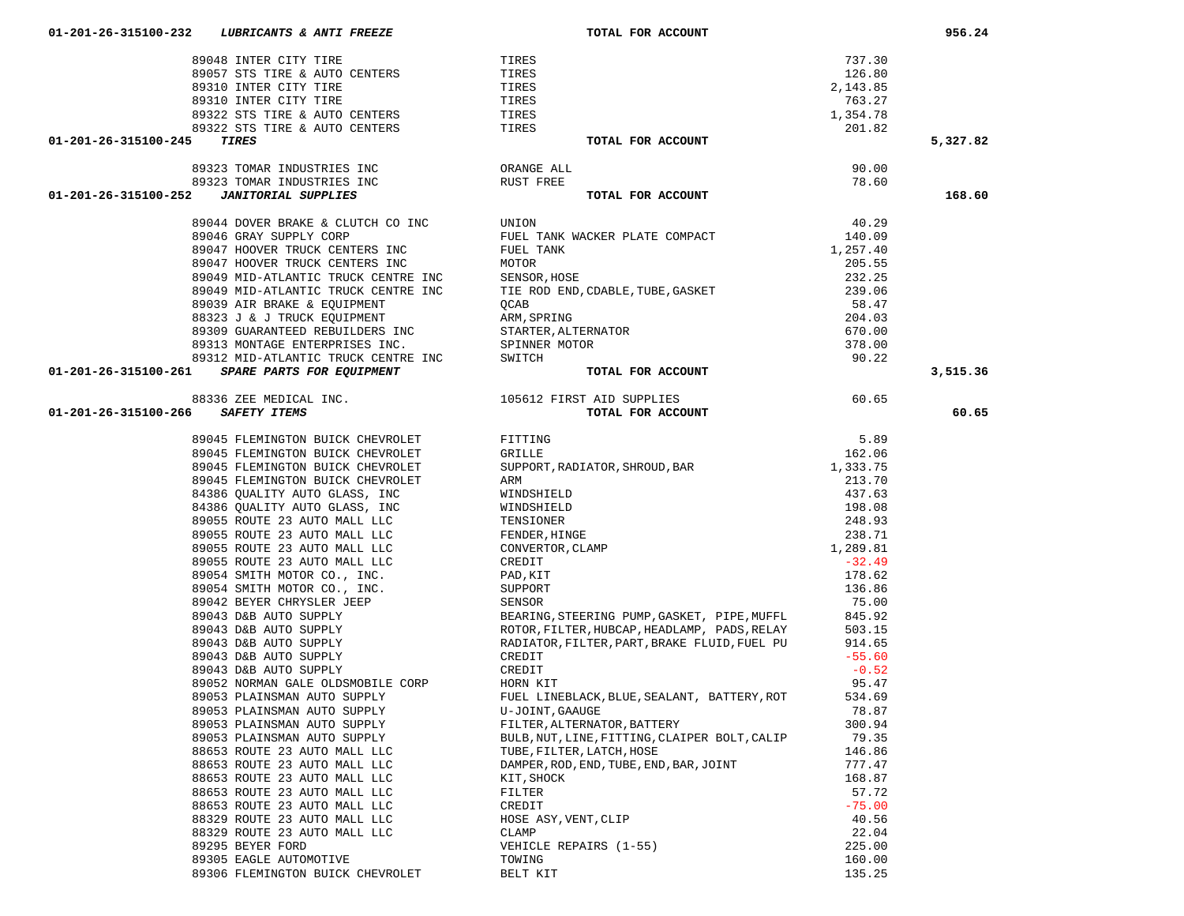|   | 88336 ZEE MEDICAL INC.           | T020TS F.I |
|---|----------------------------------|------------|
| 5 | <i>SAFETY ITEMS</i>              |            |
|   | 89045 FLEMINGTON BUICK CHEVROLET | FITTING    |
|   | 89045 FLEMINGTON BUICK CHEVROLET | GRILLE     |
|   |                                  |            |
|   |                                  |            |
|   |                                  |            |
|   |                                  |            |
|   |                                  |            |
|   |                                  |            |
|   |                                  |            |
|   |                                  |            |
|   |                                  |            |
|   |                                  |            |
|   |                                  |            |
|   |                                  |            |
|   |                                  |            |
|   |                                  |            |
|   |                                  |            |
|   |                                  |            |
|   |                                  |            |
|   |                                  |            |
|   |                                  |            |
|   |                                  |            |
|   |                                  |            |
|   |                                  |            |
|   |                                  |            |
|   |                                  |            |
|   |                                  |            |
|   |                                  |            |
|   |                                  |            |
|   |                                  |            |
|   | 89295 BEYER FORD                 | VEHICLE F  |
|   | 89305 EAGLE AUTOMOTIVE           | TOWING     |
|   | 89306 FLEMINGTON BUICK CHEVROLET | BELT KIT   |

| 89044 DOVER BRAKE & CLUTCH CO INC     | Uľ |
|---------------------------------------|----|
| 89046 GRAY SUPPLY CORP                | FU |
| 89047 HOOVER TRUCK CENTERS INC        | FU |
| 89047 HOOVER TRUCK CENTERS INC        | M  |
| 89049 MID-ATLANTIC TRUCK CENTRE INC   | SI |
| 89049 MID-ATLANTIC TRUCK CENTRE INC   | TI |
| 89039 AIR BRAKE & EQUIPMENT           | O  |
| 88323 J & J TRUCK EQUIPMENT           | AF |
| 89309 GUARANTEED REBUILDERS INC       | S. |
| 89313 MONTAGE ENTERPRISES INC.        | SI |
| 89312 MID-ATLANTIC TRUCK CENTRE INC   | SV |
| $0.0 - 261$ CDADF DADTC FOD FOUTDMENT |    |

|  | 89323 TOMAR INDUSTRIES INC |  |
|--|----------------------------|--|
|  | 89323 TOMAR INDUSTRIES INC |  |

## 89057 STS TIRE & AUTO CENTERS TIL 89310 INTER CITY TIRE TI 89310 INTER CITY TIRE TI 89322 STS TIRE & AUTO CENTERS TI<br>89322 STS TIRE & AUTO CENTERS TI 89322 STS TIRE & AUTO CENTERS TI

|                      | 89057 STS TIRE & AUTO CENTERS                                                                                                                        | TIRES                                                                                                                                                                                            | 126.80   |          |
|----------------------|------------------------------------------------------------------------------------------------------------------------------------------------------|--------------------------------------------------------------------------------------------------------------------------------------------------------------------------------------------------|----------|----------|
|                      |                                                                                                                                                      |                                                                                                                                                                                                  | 2,143.85 |          |
|                      |                                                                                                                                                      |                                                                                                                                                                                                  | 763.27   |          |
|                      |                                                                                                                                                      |                                                                                                                                                                                                  | 1,354.78 |          |
|                      |                                                                                                                                                      |                                                                                                                                                                                                  | 201.82   |          |
| 01-201-26-315100-245 |                                                                                                                                                      | TOTAL FOR ACCOUNT                                                                                                                                                                                |          | 5,327.82 |
|                      | 89310 INTER CITY TIRE<br>89310 INTER CITY TIRE<br>89322 STS TIRE & AUTO CENTERS<br>89322 STS TIRE & AUTO CENTERS<br>TIRES<br>TIRES<br>TIRES<br>TIRES |                                                                                                                                                                                                  |          |          |
|                      | 89323 TOMAR INDUSTRIES INC<br>89323 TOMAR INDUSTRIES INC<br>NUST FREE                                                                                |                                                                                                                                                                                                  | 90.00    |          |
|                      |                                                                                                                                                      |                                                                                                                                                                                                  | 78.60    |          |
| 01-201-26-315100-252 | 89323 IOTEN INDUSTRIES INC<br>89323 TOMAR INDUSTRIES INC<br>2 TANTTORIAL SUPPLIES                                                                    | TOTAL FOR ACCOUNT                                                                                                                                                                                |          | 168.60   |
|                      |                                                                                                                                                      |                                                                                                                                                                                                  |          |          |
|                      |                                                                                                                                                      |                                                                                                                                                                                                  | 40.29    |          |
|                      |                                                                                                                                                      |                                                                                                                                                                                                  | 140.09   |          |
|                      |                                                                                                                                                      |                                                                                                                                                                                                  | 1,257.40 |          |
|                      |                                                                                                                                                      |                                                                                                                                                                                                  | 205.55   |          |
|                      |                                                                                                                                                      |                                                                                                                                                                                                  | 232.25   |          |
|                      |                                                                                                                                                      |                                                                                                                                                                                                  | 239.06   |          |
|                      |                                                                                                                                                      |                                                                                                                                                                                                  | 58.47    |          |
|                      |                                                                                                                                                      |                                                                                                                                                                                                  | 204.03   |          |
|                      |                                                                                                                                                      |                                                                                                                                                                                                  | 670.00   |          |
|                      |                                                                                                                                                      |                                                                                                                                                                                                  | 378.00   |          |
|                      |                                                                                                                                                      |                                                                                                                                                                                                  | 90.22    |          |
|                      | 01-201-26-315100-261 SPARE PARTS FOR EQUIPMENT                                                                                                       |                                                                                                                                                                                                  |          | 3,515.36 |
|                      |                                                                                                                                                      |                                                                                                                                                                                                  |          |          |
|                      | 88336 ZEE MEDICAL INC.                                                                                                                               | 105612 FIRST AID SUPPLIES 60.65<br><b>TOTAL FOR ACCOUNT</b>                                                                                                                                      |          |          |
|                      | 01-201-26-315100-266 SAFETY ITEMS                                                                                                                    |                                                                                                                                                                                                  |          | 60.65    |
|                      |                                                                                                                                                      |                                                                                                                                                                                                  |          |          |
|                      | 89045 FLEMINGTON BUICK CHEVROLET FITTING                                                                                                             |                                                                                                                                                                                                  | 5.89     |          |
|                      | 89045 FLEMINGTON BUICK CHEVROLET                                                                                                                     | GRILLE                                                                                                                                                                                           | 162.06   |          |
|                      | 89045 FLEMINGTON BUICK CHEVROLET                                                                                                                     | 162.06<br>SUPPORT, RADIATOR, SHROUD, BAR 1, 333.75                                                                                                                                               |          |          |
|                      | 89045 FLEMINGTON BUICK CHEVROLET                                                                                                                     | ARM<br>WINDSHIELD<br>WINDSHIELD<br>WINDSHIELD<br>437.63<br>WINDSHIELD<br>437.63<br>198.08<br>TENSIONER<br>248.93<br>FENDER, HINGE<br>238.71<br>CONVERTOR, CLAMP<br>CREDIT<br>1, 289.81<br>CREDIT |          |          |
|                      | 84386 QUALITY AUTO GLASS, INC                                                                                                                        |                                                                                                                                                                                                  |          |          |
|                      |                                                                                                                                                      |                                                                                                                                                                                                  |          |          |
|                      |                                                                                                                                                      |                                                                                                                                                                                                  |          |          |
|                      |                                                                                                                                                      |                                                                                                                                                                                                  |          |          |
|                      |                                                                                                                                                      |                                                                                                                                                                                                  |          |          |
|                      |                                                                                                                                                      |                                                                                                                                                                                                  |          |          |
|                      |                                                                                                                                                      |                                                                                                                                                                                                  | 178.62   |          |
|                      |                                                                                                                                                      |                                                                                                                                                                                                  | 136.86   |          |
|                      |                                                                                                                                                      |                                                                                                                                                                                                  | 75.00    |          |
|                      |                                                                                                                                                      |                                                                                                                                                                                                  | 845.92   |          |
|                      |                                                                                                                                                      |                                                                                                                                                                                                  | 503.15   |          |
|                      |                                                                                                                                                      |                                                                                                                                                                                                  | 914.65   |          |
|                      |                                                                                                                                                      |                                                                                                                                                                                                  | $-55.60$ |          |
|                      |                                                                                                                                                      |                                                                                                                                                                                                  | $-0.52$  |          |
|                      |                                                                                                                                                      |                                                                                                                                                                                                  | 95.47    |          |
|                      |                                                                                                                                                      |                                                                                                                                                                                                  | 534.69   |          |
|                      |                                                                                                                                                      | 89052 NORMAN GALE OLDSMOBILE CORP<br>89053 PLAINSMAN AUTO SUPPLY FUEL LINEBLACK, BLUE, SEALANT, BATTERY, ROT<br>89053 PLAINSMAN AUTO SUPPLY U-JOINT, GAAUGE                                      | 78.87    |          |
|                      |                                                                                                                                                      | FILTER, ALTERNATOR, BATTERY                                                                                                                                                                      |          |          |
|                      | 89053 PLAINSMAN AUTO SUPPLY                                                                                                                          |                                                                                                                                                                                                  | 300.94   |          |
|                      | 89053 PLAINSMAN AUTO SUPPLY                                                                                                                          | BULB, NUT, LINE, FITTING, CLAIPER BOLT, CALIP                                                                                                                                                    | 79.35    |          |
|                      | 88653 ROUTE 23 AUTO MALL LLC                                                                                                                         | TUBE, FILTER, LATCH, HOSE                                                                                                                                                                        | 146.86   |          |
|                      | 88653 ROUTE 23 AUTO MALL LLC                                                                                                                         | DAMPER, ROD, END, TUBE, END, BAR, JOINT                                                                                                                                                          | 777.47   |          |
|                      | 88653 ROUTE 23 AUTO MALL LLC                                                                                                                         | KIT, SHOCK                                                                                                                                                                                       | 168.87   |          |
|                      | 88653 ROUTE 23 AUTO MALL LLC                                                                                                                         | FILTER                                                                                                                                                                                           | 57.72    |          |
|                      | 88653 ROUTE 23 AUTO MALL LLC                                                                                                                         | CREDIT                                                                                                                                                                                           | $-75.00$ |          |
|                      | 88329 ROUTE 23 AUTO MALL LLC                                                                                                                         | HOSE ASY, VENT, CLIP                                                                                                                                                                             | 40.56    |          |
|                      | 88329 ROUTE 23 AUTO MALL LLC                                                                                                                         | CLAMP                                                                                                                                                                                            | 22.04    |          |
|                      | 89295 BEYER FORD                                                                                                                                     | VEHICLE REPAIRS (1-55)                                                                                                                                                                           | 225.00   |          |
|                      | 89305 EAGLE AUTOMOTIVE                                                                                                                               | TOWING                                                                                                                                                                                           | 160.00   |          |

135.25

89048 INTER CITY TIRE TIRES TIRES THE TIRES TO A STATE THE TIRES TO A STATE THE TIRES TO A STATE THE TIME OF THE TIME OF THE STATE OF THE TIME OF THE STATE OF THE STATE OF THE STATE OF THE STATE OF THE STATE OF THE STATE O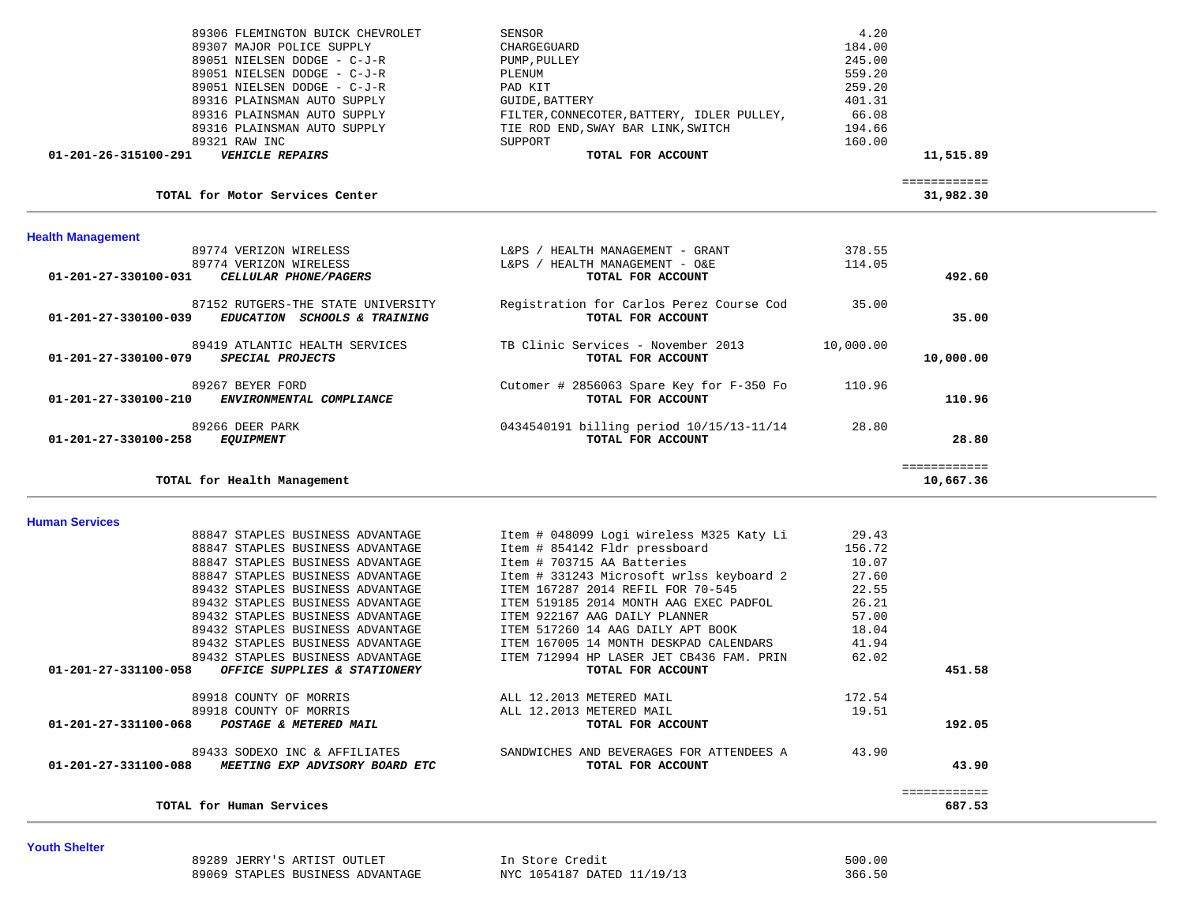| <b>Health Management</b>                       |                                            |              |
|------------------------------------------------|--------------------------------------------|--------------|
| TOTAL for Motor Services Center                |                                            | 31,982.30    |
|                                                |                                            | ============ |
| 01-201-26-315100-291<br><b>VEHICLE REPAIRS</b> | TOTAL FOR ACCOUNT                          | 11,515.89    |
| 89321 RAW INC                                  | SUPPORT                                    | 160.00       |
| 89316 PLAINSMAN AUTO SUPPLY                    | TIE ROD END, SWAY BAR LINK, SWITCH         | 194.66       |
| 89316 PLAINSMAN AUTO SUPPLY                    | FILTER, CONNECOTER, BATTERY, IDLER PULLEY, | 66.08        |
| 89316 PLAINSMAN AUTO SUPPLY                    | GUIDE, BATTERY                             | 401.31       |
| 89051 NIELSEN DODGE - C-J-R                    | PAD KIT                                    | 259.20       |
| 89051 NIELSEN DODGE - C-J-R                    | PLENUM                                     | 559.20       |
| 89051 NIELSEN DODGE - C-J-R                    | PUMP, PULLEY                               | 245.00       |
| 89307 MAJOR POLICE SUPPLY                      | CHARGEGUARD                                | 184.00       |
| 89306 FLEMINGTON BUICK CHEVROLET               | SENSOR                                     | 4.20         |

| 89774 VERIZON WIRELESS                                                                                                    | HEALTH MANAGEMENT - GRANT<br>L&PS                             | 378.55    |           |
|---------------------------------------------------------------------------------------------------------------------------|---------------------------------------------------------------|-----------|-----------|
| 89774 VERIZON WIRELESS                                                                                                    | HEALTH MANAGEMENT - O&E<br>L&PS                               | 114.05    |           |
| $01 - 201 - 27 - 330100 - 031$<br>CELLULAR PHONE/PAGERS                                                                   | TOTAL FOR ACCOUNT                                             |           | 492.60    |
| 87152 RUTGERS-THE STATE UNIVERSITY<br>$01 - 201 - 27 - 330100 - 039$<br><i>EDUCATION</i><br><i>SCHOOLS &amp; TRAINING</i> | Registration for Carlos Perez Course Cod<br>TOTAL FOR ACCOUNT | 35.00     | 35.00     |
| 89419 ATLANTIC HEALTH SERVICES<br>$01 - 201 - 27 - 330100 - 079$<br>SPECIAL PROJECTS                                      | TB Clinic Services - November 2013<br>TOTAL FOR ACCOUNT       | 10,000.00 | 10,000.00 |
| 89267 BEYER FORD<br>$01 - 201 - 27 - 330100 - 210$<br>ENVIRONMENTAL COMPLIANCE                                            | Cutomer # 2856063 Spare Key for F-350 Fo<br>TOTAL FOR ACCOUNT | 110.96    | 110.96    |
| 89266 DEER PARK<br>$01 - 201 - 27 - 330100 - 258$<br><b>EOUIPMENT</b>                                                     | 0434540191 billing period 10/15/13-11/14<br>TOTAL FOR ACCOUNT | 28.80     | 28.80     |
|                                                                                                                           |                                                               |           |           |
| TOTAL for Health Management                                                                                               |                                                               |           | 10,667.36 |

**Human Services** 

| TOTAL for Human Services                                                                |                                                               |        | ============<br>687.53 |
|-----------------------------------------------------------------------------------------|---------------------------------------------------------------|--------|------------------------|
| 89433 SODEXO INC & AFFILIATES<br>01-201-27-331100-088<br>MEETING EXP ADVISORY BOARD ETC | SANDWICHES AND BEVERAGES FOR ATTENDEES A<br>TOTAL FOR ACCOUNT | 43.90  | 43.90                  |
| 01-201-27-331100-068<br>POSTAGE & METERED MAIL                                          | TOTAL FOR ACCOUNT                                             |        | 192.05                 |
| 89918 COUNTY OF MORRIS                                                                  | ALL 12.2013 METERED MAIL                                      | 19.51  |                        |
| 89918 COUNTY OF MORRIS                                                                  | ALL 12.2013 METERED MAIL                                      | 172.54 |                        |
| 01-201-27-331100-058<br>OFFICE SUPPLIES & STATIONERY                                    | TOTAL FOR ACCOUNT                                             |        | 451.58                 |
| 89432 STAPLES BUSINESS ADVANTAGE                                                        | ITEM 712994 HP LASER JET CB436 FAM. PRIN                      | 62.02  |                        |
| 89432 STAPLES BUSINESS ADVANTAGE                                                        | ITEM 167005 14 MONTH DESKPAD CALENDARS                        | 41.94  |                        |
| 89432 STAPLES BUSINESS ADVANTAGE                                                        | ITEM 517260 14 AAG DAILY APT BOOK                             | 18.04  |                        |
| 89432 STAPLES BUSINESS ADVANTAGE                                                        | ITEM 922167 AAG DAILY PLANNER                                 | 57.00  |                        |
| 89432 STAPLES BUSINESS ADVANTAGE                                                        | ITEM 519185 2014 MONTH AAG EXEC PADFOL                        | 26.21  |                        |
| 89432 STAPLES BUSINESS ADVANTAGE                                                        | ITEM 167287 2014 REFIL FOR 70-545                             | 22.55  |                        |
| 88847 STAPLES BUSINESS ADVANTAGE                                                        | Item # 331243 Microsoft wrlss keyboard 2                      | 27.60  |                        |
| 88847 STAPLES BUSINESS ADVANTAGE                                                        | Item # 703715 AA Batteries                                    | 10.07  |                        |
| 88847 STAPLES BUSINESS ADVANTAGE                                                        | Item # 854142 Fldr pressboard                                 | 156.72 |                        |
| 88847 STAPLES BUSINESS ADVANTAGE                                                        | Item # 048099 Logi wireless M325 Katy Li                      | 29.43  |                        |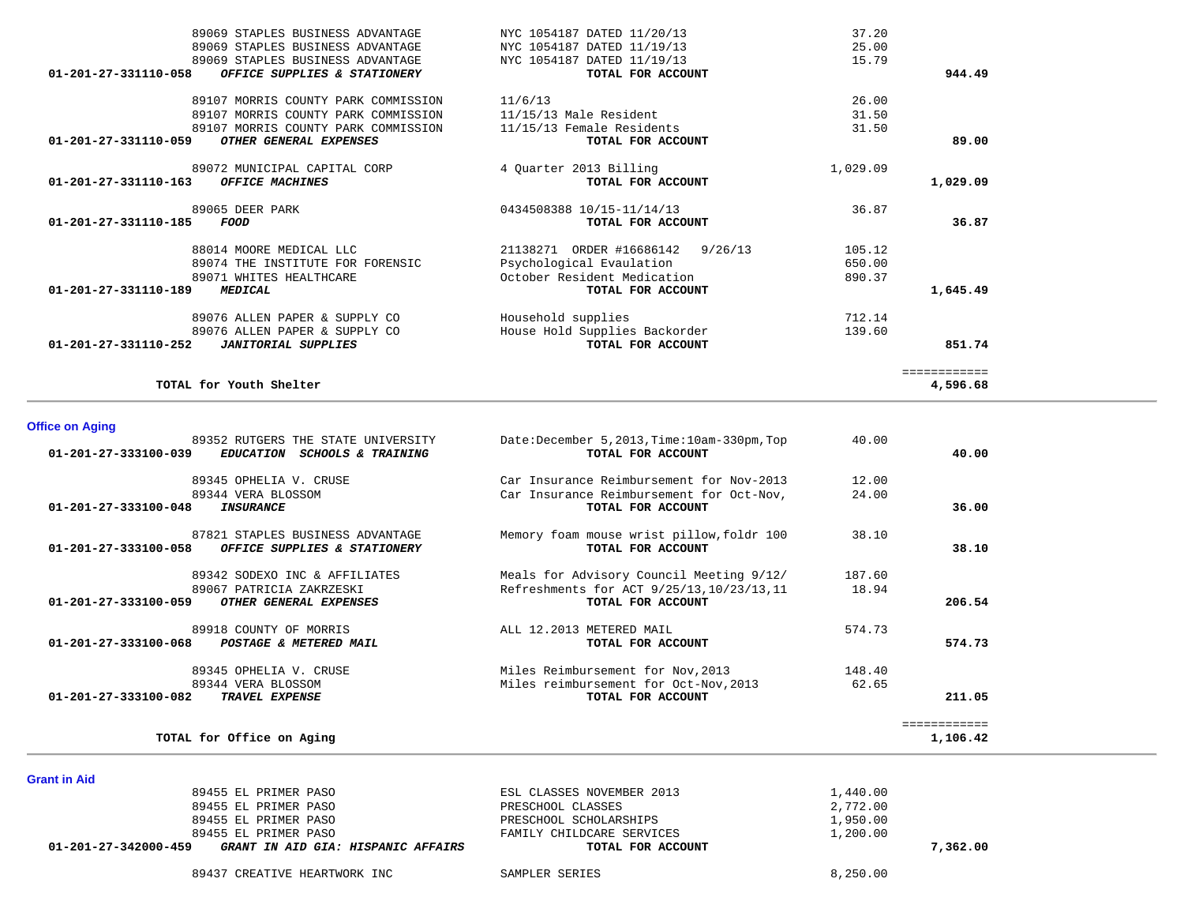| 89069 STAPLES BUSINESS ADVANTAGE                     | NYC 1054187 DATED 11/20/13       | 37.20    |              |
|------------------------------------------------------|----------------------------------|----------|--------------|
| 89069 STAPLES BUSINESS ADVANTAGE                     | NYC 1054187 DATED 11/19/13       | 25.00    |              |
| 89069 STAPLES BUSINESS ADVANTAGE                     | NYC 1054187 DATED 11/19/13       | 15.79    |              |
| 01-201-27-331110-058<br>OFFICE SUPPLIES & STATIONERY | TOTAL FOR ACCOUNT                |          | 944.49       |
| 89107 MORRIS COUNTY PARK COMMISSION                  | 11/6/13                          | 26.00    |              |
| 89107 MORRIS COUNTY PARK COMMISSION                  | 11/15/13 Male Resident           | 31.50    |              |
| 89107 MORRIS COUNTY PARK COMMISSION                  | 11/15/13 Female Residents        | 31.50    |              |
| 01-201-27-331110-059<br>OTHER GENERAL EXPENSES       | TOTAL FOR ACCOUNT                |          | 89.00        |
| 89072 MUNICIPAL CAPITAL CORP                         | 4 Ouarter 2013 Billing           | 1,029.09 |              |
| 01-201-27-331110-163<br>OFFICE MACHINES              | TOTAL FOR ACCOUNT                |          | 1,029.09     |
| 89065 DEER PARK                                      | 0434508388 10/15-11/14/13        | 36.87    |              |
| $01 - 201 - 27 - 331110 - 185$<br><b>FOOD</b>        | TOTAL FOR ACCOUNT                |          | 36.87        |
| 88014 MOORE MEDICAL LLC                              | 21138271 ORDER #16686142 9/26/13 | 105.12   |              |
| 89074 THE INSTITUTE FOR FORENSIC                     | Psychological Evaulation         | 650.00   |              |
| 89071 WHITES HEALTHCARE                              | October Resident Medication      | 890.37   |              |
| 01-201-27-331110-189<br><b>MEDICAL</b>               | TOTAL FOR ACCOUNT                |          | 1,645.49     |
| 89076 ALLEN PAPER & SUPPLY CO                        | Household supplies               | 712.14   |              |
| 89076 ALLEN PAPER & SUPPLY CO                        | House Hold Supplies Backorder    | 139.60   |              |
| 01-201-27-331110-252<br><b>JANITORIAL SUPPLIES</b>   | TOTAL FOR ACCOUNT                |          | 851.74       |
|                                                      |                                  |          | ============ |
| TOTAL for Youth Shelter                              |                                  |          | 4,596.68     |

# **Office on Aging**

**Grant in Aid** 

| 89352 RUTGERS THE STATE UNIVERSITY<br>01-201-27-333100-039<br><i>EDUCATION</i><br><i>SCHOOLS &amp; TRAINING</i> | Date:December 5, 2013, Time: 10am-330pm, Top<br>TOTAL FOR ACCOUNT | 40.00  | 40.00    |
|-----------------------------------------------------------------------------------------------------------------|-------------------------------------------------------------------|--------|----------|
| 89345 OPHELIA V. CRUSE                                                                                          | Car Insurance Reimbursement for Nov-2013                          | 12.00  |          |
| 89344 VERA BLOSSOM<br>$01 - 201 - 27 - 333100 - 048$<br><i><b>INSURANCE</b></i>                                 | Car Insurance Reimbursement for Oct-Nov,<br>TOTAL FOR ACCOUNT     | 24.00  | 36.00    |
| 87821 STAPLES BUSINESS ADVANTAGE<br>01-201-27-333100-058<br>OFFICE SUPPLIES & STATIONERY                        | Memory foam mouse wrist pillow, foldr 100<br>TOTAL FOR ACCOUNT    | 38.10  | 38.10    |
| 89342 SODEXO INC & AFFILIATES                                                                                   | Meals for Advisory Council Meeting 9/12/                          | 187.60 |          |
| 89067 PATRICIA ZAKRZESKI<br>01-201-27-333100-059<br>OTHER GENERAL EXPENSES                                      | Refreshments for ACT 9/25/13, 10/23/13, 11<br>TOTAL FOR ACCOUNT   | 18.94  | 206.54   |
| 89918 COUNTY OF MORRIS<br>$01 - 201 - 27 - 333100 - 068$<br>POSTAGE & METERED MAIL                              | ALL 12.2013 METERED MAIL<br>TOTAL FOR ACCOUNT                     | 574.73 | 574.73   |
| 89345 OPHELIA V. CRUSE                                                                                          | Miles Reimbursement for Nov, 2013                                 | 148.40 |          |
| 89344 VERA BLOSSOM<br>01-201-27-333100-082<br><b>TRAVEL EXPENSE</b>                                             | Miles reimbursement for Oct-Nov, 2013<br>TOTAL FOR ACCOUNT        | 62.65  | 211.05   |
|                                                                                                                 |                                                                   |        |          |
| TOTAL for Office on Aging                                                                                       |                                                                   |        | 1,106.42 |

| 89455 EL PRIMER PASO                                       | ESL CLASSES NOVEMBER 2013 | 1,440.00 |
|------------------------------------------------------------|---------------------------|----------|
| 89455 EL PRIMER PASO                                       | PRESCHOOL CLASSES         | 2,772.00 |
| 89455 EL PRIMER PASO                                       | PRESCHOOL SCHOLARSHIPS    | 1,950.00 |
| 89455 EL PRIMER PASO                                       | FAMILY CHILDCARE SERVICES | 1,200.00 |
| 01-201-27-342000-459<br>GRANT IN AID GIA: HISPANIC AFFAIRS | TOTAL FOR ACCOUNT         | 7,362,00 |
| 89437 CREATIVE HEARTWORK INC                               | SAMPLER SERIES            | 8,250.00 |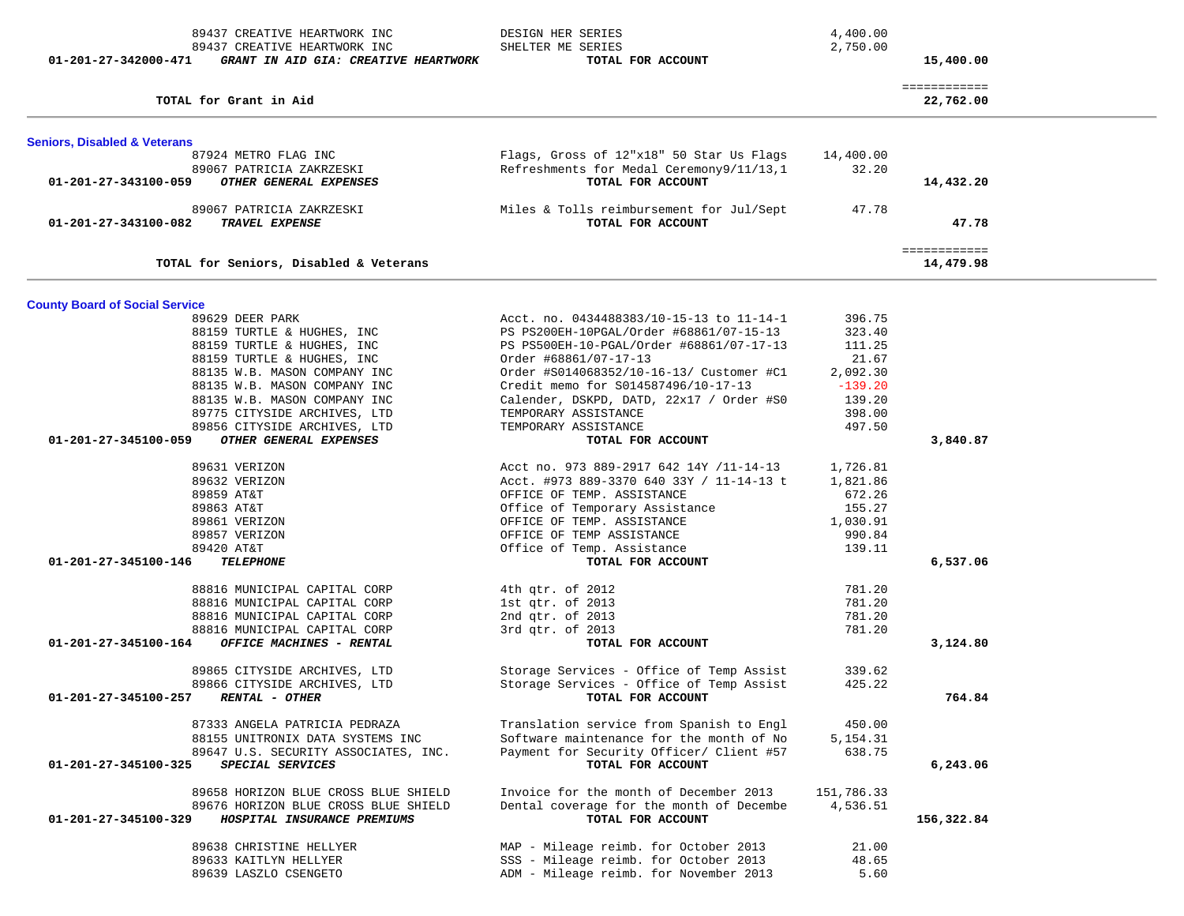| 89437 CREATIVE HEARTWORK INC<br>89437 CREATIVE HEARTWORK INC<br>01-201-27-342000-471<br>GRANT IN AID GIA: CREATIVE HEARTWORK | DESIGN HER SERIES<br>SHELTER ME SERIES<br>TOTAL FOR ACCOUNT                         | 4,400.00<br>2,750.00 | 15,400.00                 |  |
|------------------------------------------------------------------------------------------------------------------------------|-------------------------------------------------------------------------------------|----------------------|---------------------------|--|
| TOTAL for Grant in Aid                                                                                                       |                                                                                     |                      | ============<br>22,762.00 |  |
| <b>Seniors, Disabled &amp; Veterans</b>                                                                                      |                                                                                     |                      |                           |  |
| 87924 METRO FLAG INC                                                                                                         | Flags, Gross of 12"x18" 50 Star Us Flags                                            | 14,400.00            |                           |  |
| 89067 PATRICIA ZAKRZESKI                                                                                                     | Refreshments for Medal Ceremony9/11/13,1                                            | 32.20                |                           |  |
| OTHER GENERAL EXPENSES<br>01-201-27-343100-059                                                                               | TOTAL FOR ACCOUNT                                                                   |                      | 14,432.20                 |  |
| 89067 PATRICIA ZAKRZESKI                                                                                                     | Miles & Tolls reimbursement for Jul/Sept                                            | 47.78                |                           |  |
| 01-201-27-343100-082<br>TRAVEL EXPENSE                                                                                       | TOTAL FOR ACCOUNT                                                                   |                      | 47.78                     |  |
| TOTAL for Seniors, Disabled & Veterans                                                                                       |                                                                                     |                      | ============<br>14,479.98 |  |
|                                                                                                                              |                                                                                     |                      |                           |  |
| <b>County Board of Social Service</b>                                                                                        |                                                                                     |                      |                           |  |
| 89629 DEER PARK                                                                                                              | Acct. no. 0434488383/10-15-13 to 11-14-1                                            | 396.75               |                           |  |
| 88159 TURTLE & HUGHES, INC<br>88159 TURTLE & HUGHES, INC                                                                     | PS PS200EH-10PGAL/Order #68861/07-15-13<br>PS PS500EH-10-PGAL/Order #68861/07-17-13 | 323.40<br>111.25     |                           |  |
| 88159 TURTLE & HUGHES, INC                                                                                                   | Order #68861/07-17-13                                                               | 21.67                |                           |  |
| 88135 W.B. MASON COMPANY INC                                                                                                 | Order #S014068352/10-16-13/ Customer #C1                                            | 2,092.30             |                           |  |
| 88135 W.B. MASON COMPANY INC                                                                                                 | Credit memo for S014587496/10-17-13                                                 | $-139.20$            |                           |  |
| 88135 W.B. MASON COMPANY INC                                                                                                 | Calender, DSKPD, DATD, 22x17 / Order #S0                                            | 139.20               |                           |  |
| 89775 CITYSIDE ARCHIVES, LTD                                                                                                 | TEMPORARY ASSISTANCE                                                                | 398.00               |                           |  |
| 89856 CITYSIDE ARCHIVES, LTD                                                                                                 | TEMPORARY ASSISTANCE                                                                | 497.50               |                           |  |
| OTHER GENERAL EXPENSES<br>01-201-27-345100-059                                                                               | TOTAL FOR ACCOUNT                                                                   |                      | 3,840.87                  |  |
| 89631 VERIZON                                                                                                                | Acct no. 973 889-2917 642 14Y /11-14-13                                             | 1,726.81             |                           |  |
| 89632 VERIZON                                                                                                                | Acct. #973 889-3370 640 33Y / 11-14-13 t                                            | 1,821.86             |                           |  |
| 89859 AT&T                                                                                                                   | OFFICE OF TEMP. ASSISTANCE                                                          | 672.26               |                           |  |
| 89863 AT&T                                                                                                                   | Office of Temporary Assistance                                                      | 155.27               |                           |  |
| 89861 VERIZON                                                                                                                | OFFICE OF TEMP. ASSISTANCE                                                          | 1,030.91             |                           |  |
| 89857 VERIZON                                                                                                                | OFFICE OF TEMP ASSISTANCE                                                           | 990.84               |                           |  |
| 89420 AT&T                                                                                                                   | Office of Temp. Assistance                                                          | 139.11               |                           |  |
| 01-201-27-345100-146<br><b>TELEPHONE</b>                                                                                     | TOTAL FOR ACCOUNT                                                                   |                      | 6,537.06                  |  |
| 88816 MUNICIPAL CAPITAL CORP                                                                                                 | 4th qtr. of 2012                                                                    | 781.20               |                           |  |
| 88816 MUNICIPAL CAPITAL CORP                                                                                                 | 1st qtr. of 2013                                                                    | 781.20               |                           |  |
| 88816 MUNICIPAL CAPITAL CORP                                                                                                 | 2nd qtr. of 2013                                                                    | 781.20               |                           |  |
| 88816 MUNICIPAL CAPITAL CORP                                                                                                 | 3rd qtr. of 2013                                                                    | 781.20               |                           |  |
| OFFICE MACHINES - RENTAL<br>01-201-27-345100-164                                                                             | TOTAL FOR ACCOUNT                                                                   |                      | 3,124.80                  |  |
| 89865 CITYSIDE ARCHIVES, LTD                                                                                                 | Storage Services - Office of Temp Assist                                            | 339.62               |                           |  |
| 89866 CITYSIDE ARCHIVES, LTD                                                                                                 | Storage Services - Office of Temp Assist                                            | 425.22               |                           |  |
| 01-201-27-345100-257<br><b>RENTAL - OTHER</b>                                                                                | TOTAL FOR ACCOUNT                                                                   |                      | 764.84                    |  |
| 87333 ANGELA PATRICIA PEDRAZA                                                                                                | Translation service from Spanish to Engl                                            | 450.00               |                           |  |
| 88155 UNITRONIX DATA SYSTEMS INC                                                                                             | Software maintenance for the month of No                                            | 5, 154. 31           |                           |  |
| 89647 U.S. SECURITY ASSOCIATES, INC.                                                                                         | Payment for Security Officer/ Client #57                                            | 638.75               |                           |  |
| 01-201-27-345100-325<br>SPECIAL SERVICES                                                                                     | TOTAL FOR ACCOUNT                                                                   |                      | 6,243.06                  |  |
| 89658 HORIZON BLUE CROSS BLUE SHIELD                                                                                         | Invoice for the month of December 2013                                              | 151,786.33           |                           |  |
| 89676 HORIZON BLUE CROSS BLUE SHIELD                                                                                         | Dental coverage for the month of Decembe                                            | 4,536.51             |                           |  |
| HOSPITAL INSURANCE PREMIUMS<br>01-201-27-345100-329                                                                          | TOTAL FOR ACCOUNT                                                                   |                      | 156,322.84                |  |
| 89638 CHRISTINE HELLYER                                                                                                      | MAP - Mileage reimb. for October 2013                                               | 21.00                |                           |  |
| 89633 KAITLYN HELLYER                                                                                                        | SSS - Mileage reimb. for October 2013                                               | 48.65                |                           |  |
| 89639 LASZLO CSENGETO                                                                                                        | ADM - Mileage reimb. for November 2013                                              | 5.60                 |                           |  |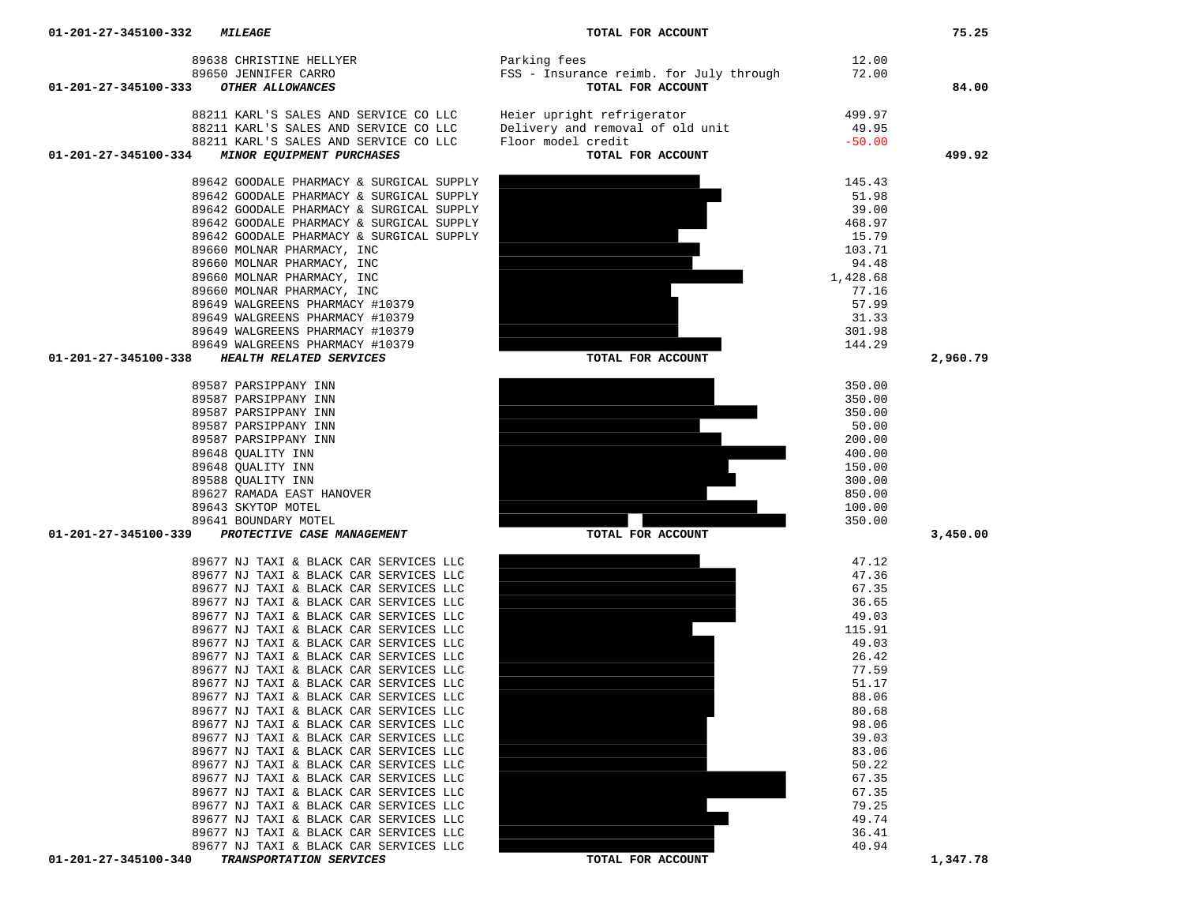| 89650 JENNIFER CARRO<br>01-201-27-345100-333<br>OTHER ALLOWANCES | FSS - Insurance reimb. for July through<br>TOTAL FOR ACCOUNT | 72.00            | 84.00    |
|------------------------------------------------------------------|--------------------------------------------------------------|------------------|----------|
|                                                                  |                                                              |                  |          |
| 88211 KARL'S SALES AND SERVICE CO LLC                            | Heier upright refrigerator                                   | 499.97           |          |
| 88211 KARL'S SALES AND SERVICE CO LLC                            | Delivery and removal of old unit                             | 49.95            |          |
| 88211 KARL'S SALES AND SERVICE CO LLC                            | Floor model credit                                           | $-50.00$         |          |
| MINOR EQUIPMENT PURCHASES<br>01-201-27-345100-334                | TOTAL FOR ACCOUNT                                            |                  | 499.92   |
| 89642 GOODALE PHARMACY & SURGICAL SUPPLY                         |                                                              | 145.43           |          |
| 89642 GOODALE PHARMACY & SURGICAL SUPPLY                         |                                                              | 51.98            |          |
| 89642 GOODALE PHARMACY & SURGICAL SUPPLY                         |                                                              | 39.00            |          |
| 89642 GOODALE PHARMACY & SURGICAL SUPPLY                         |                                                              | 468.97           |          |
| 89642 GOODALE PHARMACY & SURGICAL SUPPLY                         |                                                              | 15.79            |          |
| 89660 MOLNAR PHARMACY, INC                                       |                                                              | 103.71           |          |
| 89660 MOLNAR PHARMACY, INC                                       |                                                              | 94.48            |          |
| 89660 MOLNAR PHARMACY, INC                                       |                                                              | 1,428.68         |          |
| 89660 MOLNAR PHARMACY, INC                                       |                                                              | 77.16            |          |
| 89649 WALGREENS PHARMACY #10379                                  |                                                              | 57.99            |          |
| 89649 WALGREENS PHARMACY #10379                                  |                                                              | 31.33            |          |
| 89649 WALGREENS PHARMACY #10379                                  |                                                              | 301.98           |          |
| 89649 WALGREENS PHARMACY #10379                                  |                                                              | 144.29           |          |
| HEALTH RELATED SERVICES<br>01-201-27-345100-338                  | TOTAL FOR ACCOUNT                                            |                  | 2,960.79 |
|                                                                  |                                                              |                  |          |
| 89587 PARSIPPANY INN<br>89587 PARSIPPANY INN                     |                                                              | 350.00           |          |
| 89587 PARSIPPANY INN                                             |                                                              | 350.00<br>350.00 |          |
| 89587 PARSIPPANY INN                                             |                                                              | 50.00            |          |
| 89587 PARSIPPANY INN                                             |                                                              | 200.00           |          |
| 89648 QUALITY INN                                                |                                                              | 400.00           |          |
| 89648 QUALITY INN                                                |                                                              | 150.00           |          |
| 89588 QUALITY INN                                                |                                                              | 300.00           |          |
| 89627 RAMADA EAST HANOVER                                        |                                                              | 850.00           |          |
| 89643 SKYTOP MOTEL                                               |                                                              | 100.00           |          |
| 89641 BOUNDARY MOTEL                                             |                                                              | 350.00           |          |
| PROTECTIVE CASE MANAGEMENT<br>01-201-27-345100-339               | TOTAL FOR ACCOUNT                                            |                  | 3,450.00 |
| 89677 NJ TAXI & BLACK CAR SERVICES LLC                           |                                                              | 47.12            |          |
| 89677 NJ TAXI & BLACK CAR SERVICES LLC                           |                                                              | 47.36            |          |
| 89677 NJ TAXI & BLACK CAR SERVICES LLC                           |                                                              | 67.35            |          |
| 89677 NJ TAXI & BLACK CAR SERVICES LLC                           |                                                              | 36.65            |          |
| 89677 NJ TAXI & BLACK CAR SERVICES LLC                           |                                                              | 49.03            |          |
| 89677 NJ TAXI & BLACK CAR SERVICES LLC                           |                                                              | 115.91           |          |
| 89677 NJ TAXI & BLACK CAR SERVICES LLC                           |                                                              | 49.03            |          |
| 89677 NJ TAXI & BLACK CAR SERVICES LLC                           |                                                              | 26.42            |          |
| 89677 NJ TAXI & BLACK CAR SERVICES LLC                           |                                                              | 77.59            |          |
| 89677 NJ TAXI & BLACK CAR SERVICES LLC                           |                                                              | 51.17            |          |
| 89677 NJ TAXI & BLACK CAR SERVICES LLC                           |                                                              | 88.06            |          |
| 89677 NJ TAXI & BLACK CAR SERVICES LLC                           |                                                              | 80.68            |          |
| 89677 NJ TAXI & BLACK CAR SERVICES LLC                           |                                                              | 98.06            |          |
| 89677 NJ TAXI & BLACK CAR SERVICES LLC                           |                                                              | 39.03            |          |
| 89677 NJ TAXI & BLACK CAR SERVICES LLC                           |                                                              | 83.06            |          |
| 89677 NJ TAXI & BLACK CAR SERVICES LLC                           |                                                              | 50.22            |          |
| 89677 NJ TAXI & BLACK CAR SERVICES LLC                           |                                                              | 67.35            |          |
| 89677 NJ TAXI & BLACK CAR SERVICES LLC                           |                                                              | 67.35            |          |
| 89677 NJ TAXI & BLACK CAR SERVICES LLC                           |                                                              | 79.25            |          |
| 89677 NJ TAXI & BLACK CAR SERVICES LLC                           |                                                              | 49.74            |          |
| 89677 NJ TAXI & BLACK CAR SERVICES LLC                           |                                                              | 36.41            |          |
| 89677 NJ TAXI & BLACK CAR SERVICES LLC                           |                                                              | 40.94            |          |
| 01-201-27-345100-340<br>TRANSPORTATION SERVICES                  | TOTAL FOR ACCOUNT                                            |                  | 1,347.78 |

89638 CHRISTINE HELLYER Parking fees 12.00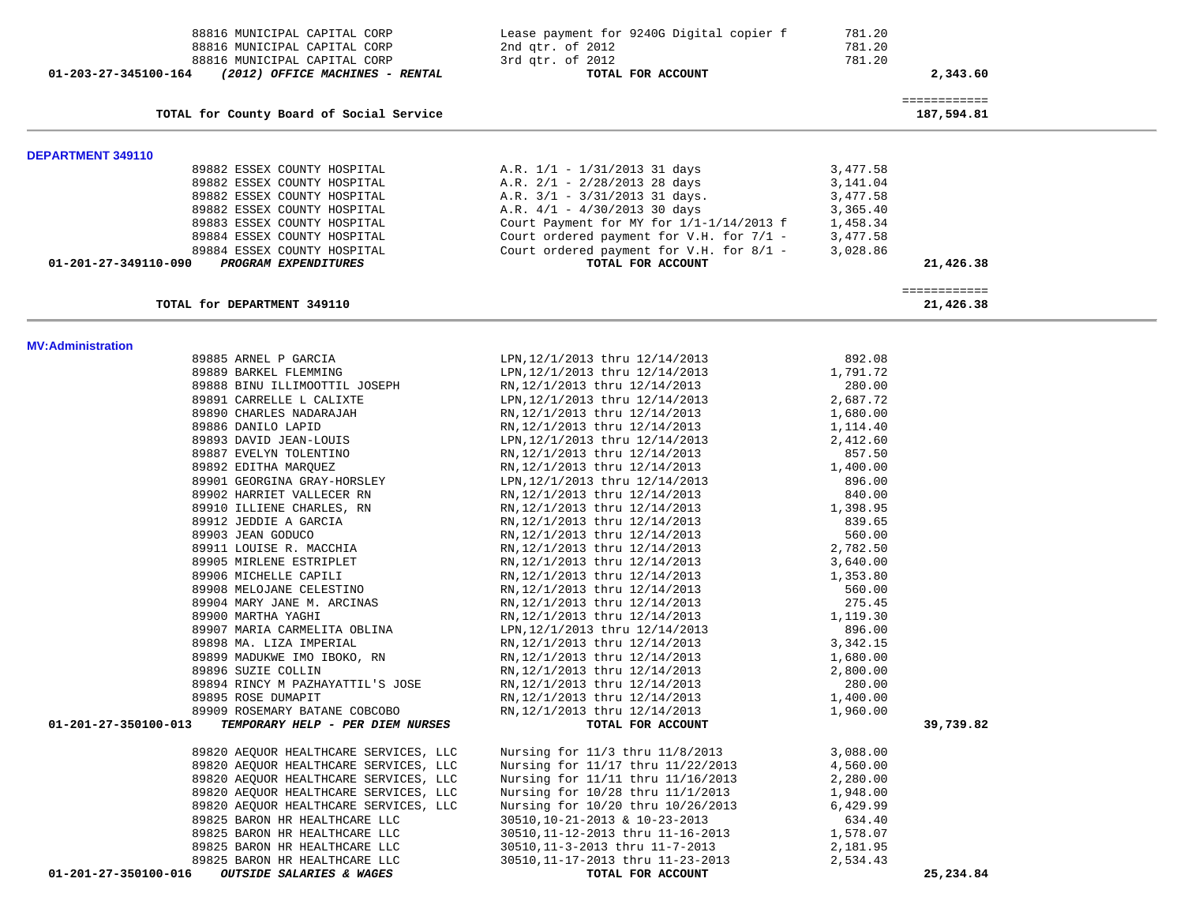| 88816 MUNICIPAL CAPITAL CORP<br>88816 MUNICIPAL CAPITAL CORP<br>88816 MUNICIPAL CAPITAL CORP<br>01-203-27-345100-164<br>(2012) OFFICE MACHINES - RENTAL | Lease payment for 9240G Digital copier f<br>2nd qtr. of 2012<br>3rd qtr. of 2012<br>TOTAL FOR ACCOUNT | 781.20<br>781.20<br>781.20 | 2,343.60                   |
|---------------------------------------------------------------------------------------------------------------------------------------------------------|-------------------------------------------------------------------------------------------------------|----------------------------|----------------------------|
| TOTAL for County Board of Social Service                                                                                                                |                                                                                                       |                            | ============<br>187,594.81 |
| DEPARTMENT 349110                                                                                                                                       |                                                                                                       |                            |                            |
| 89882 ESSEX COUNTY HOSPITAL                                                                                                                             | A.R. $1/1 - 1/31/2013$ 31 days                                                                        | 3,477.58                   |                            |
| 89882 ESSEX COUNTY HOSPITAL                                                                                                                             | A.R. $2/1 - 2/28/2013$ 28 days                                                                        | 3,141.04                   |                            |
| 89882 ESSEX COUNTY HOSPITAL                                                                                                                             | A.R. $3/1 - 3/31/2013$ 31 days.                                                                       | 3,477.58                   |                            |
| 89882 ESSEX COUNTY HOSPITAL                                                                                                                             | A.R. $4/1 - 4/30/2013$ 30 days                                                                        | 3,365.40                   |                            |
| 89883 ESSEX COUNTY HOSPITAL                                                                                                                             | Court Payment for MY for $1/1-1/14/2013$ f                                                            | 1,458.34                   |                            |
| 89884 ESSEX COUNTY HOSPITAL                                                                                                                             | Court ordered payment for V.H. for 7/1 -                                                              | 3,477.58                   |                            |
| 89884 ESSEX COUNTY HOSPITAL                                                                                                                             | Court ordered payment for V.H. for 8/1 -                                                              | 3,028.86                   |                            |
| 01-201-27-349110-090<br>PROGRAM EXPENDITURES                                                                                                            | TOTAL FOR ACCOUNT                                                                                     |                            | 21,426.38                  |
| TOTAL for DEPARTMENT 349110                                                                                                                             |                                                                                                       |                            | ============<br>21,426.38  |
| <b>MV:Administration</b>                                                                                                                                |                                                                                                       |                            |                            |
| 89885 ARNEL P GARCIA                                                                                                                                    | LPN, 12/1/2013 thru 12/14/2013                                                                        | 892.08                     |                            |
| 89889 BARKEL FLEMMING                                                                                                                                   | LPN, 12/1/2013 thru 12/14/2013                                                                        | 1,791.72                   |                            |
| 89888 BINU ILLIMOOTTIL JOSEPH                                                                                                                           | RN, 12/1/2013 thru 12/14/2013                                                                         | 280.00                     |                            |
| 89891 CARRELLE L CALIXTE                                                                                                                                | LPN, 12/1/2013 thru 12/14/2013                                                                        | 2,687.72                   |                            |
| 89890 CHARLES NADARAJAH                                                                                                                                 | RN, 12/1/2013 thru 12/14/2013                                                                         | 1,680.00                   |                            |
| 89886 DANILO LAPID                                                                                                                                      | RN, 12/1/2013 thru 12/14/2013                                                                         | 1,114.40                   |                            |
| 89893 DAVID JEAN-LOUIS<br>89887 EVELYN TOLENTINO                                                                                                        | LPN, 12/1/2013 thru 12/14/2013<br>RN, 12/1/2013 thru 12/14/2013                                       | 2,412.60<br>857.50         |                            |
| 89892 EDITHA MARQUEZ                                                                                                                                    | RN, 12/1/2013 thru 12/14/2013                                                                         | 1,400.00                   |                            |
| 89901 GEORGINA GRAY-HORSLEY                                                                                                                             | LPN, 12/1/2013 thru 12/14/2013                                                                        | 896.00                     |                            |
| 89902 HARRIET VALLECER RN                                                                                                                               | RN, 12/1/2013 thru 12/14/2013                                                                         | 840.00                     |                            |
| 89910 ILLIENE CHARLES, RN                                                                                                                               | RN, 12/1/2013 thru 12/14/2013                                                                         | 1,398.95                   |                            |
| 89912 JEDDIE A GARCIA                                                                                                                                   | RN, 12/1/2013 thru 12/14/2013                                                                         | 839.65                     |                            |
| 89903 JEAN GODUCO                                                                                                                                       | RN, 12/1/2013 thru 12/14/2013                                                                         | 560.00                     |                            |
| 89911 LOUISE R. MACCHIA                                                                                                                                 | RN, 12/1/2013 thru 12/14/2013                                                                         | 2,782.50                   |                            |
| 89905 MIRLENE ESTRIPLET                                                                                                                                 | RN, 12/1/2013 thru 12/14/2013                                                                         | 3,640.00                   |                            |
| 89906 MICHELLE CAPILI<br>89908 MELOJANE CELESTINO                                                                                                       | RN, 12/1/2013 thru 12/14/2013<br>RN, 12/1/2013 thru 12/14/2013                                        | 1,353.80<br>560.00         |                            |
| 89904 MARY JANE M. ARCINAS                                                                                                                              | RN, 12/1/2013 thru 12/14/2013                                                                         | 275.45                     |                            |
| 89900 MARTHA YAGHI                                                                                                                                      | RN, 12/1/2013 thru 12/14/2013                                                                         | 1,119.30                   |                            |
| 89907 MARIA CARMELITA OBLINA                                                                                                                            | LPN, 12/1/2013 thru 12/14/2013                                                                        | 896.00                     |                            |
| 89898 MA. LIZA IMPERIAL                                                                                                                                 | RN, 12/1/2013 thru 12/14/2013                                                                         | 3,342.15                   |                            |
| 89899 MADUKWE IMO IBOKO, RN                                                                                                                             | RN, 12/1/2013 thru 12/14/2013                                                                         | 1,680.00                   |                            |
| 89896 SUZIE COLLIN                                                                                                                                      | RN, 12/1/2013 thru 12/14/2013                                                                         | 2,800.00                   |                            |
| 89894 RINCY M PAZHAYATTIL'S JOSE                                                                                                                        | RN, 12/1/2013 thru 12/14/2013                                                                         | 280.00                     |                            |
| 89895 ROSE DUMAPIT                                                                                                                                      | RN, 12/1/2013 thru 12/14/2013                                                                         | 1,400.00                   |                            |
| 89909 ROSEMARY BATANE COBCOBO<br>TEMPORARY HELP - PER DIEM NURSES<br>01-201-27-350100-013                                                               | RN, 12/1/2013 thru 12/14/2013<br>TOTAL FOR ACCOUNT                                                    | 1,960.00                   | 39,739.82                  |
|                                                                                                                                                         |                                                                                                       |                            |                            |
| 89820 AEQUOR HEALTHCARE SERVICES, LLC                                                                                                                   | Nursing for 11/3 thru 11/8/2013                                                                       | 3,088.00                   |                            |
| 89820 AEQUOR HEALTHCARE SERVICES, LLC<br>89820 AEQUOR HEALTHCARE SERVICES, LLC                                                                          | Nursing for 11/17 thru 11/22/2013                                                                     | 4,560.00                   |                            |
| 89820 AEQUOR HEALTHCARE SERVICES, LLC                                                                                                                   | Nursing for 11/11 thru 11/16/2013<br>Nursing for 10/28 thru 11/1/2013                                 | 2,280.00<br>1,948.00       |                            |
| 89820 AEQUOR HEALTHCARE SERVICES, LLC                                                                                                                   | Nursing for 10/20 thru 10/26/2013                                                                     | 6,429.99                   |                            |
| 89825 BARON HR HEALTHCARE LLC                                                                                                                           | 30510, 10-21-2013 & 10-23-2013                                                                        | 634.40                     |                            |
| 89825 BARON HR HEALTHCARE LLC                                                                                                                           | 30510, 11-12-2013 thru 11-16-2013                                                                     | 1,578.07                   |                            |
| 89825 BARON HR HEALTHCARE LLC                                                                                                                           | 30510, 11-3-2013 thru 11-7-2013                                                                       | 2,181.95                   |                            |
| 89825 BARON HR HEALTHCARE LLC                                                                                                                           | 30510, 11-17-2013 thru 11-23-2013                                                                     | 2,534.43                   |                            |
| 01-201-27-350100-016<br>OUTSIDE SALARIES & WAGES                                                                                                        | TOTAL FOR ACCOUNT                                                                                     |                            | 25,234.84                  |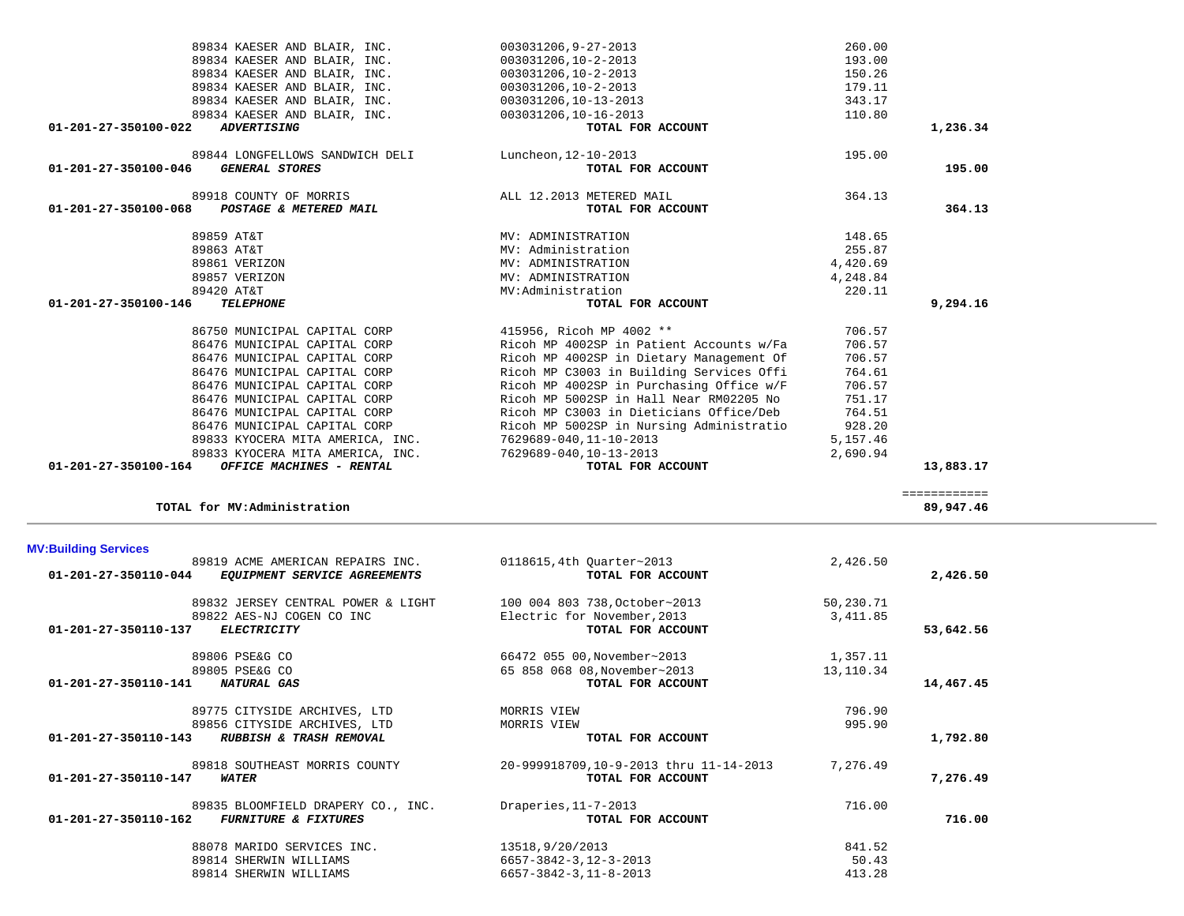| <b>MV:Building Services</b> |                                    |                                        |           |           |
|-----------------------------|------------------------------------|----------------------------------------|-----------|-----------|
|                             | 89819 ACME AMERICAN REPAIRS INC.   | 0118615, 4th Quarter~2013              | 2,426.50  |           |
| 01-201-27-350110-044        | EQUIPMENT SERVICE AGREEMENTS       | TOTAL FOR ACCOUNT                      |           | 2,426.50  |
|                             | 89832 JERSEY CENTRAL POWER & LIGHT | 100 004 803 738, October~2013          | 50,230.71 |           |
|                             | 89822 AES-NJ COGEN CO INC          | Electric for November, 2013            | 3,411.85  |           |
| 01-201-27-350110-137        | <b>ELECTRICITY</b>                 | TOTAL FOR ACCOUNT                      |           | 53,642.56 |
|                             | 89806 PSE&G CO                     | 66472 055 00, November~2013            | 1,357.11  |           |
|                             | 89805 PSE&G CO                     | 65 858 068 08, November~2013           | 13,110.34 |           |
| 01-201-27-350110-141        | <b>NATURAL GAS</b>                 | TOTAL FOR ACCOUNT                      |           | 14,467.45 |
|                             | 89775 CITYSIDE ARCHIVES, LTD       | MORRIS VIEW                            | 796.90    |           |
|                             | 89856 CITYSIDE ARCHIVES, LTD       | MORRIS VIEW                            | 995.90    |           |
| 01-201-27-350110-143        | RUBBISH & TRASH REMOVAL            | TOTAL FOR ACCOUNT                      |           | 1,792.80  |
|                             | 89818 SOUTHEAST MORRIS COUNTY      | 20-999918709,10-9-2013 thru 11-14-2013 | 7,276.49  |           |
| 01-201-27-350110-147        | <b>WATER</b>                       | TOTAL FOR ACCOUNT                      |           | 7,276.49  |
|                             | 89835 BLOOMFIELD DRAPERY CO., INC. | Draperies, 11-7-2013                   | 716.00    |           |
| 01-201-27-350110-162        | <b>FURNITURE &amp; FIXTURES</b>    | TOTAL FOR ACCOUNT                      |           | 716.00    |
|                             | 88078 MARIDO SERVICES INC.         | 13518,9/20/2013                        | 841.52    |           |
|                             | 89814 SHERWIN WILLIAMS             | 6657-3842-3, 12-3-2013                 | 50.43     |           |
|                             | 89814 SHERWIN WILLIAMS             | $6657 - 3842 - 3, 11 - 8 - 2013$       | 413.28    |           |
|                             |                                    |                                        |           |           |

### **MV:Building Services**

| 01-201-27-350100-068<br>POSTAGE & METERED MAIL | TOTAL FOR ACCOUNT                        |          | 364.13   |  |
|------------------------------------------------|------------------------------------------|----------|----------|--|
| 89859 AT&T                                     | MV: ADMINISTRATION                       | 148.65   |          |  |
| 89863 AT&T                                     | MV: Administration                       | 255.87   |          |  |
| 89861 VERIZON                                  | MV: ADMINISTRATION                       | 4,420.69 |          |  |
| 89857 VERIZON                                  | MV: ADMINISTRATION                       | 4,248.84 |          |  |
| 89420 AT&T                                     | MV: Administration                       | 220.11   |          |  |
| 01-201-27-350100-146<br><b>TELEPHONE</b>       | TOTAL FOR ACCOUNT                        |          | 9,294.16 |  |
| 86750 MUNICIPAL CAPITAL CORP                   | 415956, Ricoh MP 4002 **                 | 706.57   |          |  |
| 86476 MUNICIPAL CAPITAL CORP                   | Ricoh MP 4002SP in Patient Accounts w/Fa | 706.57   |          |  |
| 86476 MUNICIPAL CAPITAL CORP                   | Ricoh MP 4002SP in Dietary Management Of | 706.57   |          |  |
| 86476 MUNICIPAL CAPITAL CORP                   | Ricoh MP C3003 in Building Services Offi | 764.61   |          |  |
| 86476 MUNICIPAL CAPITAL CORP                   | Ricoh MP 4002SP in Purchasing Office w/F | 706.57   |          |  |
| 86476 MUNICIPAL CAPITAL CORP                   | Ricoh MP 5002SP in Hall Near RM02205 No  | 751.17   |          |  |

89833 KYOCERA MITA AMERICA, INC. 7629689-040, 11-10-2013

 86476 MUNICIPAL CAPITAL CORP Ricoh MP C3003 in Dieticians Office/Deb 764.51 86476 MUNICIPAL CAPITAL CORP Ricoh MP 5002SP in Nursing Administratio 928.20<br>89833 KYOCERA MITA AMERICA, INC. 7629689-040,11-10-2013 5,157.46

 89833 KYOCERA MITA AMERICA, INC. 7629689-040,10-13-2013 2,690.94  **01-201-27-350100-164** *OFFICE MACHINES - RENTAL* **TOTAL FOR ACCOUNT 13,883.17**

**TOTAL for MV:Administration 89,947.46**

============

| 89834 KAESER AND BLAIR, INC.                         | 003031206,9-27-2013      | 260.00   |
|------------------------------------------------------|--------------------------|----------|
| 89834 KAESER AND BLAIR, INC.                         | 003031206,10-2-2013      | 193.00   |
| 89834 KAESER AND BLAIR, INC.                         | 003031206,10-2-2013      | 150.26   |
| 89834 KAESER AND BLAIR, INC.                         | 003031206,10-2-2013      | 179.11   |
| 89834 KAESER AND BLAIR, INC.                         | 003031206,10-13-2013     | 343.17   |
| 89834 KAESER AND BLAIR, INC.                         | 003031206,10-16-2013     | 110.80   |
| 01-201-27-350100-022<br><i><b>ADVERTISING</b></i>    | TOTAL FOR ACCOUNT        | 1,236.34 |
| 89844 LONGFELLOWS SANDWICH DELI                      | Luncheon, 12-10-2013     | 195.00   |
| 01-201-27-350100-046<br><i><b>GENERAL STORES</b></i> | TOTAL FOR ACCOUNT        | 195.00   |
| 89918 COUNTY OF MORRIS                               | ALL 12.2013 METERED MAIL | 364.13   |
| 01-201-27-350100-068<br>POSTAGE & METERED MAIL       | TOTAL FOR ACCOUNT        | 364.13   |
|                                                      |                          |          |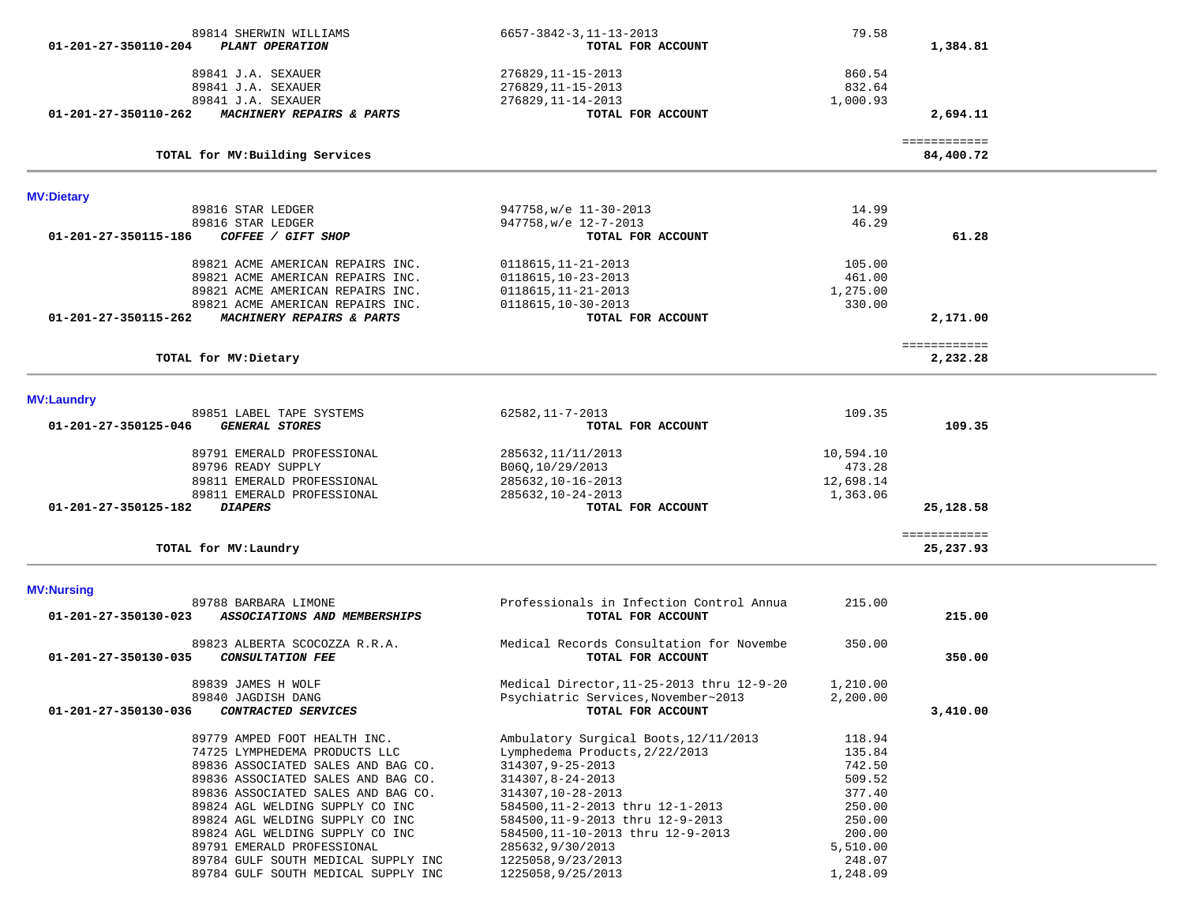| $01 - 201 - 27 - 350110 - 204$ | 89814 SHERWIN WILLIAMS<br>PLANT OPERATION                     | 6657-3842-3, 11-13-2013<br>TOTAL FOR ACCOUNT          | 79.58              | 1,384.81                  |  |
|--------------------------------|---------------------------------------------------------------|-------------------------------------------------------|--------------------|---------------------------|--|
|                                | 89841 J.A. SEXAUER                                            | 276829, 11-15-2013                                    | 860.54             |                           |  |
|                                | 89841 J.A. SEXAUER                                            | 276829, 11-15-2013                                    | 832.64             |                           |  |
|                                | 89841 J.A. SEXAUER                                            | 276829, 11-14-2013                                    | 1,000.93           |                           |  |
| 01-201-27-350110-262           | MACHINERY REPAIRS & PARTS                                     | TOTAL FOR ACCOUNT                                     |                    | 2,694.11                  |  |
|                                | TOTAL for MV: Building Services                               |                                                       |                    | ============<br>84,400.72 |  |
| <b>MV:Dietary</b>              |                                                               |                                                       |                    |                           |  |
|                                | 89816 STAR LEDGER                                             | 947758, w/e 11-30-2013                                | 14.99              |                           |  |
|                                | 89816 STAR LEDGER                                             | 947758, w/e 12-7-2013                                 | 46.29              |                           |  |
| 01-201-27-350115-186           | COFFEE / GIFT SHOP                                            | TOTAL FOR ACCOUNT                                     |                    | 61.28                     |  |
|                                | 89821 ACME AMERICAN REPAIRS INC.                              | $0118615, 11-21-2013$                                 | 105.00             |                           |  |
|                                | 89821 ACME AMERICAN REPAIRS INC.                              | 0118615, 10-23-2013                                   | 461.00             |                           |  |
|                                | 89821 ACME AMERICAN REPAIRS INC.                              | 0118615, 11-21-2013                                   | 1,275.00           |                           |  |
|                                | 89821 ACME AMERICAN REPAIRS INC.                              | 0118615, 10-30-2013                                   | 330.00             |                           |  |
| 01-201-27-350115-262           | MACHINERY REPAIRS & PARTS                                     | TOTAL FOR ACCOUNT                                     |                    | 2,171.00                  |  |
|                                |                                                               |                                                       |                    | ============              |  |
|                                | TOTAL for MV: Dietary                                         |                                                       |                    | 2,232.28                  |  |
| <b>MV:Laundry</b>              |                                                               |                                                       |                    |                           |  |
|                                | 89851 LABEL TAPE SYSTEMS                                      | 62582, 11-7-2013                                      | 109.35             |                           |  |
| 01-201-27-350125-046           | <b>GENERAL STORES</b>                                         | TOTAL FOR ACCOUNT                                     |                    | 109.35                    |  |
|                                | 89791 EMERALD PROFESSIONAL                                    | 285632, 11/11/2013                                    | 10,594.10          |                           |  |
|                                | 89796 READY SUPPLY                                            | B06Q, 10/29/2013                                      | 473.28             |                           |  |
|                                | 89811 EMERALD PROFESSIONAL                                    | 285632, 10-16-2013                                    | 12,698.14          |                           |  |
|                                | 89811 EMERALD PROFESSIONAL                                    | 285632, 10-24-2013                                    | 1,363.06           |                           |  |
| 01-201-27-350125-182           | <i><b>DIAPERS</b></i>                                         | TOTAL FOR ACCOUNT                                     |                    | 25,128.58                 |  |
|                                | TOTAL for MV: Laundry                                         |                                                       |                    | ============<br>25,237.93 |  |
|                                |                                                               |                                                       |                    |                           |  |
| <b>MV:Nursing</b>              | 89788 BARBARA LIMONE                                          | Professionals in Infection Control Annua              | 215.00             |                           |  |
| 01-201-27-350130-023           | ASSOCIATIONS AND MEMBERSHIPS                                  | TOTAL FOR ACCOUNT                                     |                    | 215.00                    |  |
|                                | 89823 ALBERTA SCOCOZZA R.R.A.                                 | Medical Records Consultation for Novembe              | 350.00             |                           |  |
| 01-201-27-350130-035           | <b>CONSULTATION FEE</b>                                       | TOTAL FOR ACCOUNT                                     |                    | 350.00                    |  |
|                                | 89839 JAMES H WOLF                                            | Medical Director, 11-25-2013 thru 12-9-20             | 1,210.00           |                           |  |
|                                | 89840 JAGDISH DANG                                            | Psychiatric Services, November~2013                   | 2,200.00           |                           |  |
| 01-201-27-350130-036           | CONTRACTED SERVICES                                           | TOTAL FOR ACCOUNT                                     |                    | 3,410.00                  |  |
|                                | 89779 AMPED FOOT HEALTH INC.                                  | Ambulatory Surgical Boots, 12/11/2013                 | 118.94             |                           |  |
|                                | 74725 LYMPHEDEMA PRODUCTS LLC                                 | Lymphedema Products, 2/22/2013                        | 135.84             |                           |  |
|                                | 89836 ASSOCIATED SALES AND BAG CO.                            | 314307, 9-25-2013                                     | 742.50             |                           |  |
|                                | 89836 ASSOCIATED SALES AND BAG CO.                            | 314307,8-24-2013                                      | 509.52             |                           |  |
|                                | 89836 ASSOCIATED SALES AND BAG CO.                            | 314307, 10-28-2013                                    | 377.40             |                           |  |
|                                | 89824 AGL WELDING SUPPLY CO INC                               | 584500, 11-2-2013 thru 12-1-2013                      | 250.00             |                           |  |
|                                | 89824 AGL WELDING SUPPLY CO INC                               | 584500,11-9-2013 thru 12-9-2013                       | 250.00             |                           |  |
|                                | 89824 AGL WELDING SUPPLY CO INC<br>89791 EMERALD PROFESSIONAL | 584500, 11-10-2013 thru 12-9-2013<br>285632,9/30/2013 | 200.00<br>5,510.00 |                           |  |
|                                | 89784 GULF SOUTH MEDICAL SUPPLY INC                           | 1225058,9/23/2013                                     | 248.07             |                           |  |
|                                | 89784 GULF SOUTH MEDICAL SUPPLY INC                           | 1225058,9/25/2013                                     | 1,248.09           |                           |  |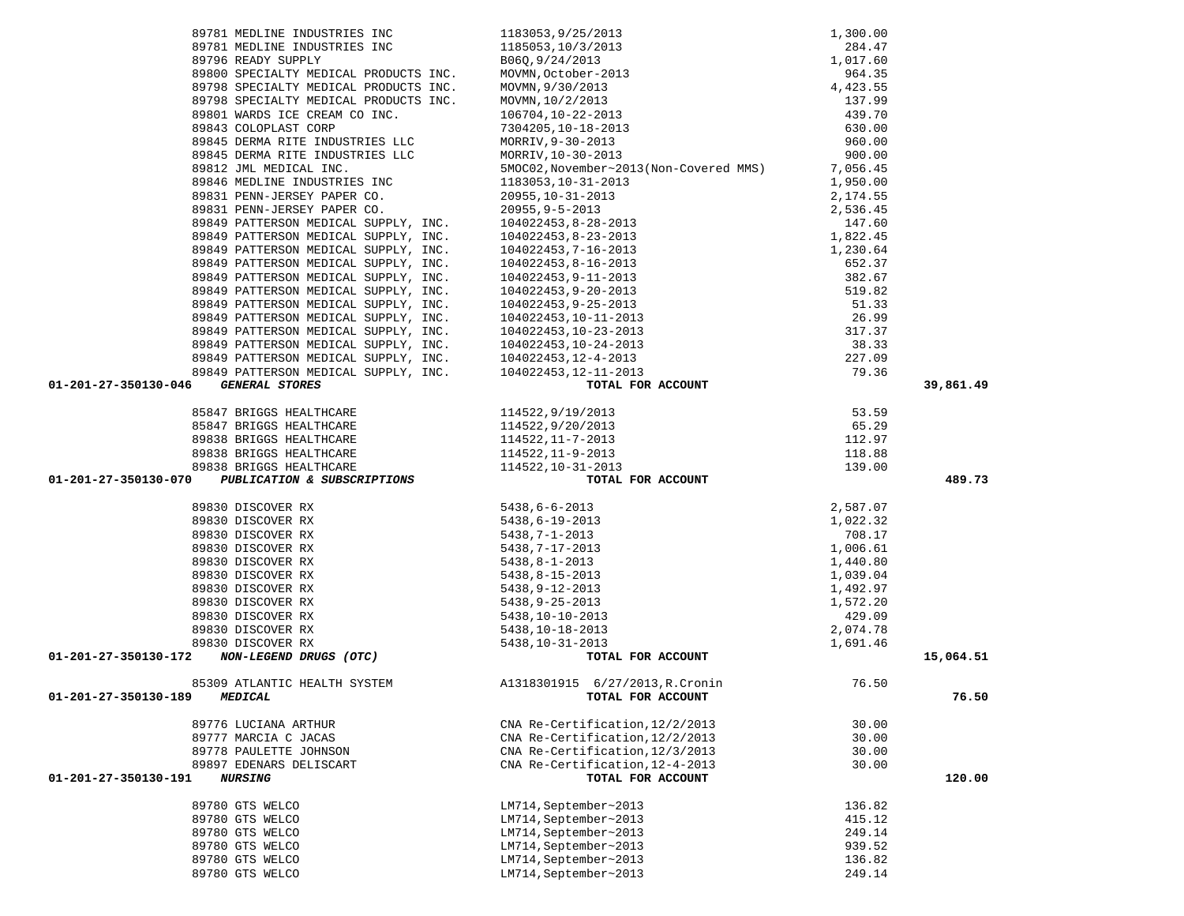| 89798 SPECIALTY MEDICAL PRODUCTS INC.<br>89798 SPECIALTY MEDICAL PRODUCTS INC. MOVMN, $10/2/2013$<br>89801 WARDS ICE CREAM CO INC. $106704, 10-22-2013$<br>89843 COLOPLAST CORP 7304205, 10-18-2013<br>200445 DEDMA RITE INDUSTRIES L                                                                               |                                                                                                                                                                                                                                                                                                                                                                                                                                     |        |           |
|---------------------------------------------------------------------------------------------------------------------------------------------------------------------------------------------------------------------------------------------------------------------------------------------------------------------|-------------------------------------------------------------------------------------------------------------------------------------------------------------------------------------------------------------------------------------------------------------------------------------------------------------------------------------------------------------------------------------------------------------------------------------|--------|-----------|
|                                                                                                                                                                                                                                                                                                                     |                                                                                                                                                                                                                                                                                                                                                                                                                                     |        |           |
| 89812 JML MEDICAL INC.                                                                                                                                                                                                                                                                                              | 5MOC02, November~2013(Non-Covered MMS) 7, 056.45                                                                                                                                                                                                                                                                                                                                                                                    |        |           |
|                                                                                                                                                                                                                                                                                                                     |                                                                                                                                                                                                                                                                                                                                                                                                                                     |        |           |
|                                                                                                                                                                                                                                                                                                                     |                                                                                                                                                                                                                                                                                                                                                                                                                                     |        |           |
|                                                                                                                                                                                                                                                                                                                     |                                                                                                                                                                                                                                                                                                                                                                                                                                     |        |           |
|                                                                                                                                                                                                                                                                                                                     |                                                                                                                                                                                                                                                                                                                                                                                                                                     |        |           |
|                                                                                                                                                                                                                                                                                                                     |                                                                                                                                                                                                                                                                                                                                                                                                                                     |        |           |
|                                                                                                                                                                                                                                                                                                                     |                                                                                                                                                                                                                                                                                                                                                                                                                                     |        |           |
|                                                                                                                                                                                                                                                                                                                     |                                                                                                                                                                                                                                                                                                                                                                                                                                     |        |           |
|                                                                                                                                                                                                                                                                                                                     |                                                                                                                                                                                                                                                                                                                                                                                                                                     |        |           |
|                                                                                                                                                                                                                                                                                                                     | $[39813 \text{ DERMA RTTENSON MEDICAL INC.} \newline \textbf{39813 PEMA-ITRENDUNC.} \newline \textbf{59814 PEMDURN INDICAL INC.} \newline \textbf{59815, 10-31-2013} \newline \textbf{69819 PEMN-ITRESON MEDICAL SUPPLY, INC.} \newline \textbf{69819 PEMN-ITRESON MEDICAL SUPPLY, INC.} \newline \textbf{69819 PEMN-ITRESON MEDICAL SUPPLY, INC.} \newline \textbf{69819 PEMN-ITRESON MEDICAL SUPPLY, INC.} \newline \textbf{6981$ |        |           |
|                                                                                                                                                                                                                                                                                                                     |                                                                                                                                                                                                                                                                                                                                                                                                                                     |        |           |
|                                                                                                                                                                                                                                                                                                                     |                                                                                                                                                                                                                                                                                                                                                                                                                                     |        |           |
|                                                                                                                                                                                                                                                                                                                     |                                                                                                                                                                                                                                                                                                                                                                                                                                     |        |           |
|                                                                                                                                                                                                                                                                                                                     |                                                                                                                                                                                                                                                                                                                                                                                                                                     |        |           |
|                                                                                                                                                                                                                                                                                                                     |                                                                                                                                                                                                                                                                                                                                                                                                                                     |        |           |
|                                                                                                                                                                                                                                                                                                                     |                                                                                                                                                                                                                                                                                                                                                                                                                                     |        |           |
| 01-201-27-350130-046                                                                                                                                                                                                                                                                                                |                                                                                                                                                                                                                                                                                                                                                                                                                                     |        | 39,861.49 |
|                                                                                                                                                                                                                                                                                                                     |                                                                                                                                                                                                                                                                                                                                                                                                                                     |        |           |
|                                                                                                                                                                                                                                                                                                                     |                                                                                                                                                                                                                                                                                                                                                                                                                                     |        |           |
|                                                                                                                                                                                                                                                                                                                     |                                                                                                                                                                                                                                                                                                                                                                                                                                     |        |           |
|                                                                                                                                                                                                                                                                                                                     |                                                                                                                                                                                                                                                                                                                                                                                                                                     |        |           |
|                                                                                                                                                                                                                                                                                                                     |                                                                                                                                                                                                                                                                                                                                                                                                                                     |        |           |
|                                                                                                                                                                                                                                                                                                                     |                                                                                                                                                                                                                                                                                                                                                                                                                                     |        |           |
| 89838 BRIGGS HEALTHCARE<br><b>PUBLICATION &amp; SUBSCRIPTIONS</b><br>01-201-27-350130-070                                                                                                                                                                                                                           |                                                                                                                                                                                                                                                                                                                                                                                                                                     |        | 489.73    |
|                                                                                                                                                                                                                                                                                                                     |                                                                                                                                                                                                                                                                                                                                                                                                                                     |        |           |
|                                                                                                                                                                                                                                                                                                                     |                                                                                                                                                                                                                                                                                                                                                                                                                                     |        |           |
|                                                                                                                                                                                                                                                                                                                     |                                                                                                                                                                                                                                                                                                                                                                                                                                     |        |           |
|                                                                                                                                                                                                                                                                                                                     |                                                                                                                                                                                                                                                                                                                                                                                                                                     |        |           |
|                                                                                                                                                                                                                                                                                                                     |                                                                                                                                                                                                                                                                                                                                                                                                                                     |        |           |
|                                                                                                                                                                                                                                                                                                                     |                                                                                                                                                                                                                                                                                                                                                                                                                                     |        |           |
|                                                                                                                                                                                                                                                                                                                     |                                                                                                                                                                                                                                                                                                                                                                                                                                     |        |           |
|                                                                                                                                                                                                                                                                                                                     |                                                                                                                                                                                                                                                                                                                                                                                                                                     |        |           |
|                                                                                                                                                                                                                                                                                                                     |                                                                                                                                                                                                                                                                                                                                                                                                                                     |        |           |
|                                                                                                                                                                                                                                                                                                                     |                                                                                                                                                                                                                                                                                                                                                                                                                                     |        |           |
|                                                                                                                                                                                                                                                                                                                     |                                                                                                                                                                                                                                                                                                                                                                                                                                     |        |           |
|                                                                                                                                                                                                                                                                                                                     |                                                                                                                                                                                                                                                                                                                                                                                                                                     |        |           |
|                                                                                                                                                                                                                                                                                                                     |                                                                                                                                                                                                                                                                                                                                                                                                                                     |        | 15,064.51 |
| $\begin{array}{cccc} 89830 & \text{DISCOVER RX} & 5438, 6-6-2013 & 2,587.07 \\ 89830 & \text{DISCOVER RX} & 5438, 6-19-2013 & 1,022.32 \\ 99830 & \text{DISCOVER RX} & 5438, 7-17-2013 & 708.17 \\ 99830 & \text{DISCOVER RX} & 5438, 9-12-2013 & 1,006.61 \\ 89830 & \text{DISCOVER RX} & 5438, 8-1-2013 & 1,006.$ | TOTAL FOR ACCOUNT                                                                                                                                                                                                                                                                                                                                                                                                                   |        |           |
|                                                                                                                                                                                                                                                                                                                     | 85309 ATLANTIC HEALTH SYSTEM $\frac{1318301915}{26.50}$ 6/27/2013, R. Cronin 76.50                                                                                                                                                                                                                                                                                                                                                  |        |           |
|                                                                                                                                                                                                                                                                                                                     | TOTAL FOR ACCOUNT                                                                                                                                                                                                                                                                                                                                                                                                                   |        | 76.50     |
|                                                                                                                                                                                                                                                                                                                     |                                                                                                                                                                                                                                                                                                                                                                                                                                     |        |           |
| 89776 LUCIANA ARTHUR                                                                                                                                                                                                                                                                                                | CNA Re-Certification, 12/2/2013                                                                                                                                                                                                                                                                                                                                                                                                     | 30.00  |           |
| 89777 MARCIA C JACAS                                                                                                                                                                                                                                                                                                | CNA Re-Certification, 12/2/2013                                                                                                                                                                                                                                                                                                                                                                                                     | 30.00  |           |
| 89778 PAULETTE JOHNSON                                                                                                                                                                                                                                                                                              | CNA Re-Certification, 12/3/2013                                                                                                                                                                                                                                                                                                                                                                                                     | 30.00  |           |
| 89897 EDENARS DELISCART                                                                                                                                                                                                                                                                                             | CNA Re-Certification, 12-4-2013                                                                                                                                                                                                                                                                                                                                                                                                     | 30.00  |           |
| 01-201-27-350130-191<br><b>NURSING</b>                                                                                                                                                                                                                                                                              | TOTAL FOR ACCOUNT                                                                                                                                                                                                                                                                                                                                                                                                                   |        | 120.00    |
|                                                                                                                                                                                                                                                                                                                     |                                                                                                                                                                                                                                                                                                                                                                                                                                     |        |           |
| 89780 GTS WELCO                                                                                                                                                                                                                                                                                                     | LM714, September~2013                                                                                                                                                                                                                                                                                                                                                                                                               | 136.82 |           |
| 89780 GTS WELCO                                                                                                                                                                                                                                                                                                     | LM714, September~2013                                                                                                                                                                                                                                                                                                                                                                                                               | 415.12 |           |
| 89780 GTS WELCO                                                                                                                                                                                                                                                                                                     | LM714, September~2013                                                                                                                                                                                                                                                                                                                                                                                                               | 249.14 |           |
| 89780 GTS WELCO                                                                                                                                                                                                                                                                                                     | LM714, September~2013                                                                                                                                                                                                                                                                                                                                                                                                               | 939.52 |           |
| 89780 GTS WELCO                                                                                                                                                                                                                                                                                                     | LM714, September~2013                                                                                                                                                                                                                                                                                                                                                                                                               | 136.82 |           |
| 89780 GTS WELCO                                                                                                                                                                                                                                                                                                     | LM714, September~2013                                                                                                                                                                                                                                                                                                                                                                                                               | 249.14 |           |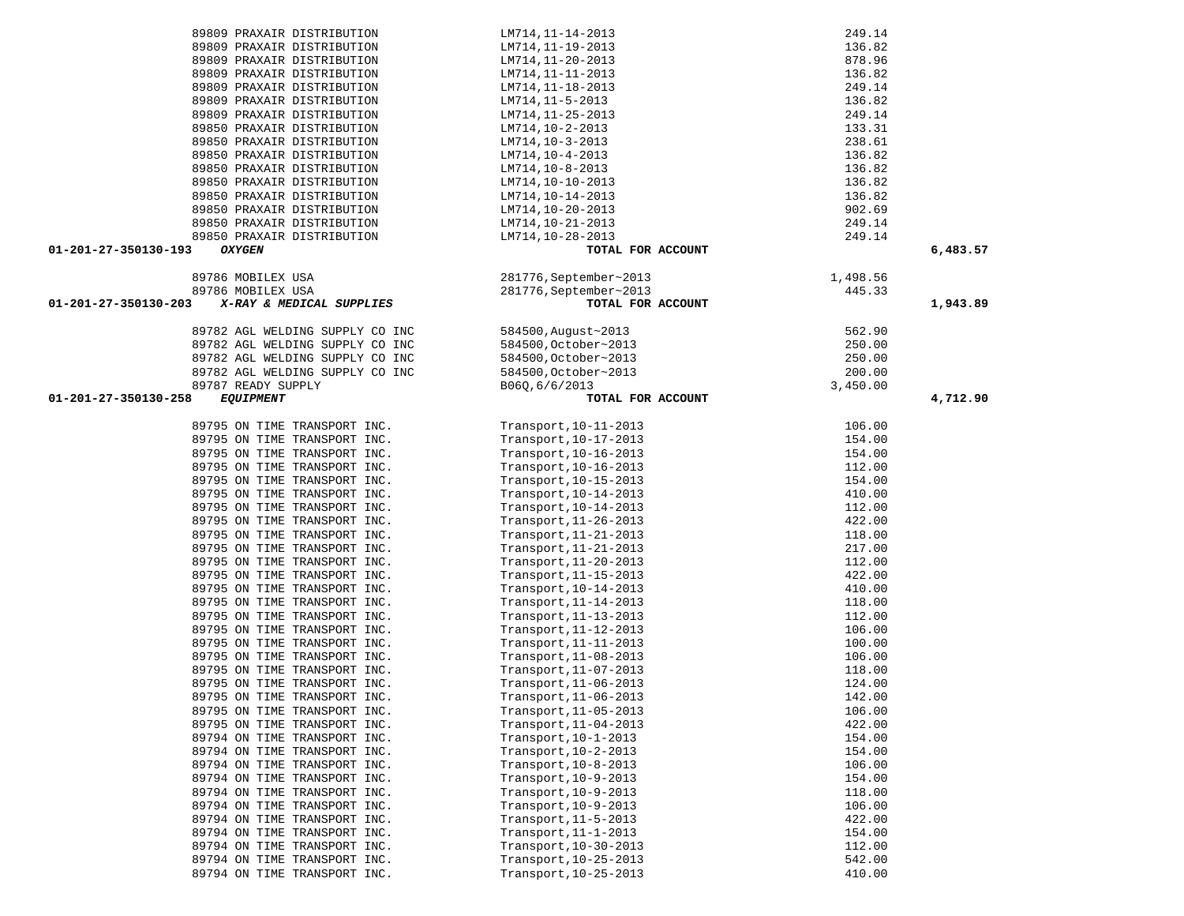|                      | 89809 PRAXAIR DISTRIBUTION                  | LM714, 11-14-2013                     | 249.14           |          |
|----------------------|---------------------------------------------|---------------------------------------|------------------|----------|
|                      | 89809 PRAXAIR DISTRIBUTION                  | LM714,11-19-2013                      | 136.82           |          |
|                      | 89809 PRAXAIR DISTRIBUTION                  | LM714,11-20-2013                      | 878.96           |          |
|                      | 89809 PRAXAIR DISTRIBUTION                  | LM714,11-11-2013                      | 136.82           |          |
|                      | 89809 PRAXAIR DISTRIBUTION                  | LM714,11-18-2013                      | 249.14           |          |
|                      | 89809 PRAXAIR DISTRIBUTION                  | LM714,11-5-2013                       | 136.82           |          |
|                      | 89809 PRAXAIR DISTRIBUTION                  | LM714,11-25-2013                      | 249.14           |          |
|                      | 89850 PRAXAIR DISTRIBUTION                  | LM714,10-2-2013                       | 133.31           |          |
|                      | 89850 PRAXAIR DISTRIBUTION                  | LM714,10-3-2013                       | 238.61           |          |
|                      | 89850 PRAXAIR DISTRIBUTION                  | LM714,10-4-2013                       | 136.82           |          |
|                      | 89850 PRAXAIR DISTRIBUTION                  |                                       | 136.82           |          |
|                      | 89850 PRAXAIR DISTRIBUTION                  | LM714,10-8-2013                       | 136.82           |          |
|                      | 89850 PRAXAIR DISTRIBUTION                  | LM714,10-10-2013                      | 136.82           |          |
|                      | 89850 PRAXAIR DISTRIBUTION                  | LM714,10-14-2013<br>LM714,10-20-2013  |                  |          |
|                      | 89850 PRAXAIR DISTRIBUTION                  |                                       | 902.69<br>249.14 |          |
|                      |                                             | LM714,10-21-2013                      |                  |          |
| 01-201-27-350130-193 | 89850 PRAXAIR DISTRIBUTION<br><b>OXYGEN</b> | LM714,10-28-2013<br>TOTAL FOR ACCOUNT | 249.14           | 6,483.57 |
|                      |                                             |                                       |                  |          |
|                      | 89786 MOBILEX USA                           | 281776, September~2013                | 1,498.56         |          |
|                      | 89786 MOBILEX USA                           | 281776, September~2013                | 445.33           |          |
| 01-201-27-350130-203 | X-RAY & MEDICAL SUPPLIES                    | TOTAL FOR ACCOUNT                     |                  | 1,943.89 |
|                      |                                             |                                       |                  |          |
|                      | 89782 AGL WELDING SUPPLY CO INC             | 584500, August~2013                   | 562.90           |          |
|                      | 89782 AGL WELDING SUPPLY CO INC             | 584500, October~2013                  | 250.00           |          |
|                      | 89782 AGL WELDING SUPPLY CO INC             | 584500, October~2013                  | 250.00           |          |
|                      | 89782 AGL WELDING SUPPLY CO INC             | 584500, October~2013                  | 200.00           |          |
|                      | 89787 READY SUPPLY                          | B06Q,6/6/2013                         | 3,450.00         |          |
| 01-201-27-350130-258 | <b>EQUIPMENT</b>                            | TOTAL FOR ACCOUNT                     |                  | 4,712.90 |
|                      |                                             |                                       |                  |          |
|                      | 89795 ON TIME TRANSPORT INC.                | Transport, 10-11-2013                 | 106.00           |          |
|                      | 89795 ON TIME TRANSPORT INC.                | Transport, 10-17-2013                 | 154.00           |          |
|                      | 89795 ON TIME TRANSPORT INC.                | Transport, 10-16-2013                 | 154.00           |          |
|                      | 89795 ON TIME TRANSPORT INC.                | Transport, 10-16-2013                 | 112.00           |          |
|                      | 89795 ON TIME TRANSPORT INC.                | Transport, 10-15-2013                 | 154.00           |          |
|                      | 89795 ON TIME TRANSPORT INC.                | Transport, 10-14-2013                 | 410.00           |          |
|                      | 89795 ON TIME TRANSPORT INC.                | Transport, 10-14-2013                 | 112.00           |          |
|                      | 89795 ON TIME TRANSPORT INC.                | Transport, 11-26-2013                 | 422.00           |          |
|                      | 89795 ON TIME TRANSPORT INC.                | Transport, 11-21-2013                 | 118.00           |          |
|                      | 89795 ON TIME TRANSPORT INC.                | Transport, 11-21-2013                 | 217.00           |          |
|                      | 89795 ON TIME TRANSPORT INC.                | Transport, 11-20-2013                 | 112.00           |          |
|                      | 89795 ON TIME TRANSPORT INC.                | Transport, 11-15-2013                 | 422.00           |          |
|                      | 89795 ON TIME TRANSPORT INC.                | Transport, 10-14-2013                 | 410.00           |          |
|                      | 89795 ON TIME TRANSPORT INC.                | Transport, 11-14-2013                 | 118.00           |          |
|                      | 89795 ON TIME TRANSPORT INC.                | Transport, 11-13-2013                 | 112.00           |          |
|                      | 89795 ON TIME TRANSPORT INC.                | Transport, 11-12-2013                 | 106.00           |          |
|                      | 89795 ON TIME TRANSPORT INC.                | Transport, 11-11-2013                 | 100.00           |          |
|                      | 89795 ON TIME TRANSPORT INC.                | Transport, 11-08-2013                 | 106.00           |          |
|                      | 89795 ON TIME TRANSPORT INC.                | Transport, 11-07-2013                 | 118.00           |          |
|                      | 89795 ON TIME TRANSPORT INC.                | Transport, 11-06-2013                 | 124.00           |          |
|                      | 89795 ON TIME TRANSPORT INC.                | Transport,11-06-2013                  | 142.00           |          |
|                      | 89795 ON TIME TRANSPORT INC.                | Transport, 11-05-2013                 | 106.00           |          |
|                      | 89795 ON TIME TRANSPORT INC.                | Transport, 11-04-2013                 | 422.00           |          |
|                      | 89794 ON TIME TRANSPORT INC.                | Transport, 10-1-2013                  | 154.00           |          |
|                      | 89794 ON TIME TRANSPORT INC.                | Transport, 10-2-2013                  | 154.00           |          |
|                      | 89794 ON TIME TRANSPORT INC.                | Transport, 10-8-2013                  | 106.00           |          |
|                      | 89794 ON TIME TRANSPORT INC.                | Transport, 10-9-2013                  | 154.00           |          |
|                      | 89794 ON TIME TRANSPORT INC.                | Transport, 10-9-2013                  | 118.00           |          |
|                      | 89794 ON TIME TRANSPORT INC.                | Transport, 10-9-2013                  | 106.00           |          |
|                      | 89794 ON TIME TRANSPORT INC.                | Transport, 11-5-2013                  | 422.00           |          |
|                      | 89794 ON TIME TRANSPORT INC.                | Transport, 11-1-2013                  | 154.00           |          |
|                      | 89794 ON TIME TRANSPORT INC.                | Transport, 10-30-2013                 | 112.00           |          |
|                      | 89794 ON TIME TRANSPORT INC.                | Transport, 10-25-2013                 | 542.00           |          |
|                      | 89794 ON TIME TRANSPORT INC.                | Transport, 10-25-2013                 | 410.00           |          |
|                      |                                             |                                       |                  |          |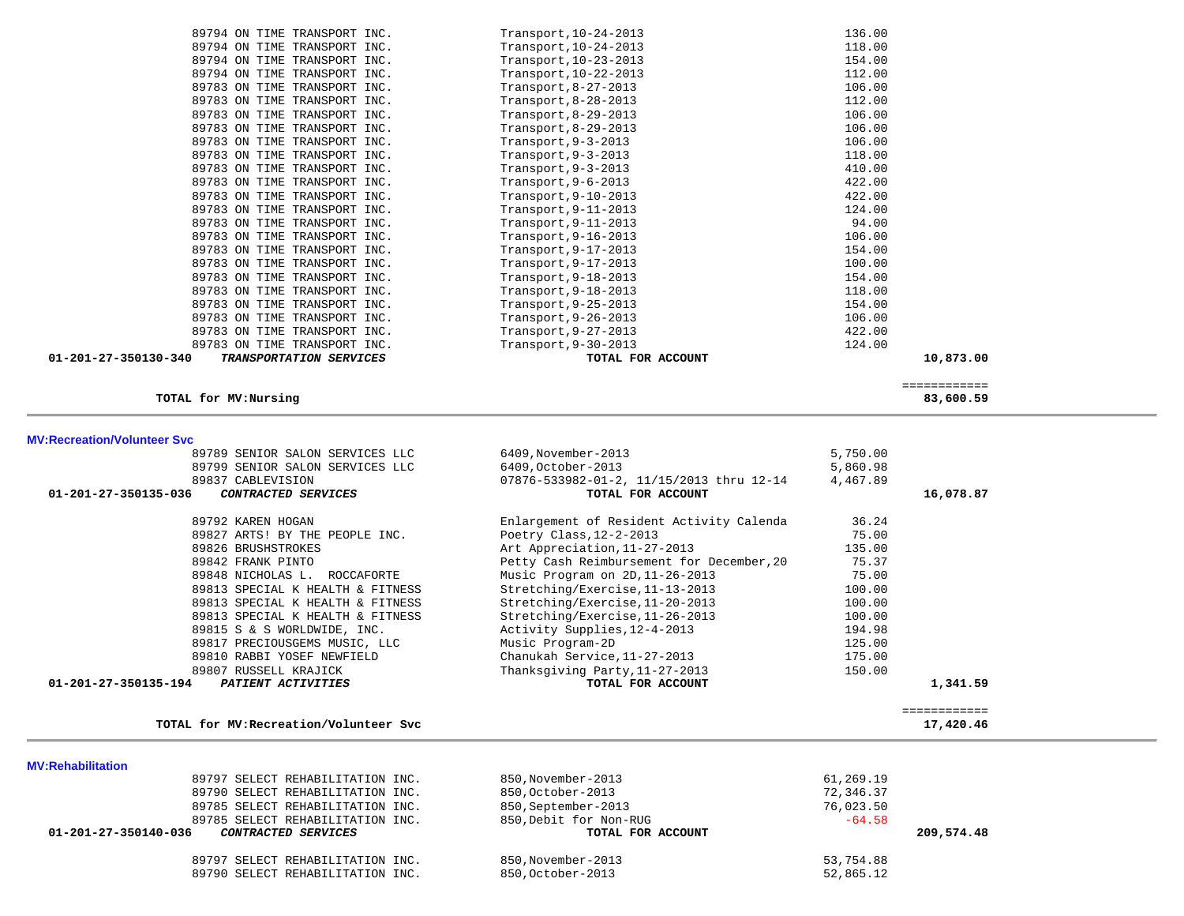| 89794 ON TIME TRANSPORT INC.                                                                                                           | Transport, 10-24-2013                                                                                      | 136.00                           |              |  |
|----------------------------------------------------------------------------------------------------------------------------------------|------------------------------------------------------------------------------------------------------------|----------------------------------|--------------|--|
| 89794 ON TIME TRANSPORT INC.                                                                                                           | Transport, 10-24-2013                                                                                      | 118.00                           |              |  |
| 89794 ON TIME TRANSPORT INC.                                                                                                           | Transport, 10-23-2013                                                                                      | 154.00                           |              |  |
|                                                                                                                                        |                                                                                                            |                                  |              |  |
| 89794 ON TIME TRANSPORT INC.                                                                                                           | Transport, 10-22-2013                                                                                      | 112.00                           |              |  |
| 89783 ON TIME TRANSPORT INC.                                                                                                           | Transport, 8-27-2013                                                                                       | 106.00                           |              |  |
| 89783 ON TIME TRANSPORT INC.                                                                                                           | Transport, 8-28-2013                                                                                       | 112.00                           |              |  |
| 89783 ON TIME TRANSPORT INC.                                                                                                           | Transport, 8-29-2013                                                                                       | 106.00                           |              |  |
| 89783 ON TIME TRANSPORT INC.                                                                                                           | Transport, 8-29-2013                                                                                       | 106.00                           |              |  |
| 89783 ON TIME TRANSPORT INC.                                                                                                           | Transport, $9-3-2013$                                                                                      | 106.00                           |              |  |
| 89783 ON TIME TRANSPORT INC.                                                                                                           | Transport, $9-3-2013$                                                                                      | 118.00                           |              |  |
| 89783 ON TIME TRANSPORT INC.                                                                                                           | Transport, $9-3-2013$                                                                                      | 410.00                           |              |  |
| 89783 ON TIME TRANSPORT INC.                                                                                                           | Transport, $9-6-2013$                                                                                      | 422.00                           |              |  |
| 89783 ON TIME TRANSPORT INC.                                                                                                           | Transport, 9-10-2013                                                                                       | 422.00                           |              |  |
|                                                                                                                                        |                                                                                                            |                                  |              |  |
| 89783 ON TIME TRANSPORT INC.                                                                                                           | Transport, 9-11-2013                                                                                       | 124.00                           |              |  |
| 89783 ON TIME TRANSPORT INC.                                                                                                           | Transport, 9-11-2013                                                                                       | 94.00                            |              |  |
| 89783 ON TIME TRANSPORT INC.                                                                                                           | Transport, 9-16-2013                                                                                       | 106.00                           |              |  |
| 89783 ON TIME TRANSPORT INC.                                                                                                           | Transport, 9-17-2013                                                                                       | 154.00                           |              |  |
| 89783 ON TIME TRANSPORT INC.                                                                                                           | Transport, 9-17-2013                                                                                       | 100.00                           |              |  |
| 89783 ON TIME TRANSPORT INC.                                                                                                           | Transport, 9-18-2013                                                                                       | 154.00                           |              |  |
| 89783 ON TIME TRANSPORT INC.                                                                                                           | Transport, 9-18-2013                                                                                       | 118.00                           |              |  |
| 89783 ON TIME TRANSPORT INC.                                                                                                           | Transport, 9-25-2013                                                                                       | 154.00                           |              |  |
| 89783 ON TIME TRANSPORT INC.                                                                                                           | Transport, 9-26-2013                                                                                       | 106.00                           |              |  |
| 89783 ON TIME TRANSPORT INC.                                                                                                           |                                                                                                            | 422.00                           |              |  |
|                                                                                                                                        | Transport, 9-27-2013                                                                                       |                                  |              |  |
| 89783 ON TIME TRANSPORT INC.                                                                                                           | Transport, 9-30-2013                                                                                       | 124.00                           |              |  |
| 01-201-27-350130-340<br>TRANSPORTATION SERVICES                                                                                        | TOTAL FOR ACCOUNT                                                                                          |                                  | 10,873.00    |  |
|                                                                                                                                        |                                                                                                            |                                  | ============ |  |
| TOTAL for MV:Nursing                                                                                                                   |                                                                                                            |                                  | 83,600.59    |  |
|                                                                                                                                        |                                                                                                            |                                  |              |  |
| 89789 SENIOR SALON SERVICES LLC<br>89799 SENIOR SALON SERVICES LLC<br>89837 CABLEVISION<br>01-201-27-350135-036<br>CONTRACTED SERVICES | 6409, November-2013<br>6409, October-2013<br>07876-533982-01-2, 11/15/2013 thru 12-14<br>TOTAL FOR ACCOUNT | 5,750.00<br>5,860.98<br>4,467.89 | 16,078.87    |  |
|                                                                                                                                        |                                                                                                            |                                  |              |  |
| 89792 KAREN HOGAN                                                                                                                      | Enlargement of Resident Activity Calenda                                                                   | 36.24                            |              |  |
| 89827 ARTS! BY THE PEOPLE INC.                                                                                                         | Poetry Class, $12-2-2013$                                                                                  | 75.00                            |              |  |
| 89826 BRUSHSTROKES                                                                                                                     | Art Appreciation, 11-27-2013                                                                               | 135.00                           |              |  |
|                                                                                                                                        |                                                                                                            | 75.37                            |              |  |
| 89842 FRANK PINTO                                                                                                                      | Petty Cash Reimbursement for December, 20                                                                  |                                  |              |  |
| 89848 NICHOLAS L. ROCCAFORTE                                                                                                           | Music Program on 2D, 11-26-2013                                                                            | 75.00                            |              |  |
| 89813 SPECIAL K HEALTH & FITNESS                                                                                                       |                                                                                                            |                                  |              |  |
|                                                                                                                                        | Stretching/Exercise, 11-13-2013                                                                            | 100.00                           |              |  |
| 89813 SPECIAL K HEALTH & FITNESS                                                                                                       | Stretching/Exercise, 11-20-2013                                                                            | 100.00                           |              |  |
| 89813 SPECIAL K HEALTH & FITNESS                                                                                                       | Stretching/Exercise, 11-26-2013                                                                            | 100.00                           |              |  |
| 89815 S & S WORLDWIDE, INC.                                                                                                            | Activity Supplies, 12-4-2013                                                                               | 194.98                           |              |  |
| 89817 PRECIOUSGEMS MUSIC, LLC                                                                                                          | Music Program-2D                                                                                           | 125.00                           |              |  |
| 89810 RABBI YOSEF NEWFIELD                                                                                                             | Chanukah Service, 11-27-2013                                                                               | 175.00                           |              |  |
| 89807 RUSSELL KRAJICK                                                                                                                  | Thanksgiving Party, 11-27-2013                                                                             | 150.00                           |              |  |
| 01-201-27-350135-194<br>PATIENT ACTIVITIES                                                                                             |                                                                                                            |                                  |              |  |
|                                                                                                                                        | TOTAL FOR ACCOUNT                                                                                          |                                  | 1,341.59     |  |
|                                                                                                                                        |                                                                                                            |                                  | ============ |  |
| TOTAL for MV: Recreation/Volunteer Svc                                                                                                 |                                                                                                            |                                  | 17,420.46    |  |
|                                                                                                                                        |                                                                                                            |                                  |              |  |
|                                                                                                                                        |                                                                                                            |                                  |              |  |
| <b>MV:Rehabilitation</b>                                                                                                               |                                                                                                            |                                  |              |  |
| 89797 SELECT REHABILITATION INC.                                                                                                       | 850. November-2013                                                                                         | 61,269.19                        |              |  |
| 89790 SELECT REHABILITATION INC.                                                                                                       | 850, October-2013                                                                                          | 72,346.37                        |              |  |
| 89785 SELECT REHABILITATION INC.                                                                                                       | 850, September-2013                                                                                        | 76,023.50                        |              |  |
| 89785 SELECT REHABILITATION INC.                                                                                                       | 850, Debit for Non-RUG                                                                                     | $-64.58$                         |              |  |
| 01-201-27-350140-036<br>CONTRACTED SERVICES                                                                                            | TOTAL FOR ACCOUNT                                                                                          |                                  | 209,574.48   |  |
|                                                                                                                                        |                                                                                                            |                                  |              |  |
| 89797 SELECT REHABILITATION INC.<br>89790 SELECT REHABILITATION INC.                                                                   | 850.November-2013<br>850, October-2013                                                                     | 53,754.88<br>52,865.12           |              |  |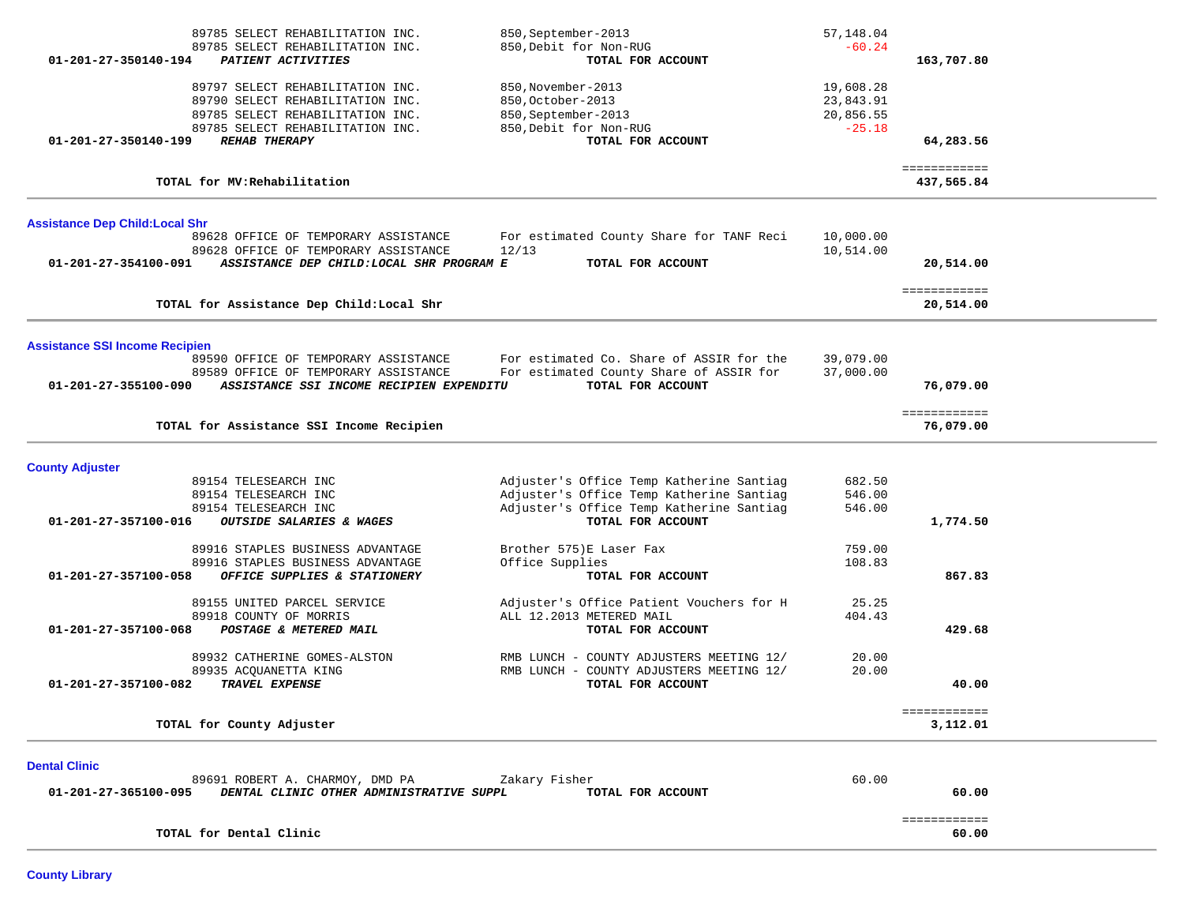| $01 - 201 - 27 - 350140 - 194$                                | 89785 SELECT REHABILITATION INC.<br>89785 SELECT REHABILITATION INC.<br>PATIENT ACTIVITIES                                                                           | 850, September-2013<br>850, Debit for Non-RUG<br>TOTAL FOR ACCOUNT                                                                                    | 57,148.04<br>$-60.24$                           | 163,707.80                 |  |
|---------------------------------------------------------------|----------------------------------------------------------------------------------------------------------------------------------------------------------------------|-------------------------------------------------------------------------------------------------------------------------------------------------------|-------------------------------------------------|----------------------------|--|
| 01-201-27-350140-199                                          | 89797 SELECT REHABILITATION INC.<br>89790 SELECT REHABILITATION INC.<br>89785 SELECT REHABILITATION INC.<br>89785 SELECT REHABILITATION INC.<br><b>REHAB THERAPY</b> | 850, November-2013<br>850, October-2013<br>850, September-2013<br>850, Debit for Non-RUG<br>TOTAL FOR ACCOUNT                                         | 19,608.28<br>23,843.91<br>20,856.55<br>$-25.18$ | 64,283.56                  |  |
|                                                               | TOTAL for MV: Rehabilitation                                                                                                                                         |                                                                                                                                                       |                                                 | ============<br>437,565.84 |  |
| <b>Assistance Dep Child: Local Shr</b>                        |                                                                                                                                                                      |                                                                                                                                                       |                                                 |                            |  |
| 01-201-27-354100-091                                          | 89628 OFFICE OF TEMPORARY ASSISTANCE<br>89628 OFFICE OF TEMPORARY ASSISTANCE<br>ASSISTANCE DEP CHILD: LOCAL SHR PROGRAM E                                            | For estimated County Share for TANF Reci<br>12/13<br>TOTAL FOR ACCOUNT                                                                                | 10,000.00<br>10,514.00                          | 20,514.00                  |  |
|                                                               | TOTAL for Assistance Dep Child: Local Shr                                                                                                                            |                                                                                                                                                       |                                                 | ============<br>20,514.00  |  |
| <b>Assistance SSI Income Recipien</b><br>01-201-27-355100-090 | 89590 OFFICE OF TEMPORARY ASSISTANCE<br>89589 OFFICE OF TEMPORARY ASSISTANCE<br>ASSISTANCE SSI INCOME RECIPIEN EXPENDITU                                             | For estimated Co. Share of ASSIR for the<br>For estimated County Share of ASSIR for<br>TOTAL FOR ACCOUNT                                              | 39,079.00<br>37,000.00                          | 76,079.00                  |  |
|                                                               | TOTAL for Assistance SSI Income Recipien                                                                                                                             |                                                                                                                                                       |                                                 | ============<br>76,079.00  |  |
| <b>County Adjuster</b>                                        |                                                                                                                                                                      |                                                                                                                                                       |                                                 |                            |  |
| 01-201-27-357100-016                                          | 89154 TELESEARCH INC<br>89154 TELESEARCH INC<br>89154 TELESEARCH INC<br>OUTSIDE SALARIES & WAGES                                                                     | Adjuster's Office Temp Katherine Santiag<br>Adjuster's Office Temp Katherine Santiag<br>Adjuster's Office Temp Katherine Santiag<br>TOTAL FOR ACCOUNT | 682.50<br>546.00<br>546.00                      | 1,774.50                   |  |
| 01-201-27-357100-058                                          | 89916 STAPLES BUSINESS ADVANTAGE<br>89916 STAPLES BUSINESS ADVANTAGE<br>OFFICE SUPPLIES & STATIONERY                                                                 | Brother 575)E Laser Fax<br>Office Supplies<br>TOTAL FOR ACCOUNT                                                                                       | 759.00<br>108.83                                | 867.83                     |  |
| 01-201-27-357100-068                                          | 89155 UNITED PARCEL SERVICE<br>89918 COUNTY OF MORRIS<br>POSTAGE & METERED MAIL                                                                                      | Adjuster's Office Patient Vouchers for H<br>ALL 12.2013 METERED MAIL<br>TOTAL FOR ACCOUNT                                                             | 25.25<br>404.43                                 | 429.68                     |  |
| 01-201-27-357100-082                                          | 89932 CATHERINE GOMES-ALSTON<br>89935 ACQUANETTA KING<br>TRAVEL EXPENSE                                                                                              | RMB LUNCH - COUNTY ADJUSTERS MEETING 12/<br>RMB LUNCH - COUNTY ADJUSTERS MEETING 12/<br>TOTAL FOR ACCOUNT                                             | 20.00<br>20.00                                  | 40.00                      |  |
|                                                               | TOTAL for County Adjuster                                                                                                                                            |                                                                                                                                                       |                                                 | ============<br>3,112.01   |  |
| <b>Dental Clinic</b><br>01-201-27-365100-095                  | 89691 ROBERT A. CHARMOY, DMD PA<br>DENTAL CLINIC OTHER ADMINISTRATIVE SUPPL                                                                                          | Zakary Fisher<br>TOTAL FOR ACCOUNT                                                                                                                    | 60.00                                           | 60.00                      |  |
|                                                               | TOTAL for Dental Clinic                                                                                                                                              |                                                                                                                                                       |                                                 | ============<br>60.00      |  |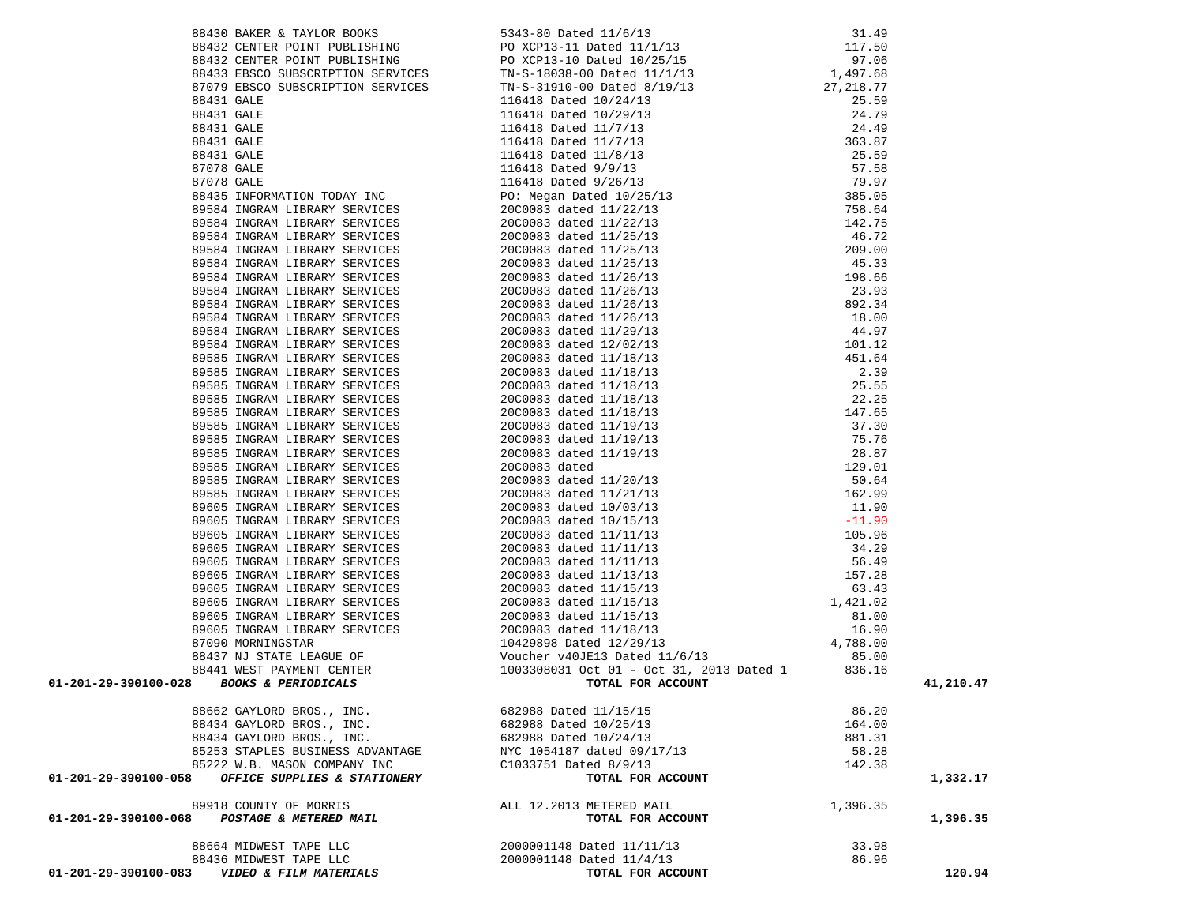|                      | 88436 MIDWEST TAPE LLC<br>01-201-29-390100-083 VIDEO & FILM MATERIALS | 2000001148 Dated 11/4/13<br>TOTAL FOR ACCOUNT | 86.96    | 120.94    |
|----------------------|-----------------------------------------------------------------------|-----------------------------------------------|----------|-----------|
|                      | 88664 MIDWEST TAPE LLC                                                | 2000001148 Dated 11/11/13                     | 33.98    |           |
|                      | 01-201-29-390100-068 POSTAGE & METERED MAIL                           | TOTAL FOR ACCOUNT                             |          | 1,396.35  |
|                      | 89918 COUNTY OF MORRIS                                                | ALL 12.2013 METERED MAIL                      | 1,396.35 |           |
| 01-201-29-390100-058 | OFFICE SUPPLIES & STATIONERY                                          | TOTAL FOR ACCOUNT                             |          | 1,332.17  |
|                      | 85222 W.B. MASON COMPANY INC                                          | C1033751 Dated 8/9/13                         | 142.38   |           |
|                      | 85253 STAPLES BUSINESS ADVANTAGE                                      | NYC 1054187 dated 09/17/13                    | 58.28    |           |
|                      | 88434 GAYLORD BROS., INC.                                             | 682988 Dated 10/24/13                         | 881.31   |           |
|                      | 88434 GAYLORD BROS., INC.                                             | 682988 Dated 10/25/13                         | 164.00   |           |
|                      | 88662 GAYLORD BROS., INC.                                             | 682988 Dated 11/15/15                         | 86.20    |           |
|                      |                                                                       |                                               |          |           |
|                      |                                                                       |                                               |          | 41,210.47 |
|                      |                                                                       |                                               |          |           |
|                      |                                                                       |                                               |          |           |
|                      |                                                                       |                                               |          |           |
|                      |                                                                       |                                               |          |           |
|                      |                                                                       |                                               |          |           |
|                      |                                                                       |                                               |          |           |
|                      |                                                                       |                                               |          |           |
|                      |                                                                       |                                               |          |           |
|                      |                                                                       |                                               |          |           |
|                      |                                                                       |                                               |          |           |
|                      |                                                                       |                                               |          |           |
|                      |                                                                       |                                               |          |           |
|                      |                                                                       |                                               |          |           |
|                      |                                                                       |                                               |          |           |
|                      |                                                                       |                                               |          |           |
|                      |                                                                       |                                               |          |           |
|                      |                                                                       |                                               |          |           |
|                      |                                                                       |                                               |          |           |
|                      |                                                                       |                                               |          |           |
|                      |                                                                       |                                               |          |           |
|                      |                                                                       |                                               |          |           |
|                      |                                                                       |                                               |          |           |
|                      |                                                                       |                                               |          |           |
|                      |                                                                       |                                               |          |           |
|                      |                                                                       |                                               |          |           |
|                      |                                                                       |                                               |          |           |
|                      |                                                                       |                                               |          |           |
|                      |                                                                       |                                               |          |           |
|                      |                                                                       |                                               |          |           |
|                      |                                                                       |                                               |          |           |
|                      |                                                                       |                                               |          |           |
|                      |                                                                       |                                               |          |           |
|                      |                                                                       |                                               |          |           |
|                      |                                                                       |                                               |          |           |
|                      |                                                                       |                                               |          |           |
|                      |                                                                       |                                               |          |           |
|                      |                                                                       |                                               |          |           |
|                      |                                                                       |                                               |          |           |
|                      |                                                                       |                                               |          |           |
|                      |                                                                       |                                               |          |           |
|                      |                                                                       |                                               |          |           |
|                      |                                                                       |                                               |          |           |
|                      |                                                                       |                                               |          |           |
|                      |                                                                       |                                               |          |           |
|                      |                                                                       |                                               |          |           |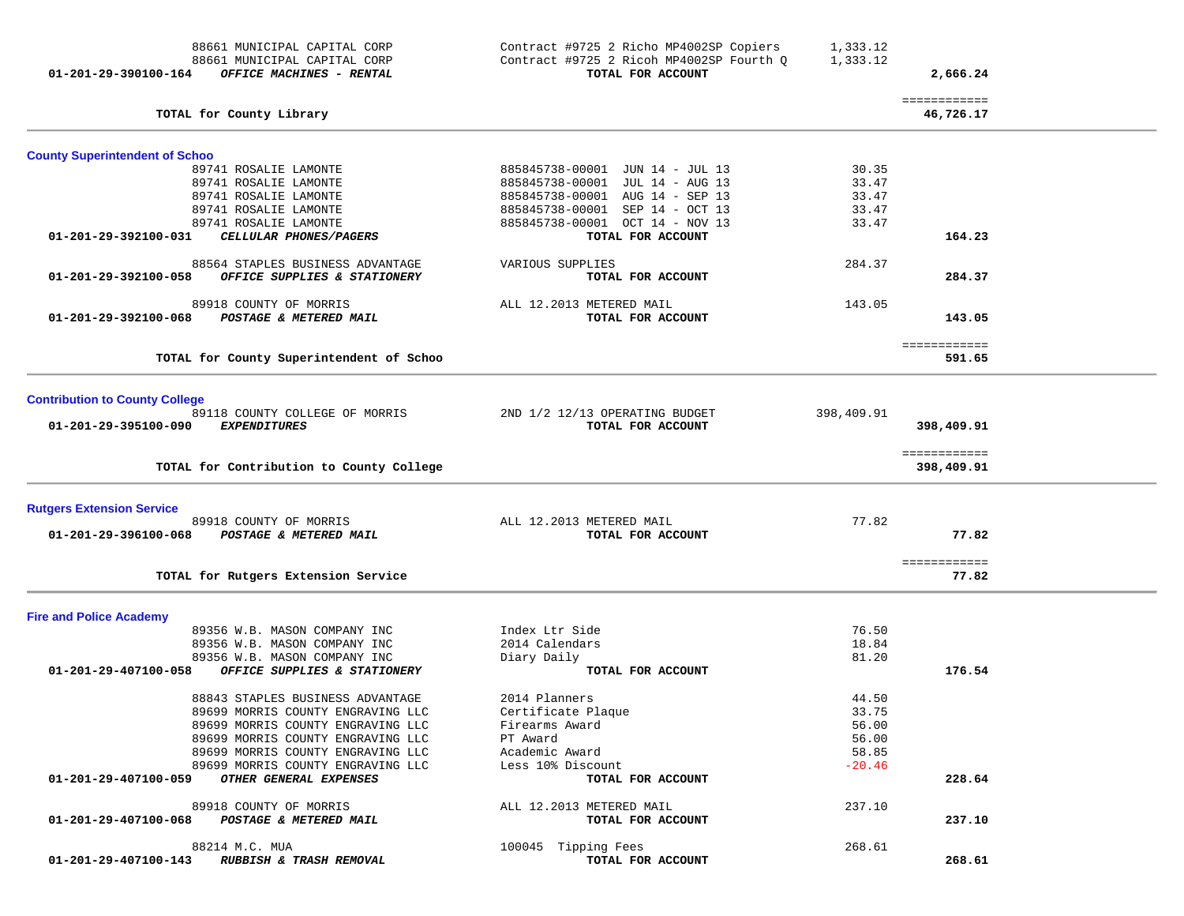| 88661 MUNICIPAL CAPITAL CORP<br>88661 MUNICIPAL CAPITAL CORP<br>OFFICE MACHINES - RENTAL<br>01-201-29-390100-164 | Contract #9725 2 Richo MP4002SP Copiers<br>Contract #9725 2 Ricoh MP4002SP Fourth Q<br>TOTAL FOR ACCOUNT | 1,333.12<br>1,333.12 | 2,666.24                   |  |
|------------------------------------------------------------------------------------------------------------------|----------------------------------------------------------------------------------------------------------|----------------------|----------------------------|--|
| TOTAL for County Library                                                                                         |                                                                                                          |                      | ============<br>46,726.17  |  |
| <b>County Superintendent of Schoo</b>                                                                            |                                                                                                          |                      |                            |  |
| 89741 ROSALIE LAMONTE                                                                                            | 885845738-00001 JUN 14 - JUL 13                                                                          | 30.35                |                            |  |
| 89741 ROSALIE LAMONTE                                                                                            | 885845738-00001 JUL 14 - AUG 13                                                                          | 33.47                |                            |  |
| 89741 ROSALIE LAMONTE                                                                                            | 885845738-00001 AUG 14 - SEP 13                                                                          | 33.47                |                            |  |
| 89741 ROSALIE LAMONTE                                                                                            | 885845738-00001 SEP 14 - OCT 13                                                                          | 33.47                |                            |  |
| 89741 ROSALIE LAMONTE<br>CELLULAR PHONES/PAGERS<br>01-201-29-392100-031                                          | 885845738-00001 OCT 14 - NOV 13<br>TOTAL FOR ACCOUNT                                                     | 33.47                | 164.23                     |  |
|                                                                                                                  |                                                                                                          |                      |                            |  |
| 88564 STAPLES BUSINESS ADVANTAGE<br>01-201-29-392100-058<br>OFFICE SUPPLIES & STATIONERY                         | VARIOUS SUPPLIES<br>TOTAL FOR ACCOUNT                                                                    | 284.37               | 284.37                     |  |
|                                                                                                                  |                                                                                                          |                      |                            |  |
| 89918 COUNTY OF MORRIS                                                                                           | ALL 12.2013 METERED MAIL                                                                                 | 143.05               |                            |  |
| 01-201-29-392100-068<br>POSTAGE & METERED MAIL                                                                   | TOTAL FOR ACCOUNT                                                                                        |                      | 143.05                     |  |
|                                                                                                                  |                                                                                                          |                      | ============               |  |
| TOTAL for County Superintendent of Schoo                                                                         |                                                                                                          |                      | 591.65                     |  |
| <b>Contribution to County College</b>                                                                            |                                                                                                          |                      |                            |  |
| 89118 COUNTY COLLEGE OF MORRIS                                                                                   | 2ND 1/2 12/13 OPERATING BUDGET                                                                           | 398,409.91           |                            |  |
| 01-201-29-395100-090<br><i>EXPENDITURES</i>                                                                      | TOTAL FOR ACCOUNT                                                                                        |                      | 398,409.91                 |  |
| TOTAL for Contribution to County College                                                                         |                                                                                                          |                      | ============<br>398,409.91 |  |
| <b>Rutgers Extension Service</b>                                                                                 |                                                                                                          |                      |                            |  |
| 89918 COUNTY OF MORRIS                                                                                           | ALL 12.2013 METERED MAIL                                                                                 | 77.82                |                            |  |
| 01-201-29-396100-068<br>POSTAGE & METERED MAIL                                                                   | TOTAL FOR ACCOUNT                                                                                        |                      | 77.82                      |  |
|                                                                                                                  |                                                                                                          |                      | ============               |  |
| TOTAL for Rutgers Extension Service                                                                              |                                                                                                          |                      | 77.82                      |  |
| <b>Fire and Police Academy</b>                                                                                   |                                                                                                          |                      |                            |  |
| 89356 W.B. MASON COMPANY INC                                                                                     | Index Ltr Side                                                                                           | 76.50                |                            |  |
| 89356 W.B. MASON COMPANY INC                                                                                     | 2014 Calendars                                                                                           | 18.84                |                            |  |
| 89356 W.B. MASON COMPANY INC                                                                                     | Diary Daily                                                                                              | 81.20                |                            |  |
| 01-201-29-407100-058<br>OFFICE SUPPLIES & STATIONERY                                                             | TOTAL FOR ACCOUNT                                                                                        |                      | 176.54                     |  |
| 88843 STAPLES BUSINESS ADVANTAGE                                                                                 | 2014 Planners                                                                                            | 44.50                |                            |  |
| 89699 MORRIS COUNTY ENGRAVING LLC                                                                                | Certificate Plaque                                                                                       | 33.75                |                            |  |
| 89699 MORRIS COUNTY ENGRAVING LLC                                                                                | Firearms Award                                                                                           | 56.00                |                            |  |
| 89699 MORRIS COUNTY ENGRAVING LLC                                                                                | PT Award                                                                                                 | 56.00                |                            |  |
| 89699 MORRIS COUNTY ENGRAVING LLC                                                                                | Academic Award                                                                                           | 58.85                |                            |  |
| 89699 MORRIS COUNTY ENGRAVING LLC<br>OTHER GENERAL EXPENSES<br>01-201-29-407100-059                              | Less 10% Discount<br>TOTAL FOR ACCOUNT                                                                   | $-20.46$             | 228.64                     |  |
| 89918 COUNTY OF MORRIS                                                                                           | ALL 12.2013 METERED MAIL                                                                                 | 237.10               |                            |  |
| POSTAGE & METERED MAIL<br>01-201-29-407100-068                                                                   | TOTAL FOR ACCOUNT                                                                                        |                      | 237.10                     |  |
|                                                                                                                  |                                                                                                          |                      |                            |  |
| 88214 M.C. MUA<br>01-201-29-407100-143<br><i>RUBBISH &amp; TRASH REMOVAL</i>                                     | 100045 Tipping Fees<br>TOTAL FOR ACCOUNT                                                                 | 268.61               | 268.61                     |  |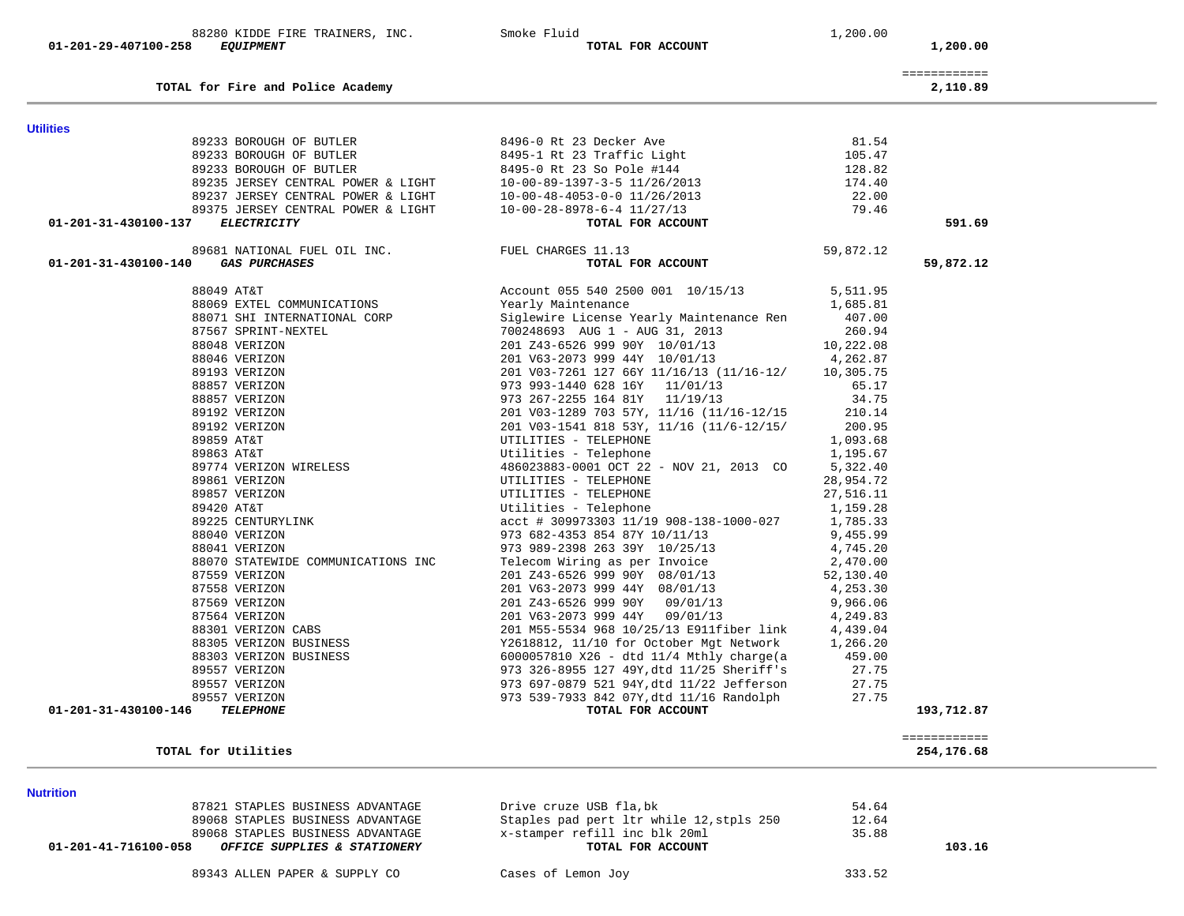| 88280<br>KIDDE FIRE TRAINERS,<br>INC. | --<br>Smoke Fluid | .,200.00 |
|---------------------------------------|-------------------|----------|
|---------------------------------------|-------------------|----------|

**TOTAL for Fire and Police Academy 2,110.89**

 **01-201-29-407100-258** *EQUIPMENT* **TOTAL FOR ACCOUNT 1,200.00**

| DHIND LIMIN<br>____ |       |      |
|---------------------|-------|------|
|                     | ----- | $ -$ |

|  |  | -------------<br>------------- |
|--|--|--------------------------------|
|  |  |                                |

2,110.89

| <b>Utilities</b>                                                                                                                                                                                                                                            |                                                                                                                                                                                                                                            |                      |                            |
|-------------------------------------------------------------------------------------------------------------------------------------------------------------------------------------------------------------------------------------------------------------|--------------------------------------------------------------------------------------------------------------------------------------------------------------------------------------------------------------------------------------------|----------------------|----------------------------|
|                                                                                                                                                                                                                                                             |                                                                                                                                                                                                                                            | 81.54                |                            |
|                                                                                                                                                                                                                                                             |                                                                                                                                                                                                                                            | 105.47               |                            |
|                                                                                                                                                                                                                                                             |                                                                                                                                                                                                                                            | 128.82               |                            |
|                                                                                                                                                                                                                                                             |                                                                                                                                                                                                                                            | $120.02$<br>174.40   |                            |
|                                                                                                                                                                                                                                                             |                                                                                                                                                                                                                                            | 22.00                |                            |
|                                                                                                                                                                                                                                                             |                                                                                                                                                                                                                                            | 79.46                |                            |
| 01-201-31-430100-137 ELECTRICITY                                                                                                                                                                                                                            |                                                                                                                                                                                                                                            |                      | 591.69                     |
| 89681 NATIONAL FUEL OIL INC.<br>FUEL CHARGES 11.13                                                                                                                                                                                                          |                                                                                                                                                                                                                                            | 59,872.12            |                            |
| 01-201-31-430100-140 GAS PURCHASES                                                                                                                                                                                                                          | TOTAL FOR ACCOUNT                                                                                                                                                                                                                          |                      | 59,872.12                  |
| 88049 AT&T                                                                                                                                                                                                                                                  | Account 055 540 2500 001 10/15/13 5,511.95<br>Yearly Maintenance 1,685.81<br>Siglewire License Yearly Maintenance Ren 407.00                                                                                                               |                      |                            |
| 88069 EXTEL COMMUNICATIONS                                                                                                                                                                                                                                  |                                                                                                                                                                                                                                            |                      |                            |
| 88069 EXTEL COMMUNICATIONS<br>88071 SHI INTERNATIONAL CORP<br>87567 SPRINT-NEXTEL<br>88048 VERIZON<br>88046 VERIZON<br>89193 VERIZON<br>88857 VERIZON<br>89857 VERIZON<br>89192 VERIZON<br>89953 AT&T<br>89863 AT&T<br>89774 VERIZON WIRELESS<br>89861 NERI |                                                                                                                                                                                                                                            |                      |                            |
|                                                                                                                                                                                                                                                             | 700248693 AUG 1 - AUG 31, 2013                                                                                                                                                                                                             | 260.94               |                            |
|                                                                                                                                                                                                                                                             | 201 243-6526 999 90Y 10/01/13<br>201 V63-2073 999 44Y 10/01/13                                                                                                                                                                             | 10,222.08            |                            |
|                                                                                                                                                                                                                                                             |                                                                                                                                                                                                                                            | 4,262.87             |                            |
|                                                                                                                                                                                                                                                             | 201 V03-7261 127 66Y 11/16/13 (11/16-12/ 10,305.75                                                                                                                                                                                         |                      |                            |
|                                                                                                                                                                                                                                                             | 973 993-1440 628 16Y 11/01/13                                                                                                                                                                                                              | 65.17                |                            |
|                                                                                                                                                                                                                                                             | 973 267-2255 164 81Y 11/19/13                                                                                                                                                                                                              | 34.75                |                            |
|                                                                                                                                                                                                                                                             | 201 V03-1289 703 57Y, 11/16 (11/16-12/15 210.14                                                                                                                                                                                            |                      |                            |
|                                                                                                                                                                                                                                                             | 201 V03-1541 818 53Y, 11/16 (11/6-12/15/ 200.95                                                                                                                                                                                            |                      |                            |
|                                                                                                                                                                                                                                                             | UTILITIES - TELEPHONE                                                                                                                                                                                                                      | 1,093.68             |                            |
|                                                                                                                                                                                                                                                             | Utilities - Telephone                                                                                                                                                                                                                      | 1,195.67             |                            |
|                                                                                                                                                                                                                                                             | 486023883-0001 OCT 22 - NOV 21, 2013 CO 5,322.40                                                                                                                                                                                           |                      |                            |
| 89861 VERIZON                                                                                                                                                                                                                                               | UTILITIES – TELEPHONE<br>UTILITIES – TELEPHONE<br>Utilities – Telephone                                                                                                                                                                    | 28,954.72            |                            |
| 89857 VERIZON                                                                                                                                                                                                                                               |                                                                                                                                                                                                                                            | 27,516.11            |                            |
| 89420 AT&T                                                                                                                                                                                                                                                  |                                                                                                                                                                                                                                            | 1,159.28             |                            |
| 89225 CENTURYLINK                                                                                                                                                                                                                                           | acct # 309973303 11/19 908-138-1000-027                                                                                                                                                                                                    | 1,785.33             |                            |
| 88040 VERIZON                                                                                                                                                                                                                                               | 973 682-4353 854 87Y 10/11/13 9,455.99                                                                                                                                                                                                     |                      |                            |
| 88041 VERIZON                                                                                                                                                                                                                                               | 973 989-2398 263 39Y 10/25/13 4,745.20<br>Telecom Wiring as per Invoice 2,470.00                                                                                                                                                           |                      |                            |
| 88070 STATEWIDE COMMUNICATIONS INC                                                                                                                                                                                                                          |                                                                                                                                                                                                                                            |                      |                            |
| 87559 VERIZON                                                                                                                                                                                                                                               | 201 Z43-6526 999 90Y 08/01/13                                                                                                                                                                                                              | 52,130.40            |                            |
| 87558 VERIZON                                                                                                                                                                                                                                               | 201 V63-2073 999 44Y 08/01/13                                                                                                                                                                                                              | 4,253.30             |                            |
| 87569 VERIZON<br>87564 VERIZON<br>88301 VERIZON CABS                                                                                                                                                                                                        |                                                                                                                                                                                                                                            | 9,966.06<br>4,249.83 |                            |
|                                                                                                                                                                                                                                                             |                                                                                                                                                                                                                                            |                      |                            |
|                                                                                                                                                                                                                                                             | 201 M55-5534 968 10/25/13 E911fiber link 4,439.04<br>Y2618812, 11/10 for October Mgt Network 1,266.20                                                                                                                                      |                      |                            |
| 88305 VERIZON BUSINESS                                                                                                                                                                                                                                      |                                                                                                                                                                                                                                            |                      |                            |
| 88303 VERIZON BUSINESS                                                                                                                                                                                                                                      | 6000057810 X26 - dtd 11/4 Mthly charge(a 459.00<br>973 326-8955 127 49Y, dtd 11/25 Sheriff's 27.75                                                                                                                                         |                      |                            |
| 89557 VERIZON                                                                                                                                                                                                                                               |                                                                                                                                                                                                                                            |                      |                            |
| 89557 VERIZON                                                                                                                                                                                                                                               |                                                                                                                                                                                                                                            | 27.75                |                            |
| 89557 VERIZON                                                                                                                                                                                                                                               |                                                                                                                                                                                                                                            | 27.75                |                            |
| 01-201-31-430100-146<br><b>TELEPHONE</b>                                                                                                                                                                                                                    | 201 083-2073 999 9447 08/01/13<br>201 083-626 999 907 09/01/13<br>201 083-626 999 9447 08/01/13<br>201 083-2073 999 9447 09/01/13<br>201 083-2073 999 9447 09/01/13<br>201 085-5534 968 10/25/13 E911fiber link<br>201 M55-5534 968 10/25/ |                      | 193,712.87                 |
| TOTAL for Utilities                                                                                                                                                                                                                                         |                                                                                                                                                                                                                                            |                      | ============<br>254,176.68 |
|                                                                                                                                                                                                                                                             |                                                                                                                                                                                                                                            |                      |                            |

**Nutrition** 

89068 STAPLES BUSINESS ADVANTAGE  $x$ -stamper refill inc blk 20ml<br>3 **OFFICE SUPPLIES & STATIONERY** TOTAL FOR ACCOUNT  **01-201-41-716100-058** *OFFICE SUPPLIES & STATIONERY* **TOTAL FOR ACCOUNT 103.16**

87821 STAPLES BUSINESS ADVANTAGE **Drive cruze USB fla,bk** 52,5tpls 250 54.64<br>89068 STAPLES BUSINESS ADVANTAGE Staples pad pert ltr while 12,stpls 250 12.64 89068 STAPLES BUSINESS ADVANTAGE 31 Staples pad pert ltr while 12, stpls 250 12.64<br>89068 STAPLES BUSINESS ADVANTAGE 35.88 x-stamper refill inc blk 20ml 35.88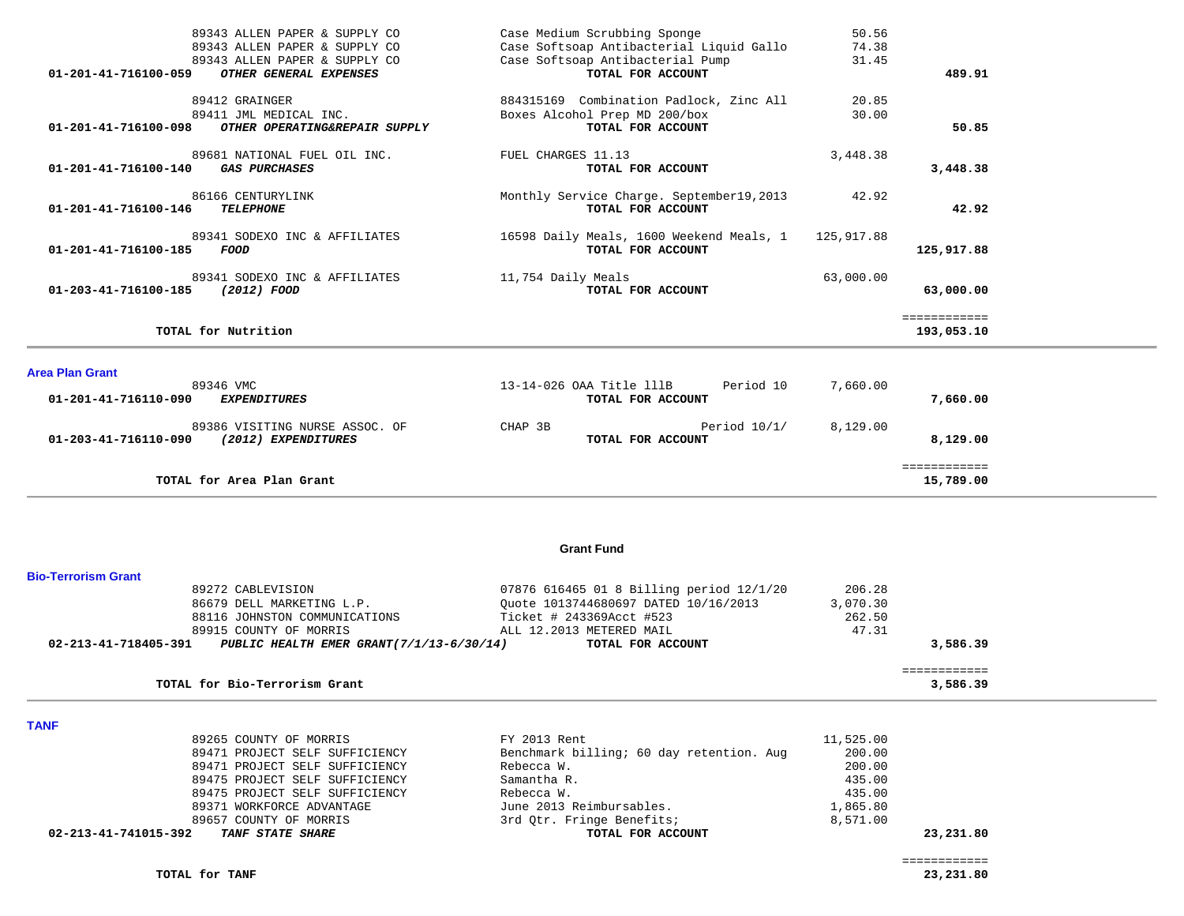| 01-201-41-716100-059   | 89343 ALLEN PAPER & SUPPLY CO<br>89343 ALLEN PAPER & SUPPLY CO<br>89343 ALLEN PAPER & SUPPLY CO<br>OTHER GENERAL EXPENSES |                    | Case Medium Scrubbing Sponge<br>Case Softsoap Antibacterial Liquid Gallo<br>Case Softsoap Antibacterial Pump<br>TOTAL FOR ACCOUNT | 50.56<br>74.38<br>31.45 | 489.91                     |
|------------------------|---------------------------------------------------------------------------------------------------------------------------|--------------------|-----------------------------------------------------------------------------------------------------------------------------------|-------------------------|----------------------------|
| 01-201-41-716100-098   | 89412 GRAINGER<br>89411 JML MEDICAL INC.<br>OTHER OPERATING&REPAIR SUPPLY                                                 |                    | 884315169 Combination Padlock, Zinc All<br>Boxes Alcohol Prep MD 200/box<br>TOTAL FOR ACCOUNT                                     | 20.85<br>30.00          | 50.85                      |
| 01-201-41-716100-140   | 89681 NATIONAL FUEL OIL INC.<br><b>GAS PURCHASES</b>                                                                      | FUEL CHARGES 11.13 | TOTAL FOR ACCOUNT                                                                                                                 | 3,448.38                | 3,448.38                   |
| 01-201-41-716100-146   | 86166 CENTURYLINK<br><b>TELEPHONE</b>                                                                                     |                    | Monthly Service Charge. September19, 2013<br>TOTAL FOR ACCOUNT                                                                    | 42.92                   | 42.92                      |
| 01-201-41-716100-185   | 89341 SODEXO INC & AFFILIATES<br><b>FOOD</b>                                                                              |                    | 16598 Daily Meals, 1600 Weekend Meals, 1<br>TOTAL FOR ACCOUNT                                                                     | 125,917.88              | 125,917.88                 |
| 01-203-41-716100-185   | 89341 SODEXO INC & AFFILIATES<br>(2012) FOOD                                                                              | 11,754 Daily Meals | TOTAL FOR ACCOUNT                                                                                                                 | 63,000.00               | 63,000.00                  |
|                        | TOTAL for Nutrition                                                                                                       |                    |                                                                                                                                   |                         | ============<br>193,053.10 |
| <b>Area Plan Grant</b> |                                                                                                                           |                    |                                                                                                                                   |                         |                            |
| 01-201-41-716110-090   | 89346 VMC<br><b>EXPENDITURES</b>                                                                                          |                    | 13-14-026 OAA Title 111B<br>Period 10<br>TOTAL FOR ACCOUNT                                                                        | 7,660.00                | 7,660.00                   |
| 01-203-41-716110-090   | 89386 VISITING NURSE ASSOC. OF<br>(2012) EXPENDITURES                                                                     | CHAP 3B            | Period $10/1/$<br>TOTAL FOR ACCOUNT                                                                                               | 8,129.00                | 8,129.00                   |
|                        | TOTAL for Area Plan Grant                                                                                                 |                    |                                                                                                                                   |                         | ============<br>15,789.00  |

### **Grant Fund**

| <b>Bio-Terrorism Grant</b> |                                           |                                          |          |          |
|----------------------------|-------------------------------------------|------------------------------------------|----------|----------|
|                            | 89272 CABLEVISION                         | 07876 616465 01 8 Billing period 12/1/20 | 206.28   |          |
|                            | 86679 DELL MARKETING L.P.                 | Ouote 1013744680697 DATED 10/16/2013     | 3,070.30 |          |
|                            | 88116 JOHNSTON COMMUNICATIONS             | Ticket # 243369Acct #523                 | 262.50   |          |
|                            | 89915 COUNTY OF MORRIS                    | ALL 12.2013 METERED MAIL                 | 47.31    |          |
| 02-213-41-718405-391       | PUBLIC HEALTH EMER GRANT (7/1/13-6/30/14) | TOTAL FOR ACCOUNT                        |          | 3,586.39 |
|                            |                                           |                                          |          |          |
|                            | TOTAL for Bio-Terrorism Grant             |                                          |          | 3,586.39 |

**TANF** 

| 02-213-41-741015-392<br><i>TANF STATE SHARE</i> | TOTAL FOR ACCOUNT                        |           | 23,231.80 |
|-------------------------------------------------|------------------------------------------|-----------|-----------|
| 89657 COUNTY OF MORRIS                          | 3rd Otr. Fringe Benefits;                | 8,571.00  |           |
| 89371 WORKFORCE ADVANTAGE                       | June 2013 Reimbursables.                 | 1,865.80  |           |
| 89475 PROJECT SELF SUFFICIENCY                  | Rebecca W.                               | 435.00    |           |
| 89475 PROJECT SELF SUFFICIENCY                  | Samantha R.                              | 435.00    |           |
| 89471 PROJECT SELF SUFFICIENCY                  | Rebecca W.                               | 200.00    |           |
| 89471 PROJECT SELF SUFFICIENCY                  | Benchmark billing; 60 day retention. Aug | 200.00    |           |
| 89265 COUNTY OF MORRIS                          | FY 2013 Rent                             | 11,525.00 |           |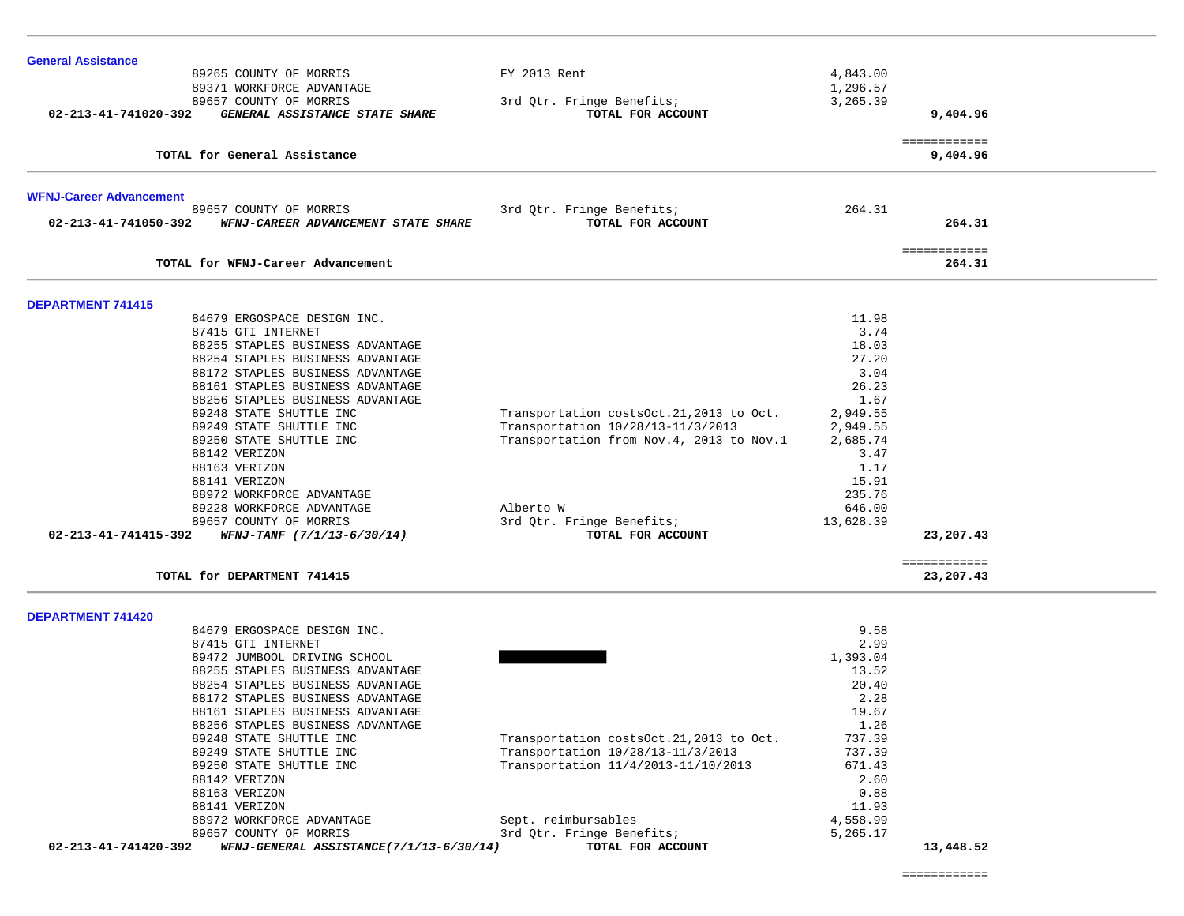| 89265 COUNTY OF MORRIS                                                                | FY 2013 Rent                                                                 | 4,843.00             |                           |
|---------------------------------------------------------------------------------------|------------------------------------------------------------------------------|----------------------|---------------------------|
| 89371 WORKFORCE ADVANTAGE                                                             |                                                                              | 1,296.57             |                           |
| 89657 COUNTY OF MORRIS                                                                | 3rd Qtr. Fringe Benefits;                                                    | 3,265.39             |                           |
| 02-213-41-741020-392<br>GENERAL ASSISTANCE STATE SHARE                                | TOTAL FOR ACCOUNT                                                            |                      | 9,404.96                  |
| TOTAL for General Assistance                                                          |                                                                              |                      | ============<br>9,404.96  |
|                                                                                       |                                                                              |                      |                           |
| <b>WFNJ-Career Advancement</b>                                                        |                                                                              |                      |                           |
| 89657 COUNTY OF MORRIS<br>02-213-41-741050-392<br>WFNJ-CAREER ADVANCEMENT STATE SHARE | 3rd Qtr. Fringe Benefits;<br>TOTAL FOR ACCOUNT                               | 264.31               | 264.31                    |
| TOTAL for WFNJ-Career Advancement                                                     |                                                                              |                      | ============<br>264.31    |
| <b>DEPARTMENT 741415</b>                                                              |                                                                              |                      |                           |
| 84679 ERGOSPACE DESIGN INC.                                                           |                                                                              | 11.98                |                           |
| 87415 GTI INTERNET                                                                    |                                                                              | 3.74                 |                           |
| 88255 STAPLES BUSINESS ADVANTAGE                                                      |                                                                              | 18.03                |                           |
| 88254 STAPLES BUSINESS ADVANTAGE                                                      |                                                                              | 27.20                |                           |
| 88172 STAPLES BUSINESS ADVANTAGE                                                      |                                                                              | 3.04                 |                           |
| 88161 STAPLES BUSINESS ADVANTAGE                                                      |                                                                              | 26.23                |                           |
| 88256 STAPLES BUSINESS ADVANTAGE                                                      |                                                                              | 1.67                 |                           |
| 89248 STATE SHUTTLE INC<br>89249 STATE SHUTTLE INC                                    | Transportation costsOct.21,2013 to Oct.<br>Transportation 10/28/13-11/3/2013 | 2,949.55<br>2,949.55 |                           |
| 89250 STATE SHUTTLE INC                                                               | Transportation from Nov. 4, 2013 to Nov. 1                                   | 2,685.74             |                           |
| 88142 VERIZON                                                                         |                                                                              | 3.47                 |                           |
| 88163 VERIZON                                                                         |                                                                              | 1.17                 |                           |
| 88141 VERIZON                                                                         |                                                                              | 15.91                |                           |
| 88972 WORKFORCE ADVANTAGE                                                             |                                                                              | 235.76               |                           |
| 89228 WORKFORCE ADVANTAGE                                                             | Alberto W                                                                    | 646.00               |                           |
| 89657 COUNTY OF MORRIS                                                                | 3rd Qtr. Fringe Benefits;                                                    | 13,628.39            |                           |
| $WFNJ-TANF$ (7/1/13-6/30/14)<br>02-213-41-741415-392                                  | TOTAL FOR ACCOUNT                                                            |                      | 23,207.43                 |
| TOTAL for DEPARTMENT 741415                                                           |                                                                              |                      | ============<br>23,207.43 |
|                                                                                       |                                                                              |                      |                           |
| <b>DEPARTMENT 741420</b><br>84679 ERGOSPACE DESIGN INC.                               |                                                                              | 9.58                 |                           |
| 87415 GTI INTERNET                                                                    |                                                                              | 2.99                 |                           |
| 89472 JUMBOOL DRIVING SCHOOL                                                          |                                                                              | 1,393.04             |                           |
| 88255 STAPLES BUSINESS ADVANTAGE                                                      |                                                                              | 13.52                |                           |
| 88254 STAPLES BUSINESS ADVANTAGE                                                      |                                                                              | 20.40                |                           |
| 88172 STAPLES BUSINESS ADVANTAGE                                                      |                                                                              | 2.28                 |                           |
| 88161 STAPLES BUSINESS ADVANTAGE                                                      |                                                                              | 19.67                |                           |
| 88256 STAPLES BUSINESS ADVANTAGE                                                      |                                                                              | 1.26                 |                           |
| 89248 STATE SHUTTLE INC                                                               | Transportation costsOct.21,2013 to Oct                                       | 737.39               |                           |
| 89249 STATE SHUTTLE INC                                                               | Transportation 10/28/13-11/3/2013                                            | 737.39               |                           |
| 89250 STATE SHUTTLE INC                                                               | Transportation 11/4/2013-11/10/2013                                          | 671.43               |                           |
| 88142 VERIZON                                                                         |                                                                              | 2.60                 |                           |
| 88163 VERIZON                                                                         |                                                                              | 0.88                 |                           |
| 88141 VERIZON                                                                         | Sept. reimbursables                                                          | 11.93<br>4,558.99    |                           |
| 88972 WORKFORCE ADVANTAGE<br>89657 COUNTY OF MORRIS                                   | 3rd Qtr. Fringe Benefits;                                                    | 5,265.17             |                           |
| 02-213-41-741420-392<br>WFNJ-GENERAL ASSISTANCE(7/1/13-6/30/14)                       | TOTAL FOR ACCOUNT                                                            |                      | 13,448.52                 |

**General Assistance**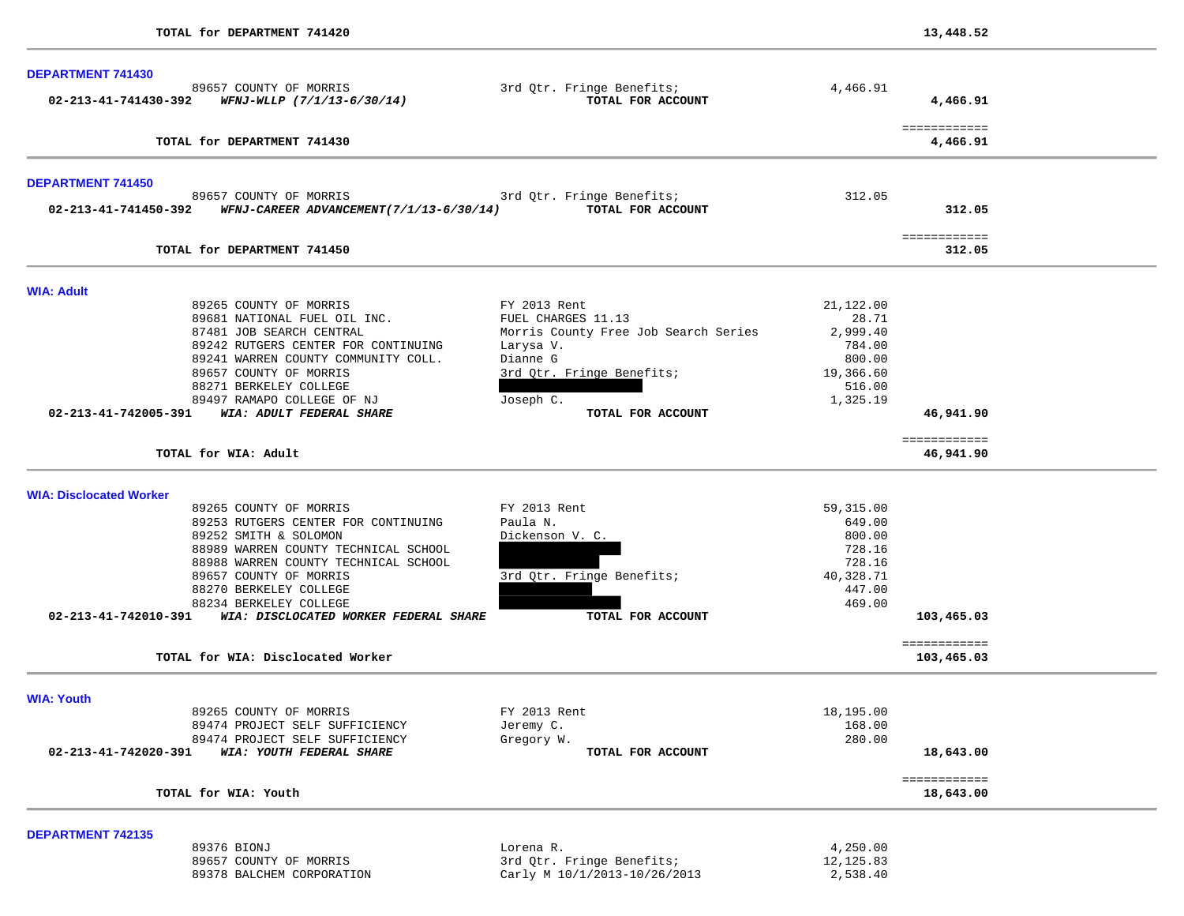| <b>DEPARTMENT 741430</b><br>89657 COUNTY OF MORRIS                                         |                                                |                        |                           |  |
|--------------------------------------------------------------------------------------------|------------------------------------------------|------------------------|---------------------------|--|
| $02 - 213 - 41 - 741430 - 392$ WFNJ-WLLP $(7/1/13 - 6/30/14)$                              | 3rd Qtr. Fringe Benefits;<br>TOTAL FOR ACCOUNT | 4,466.91               | 4,466.91                  |  |
| TOTAL for DEPARTMENT 741430                                                                |                                                |                        | ============<br>4,466.91  |  |
| <b>DEPARTMENT 741450</b>                                                                   |                                                |                        |                           |  |
| 89657 COUNTY OF MORRIS<br>02-213-41-741450-392     WFNJ-CAREER ADVANCEMENT(7/1/13-6/30/14) | 3rd Qtr. Fringe Benefits;<br>TOTAL FOR ACCOUNT | 312.05                 | 312.05                    |  |
| TOTAL for DEPARTMENT 741450                                                                |                                                |                        | ============<br>312.05    |  |
| <b>WIA: Adult</b>                                                                          |                                                |                        |                           |  |
| 89265 COUNTY OF MORRIS                                                                     | FY 2013 Rent                                   | 21,122.00              |                           |  |
| 89681 NATIONAL FUEL OIL INC.                                                               | FUEL CHARGES 11.13                             | 28.71                  |                           |  |
| 87481 JOB SEARCH CENTRAL                                                                   | Morris County Free Job Search Series           | 2,999.40               |                           |  |
| 89242 RUTGERS CENTER FOR CONTINUING                                                        | Larysa V.                                      | 784.00                 |                           |  |
| 89241 WARREN COUNTY COMMUNITY COLL.                                                        | Dianne G                                       | 800.00                 |                           |  |
| 89657 COUNTY OF MORRIS                                                                     | 3rd Qtr. Fringe Benefits;                      | 19,366.60              |                           |  |
| 88271 BERKELEY COLLEGE                                                                     |                                                | 516.00                 |                           |  |
| 89497 RAMAPO COLLEGE OF NJ                                                                 | Joseph C.                                      | 1,325.19               |                           |  |
| 02-213-41-742005-391 WIA: ADULT FEDERAL SHARE                                              | TOTAL FOR ACCOUNT                              |                        | 46,941.90                 |  |
| TOTAL for WIA: Adult                                                                       |                                                |                        | ============<br>46,941.90 |  |
|                                                                                            |                                                |                        |                           |  |
| <b>WIA: Disclocated Worker</b>                                                             |                                                |                        |                           |  |
| 89265 COUNTY OF MORRIS                                                                     | FY 2013 Rent<br>Paula N.                       | 59,315.00<br>649.00    |                           |  |
| 89253 RUTGERS CENTER FOR CONTINUING<br>89252 SMITH & SOLOMON                               | Dickenson V. C.                                | 800.00                 |                           |  |
| 88989 WARREN COUNTY TECHNICAL SCHOOL                                                       |                                                | 728.16                 |                           |  |
| 88988 WARREN COUNTY TECHNICAL SCHOOL                                                       |                                                | 728.16                 |                           |  |
| 89657 COUNTY OF MORRIS                                                                     | 3rd Qtr. Fringe Benefits;                      | 40,328.71              |                           |  |
| 88270 BERKELEY COLLEGE                                                                     |                                                | 447.00                 |                           |  |
| 88234 BERKELEY COLLEGE                                                                     |                                                | 469.00                 |                           |  |
| 02-213-41-742010-391 WIA: DISCLOCATED WORKER FEDERAL SHARE                                 | TOTAL FOR ACCOUNT                              |                        | 103,465.03                |  |
|                                                                                            |                                                |                        | ============              |  |
| TOTAL for WIA: Disclocated Worker                                                          |                                                |                        | 103,465.03                |  |
| <b>WIA: Youth</b>                                                                          |                                                |                        |                           |  |
| 89265 COUNTY OF MORRIS                                                                     | FY 2013 Rent                                   | 18,195.00              |                           |  |
| 89474 PROJECT SELF SUFFICIENCY                                                             | Jeremy C.                                      | 168.00                 |                           |  |
| 89474 PROJECT SELF SUFFICIENCY                                                             | Gregory W.                                     | 280.00                 |                           |  |
| 02-213-41-742020-391<br>WIA: YOUTH FEDERAL SHARE                                           | TOTAL FOR ACCOUNT                              |                        | 18,643.00                 |  |
| TOTAL for WIA: Youth                                                                       |                                                |                        | ============<br>18,643.00 |  |
|                                                                                            |                                                |                        |                           |  |
| <b>DEPARTMENT 742135</b>                                                                   |                                                |                        |                           |  |
| 89376 BIONJ                                                                                | Lorena R.<br>3rd Qtr. Fringe Benefits;         | 4,250.00               |                           |  |
| 89657 COUNTY OF MORRIS<br>89378 BALCHEM CORPORATION                                        | Carly M 10/1/2013-10/26/2013                   | 12, 125.83<br>2,538.40 |                           |  |
|                                                                                            |                                                |                        |                           |  |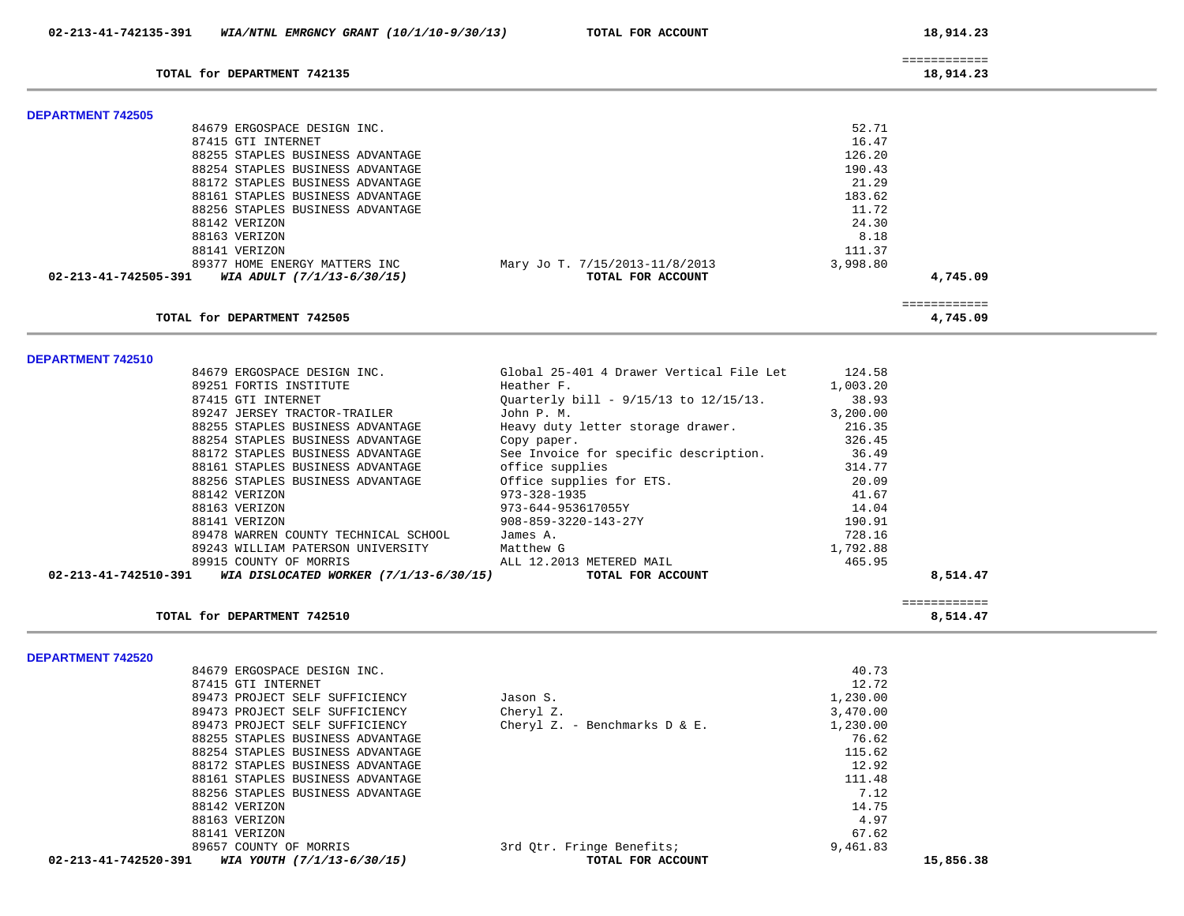|                          | 02-213-41-742135-391 WIA/NTNL EMRGNCY GRANT (10/1/10-9/30/13) | TOTAL FOR ACCOUNT              | 18,914.23                 |  |
|--------------------------|---------------------------------------------------------------|--------------------------------|---------------------------|--|
|                          | TOTAL for DEPARTMENT 742135                                   |                                | ============<br>18,914.23 |  |
|                          |                                                               |                                |                           |  |
| <b>DEPARTMENT 742505</b> |                                                               |                                |                           |  |
|                          | 84679 ERGOSPACE DESIGN INC.                                   |                                | 52.71                     |  |
|                          | 87415 GTI INTERNET                                            |                                | 16.47                     |  |
|                          | 88255 STAPLES BUSINESS ADVANTAGE                              |                                | 126.20                    |  |
|                          | 88254 STAPLES BUSINESS ADVANTAGE                              |                                | 190.43                    |  |
|                          | 88172 STAPLES BUSINESS ADVANTAGE                              |                                | 21.29                     |  |
|                          | 88161 STAPLES BUSINESS ADVANTAGE                              |                                | 183.62                    |  |
|                          | 88256 STAPLES BUSINESS ADVANTAGE                              |                                | 11.72                     |  |
|                          | 88142 VERIZON                                                 |                                | 24.30                     |  |
|                          | 88163 VERIZON                                                 |                                | 8.18                      |  |
|                          | 88141 VERIZON                                                 |                                | 111.37                    |  |
|                          | 89377 HOME ENERGY MATTERS INC                                 | Mary Jo T. 7/15/2013-11/8/2013 | 3,998.80                  |  |
|                          | 02-213-41-742505-391 WIA ADULT (7/1/13-6/30/15)               | TOTAL FOR ACCOUNT              | 4,745.09                  |  |
|                          | TOTAL for DEPARTMENT 742505                                   |                                | ============<br>4,745.09  |  |

**DEPARTMENT 742510** 

|                                      |                                                 | ============ |
|--------------------------------------|-------------------------------------------------|--------------|
|                                      | TOTAL FOR ACCOUNT                               | 8,514.47     |
|                                      | 89915 COUNTY OF MORRIS ALL 12.2013 METERED MAIL | 465.95       |
| 89243 WILLIAM PATERSON UNIVERSITY    | Matthew G                                       | 1,792.88     |
| 89478 WARREN COUNTY TECHNICAL SCHOOL | James A.                                        | 728.16       |
| 88141 VERIZON                        | 908-859-3220-143-27Y                            | 190.91       |
| 88163 VERIZON                        | 973-644-953617055Y                              | 14.04        |
| 88142 VERIZON                        | 973-328-1935                                    | 41.67        |
| 88256 STAPLES BUSINESS ADVANTAGE     | Office supplies for ETS.                        | 20.09        |
| 88161 STAPLES BUSINESS ADVANTAGE     | office supplies                                 | 314.77       |
| 88172 STAPLES BUSINESS ADVANTAGE     | See Invoice for specific description.           | 36.49        |
| 88254 STAPLES BUSINESS ADVANTAGE     | Copy paper.                                     | 326.45       |
| 88255 STAPLES BUSINESS ADVANTAGE     | Heavy duty letter storage drawer.               | 216.35       |
| 89247 JERSEY TRACTOR-TRAILER         | John P. M.                                      | 3,200.00     |
| 87415 GTI INTERNET                   | Ouarterly bill - 9/15/13 to 12/15/13.           | 38.93        |
| 89251 FORTIS INSTITUTE               | Heather F.                                      | 1,003.20     |
| 84679 ERGOSPACE DESIGN INC.          | Global 25-401 4 Drawer Vertical File Let        | 124.58       |

**TOTAL for DEPARTMENT 742510 8,514.47**

**DEPARTMENT 742520** 

|                      | 84679 ERGOSPACE DESIGN INC.      |                                  | 40.73     |
|----------------------|----------------------------------|----------------------------------|-----------|
|                      | 87415 GTI INTERNET               |                                  | 12.72     |
|                      | 89473 PROJECT SELF SUFFICIENCY   | Jason S.                         | 1,230.00  |
|                      | 89473 PROJECT SELF SUFFICIENCY   | Cheryl Z.                        | 3,470.00  |
|                      | 89473 PROJECT SELF SUFFICIENCY   | Cheryl Z. - Benchmarks $D & E$ . | 1,230.00  |
|                      | 88255 STAPLES BUSINESS ADVANTAGE |                                  | 76.62     |
|                      | 88254 STAPLES BUSINESS ADVANTAGE |                                  | 115.62    |
|                      | 88172 STAPLES BUSINESS ADVANTAGE |                                  | 12.92     |
|                      | 88161 STAPLES BUSINESS ADVANTAGE |                                  | 111.48    |
|                      | 88256 STAPLES BUSINESS ADVANTAGE |                                  | 7.12      |
|                      | 88142 VERIZON                    |                                  | 14.75     |
|                      | 88163 VERIZON                    |                                  | 4.97      |
|                      | 88141 VERIZON                    |                                  | 67.62     |
|                      | 89657 COUNTY OF MORRIS           | 3rd Otr. Fringe Benefits;        | 9,461.83  |
| 02-213-41-742520-391 | WIA YOUTH (7/1/13-6/30/15)       | TOTAL FOR ACCOUNT                | 15,856.38 |
|                      |                                  |                                  |           |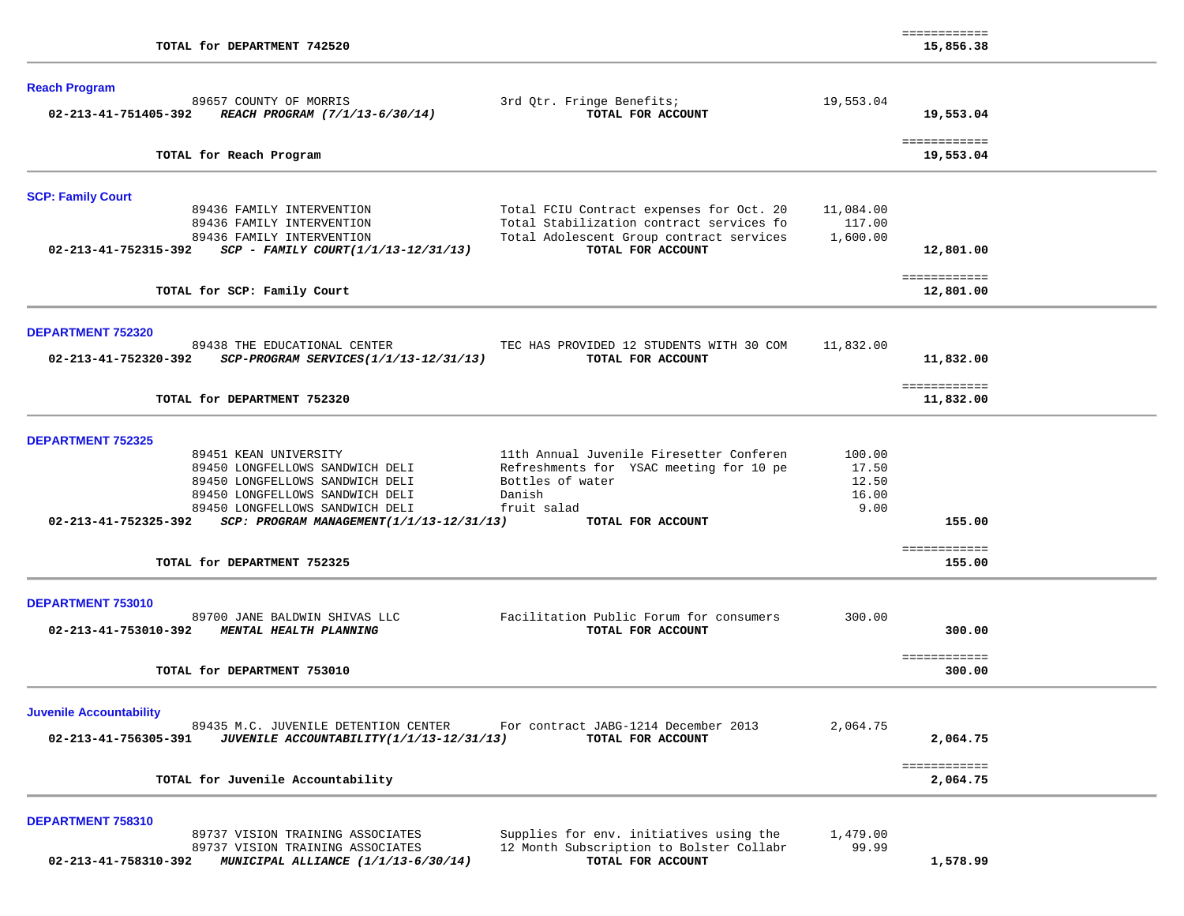| TOTAL for DEPARTMENT 742520                                                                                                                                                                                                                                       |                                                                                                                                                       |                                           | <b>EEEEEEEEEEE</b><br>15,856.38  |  |
|-------------------------------------------------------------------------------------------------------------------------------------------------------------------------------------------------------------------------------------------------------------------|-------------------------------------------------------------------------------------------------------------------------------------------------------|-------------------------------------------|----------------------------------|--|
| <b>Reach Program</b><br>89657 COUNTY OF MORRIS<br>02-213-41-751405-392<br>REACH PROGRAM (7/1/13-6/30/14)                                                                                                                                                          | 3rd Qtr. Fringe Benefits;<br>TOTAL FOR ACCOUNT                                                                                                        | 19,553.04                                 | 19,553.04<br>============        |  |
| TOTAL for Reach Program                                                                                                                                                                                                                                           |                                                                                                                                                       |                                           | 19,553.04                        |  |
| <b>SCP: Family Court</b><br>89436 FAMILY INTERVENTION<br>89436 FAMILY INTERVENTION<br>89436 FAMILY INTERVENTION<br>02-213-41-752315-392<br>$SCP - FAMILY COURT(1/1/13-12/31/13)$                                                                                  | Total FCIU Contract expenses for Oct. 20<br>Total Stabilization contract services fo<br>Total Adolescent Group contract services<br>TOTAL FOR ACCOUNT | 11,084.00<br>117.00<br>1,600.00           | 12,801.00                        |  |
| TOTAL for SCP: Family Court                                                                                                                                                                                                                                       |                                                                                                                                                       |                                           | ============<br>12,801.00        |  |
| <b>DEPARTMENT 752320</b><br>89438 THE EDUCATIONAL CENTER<br>02-213-41-752320-392<br>SCP-PROGRAM SERVICES(1/1/13-12/31/13)                                                                                                                                         | TEC HAS PROVIDED 12 STUDENTS WITH 30 COM<br>TOTAL FOR ACCOUNT                                                                                         | 11,832.00                                 | 11,832.00<br>============        |  |
| TOTAL for DEPARTMENT 752320                                                                                                                                                                                                                                       |                                                                                                                                                       |                                           | 11,832.00                        |  |
| <b>DEPARTMENT 752325</b><br>89451 KEAN UNIVERSITY<br>89450 LONGFELLOWS SANDWICH DELI<br>89450 LONGFELLOWS SANDWICH DELI<br>89450 LONGFELLOWS SANDWICH DELI<br>89450 LONGFELLOWS SANDWICH DELI<br>02-213-41-752325-392<br>SCP: PROGRAM MANAGEMENT(1/1/13-12/31/13) | 11th Annual Juvenile Firesetter Conferen<br>Refreshments for YSAC meeting for 10 pe<br>Bottles of water<br>Danish<br>fruit salad<br>TOTAL FOR ACCOUNT | 100.00<br>17.50<br>12.50<br>16.00<br>9.00 | 155.00                           |  |
| TOTAL for DEPARTMENT 752325                                                                                                                                                                                                                                       |                                                                                                                                                       |                                           | ============<br>155.00           |  |
| <b>DEPARTMENT 753010</b><br>89700 JANE BALDWIN SHIVAS LLC<br>02-213-41-753010-392<br>MENTAL HEALTH PLANNING<br>TOTAL for DEPARTMENT 753010                                                                                                                        | Facilitation Public Forum for consumers<br>TOTAL FOR ACCOUNT                                                                                          | 300.00                                    | 300.00<br>============<br>300.00 |  |
|                                                                                                                                                                                                                                                                   |                                                                                                                                                       |                                           |                                  |  |
| <b>Juvenile Accountability</b><br>89435 M.C. JUVENILE DETENTION CENTER<br>02-213-41-756305-391<br>JUVENILE ACCOUNTABILITY(1/1/13-12/31/13)                                                                                                                        | For contract JABG-1214 December 2013<br>TOTAL FOR ACCOUNT                                                                                             | 2,064.75                                  | 2,064.75                         |  |
| TOTAL for Juvenile Accountability                                                                                                                                                                                                                                 |                                                                                                                                                       |                                           | ============<br>2,064.75         |  |
| DEPARTMENT 758310<br>89737 VISION TRAINING ASSOCIATES<br>89737 VISION TRAINING ASSOCIATES<br>02-213-41-758310-392<br>MUNICIPAL ALLIANCE (1/1/13-6/30/14)                                                                                                          | Supplies for env. initiatives using the<br>12 Month Subscription to Bolster Collabr<br>TOTAL FOR ACCOUNT                                              | 1,479.00<br>99.99                         | 1,578.99                         |  |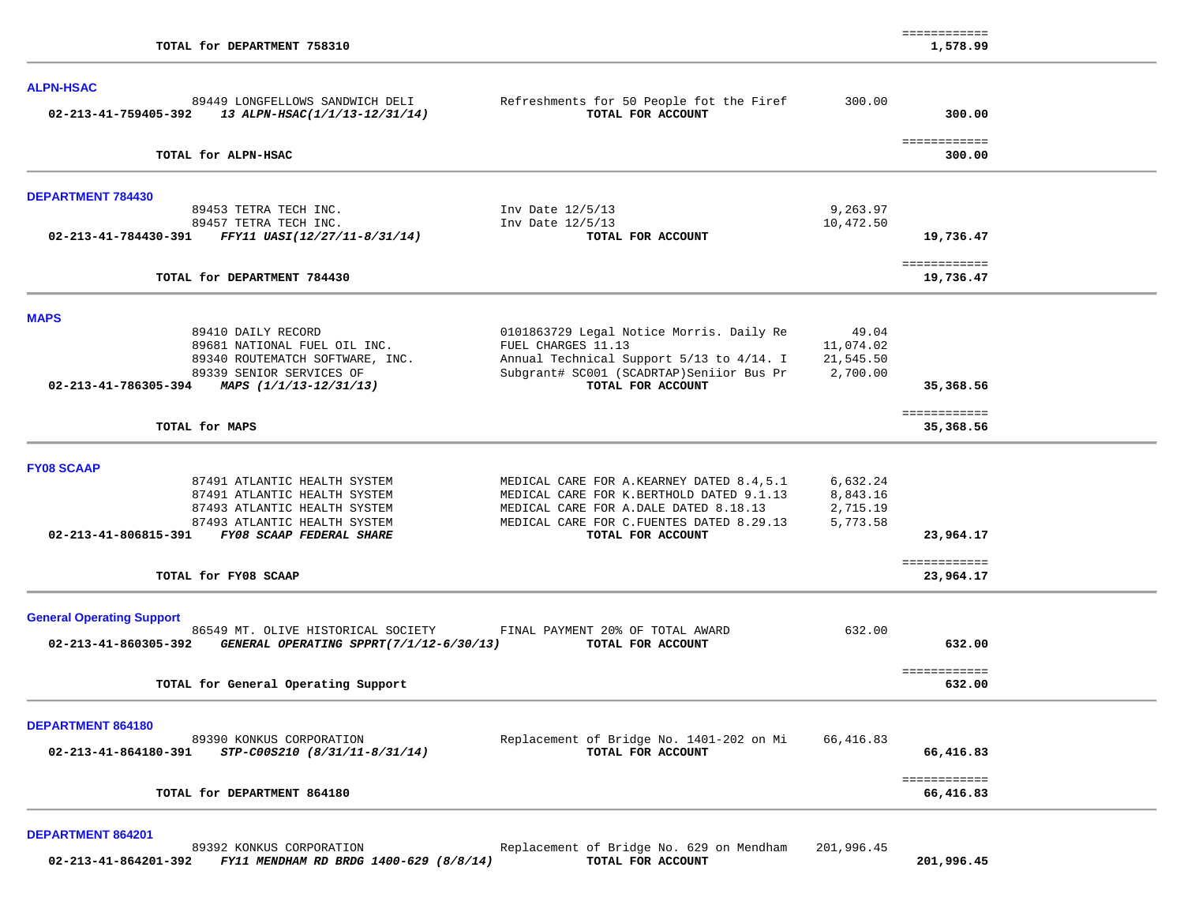| TOTAL for DEPARTMENT 758310                                                                                                                                                                                                |                                                                                                                                                                                                 |                                              | ============<br>1,578.99               |  |
|----------------------------------------------------------------------------------------------------------------------------------------------------------------------------------------------------------------------------|-------------------------------------------------------------------------------------------------------------------------------------------------------------------------------------------------|----------------------------------------------|----------------------------------------|--|
| <b>ALPN-HSAC</b><br>89449 LONGFELLOWS SANDWICH DELI<br>02-213-41-759405-392<br>13 ALPN-HSAC(1/1/13-12/31/14)                                                                                                               | Refreshments for 50 People fot the Firef<br>TOTAL FOR ACCOUNT                                                                                                                                   | 300.00                                       | 300.00                                 |  |
| TOTAL for ALPN-HSAC                                                                                                                                                                                                        |                                                                                                                                                                                                 |                                              | ============<br>300.00                 |  |
| <b>DEPARTMENT 784430</b><br>89453 TETRA TECH INC.<br>89457 TETRA TECH INC.<br>02-213-41-784430-391 FFY11 UASI(12/27/11-8/31/14)                                                                                            | Inv Date 12/5/13<br>Inv Date 12/5/13<br>TOTAL FOR ACCOUNT                                                                                                                                       | 9,263.97<br>10,472.50                        | 19,736.47                              |  |
| TOTAL for DEPARTMENT 784430                                                                                                                                                                                                |                                                                                                                                                                                                 |                                              | ============<br>19,736.47              |  |
| <b>MAPS</b><br>89410 DAILY RECORD<br>89681 NATIONAL FUEL OIL INC.<br>89340 ROUTEMATCH SOFTWARE, INC.<br>89339 SENIOR SERVICES OF<br>02-213-41-786305-394 MAPS $(1/1/13-12/31/13)$<br>TOTAL for MAPS                        | 0101863729 Legal Notice Morris. Daily Re<br>FUEL CHARGES 11.13<br>Annual Technical Support 5/13 to 4/14. I<br>Subgrant# SC001 (SCADRTAP)Seniior Bus Pr<br>TOTAL FOR ACCOUNT                     | 49.04<br>11,074.02<br>21,545.50<br>2,700.00  | 35,368.56<br>============<br>35,368.56 |  |
| <b>FY08 SCAAP</b><br>87491 ATLANTIC HEALTH SYSTEM<br>87491 ATLANTIC HEALTH SYSTEM<br>87493 ATLANTIC HEALTH SYSTEM<br>87493 ATLANTIC HEALTH SYSTEM<br>02-213-41-806815-391 FY08 SCAAP FEDERAL SHARE<br>TOTAL for FY08 SCAAP | MEDICAL CARE FOR A. KEARNEY DATED 8.4,5.1<br>MEDICAL CARE FOR K.BERTHOLD DATED 9.1.13<br>MEDICAL CARE FOR A.DALE DATED 8.18.13<br>MEDICAL CARE FOR C.FUENTES DATED 8.29.13<br>TOTAL FOR ACCOUNT | 6,632.24<br>8,843.16<br>2,715.19<br>5,773.58 | 23,964.17<br>============<br>23,964.17 |  |
| <b>General Operating Support</b><br>86549 MT. OLIVE HISTORICAL SOCIETY<br>GENERAL OPERATING SPPRT(7/1/12-6/30/13)<br>02-213-41-860305-392<br>TOTAL for General Operating Support                                           | FINAL PAYMENT 20% OF TOTAL AWARD<br>TOTAL FOR ACCOUNT                                                                                                                                           | 632.00                                       | 632.00<br>============<br>632.00       |  |
| DEPARTMENT 864180<br>89390 KONKUS CORPORATION<br>$02 - 213 - 41 - 864180 - 391$ STP-C00S210 (8/31/11-8/31/14)                                                                                                              | Replacement of Bridge No. 1401-202 on Mi<br>TOTAL FOR ACCOUNT                                                                                                                                   | 66,416.83                                    | 66,416.83<br>============              |  |
| TOTAL for DEPARTMENT 864180                                                                                                                                                                                                |                                                                                                                                                                                                 |                                              | 66,416.83                              |  |

**DEPARTMENT 864201** 

89392 KONKUS CORPORATION Replacement of Bridge No. 629 on Mendham 201,996.45<br>2 FY11 MENDHAM RD BRDG 1400-629 (8/8/14) TOTAL FOR ACCOUNT  **02-213-41-864201-392** *FY11 MENDHAM RD BRDG 1400-629 (8/8/14)* **TOTAL FOR ACCOUNT 201,996.45**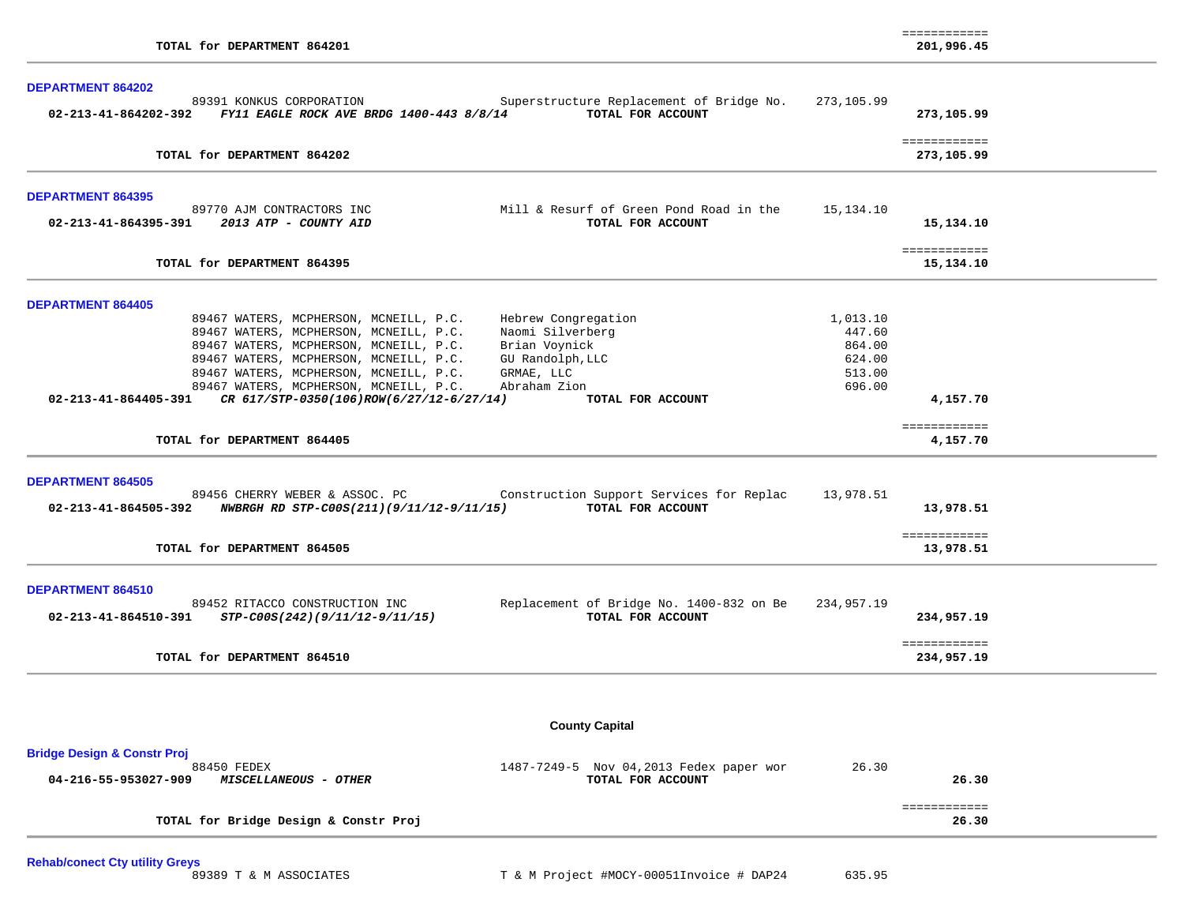| <b>DEPARTMENT 864202</b>                                                                                                                                                                                                                                                                                                                                                                                                                                                                 |                                                            |                                          |  |
|------------------------------------------------------------------------------------------------------------------------------------------------------------------------------------------------------------------------------------------------------------------------------------------------------------------------------------------------------------------------------------------------------------------------------------------------------------------------------------------|------------------------------------------------------------|------------------------------------------|--|
| 89391 KONKUS CORPORATION<br>Superstructure Replacement of Bridge No.<br>02-213-41-864202-392 FY11 EAGLE ROCK AVE BRDG 1400-443 8/8/14 TOTAL FOR ACCOUNT                                                                                                                                                                                                                                                                                                                                  | 273,105.99                                                 | 273,105.99                               |  |
| TOTAL for DEPARTMENT 864202                                                                                                                                                                                                                                                                                                                                                                                                                                                              |                                                            | ============<br>273,105.99               |  |
| <b>DEPARTMENT 864395</b><br>Mill & Resurf of Green Pond Road in the<br>89770 AJM CONTRACTORS INC<br>02-213-41-864395-391 2013 ATP - COUNTY AID<br>TOTAL FOR ACCOUNT                                                                                                                                                                                                                                                                                                                      | 15,134.10                                                  | 15,134.10                                |  |
| TOTAL for DEPARTMENT 864395                                                                                                                                                                                                                                                                                                                                                                                                                                                              |                                                            | ============<br>15,134.10                |  |
| <b>DEPARTMENT 864405</b><br>89467 WATERS, MCPHERSON, MCNEILL, P.C.<br>Hebrew Congregation<br>89467 WATERS, MCPHERSON, MCNEILL, P.C.<br>Naomi Silverberg<br>89467 WATERS, MCPHERSON, MCNEILL, P.C.<br>Brian Voynick<br>89467 WATERS, MCPHERSON, MCNEILL, P.C.<br>GU Randolph, LLC<br>89467 WATERS, MCPHERSON, MCNEILL, P.C.<br>GRMAE, LLC<br>89467 WATERS, MCPHERSON, MCNEILL, P.C.<br>Abraham Zion<br>02-213-41-864405-391 CR 617/STP-0350(106)ROW(6/27/12-6/27/14)<br>TOTAL FOR ACCOUNT | 1,013.10<br>447.60<br>864.00<br>624.00<br>513.00<br>696.00 | 4,157.70                                 |  |
| TOTAL for DEPARTMENT 864405                                                                                                                                                                                                                                                                                                                                                                                                                                                              |                                                            | ============<br>4,157.70                 |  |
| <b>DEPARTMENT 864505</b><br>89456 CHERRY WEBER & ASSOC. PC Construction Support Services for Replac<br>02-213-41-864505-392 NWBRGH RD STP-C00S(211)(9/11/12-9/11/15) TOTAL FOR ACCOUNT<br>TOTAL for DEPARTMENT 864505                                                                                                                                                                                                                                                                    | 13,978.51                                                  | 13,978.51<br>============<br>13,978.51   |  |
| <b>DEPARTMENT 864510</b><br>Replacement of Bridge No. 1400-832 on Be 234,957.19<br>89452 RITACCO CONSTRUCTION INC<br>$02 - 213 - 41 - 864510 - 391$ $STP-C00S(242)(9/11/12 - 9/11/15)$<br>TOTAL FOR ACCOUNT<br>TOTAL for DEPARTMENT 864510                                                                                                                                                                                                                                               |                                                            | 234,957.19<br>============<br>234,957.19 |  |
|                                                                                                                                                                                                                                                                                                                                                                                                                                                                                          |                                                            |                                          |  |
| <b>County Capital</b>                                                                                                                                                                                                                                                                                                                                                                                                                                                                    |                                                            |                                          |  |
| <b>Bridge Design &amp; Constr Proj</b><br>88450 FEDEX<br>1487-7249-5 Nov 04,2013 Fedex paper wor<br>TOTAL FOR ACCOUNT<br>04-216-55-953027-909<br><b>MISCELLANEOUS - OTHER</b>                                                                                                                                                                                                                                                                                                            | 26.30                                                      | 26.30                                    |  |
| TOTAL for Bridge Design & Constr Proj                                                                                                                                                                                                                                                                                                                                                                                                                                                    |                                                            | ============<br>26.30                    |  |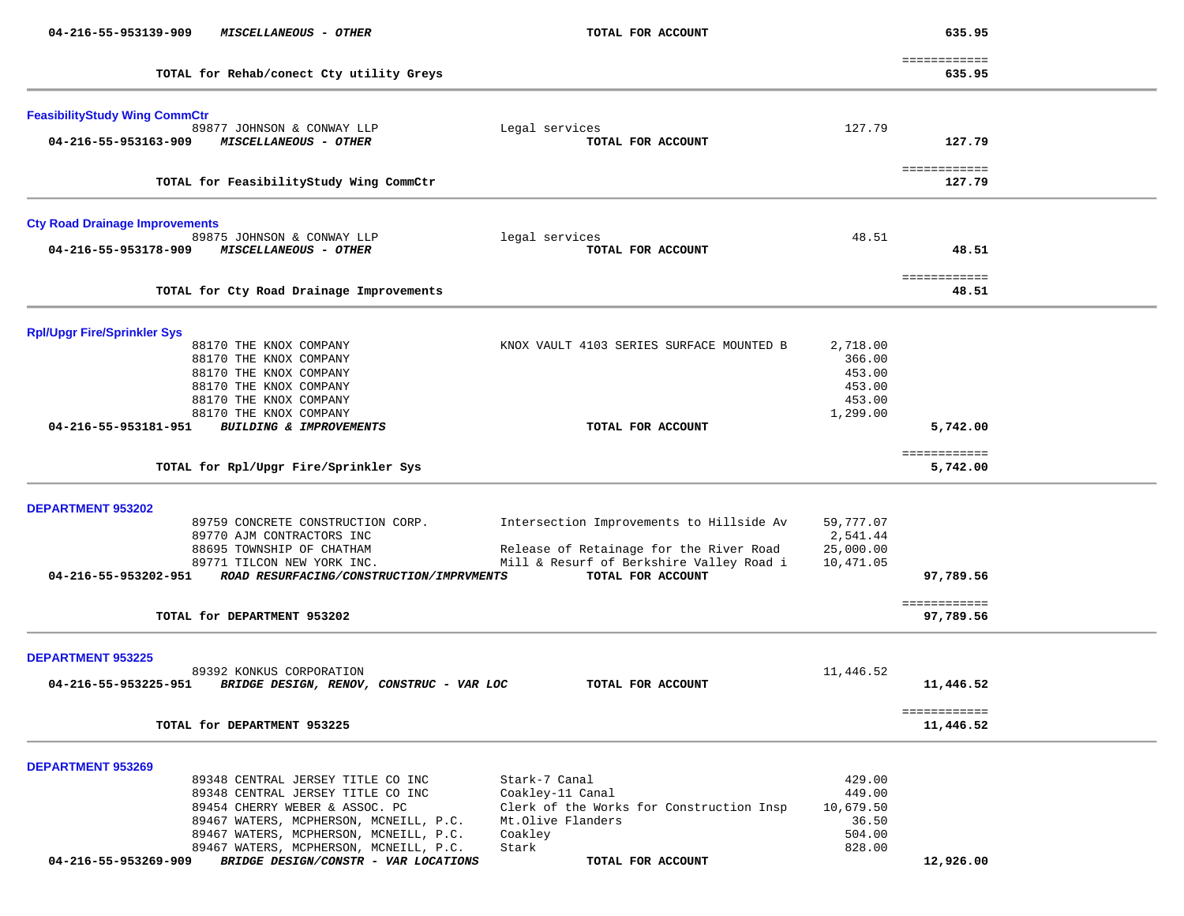| 04-216-55-953139-909                  | MISCELLANEOUS - OTHER                                                  | TOTAL FOR ACCOUNT                                             |           | 635.95                    |  |
|---------------------------------------|------------------------------------------------------------------------|---------------------------------------------------------------|-----------|---------------------------|--|
|                                       | TOTAL for Rehab/conect Cty utility Greys                               |                                                               |           | ============<br>635.95    |  |
|                                       |                                                                        |                                                               |           |                           |  |
| <b>FeasibilityStudy Wing CommCtr</b>  |                                                                        |                                                               |           |                           |  |
|                                       | 89877 JOHNSON & CONWAY LLP                                             | Legal services                                                | 127.79    |                           |  |
| 04-216-55-953163-909                  | MISCELLANEOUS - OTHER                                                  | TOTAL FOR ACCOUNT                                             |           | 127.79                    |  |
|                                       | TOTAL for FeasibilityStudy Wing CommCtr                                |                                                               |           | ============<br>127.79    |  |
| <b>Cty Road Drainage Improvements</b> |                                                                        |                                                               |           |                           |  |
|                                       | 89875 JOHNSON & CONWAY LLP                                             | legal services                                                | 48.51     |                           |  |
| 04-216-55-953178-909                  | MISCELLANEOUS - OTHER                                                  | TOTAL FOR ACCOUNT                                             |           | 48.51                     |  |
|                                       | TOTAL for Cty Road Drainage Improvements                               |                                                               |           | ============<br>48.51     |  |
|                                       |                                                                        |                                                               |           |                           |  |
| <b>Rpl/Upgr Fire/Sprinkler Sys</b>    | 88170 THE KNOX COMPANY                                                 | KNOX VAULT 4103 SERIES SURFACE MOUNTED B                      | 2,718.00  |                           |  |
|                                       | 88170 THE KNOX COMPANY                                                 |                                                               | 366.00    |                           |  |
|                                       | 88170 THE KNOX COMPANY                                                 |                                                               | 453.00    |                           |  |
|                                       | 88170 THE KNOX COMPANY                                                 |                                                               | 453.00    |                           |  |
|                                       | 88170 THE KNOX COMPANY                                                 |                                                               | 453.00    |                           |  |
|                                       | 88170 THE KNOX COMPANY                                                 |                                                               | 1,299.00  |                           |  |
| 04-216-55-953181-951                  | BUILDING & IMPROVEMENTS                                                | TOTAL FOR ACCOUNT                                             |           | 5,742.00                  |  |
|                                       | TOTAL for Rpl/Upgr Fire/Sprinkler Sys                                  |                                                               |           | ============<br>5,742.00  |  |
|                                       |                                                                        |                                                               |           |                           |  |
| <b>DEPARTMENT 953202</b>              |                                                                        |                                                               |           |                           |  |
|                                       | 89759 CONCRETE CONSTRUCTION CORP.                                      | Intersection Improvements to Hillside Av                      | 59,777.07 |                           |  |
|                                       | 89770 AJM CONTRACTORS INC                                              |                                                               | 2,541.44  |                           |  |
|                                       | 88695 TOWNSHIP OF CHATHAM                                              | Release of Retainage for the River Road                       | 25,000.00 |                           |  |
| 04-216-55-953202-951                  | 89771 TILCON NEW YORK INC.<br>ROAD RESURFACING/CONSTRUCTION/IMPRVMENTS | Mill & Resurf of Berkshire Valley Road i<br>TOTAL FOR ACCOUNT | 10,471.05 | 97,789.56                 |  |
|                                       |                                                                        |                                                               |           | ============              |  |
|                                       | TOTAL for DEPARTMENT 953202                                            |                                                               |           | 97,789.56                 |  |
| <b>DEPARTMENT 953225</b>              |                                                                        |                                                               |           |                           |  |
|                                       | 89392 KONKUS CORPORATION                                               |                                                               | 11,446.52 |                           |  |
| 04-216-55-953225-951                  | BRIDGE DESIGN, RENOV, CONSTRUC - VAR LOC                               | TOTAL FOR ACCOUNT                                             |           | 11,446.52                 |  |
|                                       | TOTAL for DEPARTMENT 953225                                            |                                                               |           | ============<br>11,446.52 |  |
|                                       |                                                                        |                                                               |           |                           |  |
| <b>DEPARTMENT 953269</b>              |                                                                        |                                                               |           |                           |  |
|                                       | 89348 CENTRAL JERSEY TITLE CO INC                                      | Stark-7 Canal                                                 | 429.00    |                           |  |
|                                       | 89348 CENTRAL JERSEY TITLE CO INC                                      | Coakley-11 Canal                                              | 449.00    |                           |  |
|                                       | 89454 CHERRY WEBER & ASSOC. PC                                         | Clerk of the Works for Construction Insp                      | 10,679.50 |                           |  |
|                                       | 89467 WATERS, MCPHERSON, MCNEILL, P.C.                                 | Mt.Olive Flanders                                             | 36.50     |                           |  |
|                                       | 89467 WATERS, MCPHERSON, MCNEILL, P.C.                                 | Coakley                                                       | 504.00    |                           |  |
|                                       | 89467 WATERS, MCPHERSON, MCNEILL, P.C.                                 | Stark                                                         | 828.00    |                           |  |
| 04-216-55-953269-909                  | BRIDGE DESIGN/CONSTR - VAR LOCATIONS                                   | TOTAL FOR ACCOUNT                                             |           | 12,926.00                 |  |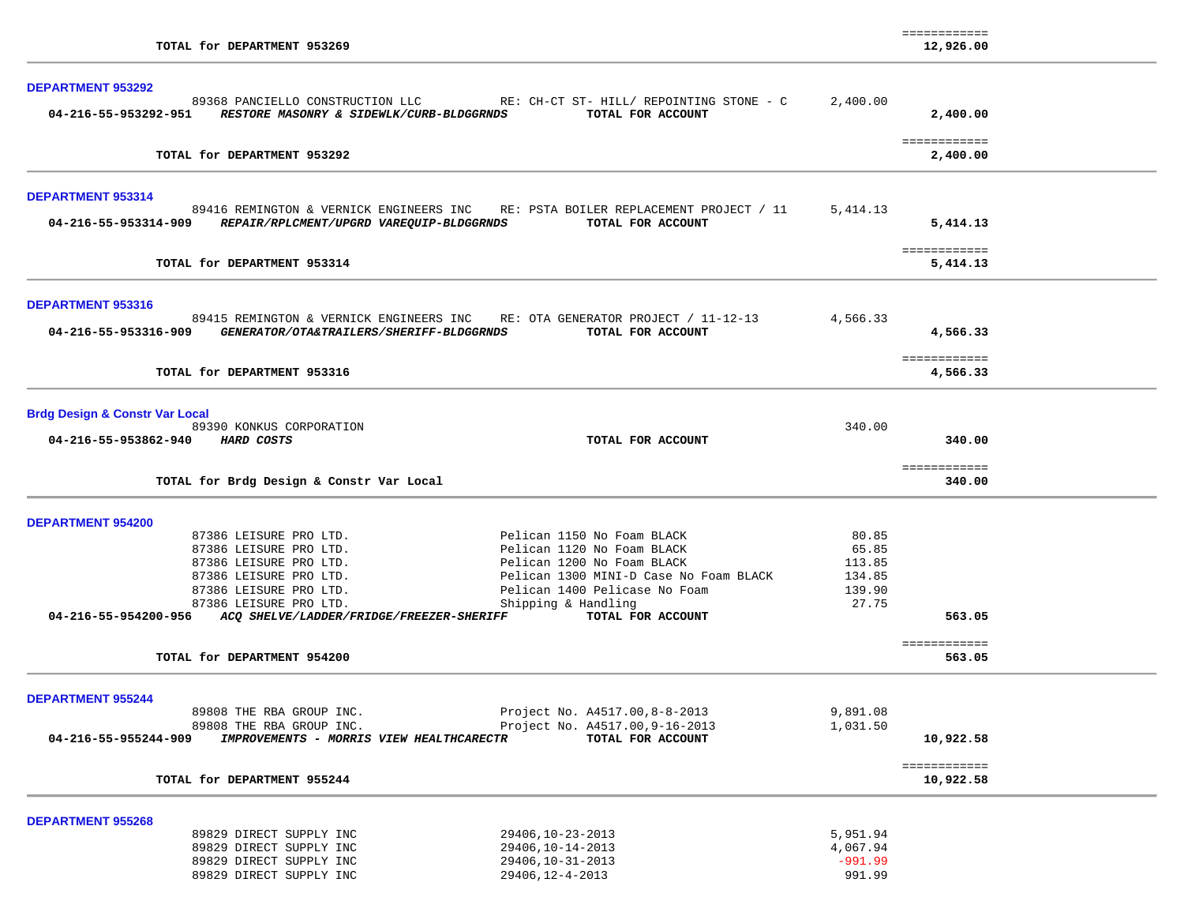|                                                                  |                                                                              |           | ============             |  |
|------------------------------------------------------------------|------------------------------------------------------------------------------|-----------|--------------------------|--|
| TOTAL for DEPARTMENT 953269                                      |                                                                              |           | 12,926.00                |  |
|                                                                  |                                                                              |           |                          |  |
| <b>DEPARTMENT 953292</b>                                         |                                                                              |           |                          |  |
|                                                                  | 89368 PANCIELLO CONSTRUCTION LLC RE: CH-CT ST- HILL/ REPOINTING STONE - C    | 2,400.00  |                          |  |
| 04-216-55-953292-951<br>RESTORE MASONRY & SIDEWLK/CURB-BLDGGRNDS | TOTAL FOR ACCOUNT                                                            |           | 2,400.00                 |  |
|                                                                  |                                                                              |           | ============             |  |
| TOTAL for DEPARTMENT 953292                                      |                                                                              |           | 2,400.00                 |  |
|                                                                  |                                                                              |           |                          |  |
| <b>DEPARTMENT 953314</b>                                         |                                                                              |           |                          |  |
| 89416 REMINGTON & VERNICK ENGINEERS INC                          | RE: PSTA BOILER REPLACEMENT PROJECT / 11                                     | 5,414.13  |                          |  |
| 04-216-55-953314-909<br>REPAIR/RPLCMENT/UPGRD VAREQUIP-BLDGGRNDS | TOTAL FOR ACCOUNT                                                            |           | 5,414.13                 |  |
|                                                                  |                                                                              |           |                          |  |
| TOTAL for DEPARTMENT 953314                                      |                                                                              |           | ============<br>5,414.13 |  |
|                                                                  |                                                                              |           |                          |  |
| DEPARTMENT 953316                                                |                                                                              |           |                          |  |
|                                                                  | 89415 REMINGTON & VERNICK ENGINEERS INC RE: OTA GENERATOR PROJECT / 11-12-13 | 4,566.33  |                          |  |
| 04-216-55-953316-909<br>GENERATOR/OTA&TRAILERS/SHERIFF-BLDGGRNDS | TOTAL FOR ACCOUNT                                                            |           | 4,566.33                 |  |
|                                                                  |                                                                              |           |                          |  |
|                                                                  |                                                                              |           | ============             |  |
| TOTAL for DEPARTMENT 953316                                      |                                                                              |           | 4,566.33                 |  |
|                                                                  |                                                                              |           |                          |  |
| <b>Brdg Design &amp; Constr Var Local</b>                        |                                                                              |           |                          |  |
| 89390 KONKUS CORPORATION<br>04-216-55-953862-940 HARD COSTS      | TOTAL FOR ACCOUNT                                                            | 340.00    | 340.00                   |  |
|                                                                  |                                                                              |           |                          |  |
|                                                                  |                                                                              |           | ============             |  |
| TOTAL for Brdg Design & Constr Var Local                         |                                                                              |           | 340.00                   |  |
|                                                                  |                                                                              |           |                          |  |
| <b>DEPARTMENT 954200</b>                                         |                                                                              |           |                          |  |
| 87386 LEISURE PRO LTD.                                           | Pelican 1150 No Foam BLACK                                                   | 80.85     |                          |  |
| 87386 LEISURE PRO LTD.                                           | Pelican 1120 No Foam BLACK                                                   | 65.85     |                          |  |
| 87386 LEISURE PRO LTD.                                           | Pelican 1200 No Foam BLACK                                                   | 113.85    |                          |  |
| 87386 LEISURE PRO LTD.                                           | Pelican 1300 MINI-D Case No Foam BLACK                                       | 134.85    |                          |  |
| 87386 LEISURE PRO LTD.                                           | Pelican 1400 Pelicase No Foam                                                | 139.90    |                          |  |
| 87386 LEISURE PRO LTD.                                           | Shipping & Handling                                                          | 27.75     |                          |  |
| 04-216-55-954200-956<br>ACQ SHELVE/LADDER/FRIDGE/FREEZER-SHERIFF | TOTAL FOR ACCOUNT                                                            |           | 563.05                   |  |
|                                                                  |                                                                              |           | ============             |  |
| TOTAL for DEPARTMENT 954200                                      |                                                                              |           | 563.05                   |  |
|                                                                  |                                                                              |           |                          |  |
| <b>DEPARTMENT 955244</b>                                         |                                                                              |           |                          |  |
| 89808 THE RBA GROUP INC.                                         | Project No. A4517.00, 8-8-2013                                               | 9,891.08  |                          |  |
| 89808 THE RBA GROUP INC.                                         | Project No. A4517.00, 9-16-2013                                              | 1,031.50  |                          |  |
| IMPROVEMENTS - MORRIS VIEW HEALTHCARECTR<br>04-216-55-955244-909 | TOTAL FOR ACCOUNT                                                            |           | 10,922.58                |  |
|                                                                  |                                                                              |           | ============             |  |
| TOTAL for DEPARTMENT 955244                                      |                                                                              |           | 10,922.58                |  |
|                                                                  |                                                                              |           |                          |  |
| <b>DEPARTMENT 955268</b>                                         |                                                                              |           |                          |  |
| 89829 DIRECT SUPPLY INC                                          | 29406, 10-23-2013                                                            | 5,951.94  |                          |  |
| 89829 DIRECT SUPPLY INC                                          | 29406, 10-14-2013                                                            | 4,067.94  |                          |  |
| 89829 DIRECT SUPPLY INC<br>89829 DIRECT SUPPLY INC               | 29406, 10-31-2013<br>29406, 12-4-2013                                        | $-991.99$ |                          |  |
|                                                                  |                                                                              | 991.99    |                          |  |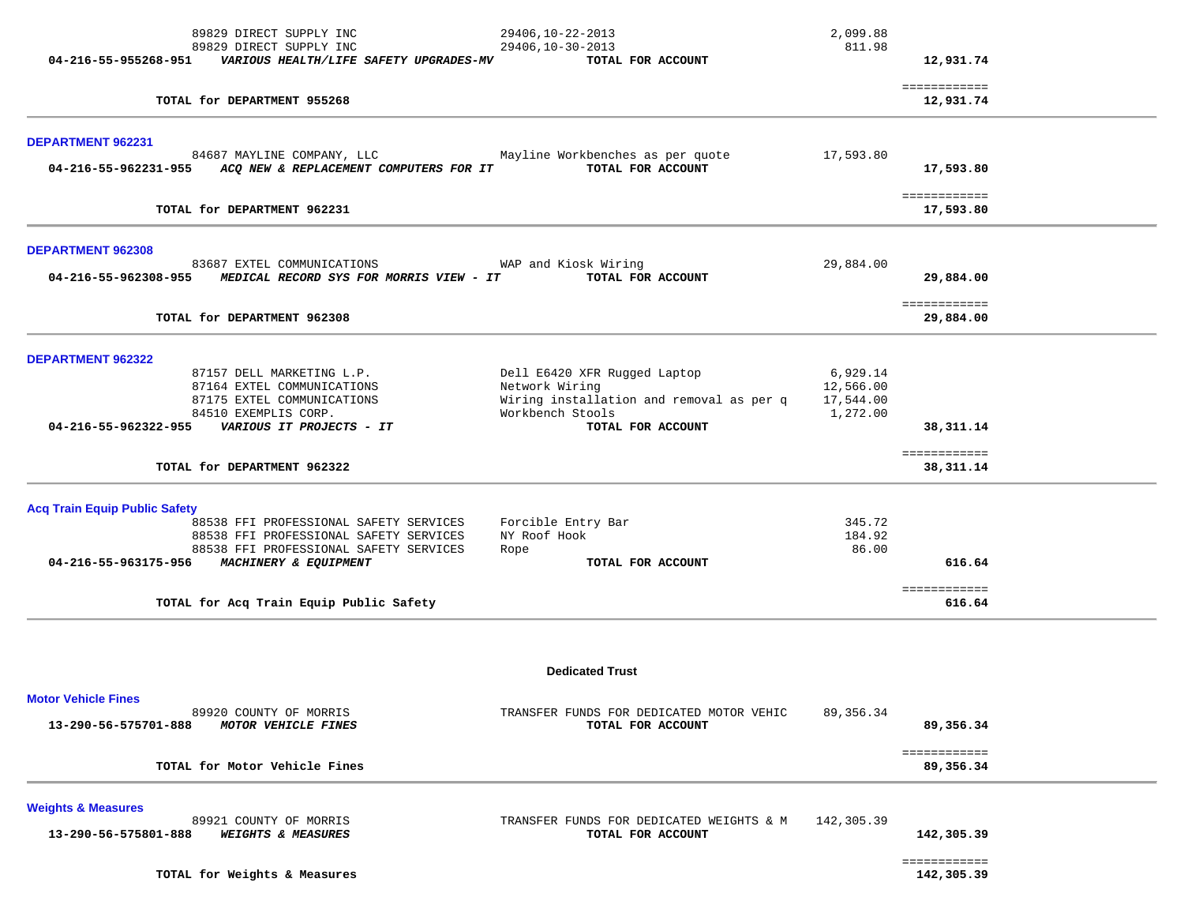|                                                    | 89829 DIRECT SUPPLY INC                                                                                                                   | 29406, 10-22-2013<br>29406, 10-30-2013                                                                                              | 2,099.88<br>811.98                             |                           |  |
|----------------------------------------------------|-------------------------------------------------------------------------------------------------------------------------------------------|-------------------------------------------------------------------------------------------------------------------------------------|------------------------------------------------|---------------------------|--|
| 04-216-55-955268-951                               | 89829 DIRECT SUPPLY INC<br>VARIOUS HEALTH/LIFE SAFETY UPGRADES-MV                                                                         | TOTAL FOR ACCOUNT                                                                                                                   |                                                | 12,931.74                 |  |
|                                                    | TOTAL for DEPARTMENT 955268                                                                                                               |                                                                                                                                     |                                                | ============<br>12,931.74 |  |
| DEPARTMENT 962231                                  |                                                                                                                                           |                                                                                                                                     |                                                |                           |  |
| 04-216-55-962231-955                               | 84687 MAYLINE COMPANY, LLC<br>ACQ NEW & REPLACEMENT COMPUTERS FOR IT                                                                      | Mayline Workbenches as per quote<br>TOTAL FOR ACCOUNT                                                                               | 17,593.80                                      | 17,593.80                 |  |
|                                                    | TOTAL for DEPARTMENT 962231                                                                                                               |                                                                                                                                     |                                                | ============<br>17,593.80 |  |
| DEPARTMENT 962308<br>04-216-55-962308-955          | 83687 EXTEL COMMUNICATIONS<br>MEDICAL RECORD SYS FOR MORRIS VIEW - IT                                                                     | WAP and Kiosk Wiring<br>TOTAL FOR ACCOUNT                                                                                           | 29,884.00                                      | 29,884.00                 |  |
|                                                    | TOTAL for DEPARTMENT 962308                                                                                                               |                                                                                                                                     |                                                | ============<br>29,884.00 |  |
| DEPARTMENT 962322                                  |                                                                                                                                           |                                                                                                                                     |                                                |                           |  |
| 04-216-55-962322-955                               | 87157 DELL MARKETING L.P.<br>87164 EXTEL COMMUNICATIONS<br>87175 EXTEL COMMUNICATIONS<br>84510 EXEMPLIS CORP.<br>VARIOUS IT PROJECTS - IT | Dell E6420 XFR Rugged Laptop<br>Network Wiring<br>Wiring installation and removal as per q<br>Workbench Stools<br>TOTAL FOR ACCOUNT | 6,929.14<br>12,566.00<br>17,544.00<br>1,272.00 | 38,311.14                 |  |
|                                                    | TOTAL for DEPARTMENT 962322                                                                                                               |                                                                                                                                     |                                                | ============<br>38,311.14 |  |
| <b>Acq Train Equip Public Safety</b>               | 88538 FFI PROFESSIONAL SAFETY SERVICES<br>88538 FFI PROFESSIONAL SAFETY SERVICES<br>88538 FFI PROFESSIONAL SAFETY SERVICES                | Forcible Entry Bar<br>NY Roof Hook<br>Rope                                                                                          | 345.72<br>184.92<br>86.00                      |                           |  |
| 04-216-55-963175-956                               | MACHINERY & EQUIPMENT                                                                                                                     | TOTAL FOR ACCOUNT                                                                                                                   |                                                | 616.64                    |  |
|                                                    | TOTAL for Acq Train Equip Public Safety                                                                                                   |                                                                                                                                     |                                                | ============<br>616.64    |  |
|                                                    |                                                                                                                                           | <b>Dedicated Trust</b>                                                                                                              |                                                |                           |  |
| <b>Motor Vehicle Fines</b><br>13-290-56-575701-888 | 89920 COUNTY OF MORRIS<br>MOTOR VEHICLE FINES                                                                                             | TRANSFER FUNDS FOR DEDICATED MOTOR VEHIC<br>TOTAL FOR ACCOUNT                                                                       | 89,356.34                                      | 89,356.34                 |  |
|                                                    | TOTAL for Motor Vehicle Fines                                                                                                             |                                                                                                                                     |                                                | ============<br>89,356.34 |  |
| <b>Weights &amp; Measures</b>                      | 89921 COUNTY OF MORRIS                                                                                                                    | TRANSFER FUNDS FOR DEDICATED WEIGHTS & M                                                                                            | 142,305.39                                     |                           |  |
| 13-290-56-575801-888                               | <b>WEIGHTS &amp; MEASURES</b>                                                                                                             | TOTAL FOR ACCOUNT                                                                                                                   |                                                | 142,305.39                |  |

============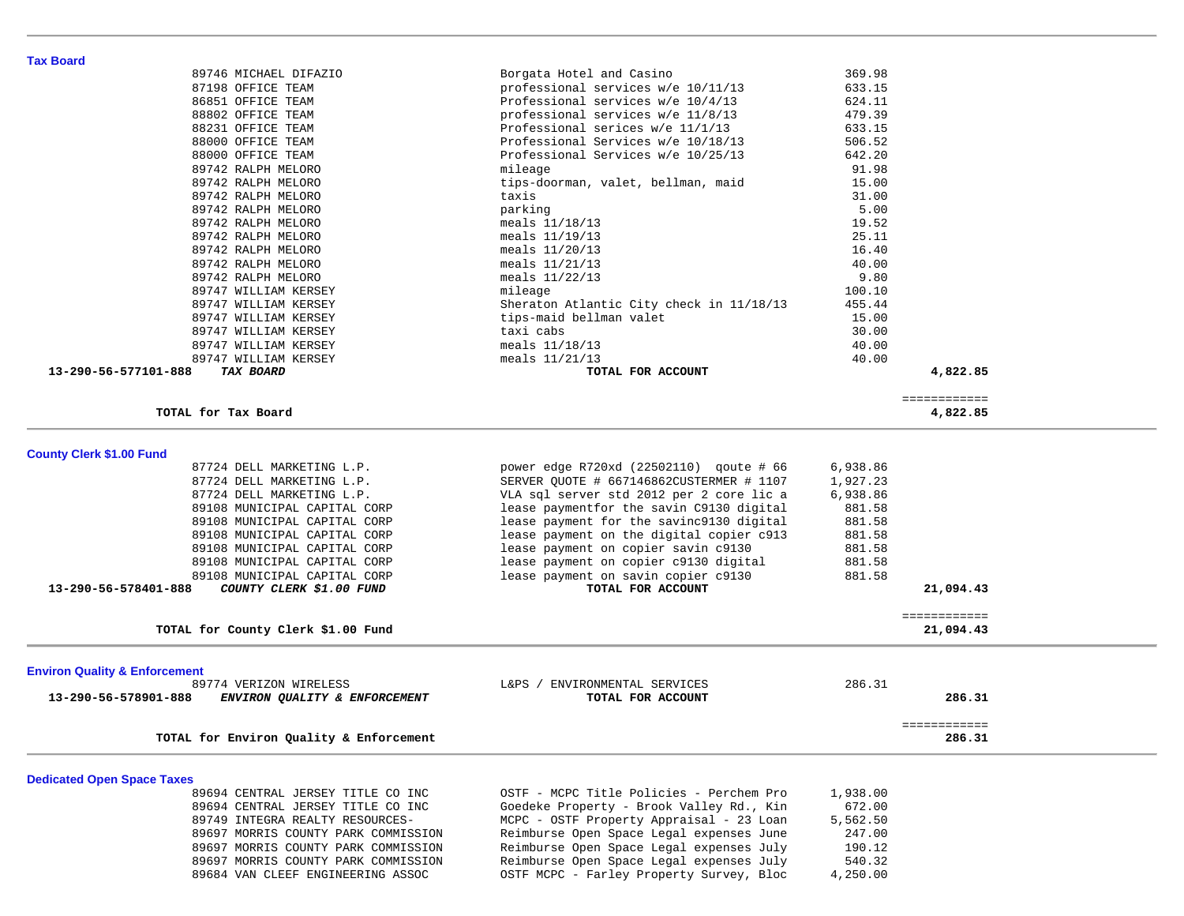| 89742 RALPH MELORO                                    | mileage                                                  | 91.98    |                           |  |
|-------------------------------------------------------|----------------------------------------------------------|----------|---------------------------|--|
| 89742 RALPH MELORO                                    | tips-doorman, valet, bellman, maid                       | 15.00    |                           |  |
| 89742 RALPH MELORO                                    | taxis                                                    | 31.00    |                           |  |
| 89742 RALPH MELORO                                    | parking                                                  | 5.00     |                           |  |
| 89742 RALPH MELORO                                    | meals 11/18/13                                           | 19.52    |                           |  |
| 89742 RALPH MELORO                                    | meals 11/19/13                                           | 25.11    |                           |  |
| 89742 RALPH MELORO                                    | meals $11/20/13$                                         | 16.40    |                           |  |
| 89742 RALPH MELORO                                    | meals $11/21/13$                                         | 40.00    |                           |  |
| 89742 RALPH MELORO                                    | meals 11/22/13                                           | 9.80     |                           |  |
| 89747 WILLIAM KERSEY                                  | mileage                                                  | 100.10   |                           |  |
| 89747 WILLIAM KERSEY                                  | Sheraton Atlantic City check in 11/18/13                 | 455.44   |                           |  |
| 89747 WILLIAM KERSEY                                  | tips-maid bellman valet                                  | 15.00    |                           |  |
| 89747 WILLIAM KERSEY                                  | taxi cabs                                                | 30.00    |                           |  |
| 89747 WILLIAM KERSEY                                  | meals $11/18/13$                                         | 40.00    |                           |  |
| 89747 WILLIAM KERSEY                                  | meals 11/21/13                                           | 40.00    |                           |  |
| 13-290-56-577101-888<br>TAX BOARD                     | TOTAL FOR ACCOUNT                                        |          | 4,822.85                  |  |
|                                                       |                                                          |          | ============              |  |
| TOTAL for Tax Board                                   |                                                          |          | 4,822.85                  |  |
| <b>County Clerk \$1.00 Fund</b>                       |                                                          |          |                           |  |
| 87724 DELL MARKETING L.P.                             | power edge R720xd (22502110) qoute # 66                  | 6,938.86 |                           |  |
| 87724 DELL MARKETING L.P.                             | SERVER QUOTE # 667146862CUSTERMER # 1107                 | 1,927.23 |                           |  |
| 87724 DELL MARKETING L.P.                             | VLA sql server std 2012 per 2 core lic a                 | 6,938.86 |                           |  |
| 89108 MUNICIPAL CAPITAL CORP                          | lease paymentfor the savin C9130 digital                 | 881.58   |                           |  |
| 89108 MUNICIPAL CAPITAL CORP                          | lease payment for the savinc9130 digital                 | 881.58   |                           |  |
| 89108 MUNICIPAL CAPITAL CORP                          | lease payment on the digital copier c913                 | 881.58   |                           |  |
| 89108 MUNICIPAL CAPITAL CORP                          |                                                          | 881.58   |                           |  |
|                                                       | lease payment on copier savin c9130                      |          |                           |  |
| 89108 MUNICIPAL CAPITAL CORP                          | lease payment on copier c9130 digital                    | 881.58   |                           |  |
| 89108 MUNICIPAL CAPITAL CORP<br>13-290-56-578401-888  | lease payment on savin copier c9130<br>TOTAL FOR ACCOUNT | 881.58   |                           |  |
| COUNTY CLERK \$1.00 FUND                              |                                                          |          | 21,094.43                 |  |
| TOTAL for County Clerk \$1.00 Fund                    |                                                          |          | ============<br>21,094.43 |  |
|                                                       |                                                          |          |                           |  |
| <b>Environ Quality &amp; Enforcement</b>              |                                                          |          |                           |  |
| 89774 VERIZON WIRELESS                                | L&PS / ENVIRONMENTAL SERVICES                            | 286.31   |                           |  |
| 13-290-56-578901-888<br>ENVIRON QUALITY & ENFORCEMENT | TOTAL FOR ACCOUNT                                        |          | 286.31                    |  |
|                                                       |                                                          |          | ============              |  |
| TOTAL for Environ Quality & Enforcement               |                                                          |          | 286.31                    |  |
| <b>Dedicated Open Space Taxes</b>                     |                                                          |          |                           |  |
| 89694 CENTRAL JERSEY TITLE CO INC                     | OSTF - MCPC Title Policies - Perchem Pro                 | 1,938.00 |                           |  |
| 89694 CENTRAL JERSEY TITLE CO INC                     | Goedeke Property - Brook Valley Rd., Kin                 | 672.00   |                           |  |
| 89749 INTEGRA REALTY RESOURCES-                       | MCPC - OSTF Property Appraisal - 23 Loan                 | 5,562.50 |                           |  |
| 89697 MORRIS COUNTY PARK COMMISSION                   | Reimburse Open Space Legal expenses June                 | 247.00   |                           |  |
| 89697 MORRIS COUNTY PARK COMMISSION                   | Reimburse Open Space Legal expenses July                 | 190.12   |                           |  |
| 89697 MORRIS COUNTY PARK COMMISSION                   | Reimburse Open Space Legal expenses July                 | 540.32   |                           |  |
| 89684 VAN CLEEF ENGINEERING ASSOC                     | OSTF MCPC - Farley Property Survey, Bloc                 | 4,250.00 |                           |  |
|                                                       |                                                          |          |                           |  |
|                                                       |                                                          |          |                           |  |

 89746 MICHAEL DIFAZIO Borgata Hotel and Casino 369.98 87198 OFFICE TEAM professional services w/e 10/11/13 633.15 86851 OFFICE TEAM Professional services w/e 10/4/13 624.11 88802 OFFICE TEAM professional services w/e 11/8/13 479.39 88231 OFFICE TEAM Professional serices w/e 11/1/13 633.15 88000 OFFICE TEAM Professional Services w/e 10/18/13 506.52 88000 OFFICE TEAM Professional Services w/e 10/25/13 642.20

**Tax Board**